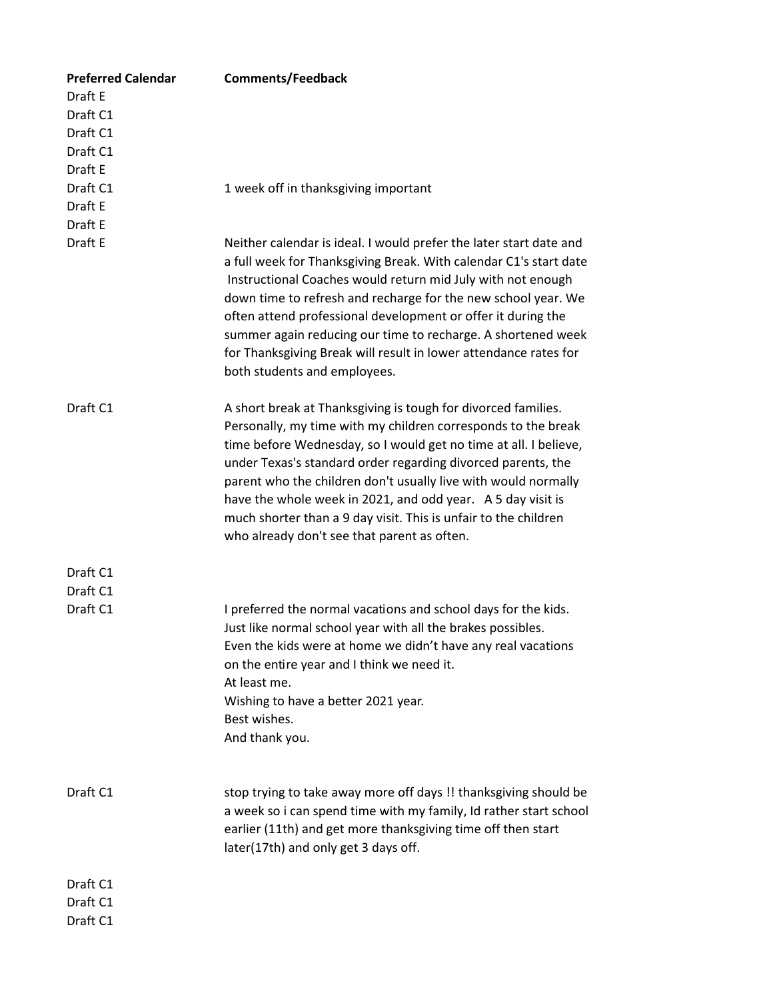| <b>Preferred Calendar</b> | <b>Comments/Feedback</b>                                                                                                                                                                                                                                                                                                                                                                                                                                                                                              |
|---------------------------|-----------------------------------------------------------------------------------------------------------------------------------------------------------------------------------------------------------------------------------------------------------------------------------------------------------------------------------------------------------------------------------------------------------------------------------------------------------------------------------------------------------------------|
| Draft E                   |                                                                                                                                                                                                                                                                                                                                                                                                                                                                                                                       |
| Draft C1                  |                                                                                                                                                                                                                                                                                                                                                                                                                                                                                                                       |
| Draft C1                  |                                                                                                                                                                                                                                                                                                                                                                                                                                                                                                                       |
| Draft C1                  |                                                                                                                                                                                                                                                                                                                                                                                                                                                                                                                       |
| Draft E                   |                                                                                                                                                                                                                                                                                                                                                                                                                                                                                                                       |
| Draft C1                  | 1 week off in thanksgiving important                                                                                                                                                                                                                                                                                                                                                                                                                                                                                  |
| Draft E                   |                                                                                                                                                                                                                                                                                                                                                                                                                                                                                                                       |
| Draft E                   |                                                                                                                                                                                                                                                                                                                                                                                                                                                                                                                       |
| Draft E                   | Neither calendar is ideal. I would prefer the later start date and<br>a full week for Thanksgiving Break. With calendar C1's start date<br>Instructional Coaches would return mid July with not enough<br>down time to refresh and recharge for the new school year. We<br>often attend professional development or offer it during the<br>summer again reducing our time to recharge. A shortened week<br>for Thanksgiving Break will result in lower attendance rates for<br>both students and employees.           |
| Draft C1                  | A short break at Thanksgiving is tough for divorced families.<br>Personally, my time with my children corresponds to the break<br>time before Wednesday, so I would get no time at all. I believe,<br>under Texas's standard order regarding divorced parents, the<br>parent who the children don't usually live with would normally<br>have the whole week in 2021, and odd year. A 5 day visit is<br>much shorter than a 9 day visit. This is unfair to the children<br>who already don't see that parent as often. |
| Draft C1                  |                                                                                                                                                                                                                                                                                                                                                                                                                                                                                                                       |
| Draft C1                  |                                                                                                                                                                                                                                                                                                                                                                                                                                                                                                                       |
| Draft C1                  | I preferred the normal vacations and school days for the kids.<br>Just like normal school year with all the brakes possibles.<br>Even the kids were at home we didn't have any real vacations<br>on the entire year and I think we need it.<br>At least me.<br>Wishing to have a better 2021 year.<br>Best wishes.<br>And thank you.                                                                                                                                                                                  |
| Draft C1                  | stop trying to take away more off days !! thanksgiving should be<br>a week so i can spend time with my family, Id rather start school<br>earlier (11th) and get more thanksgiving time off then start<br>later(17th) and only get 3 days off.                                                                                                                                                                                                                                                                         |
| Draft C1                  |                                                                                                                                                                                                                                                                                                                                                                                                                                                                                                                       |
| Draft C1                  |                                                                                                                                                                                                                                                                                                                                                                                                                                                                                                                       |
| Draft C1                  |                                                                                                                                                                                                                                                                                                                                                                                                                                                                                                                       |
|                           |                                                                                                                                                                                                                                                                                                                                                                                                                                                                                                                       |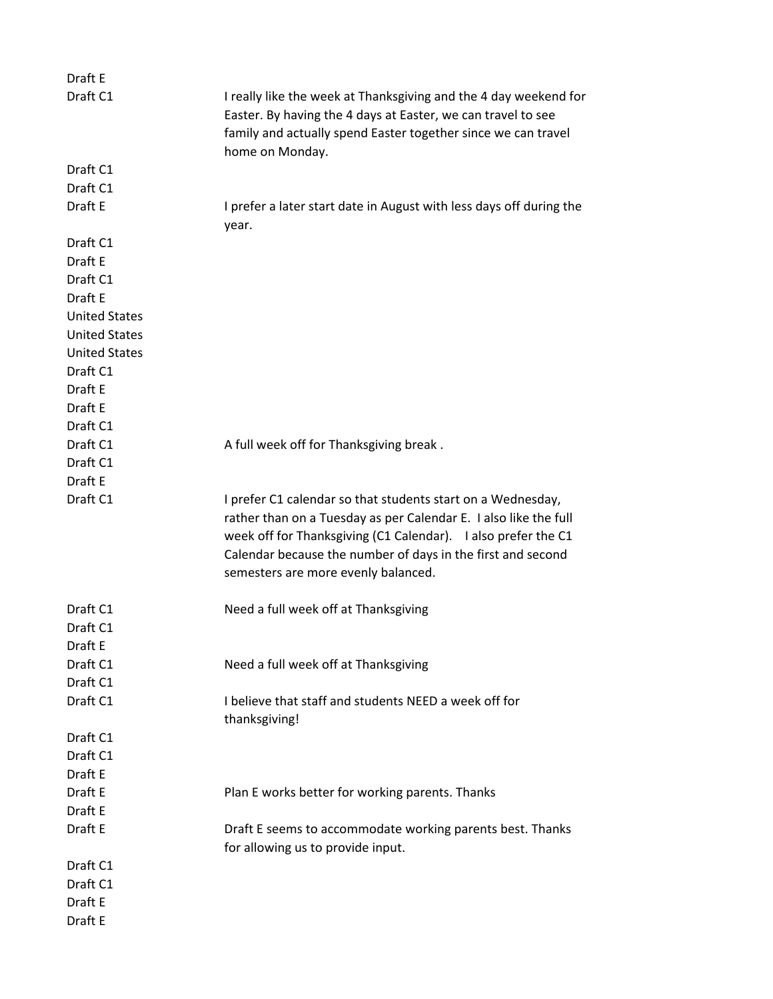| Draft E              |                                                                                                                                                                                                                                                                                                        |
|----------------------|--------------------------------------------------------------------------------------------------------------------------------------------------------------------------------------------------------------------------------------------------------------------------------------------------------|
| Draft C1             | I really like the week at Thanksgiving and the 4 day weekend for                                                                                                                                                                                                                                       |
|                      | Easter. By having the 4 days at Easter, we can travel to see<br>family and actually spend Easter together since we can travel                                                                                                                                                                          |
|                      | home on Monday.                                                                                                                                                                                                                                                                                        |
| Draft C1             |                                                                                                                                                                                                                                                                                                        |
| Draft C1             |                                                                                                                                                                                                                                                                                                        |
| Draft E              | I prefer a later start date in August with less days off during the<br>year.                                                                                                                                                                                                                           |
| Draft C1             |                                                                                                                                                                                                                                                                                                        |
| Draft E              |                                                                                                                                                                                                                                                                                                        |
| Draft C1             |                                                                                                                                                                                                                                                                                                        |
| Draft E              |                                                                                                                                                                                                                                                                                                        |
| <b>United States</b> |                                                                                                                                                                                                                                                                                                        |
| <b>United States</b> |                                                                                                                                                                                                                                                                                                        |
| <b>United States</b> |                                                                                                                                                                                                                                                                                                        |
| Draft C1             |                                                                                                                                                                                                                                                                                                        |
| Draft E              |                                                                                                                                                                                                                                                                                                        |
| Draft E              |                                                                                                                                                                                                                                                                                                        |
| Draft C1             |                                                                                                                                                                                                                                                                                                        |
| Draft C1             | A full week off for Thanksgiving break.                                                                                                                                                                                                                                                                |
| Draft C1             |                                                                                                                                                                                                                                                                                                        |
| Draft E              |                                                                                                                                                                                                                                                                                                        |
| Draft C1             | I prefer C1 calendar so that students start on a Wednesday,<br>rather than on a Tuesday as per Calendar E. I also like the full<br>week off for Thanksgiving (C1 Calendar). I also prefer the C1<br>Calendar because the number of days in the first and second<br>semesters are more evenly balanced. |
| Draft C1             | Need a full week off at Thanksgiving                                                                                                                                                                                                                                                                   |
| Draft C1             |                                                                                                                                                                                                                                                                                                        |
| Draft E              |                                                                                                                                                                                                                                                                                                        |
| Draft C1             | Need a full week off at Thanksgiving                                                                                                                                                                                                                                                                   |
| Draft C1             |                                                                                                                                                                                                                                                                                                        |
| Draft C1             | I believe that staff and students NEED a week off for<br>thanksgiving!                                                                                                                                                                                                                                 |
| Draft C1             |                                                                                                                                                                                                                                                                                                        |
| Draft C1             |                                                                                                                                                                                                                                                                                                        |
| Draft E              |                                                                                                                                                                                                                                                                                                        |
| Draft E              | Plan E works better for working parents. Thanks                                                                                                                                                                                                                                                        |
| Draft E              |                                                                                                                                                                                                                                                                                                        |
| Draft E              | Draft E seems to accommodate working parents best. Thanks<br>for allowing us to provide input.                                                                                                                                                                                                         |
| Draft C1             |                                                                                                                                                                                                                                                                                                        |
| Draft C1             |                                                                                                                                                                                                                                                                                                        |
| Draft E              |                                                                                                                                                                                                                                                                                                        |
| Draft E              |                                                                                                                                                                                                                                                                                                        |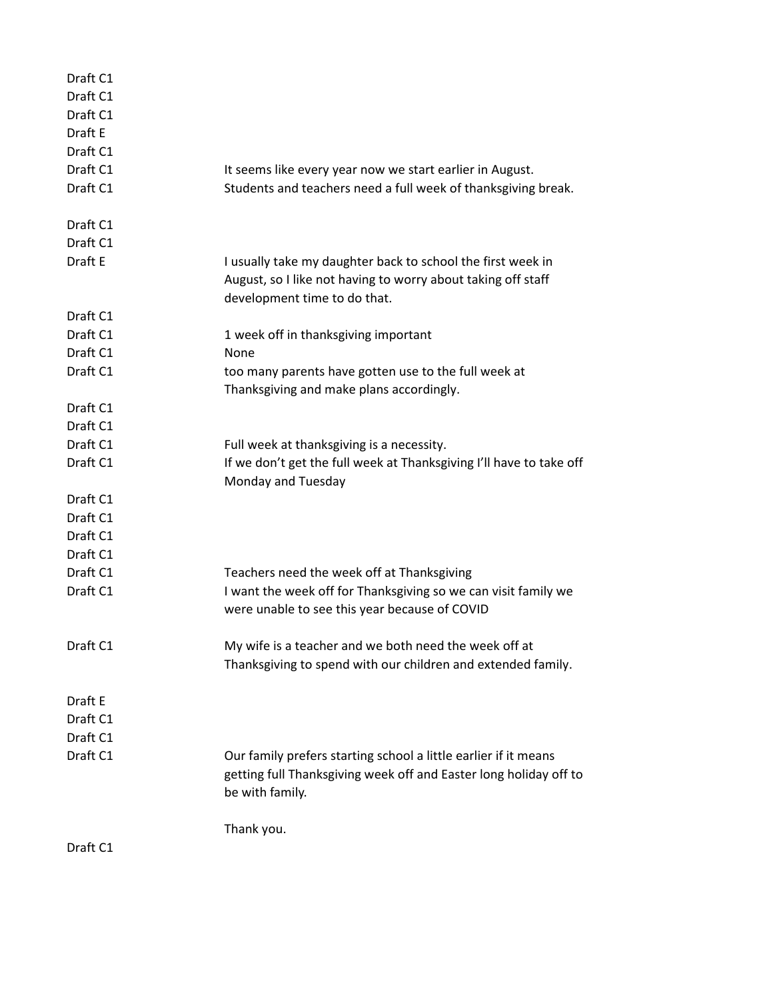| Draft C1<br>Draft C1<br>Draft C1<br>Draft E<br>Draft C1<br>Draft C1<br>Draft C1 | It seems like every year now we start earlier in August.<br>Students and teachers need a full week of thanksgiving break.                                   |
|---------------------------------------------------------------------------------|-------------------------------------------------------------------------------------------------------------------------------------------------------------|
| Draft C1                                                                        |                                                                                                                                                             |
| Draft C1                                                                        |                                                                                                                                                             |
| Draft E                                                                         | I usually take my daughter back to school the first week in<br>August, so I like not having to worry about taking off staff<br>development time to do that. |
| Draft C1                                                                        |                                                                                                                                                             |
| Draft C1                                                                        | 1 week off in thanksgiving important                                                                                                                        |
| Draft C1                                                                        | None                                                                                                                                                        |
| Draft C1                                                                        | too many parents have gotten use to the full week at<br>Thanksgiving and make plans accordingly.                                                            |
| Draft C1                                                                        |                                                                                                                                                             |
| Draft C1                                                                        |                                                                                                                                                             |
| Draft C1                                                                        | Full week at thanksgiving is a necessity.                                                                                                                   |
| Draft C1                                                                        | If we don't get the full week at Thanksgiving I'll have to take off<br>Monday and Tuesday                                                                   |
| Draft C1                                                                        |                                                                                                                                                             |
| Draft C1                                                                        |                                                                                                                                                             |
| Draft C1                                                                        |                                                                                                                                                             |
| Draft C1                                                                        |                                                                                                                                                             |
| Draft C1                                                                        | Teachers need the week off at Thanksgiving                                                                                                                  |
| Draft C1                                                                        | I want the week off for Thanksgiving so we can visit family we<br>were unable to see this year because of COVID                                             |
| Draft C1                                                                        | My wife is a teacher and we both need the week off at<br>Thanksgiving to spend with our children and extended family.                                       |
| Draft E                                                                         |                                                                                                                                                             |
| Draft C1                                                                        |                                                                                                                                                             |
| Draft C1                                                                        |                                                                                                                                                             |
| Draft C1                                                                        | Our family prefers starting school a little earlier if it means<br>getting full Thanksgiving week off and Easter long holiday off to<br>be with family.     |
|                                                                                 | Thank you.                                                                                                                                                  |
| Draft C1                                                                        |                                                                                                                                                             |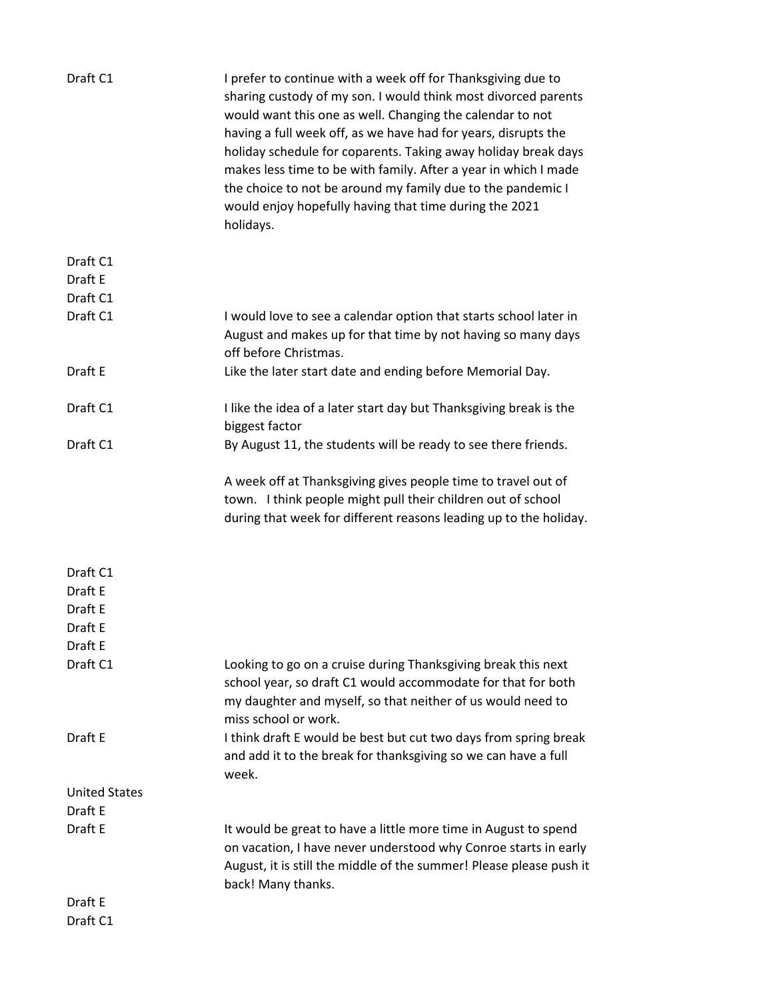| Draft C1             | I prefer to continue with a week off for Thanksgiving due to<br>sharing custody of my son. I would think most divorced parents<br>would want this one as well. Changing the calendar to not<br>having a full week off, as we have had for years, disrupts the<br>holiday schedule for coparents. Taking away holiday break days<br>makes less time to be with family. After a year in which I made<br>the choice to not be around my family due to the pandemic I<br>would enjoy hopefully having that time during the 2021<br>holidays. |
|----------------------|------------------------------------------------------------------------------------------------------------------------------------------------------------------------------------------------------------------------------------------------------------------------------------------------------------------------------------------------------------------------------------------------------------------------------------------------------------------------------------------------------------------------------------------|
| Draft C1             |                                                                                                                                                                                                                                                                                                                                                                                                                                                                                                                                          |
| Draft E              |                                                                                                                                                                                                                                                                                                                                                                                                                                                                                                                                          |
| Draft C1             |                                                                                                                                                                                                                                                                                                                                                                                                                                                                                                                                          |
| Draft C1             | I would love to see a calendar option that starts school later in<br>August and makes up for that time by not having so many days<br>off before Christmas.                                                                                                                                                                                                                                                                                                                                                                               |
| Draft E              | Like the later start date and ending before Memorial Day.                                                                                                                                                                                                                                                                                                                                                                                                                                                                                |
| Draft C1             | I like the idea of a later start day but Thanksgiving break is the<br>biggest factor                                                                                                                                                                                                                                                                                                                                                                                                                                                     |
| Draft C1             | By August 11, the students will be ready to see there friends.                                                                                                                                                                                                                                                                                                                                                                                                                                                                           |
|                      | A week off at Thanksgiving gives people time to travel out of<br>town. I think people might pull their children out of school<br>during that week for different reasons leading up to the holiday.                                                                                                                                                                                                                                                                                                                                       |
| Draft C1             |                                                                                                                                                                                                                                                                                                                                                                                                                                                                                                                                          |
| Draft E              |                                                                                                                                                                                                                                                                                                                                                                                                                                                                                                                                          |
| Draft E              |                                                                                                                                                                                                                                                                                                                                                                                                                                                                                                                                          |
| Draft E              |                                                                                                                                                                                                                                                                                                                                                                                                                                                                                                                                          |
| Draft E              |                                                                                                                                                                                                                                                                                                                                                                                                                                                                                                                                          |
| Draft C1             | Looking to go on a cruise during Thanksgiving break this next<br>school year, so draft C1 would accommodate for that for both<br>my daughter and myself, so that neither of us would need to<br>miss school or work.                                                                                                                                                                                                                                                                                                                     |
| Draft E              | I think draft E would be best but cut two days from spring break<br>and add it to the break for thanksgiving so we can have a full<br>week.                                                                                                                                                                                                                                                                                                                                                                                              |
| <b>United States</b> |                                                                                                                                                                                                                                                                                                                                                                                                                                                                                                                                          |
| Draft E              |                                                                                                                                                                                                                                                                                                                                                                                                                                                                                                                                          |
| Draft E              | It would be great to have a little more time in August to spend<br>on vacation, I have never understood why Conroe starts in early<br>August, it is still the middle of the summer! Please please push it<br>back! Many thanks.                                                                                                                                                                                                                                                                                                          |
| Draft E              |                                                                                                                                                                                                                                                                                                                                                                                                                                                                                                                                          |
| Draft C1             |                                                                                                                                                                                                                                                                                                                                                                                                                                                                                                                                          |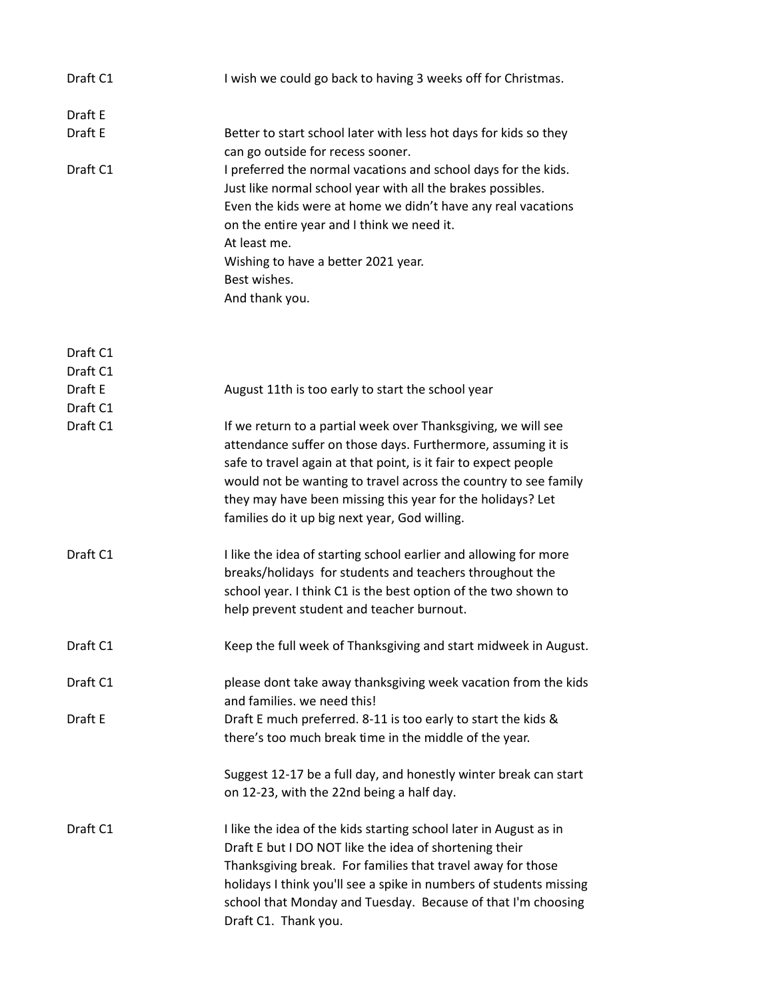| Draft C1 | I wish we could go back to having 3 weeks off for Christmas.                                                                                                                                                                                                                                                                                                                       |
|----------|------------------------------------------------------------------------------------------------------------------------------------------------------------------------------------------------------------------------------------------------------------------------------------------------------------------------------------------------------------------------------------|
| Draft E  |                                                                                                                                                                                                                                                                                                                                                                                    |
| Draft E  | Better to start school later with less hot days for kids so they<br>can go outside for recess sooner.                                                                                                                                                                                                                                                                              |
| Draft C1 | I preferred the normal vacations and school days for the kids.<br>Just like normal school year with all the brakes possibles.<br>Even the kids were at home we didn't have any real vacations<br>on the entire year and I think we need it.<br>At least me.<br>Wishing to have a better 2021 year.<br>Best wishes.<br>And thank you.                                               |
| Draft C1 |                                                                                                                                                                                                                                                                                                                                                                                    |
| Draft C1 |                                                                                                                                                                                                                                                                                                                                                                                    |
| Draft E  | August 11th is too early to start the school year                                                                                                                                                                                                                                                                                                                                  |
| Draft C1 |                                                                                                                                                                                                                                                                                                                                                                                    |
| Draft C1 | If we return to a partial week over Thanksgiving, we will see<br>attendance suffer on those days. Furthermore, assuming it is<br>safe to travel again at that point, is it fair to expect people<br>would not be wanting to travel across the country to see family<br>they may have been missing this year for the holidays? Let<br>families do it up big next year, God willing. |
| Draft C1 | I like the idea of starting school earlier and allowing for more<br>breaks/holidays for students and teachers throughout the<br>school year. I think C1 is the best option of the two shown to<br>help prevent student and teacher burnout.                                                                                                                                        |
| Draft C1 | Keep the full week of Thanksgiving and start midweek in August.                                                                                                                                                                                                                                                                                                                    |
| Draft C1 | please dont take away thanksgiving week vacation from the kids<br>and families. we need this!                                                                                                                                                                                                                                                                                      |
| Draft E  | Draft E much preferred. 8-11 is too early to start the kids &<br>there's too much break time in the middle of the year.                                                                                                                                                                                                                                                            |
|          | Suggest 12-17 be a full day, and honestly winter break can start<br>on 12-23, with the 22nd being a half day.                                                                                                                                                                                                                                                                      |
| Draft C1 | I like the idea of the kids starting school later in August as in<br>Draft E but I DO NOT like the idea of shortening their<br>Thanksgiving break. For families that travel away for those<br>holidays I think you'll see a spike in numbers of students missing<br>school that Monday and Tuesday. Because of that I'm choosing<br>Draft C1. Thank you.                           |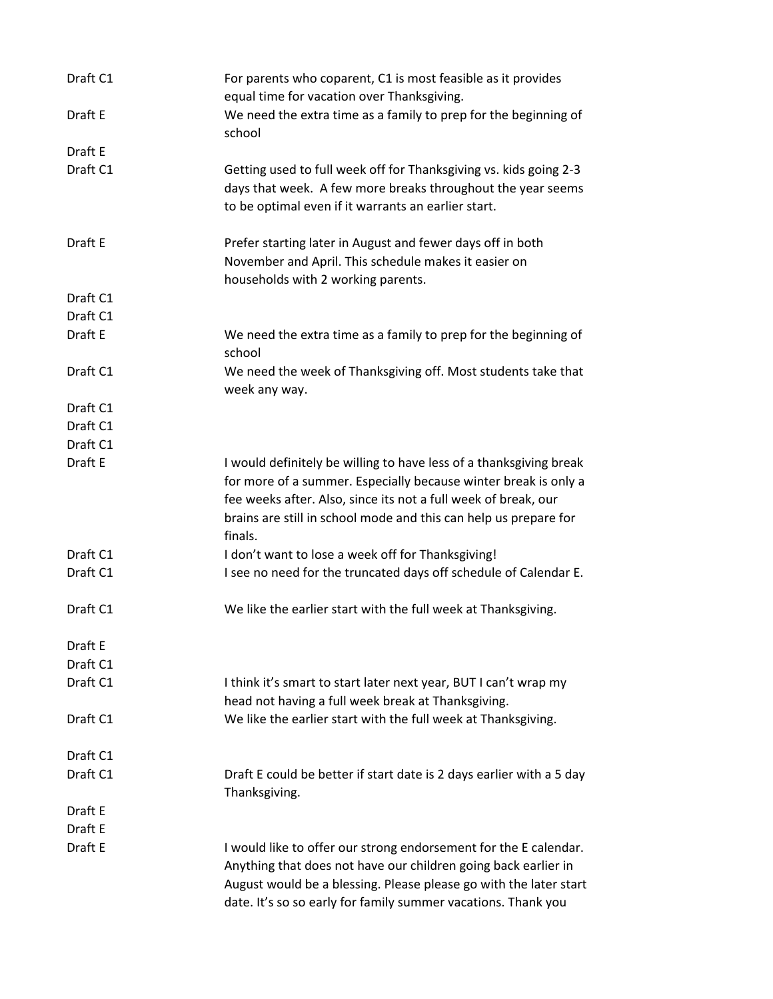| Draft C1 | For parents who coparent, C1 is most feasible as it provides<br>equal time for vacation over Thanksgiving.                                                                                                                                                               |
|----------|--------------------------------------------------------------------------------------------------------------------------------------------------------------------------------------------------------------------------------------------------------------------------|
| Draft E  | We need the extra time as a family to prep for the beginning of<br>school                                                                                                                                                                                                |
| Draft E  |                                                                                                                                                                                                                                                                          |
| Draft C1 | Getting used to full week off for Thanksgiving vs. kids going 2-3<br>days that week. A few more breaks throughout the year seems<br>to be optimal even if it warrants an earlier start.                                                                                  |
| Draft E  | Prefer starting later in August and fewer days off in both<br>November and April. This schedule makes it easier on<br>households with 2 working parents.                                                                                                                 |
| Draft C1 |                                                                                                                                                                                                                                                                          |
| Draft C1 |                                                                                                                                                                                                                                                                          |
| Draft E  | We need the extra time as a family to prep for the beginning of<br>school                                                                                                                                                                                                |
| Draft C1 | We need the week of Thanksgiving off. Most students take that<br>week any way.                                                                                                                                                                                           |
| Draft C1 |                                                                                                                                                                                                                                                                          |
| Draft C1 |                                                                                                                                                                                                                                                                          |
| Draft C1 |                                                                                                                                                                                                                                                                          |
| Draft E  | I would definitely be willing to have less of a thanksgiving break<br>for more of a summer. Especially because winter break is only a<br>fee weeks after. Also, since its not a full week of break, our                                                                  |
|          | brains are still in school mode and this can help us prepare for<br>finals.                                                                                                                                                                                              |
| Draft C1 | I don't want to lose a week off for Thanksgiving!                                                                                                                                                                                                                        |
| Draft C1 | I see no need for the truncated days off schedule of Calendar E.                                                                                                                                                                                                         |
| Draft C1 | We like the earlier start with the full week at Thanksgiving.                                                                                                                                                                                                            |
| Draft E  |                                                                                                                                                                                                                                                                          |
| Draft C1 |                                                                                                                                                                                                                                                                          |
| Draft C1 | I think it's smart to start later next year, BUT I can't wrap my<br>head not having a full week break at Thanksgiving.                                                                                                                                                   |
| Draft C1 | We like the earlier start with the full week at Thanksgiving.                                                                                                                                                                                                            |
| Draft C1 |                                                                                                                                                                                                                                                                          |
| Draft C1 | Draft E could be better if start date is 2 days earlier with a 5 day<br>Thanksgiving.                                                                                                                                                                                    |
| Draft E  |                                                                                                                                                                                                                                                                          |
| Draft E  |                                                                                                                                                                                                                                                                          |
| Draft E  | I would like to offer our strong endorsement for the E calendar.<br>Anything that does not have our children going back earlier in<br>August would be a blessing. Please please go with the later start<br>date. It's so so early for family summer vacations. Thank you |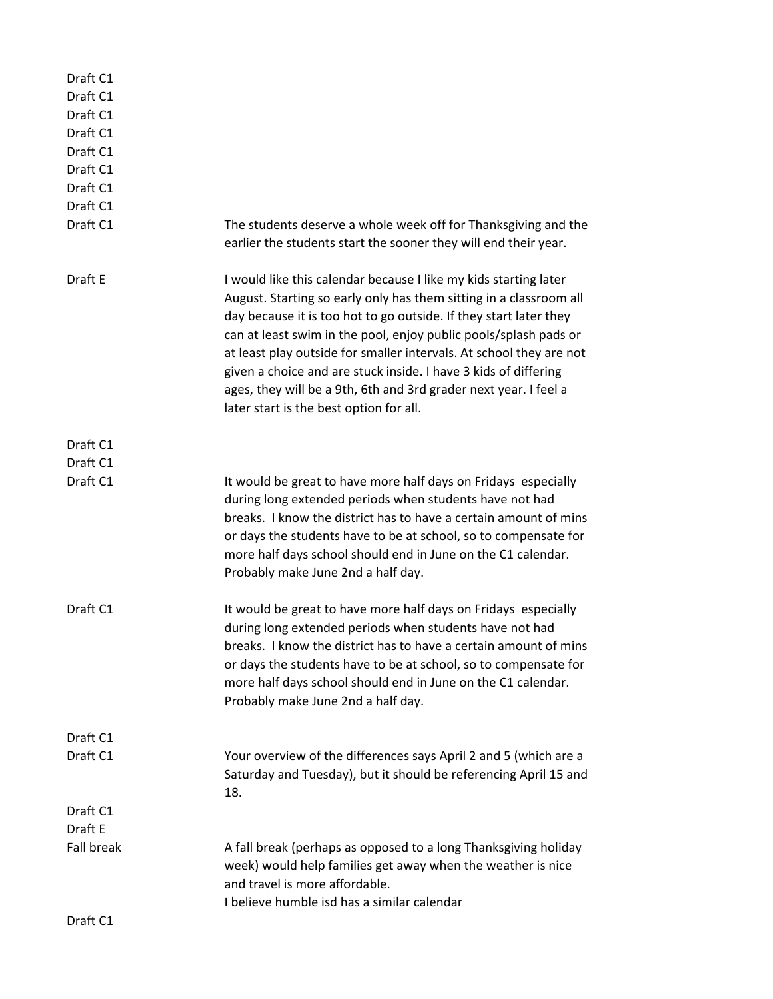| Draft C1<br>Draft C1<br>Draft C1<br>Draft C1<br>Draft C1<br>Draft C1<br>Draft C1<br>Draft C1<br>Draft C1 | The students deserve a whole week off for Thanksgiving and the<br>earlier the students start the sooner they will end their year.                                                                                                                                                                                                                                                                                                                                                                                                        |
|----------------------------------------------------------------------------------------------------------|------------------------------------------------------------------------------------------------------------------------------------------------------------------------------------------------------------------------------------------------------------------------------------------------------------------------------------------------------------------------------------------------------------------------------------------------------------------------------------------------------------------------------------------|
| Draft E                                                                                                  | I would like this calendar because I like my kids starting later<br>August. Starting so early only has them sitting in a classroom all<br>day because it is too hot to go outside. If they start later they<br>can at least swim in the pool, enjoy public pools/splash pads or<br>at least play outside for smaller intervals. At school they are not<br>given a choice and are stuck inside. I have 3 kids of differing<br>ages, they will be a 9th, 6th and 3rd grader next year. I feel a<br>later start is the best option for all. |
| Draft C1                                                                                                 |                                                                                                                                                                                                                                                                                                                                                                                                                                                                                                                                          |
| Draft C1                                                                                                 |                                                                                                                                                                                                                                                                                                                                                                                                                                                                                                                                          |
| Draft C1                                                                                                 | It would be great to have more half days on Fridays especially<br>during long extended periods when students have not had<br>breaks. I know the district has to have a certain amount of mins<br>or days the students have to be at school, so to compensate for<br>more half days school should end in June on the C1 calendar.<br>Probably make June 2nd a half day.                                                                                                                                                                   |
| Draft C1                                                                                                 | It would be great to have more half days on Fridays especially<br>during long extended periods when students have not had<br>breaks. I know the district has to have a certain amount of mins<br>or days the students have to be at school, so to compensate for<br>more half days school should end in June on the C1 calendar.<br>Probably make June 2nd a half day.                                                                                                                                                                   |
| Draft C1                                                                                                 |                                                                                                                                                                                                                                                                                                                                                                                                                                                                                                                                          |
| Draft C1                                                                                                 | Your overview of the differences says April 2 and 5 (which are a<br>Saturday and Tuesday), but it should be referencing April 15 and<br>18.                                                                                                                                                                                                                                                                                                                                                                                              |
| Draft C1                                                                                                 |                                                                                                                                                                                                                                                                                                                                                                                                                                                                                                                                          |
| Draft E                                                                                                  |                                                                                                                                                                                                                                                                                                                                                                                                                                                                                                                                          |
| <b>Fall break</b>                                                                                        | A fall break (perhaps as opposed to a long Thanksgiving holiday<br>week) would help families get away when the weather is nice<br>and travel is more affordable.<br>I believe humble isd has a similar calendar                                                                                                                                                                                                                                                                                                                          |
| Draft C1                                                                                                 |                                                                                                                                                                                                                                                                                                                                                                                                                                                                                                                                          |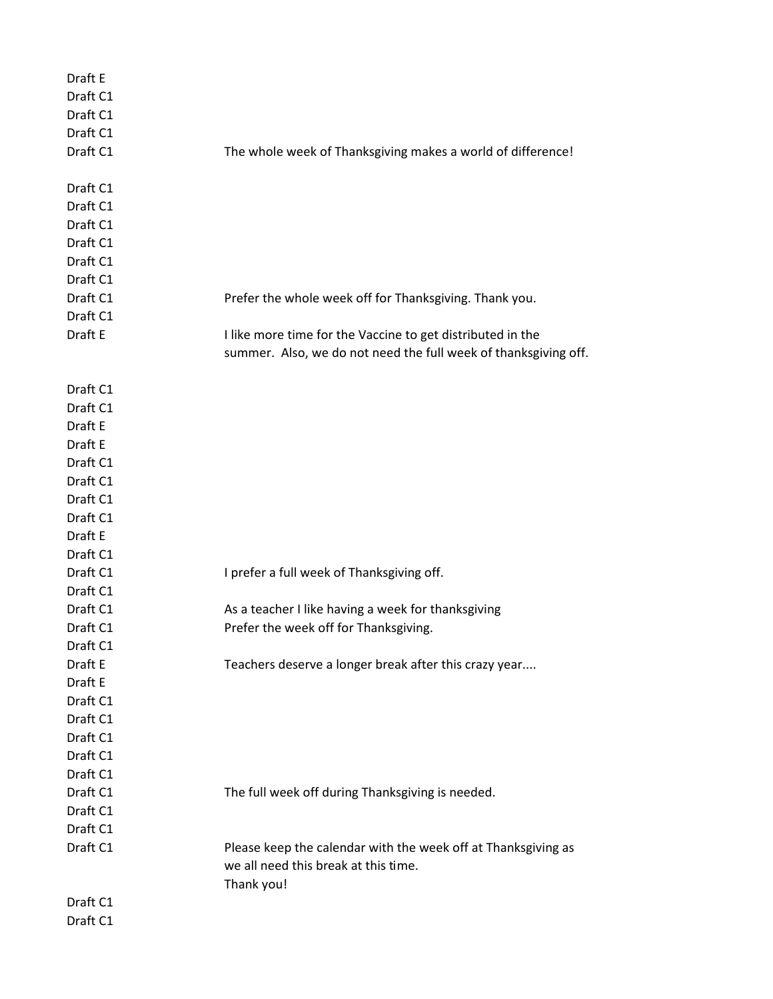| Draft E  |                                                                 |
|----------|-----------------------------------------------------------------|
| Draft C1 |                                                                 |
| Draft C1 |                                                                 |
| Draft C1 |                                                                 |
| Draft C1 | The whole week of Thanksgiving makes a world of difference!     |
|          |                                                                 |
| Draft C1 |                                                                 |
| Draft C1 |                                                                 |
| Draft C1 |                                                                 |
| Draft C1 |                                                                 |
| Draft C1 |                                                                 |
| Draft C1 |                                                                 |
| Draft C1 | Prefer the whole week off for Thanksgiving. Thank you.          |
| Draft C1 |                                                                 |
| Draft E  | I like more time for the Vaccine to get distributed in the      |
|          | summer. Also, we do not need the full week of thanksgiving off. |
|          |                                                                 |
| Draft C1 |                                                                 |
| Draft C1 |                                                                 |
| Draft E  |                                                                 |
| Draft E  |                                                                 |
| Draft C1 |                                                                 |
| Draft C1 |                                                                 |
| Draft C1 |                                                                 |
| Draft C1 |                                                                 |
| Draft E  |                                                                 |
| Draft C1 |                                                                 |
| Draft C1 | I prefer a full week of Thanksgiving off.                       |
| Draft C1 |                                                                 |
| Draft C1 | As a teacher I like having a week for thanksgiving              |
| Draft C1 | Prefer the week off for Thanksgiving.                           |
| Draft C1 |                                                                 |
| Draft E  | Teachers deserve a longer break after this crazy year           |
| Draft E  |                                                                 |
| Draft C1 |                                                                 |
| Draft C1 |                                                                 |
| Draft C1 |                                                                 |
| Draft C1 |                                                                 |
| Draft C1 |                                                                 |
| Draft C1 | The full week off during Thanksgiving is needed.                |
| Draft C1 |                                                                 |
| Draft C1 |                                                                 |
| Draft C1 | Please keep the calendar with the week off at Thanksgiving as   |
|          | we all need this break at this time.                            |
|          | Thank you!                                                      |
| Draft C1 |                                                                 |
| Draft C1 |                                                                 |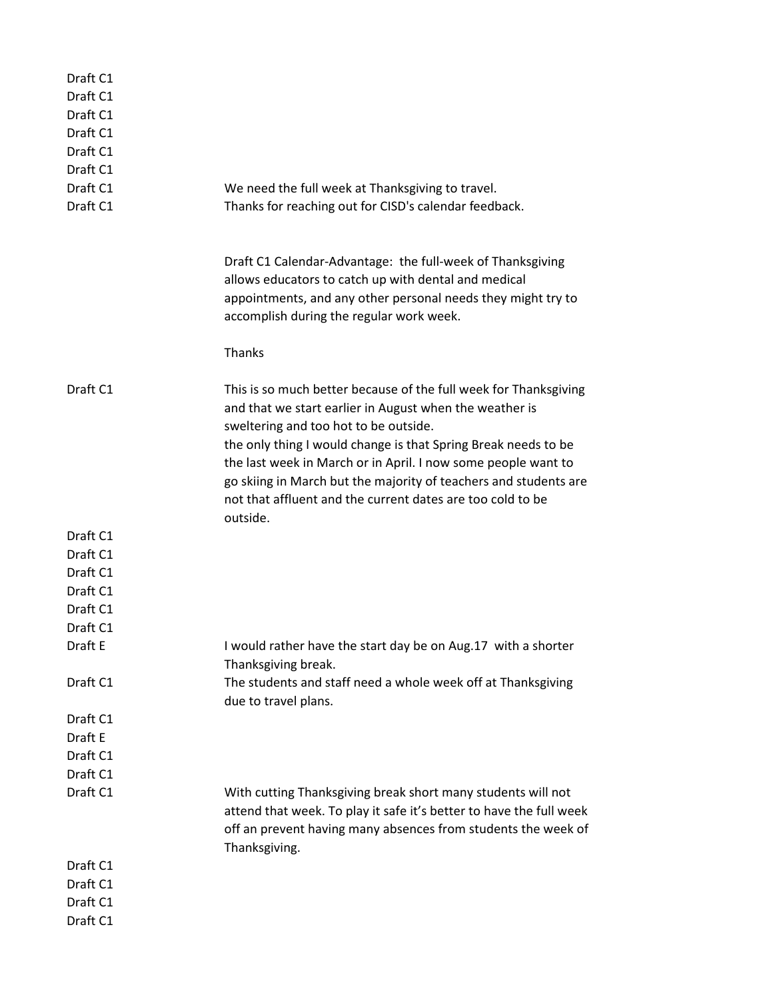| Draft C1<br>Draft C1<br>Draft C1<br>Draft C1<br>Draft C1<br>Draft C1<br>Draft C1 |                                                                                                                                                                                                                                                                                                                                                                                                                                                       |
|----------------------------------------------------------------------------------|-------------------------------------------------------------------------------------------------------------------------------------------------------------------------------------------------------------------------------------------------------------------------------------------------------------------------------------------------------------------------------------------------------------------------------------------------------|
| Draft C1                                                                         | We need the full week at Thanksgiving to travel.<br>Thanks for reaching out for CISD's calendar feedback.                                                                                                                                                                                                                                                                                                                                             |
|                                                                                  | Draft C1 Calendar-Advantage: the full-week of Thanksgiving<br>allows educators to catch up with dental and medical<br>appointments, and any other personal needs they might try to<br>accomplish during the regular work week.                                                                                                                                                                                                                        |
|                                                                                  | Thanks                                                                                                                                                                                                                                                                                                                                                                                                                                                |
| Draft C1                                                                         | This is so much better because of the full week for Thanksgiving<br>and that we start earlier in August when the weather is<br>sweltering and too hot to be outside.<br>the only thing I would change is that Spring Break needs to be<br>the last week in March or in April. I now some people want to<br>go skiing in March but the majority of teachers and students are<br>not that affluent and the current dates are too cold to be<br>outside. |
| Draft C1                                                                         |                                                                                                                                                                                                                                                                                                                                                                                                                                                       |
| Draft C1                                                                         |                                                                                                                                                                                                                                                                                                                                                                                                                                                       |
| Draft C1                                                                         |                                                                                                                                                                                                                                                                                                                                                                                                                                                       |
| Draft C1                                                                         |                                                                                                                                                                                                                                                                                                                                                                                                                                                       |
| Draft C1                                                                         |                                                                                                                                                                                                                                                                                                                                                                                                                                                       |
| Draft C1                                                                         |                                                                                                                                                                                                                                                                                                                                                                                                                                                       |
| Draft E                                                                          | I would rather have the start day be on Aug.17 with a shorter<br>Thanksgiving break.                                                                                                                                                                                                                                                                                                                                                                  |
| Draft C1                                                                         | The students and staff need a whole week off at Thanksgiving                                                                                                                                                                                                                                                                                                                                                                                          |
|                                                                                  | due to travel plans.                                                                                                                                                                                                                                                                                                                                                                                                                                  |
| Draft C1                                                                         |                                                                                                                                                                                                                                                                                                                                                                                                                                                       |
| Draft E                                                                          |                                                                                                                                                                                                                                                                                                                                                                                                                                                       |
| Draft C1                                                                         |                                                                                                                                                                                                                                                                                                                                                                                                                                                       |
| Draft C1                                                                         |                                                                                                                                                                                                                                                                                                                                                                                                                                                       |
| Draft C1                                                                         | With cutting Thanksgiving break short many students will not<br>attend that week. To play it safe it's better to have the full week<br>off an prevent having many absences from students the week of<br>Thanksgiving.                                                                                                                                                                                                                                 |
| Draft C1                                                                         |                                                                                                                                                                                                                                                                                                                                                                                                                                                       |
| Draft C1                                                                         |                                                                                                                                                                                                                                                                                                                                                                                                                                                       |
| Draft C1                                                                         |                                                                                                                                                                                                                                                                                                                                                                                                                                                       |
| Draft C1                                                                         |                                                                                                                                                                                                                                                                                                                                                                                                                                                       |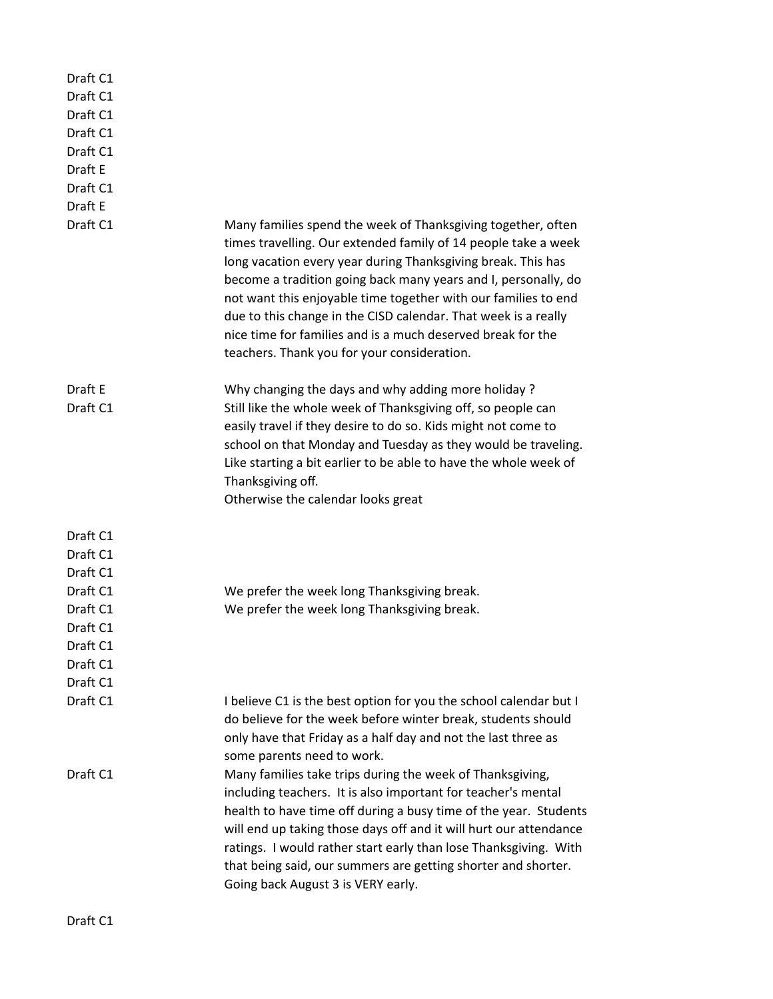| Draft C1<br>Draft C1<br>Draft C1<br>Draft C1<br>Draft C1<br>Draft E<br>Draft C1<br>Draft E<br>Draft C1 | Many families spend the week of Thanksgiving together, often<br>times travelling. Our extended family of 14 people take a week                                                                                                                                                                                                                                                                                                                                               |
|--------------------------------------------------------------------------------------------------------|------------------------------------------------------------------------------------------------------------------------------------------------------------------------------------------------------------------------------------------------------------------------------------------------------------------------------------------------------------------------------------------------------------------------------------------------------------------------------|
|                                                                                                        | long vacation every year during Thanksgiving break. This has<br>become a tradition going back many years and I, personally, do<br>not want this enjoyable time together with our families to end<br>due to this change in the CISD calendar. That week is a really<br>nice time for families and is a much deserved break for the<br>teachers. Thank you for your consideration.                                                                                             |
| Draft E<br>Draft C1                                                                                    | Why changing the days and why adding more holiday?<br>Still like the whole week of Thanksgiving off, so people can<br>easily travel if they desire to do so. Kids might not come to<br>school on that Monday and Tuesday as they would be traveling.<br>Like starting a bit earlier to be able to have the whole week of<br>Thanksgiving off.<br>Otherwise the calendar looks great                                                                                          |
| Draft C1<br>Draft C1<br>Draft C1                                                                       |                                                                                                                                                                                                                                                                                                                                                                                                                                                                              |
| Draft C1                                                                                               | We prefer the week long Thanksgiving break.                                                                                                                                                                                                                                                                                                                                                                                                                                  |
| Draft C1                                                                                               | We prefer the week long Thanksgiving break.                                                                                                                                                                                                                                                                                                                                                                                                                                  |
| Draft C1                                                                                               |                                                                                                                                                                                                                                                                                                                                                                                                                                                                              |
| Draft C1                                                                                               |                                                                                                                                                                                                                                                                                                                                                                                                                                                                              |
| Draft C1                                                                                               |                                                                                                                                                                                                                                                                                                                                                                                                                                                                              |
| Draft C1<br>Draft C1                                                                                   | I believe C1 is the best option for you the school calendar but I                                                                                                                                                                                                                                                                                                                                                                                                            |
|                                                                                                        | do believe for the week before winter break, students should<br>only have that Friday as a half day and not the last three as                                                                                                                                                                                                                                                                                                                                                |
| Draft C1                                                                                               | some parents need to work.<br>Many families take trips during the week of Thanksgiving,<br>including teachers. It is also important for teacher's mental<br>health to have time off during a busy time of the year. Students<br>will end up taking those days off and it will hurt our attendance<br>ratings. I would rather start early than lose Thanksgiving. With<br>that being said, our summers are getting shorter and shorter.<br>Going back August 3 is VERY early. |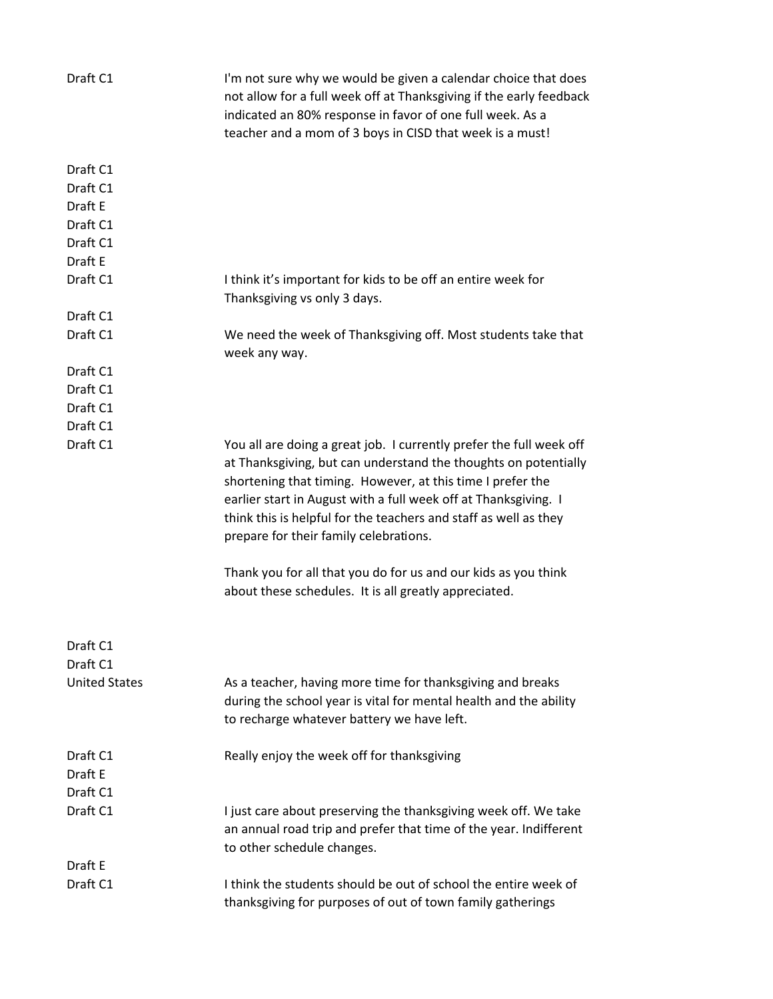| Draft C1             | I'm not sure why we would be given a calendar choice that does<br>not allow for a full week off at Thanksgiving if the early feedback<br>indicated an 80% response in favor of one full week. As a<br>teacher and a mom of 3 boys in CISD that week is a must!                                                                                                                        |
|----------------------|---------------------------------------------------------------------------------------------------------------------------------------------------------------------------------------------------------------------------------------------------------------------------------------------------------------------------------------------------------------------------------------|
| Draft C1             |                                                                                                                                                                                                                                                                                                                                                                                       |
| Draft C1             |                                                                                                                                                                                                                                                                                                                                                                                       |
| Draft E              |                                                                                                                                                                                                                                                                                                                                                                                       |
| Draft C1             |                                                                                                                                                                                                                                                                                                                                                                                       |
| Draft C1             |                                                                                                                                                                                                                                                                                                                                                                                       |
| Draft E              |                                                                                                                                                                                                                                                                                                                                                                                       |
| Draft C1             | I think it's important for kids to be off an entire week for<br>Thanksgiving vs only 3 days.                                                                                                                                                                                                                                                                                          |
| Draft C1             |                                                                                                                                                                                                                                                                                                                                                                                       |
| Draft C1             | We need the week of Thanksgiving off. Most students take that<br>week any way.                                                                                                                                                                                                                                                                                                        |
| Draft C1             |                                                                                                                                                                                                                                                                                                                                                                                       |
| Draft C1             |                                                                                                                                                                                                                                                                                                                                                                                       |
| Draft C1             |                                                                                                                                                                                                                                                                                                                                                                                       |
| Draft C1             |                                                                                                                                                                                                                                                                                                                                                                                       |
| Draft C1             | You all are doing a great job. I currently prefer the full week off<br>at Thanksgiving, but can understand the thoughts on potentially<br>shortening that timing. However, at this time I prefer the<br>earlier start in August with a full week off at Thanksgiving. I<br>think this is helpful for the teachers and staff as well as they<br>prepare for their family celebrations. |
|                      | Thank you for all that you do for us and our kids as you think<br>about these schedules. It is all greatly appreciated.                                                                                                                                                                                                                                                               |
| Draft C1<br>Draft C1 |                                                                                                                                                                                                                                                                                                                                                                                       |
| <b>United States</b> | As a teacher, having more time for thanksgiving and breaks                                                                                                                                                                                                                                                                                                                            |
|                      | during the school year is vital for mental health and the ability                                                                                                                                                                                                                                                                                                                     |
|                      | to recharge whatever battery we have left.                                                                                                                                                                                                                                                                                                                                            |
|                      |                                                                                                                                                                                                                                                                                                                                                                                       |
| Draft C1             | Really enjoy the week off for thanksgiving                                                                                                                                                                                                                                                                                                                                            |
| Draft E              |                                                                                                                                                                                                                                                                                                                                                                                       |
| Draft C1             |                                                                                                                                                                                                                                                                                                                                                                                       |
| Draft C1             | I just care about preserving the thanksgiving week off. We take<br>an annual road trip and prefer that time of the year. Indifferent<br>to other schedule changes.                                                                                                                                                                                                                    |
| Draft E              |                                                                                                                                                                                                                                                                                                                                                                                       |
| Draft C1             | I think the students should be out of school the entire week of<br>thanksgiving for purposes of out of town family gatherings                                                                                                                                                                                                                                                         |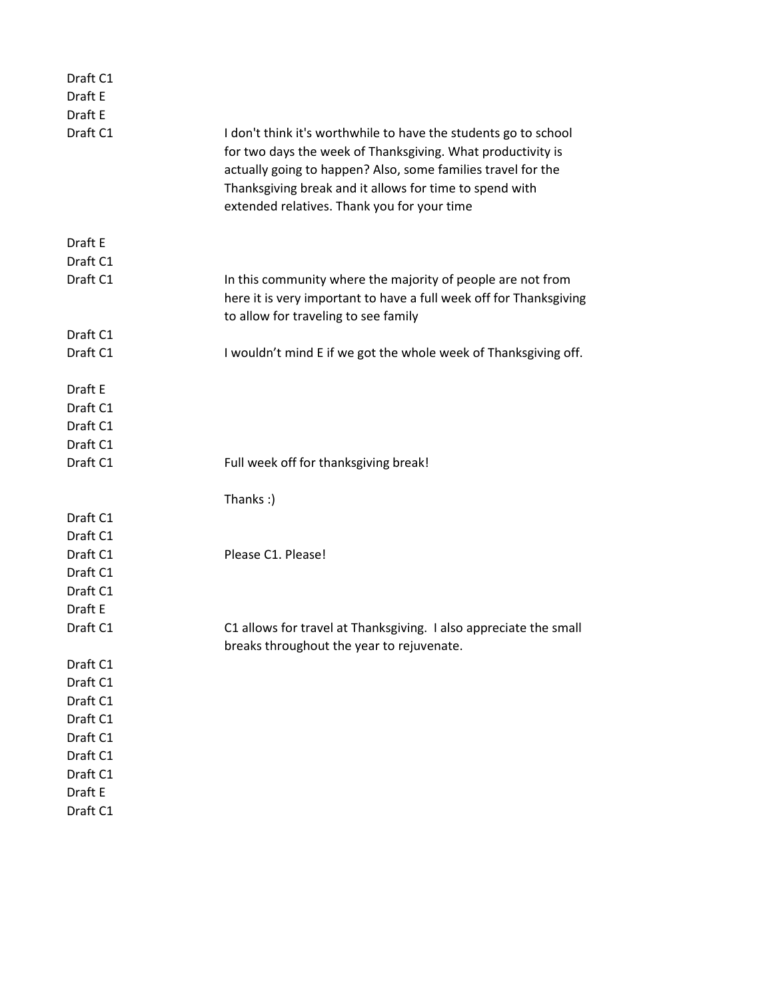| Draft C1 |                                                                                                                                                                                                                                                                                                          |
|----------|----------------------------------------------------------------------------------------------------------------------------------------------------------------------------------------------------------------------------------------------------------------------------------------------------------|
| Draft E  |                                                                                                                                                                                                                                                                                                          |
| Draft E  |                                                                                                                                                                                                                                                                                                          |
| Draft C1 | I don't think it's worthwhile to have the students go to school<br>for two days the week of Thanksgiving. What productivity is<br>actually going to happen? Also, some families travel for the<br>Thanksgiving break and it allows for time to spend with<br>extended relatives. Thank you for your time |
| Draft E  |                                                                                                                                                                                                                                                                                                          |
| Draft C1 |                                                                                                                                                                                                                                                                                                          |
| Draft C1 | In this community where the majority of people are not from<br>here it is very important to have a full week off for Thanksgiving<br>to allow for traveling to see family                                                                                                                                |
| Draft C1 |                                                                                                                                                                                                                                                                                                          |
| Draft C1 | I wouldn't mind E if we got the whole week of Thanksgiving off.                                                                                                                                                                                                                                          |
| Draft E  |                                                                                                                                                                                                                                                                                                          |
| Draft C1 |                                                                                                                                                                                                                                                                                                          |
| Draft C1 |                                                                                                                                                                                                                                                                                                          |
| Draft C1 |                                                                                                                                                                                                                                                                                                          |
| Draft C1 | Full week off for thanksgiving break!                                                                                                                                                                                                                                                                    |
|          | Thanks:)                                                                                                                                                                                                                                                                                                 |
| Draft C1 |                                                                                                                                                                                                                                                                                                          |
| Draft C1 |                                                                                                                                                                                                                                                                                                          |
| Draft C1 | Please C1. Please!                                                                                                                                                                                                                                                                                       |
| Draft C1 |                                                                                                                                                                                                                                                                                                          |
| Draft C1 |                                                                                                                                                                                                                                                                                                          |
| Draft E  |                                                                                                                                                                                                                                                                                                          |
| Draft C1 | C1 allows for travel at Thanksgiving. I also appreciate the small<br>breaks throughout the year to rejuvenate.                                                                                                                                                                                           |
| Draft C1 |                                                                                                                                                                                                                                                                                                          |
| Draft C1 |                                                                                                                                                                                                                                                                                                          |
| Draft C1 |                                                                                                                                                                                                                                                                                                          |
| Draft C1 |                                                                                                                                                                                                                                                                                                          |
| Draft C1 |                                                                                                                                                                                                                                                                                                          |
| Draft C1 |                                                                                                                                                                                                                                                                                                          |
| Draft C1 |                                                                                                                                                                                                                                                                                                          |
| Draft E  |                                                                                                                                                                                                                                                                                                          |
| Draft C1 |                                                                                                                                                                                                                                                                                                          |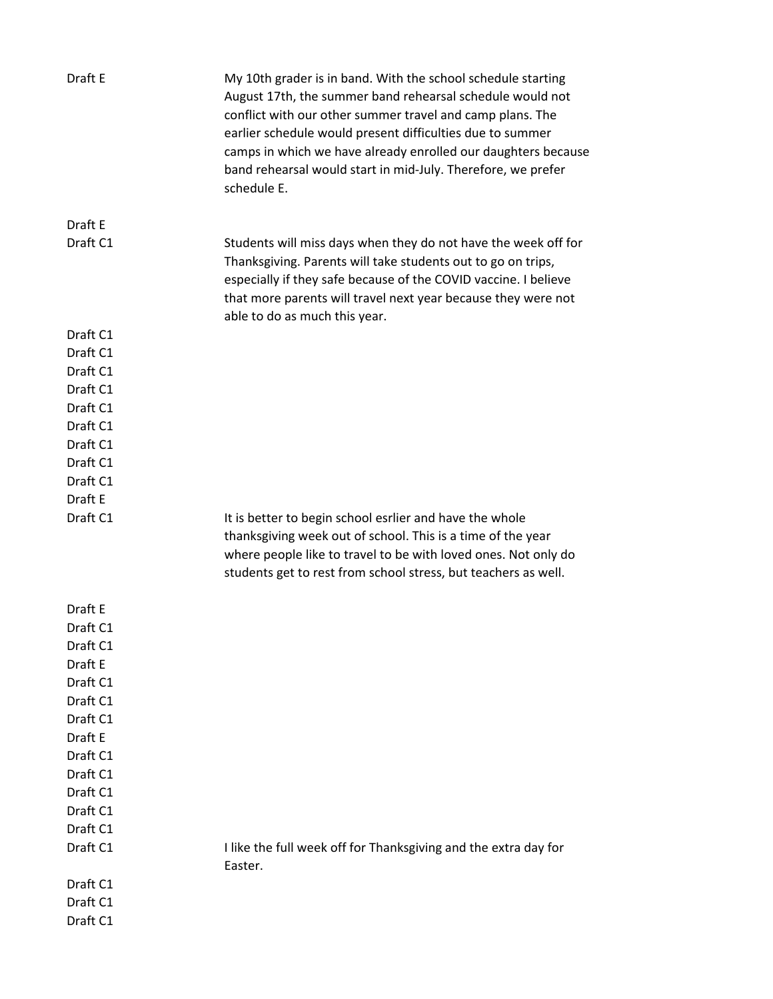| Draft E              | My 10th grader is in band. With the school schedule starting<br>August 17th, the summer band rehearsal schedule would not<br>conflict with our other summer travel and camp plans. The<br>earlier schedule would present difficulties due to summer<br>camps in which we have already enrolled our daughters because<br>band rehearsal would start in mid-July. Therefore, we prefer<br>schedule E. |
|----------------------|-----------------------------------------------------------------------------------------------------------------------------------------------------------------------------------------------------------------------------------------------------------------------------------------------------------------------------------------------------------------------------------------------------|
| Draft E              |                                                                                                                                                                                                                                                                                                                                                                                                     |
| Draft C1             | Students will miss days when they do not have the week off for<br>Thanksgiving. Parents will take students out to go on trips,<br>especially if they safe because of the COVID vaccine. I believe<br>that more parents will travel next year because they were not<br>able to do as much this year.                                                                                                 |
| Draft C1             |                                                                                                                                                                                                                                                                                                                                                                                                     |
| Draft C1             |                                                                                                                                                                                                                                                                                                                                                                                                     |
| Draft C1             |                                                                                                                                                                                                                                                                                                                                                                                                     |
| Draft C1             |                                                                                                                                                                                                                                                                                                                                                                                                     |
| Draft C1             |                                                                                                                                                                                                                                                                                                                                                                                                     |
| Draft C1             |                                                                                                                                                                                                                                                                                                                                                                                                     |
| Draft C1<br>Draft C1 |                                                                                                                                                                                                                                                                                                                                                                                                     |
| Draft C1             |                                                                                                                                                                                                                                                                                                                                                                                                     |
| Draft E              |                                                                                                                                                                                                                                                                                                                                                                                                     |
| Draft C1             | It is better to begin school esrlier and have the whole<br>thanksgiving week out of school. This is a time of the year<br>where people like to travel to be with loved ones. Not only do<br>students get to rest from school stress, but teachers as well.                                                                                                                                          |
| Draft E              |                                                                                                                                                                                                                                                                                                                                                                                                     |
| Draft C1             |                                                                                                                                                                                                                                                                                                                                                                                                     |
| Draft C1             |                                                                                                                                                                                                                                                                                                                                                                                                     |
| Draft E              |                                                                                                                                                                                                                                                                                                                                                                                                     |
| Draft C1             |                                                                                                                                                                                                                                                                                                                                                                                                     |
| Draft C1             |                                                                                                                                                                                                                                                                                                                                                                                                     |
| Draft C1             |                                                                                                                                                                                                                                                                                                                                                                                                     |
| Draft E              |                                                                                                                                                                                                                                                                                                                                                                                                     |
| Draft C1<br>Draft C1 |                                                                                                                                                                                                                                                                                                                                                                                                     |
| Draft C1             |                                                                                                                                                                                                                                                                                                                                                                                                     |
| Draft C1             |                                                                                                                                                                                                                                                                                                                                                                                                     |
| Draft C1             |                                                                                                                                                                                                                                                                                                                                                                                                     |
| Draft C1             | I like the full week off for Thanksgiving and the extra day for                                                                                                                                                                                                                                                                                                                                     |
|                      | Easter.                                                                                                                                                                                                                                                                                                                                                                                             |
| Draft C1             |                                                                                                                                                                                                                                                                                                                                                                                                     |
| Draft C1             |                                                                                                                                                                                                                                                                                                                                                                                                     |
| Draft C1             |                                                                                                                                                                                                                                                                                                                                                                                                     |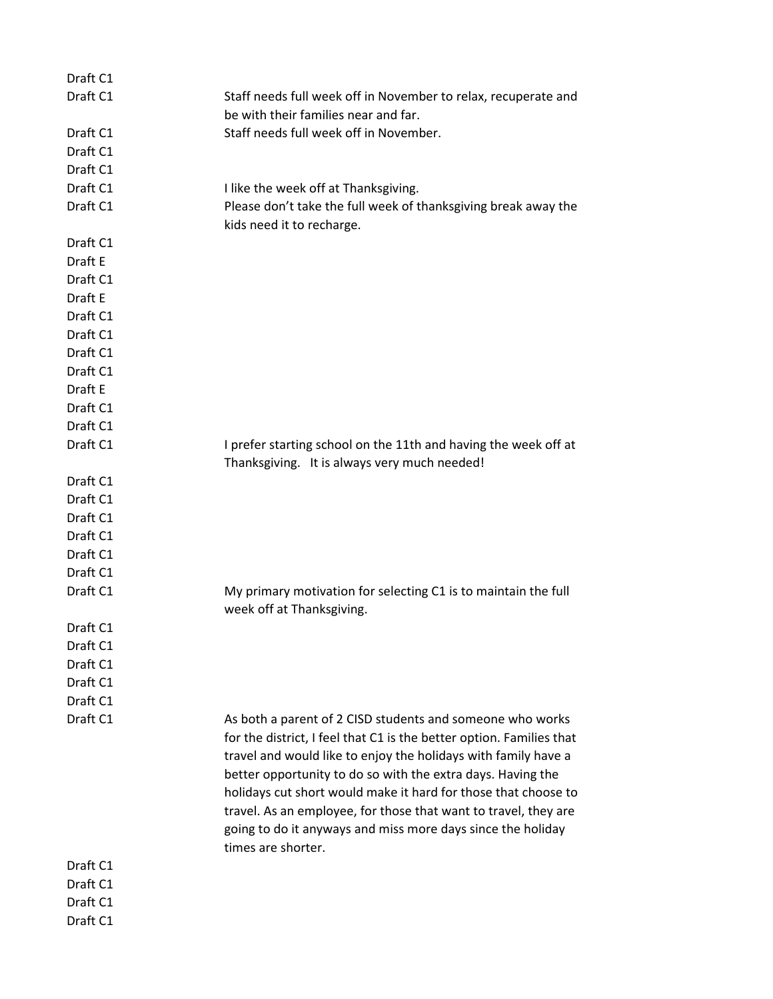| Draft C1 |                                                                      |
|----------|----------------------------------------------------------------------|
| Draft C1 | Staff needs full week off in November to relax, recuperate and       |
|          | be with their families near and far.                                 |
| Draft C1 | Staff needs full week off in November.                               |
| Draft C1 |                                                                      |
| Draft C1 |                                                                      |
| Draft C1 | I like the week off at Thanksgiving.                                 |
| Draft C1 | Please don't take the full week of thanksgiving break away the       |
|          | kids need it to recharge.                                            |
| Draft C1 |                                                                      |
| Draft E  |                                                                      |
| Draft C1 |                                                                      |
| Draft E  |                                                                      |
| Draft C1 |                                                                      |
| Draft C1 |                                                                      |
| Draft C1 |                                                                      |
| Draft C1 |                                                                      |
| Draft E  |                                                                      |
| Draft C1 |                                                                      |
| Draft C1 |                                                                      |
| Draft C1 | I prefer starting school on the 11th and having the week off at      |
|          | Thanksgiving. It is always very much needed!                         |
| Draft C1 |                                                                      |
| Draft C1 |                                                                      |
| Draft C1 |                                                                      |
| Draft C1 |                                                                      |
| Draft C1 |                                                                      |
| Draft C1 |                                                                      |
| Draft C1 | My primary motivation for selecting C1 is to maintain the full       |
|          | week off at Thanksgiving.                                            |
| Draft C1 |                                                                      |
| Draft C1 |                                                                      |
| Draft C1 |                                                                      |
| Draft C1 |                                                                      |
| Draft C1 |                                                                      |
| Draft C1 | As both a parent of 2 CISD students and someone who works            |
|          | for the district, I feel that C1 is the better option. Families that |
|          | travel and would like to enjoy the holidays with family have a       |
|          | better opportunity to do so with the extra days. Having the          |
|          | holidays cut short would make it hard for those that choose to       |
|          | travel. As an employee, for those that want to travel, they are      |
|          | going to do it anyways and miss more days since the holiday          |
|          | times are shorter.                                                   |
| Draft C1 |                                                                      |
| Draft C1 |                                                                      |
| Draft C1 |                                                                      |
| Draft C1 |                                                                      |
|          |                                                                      |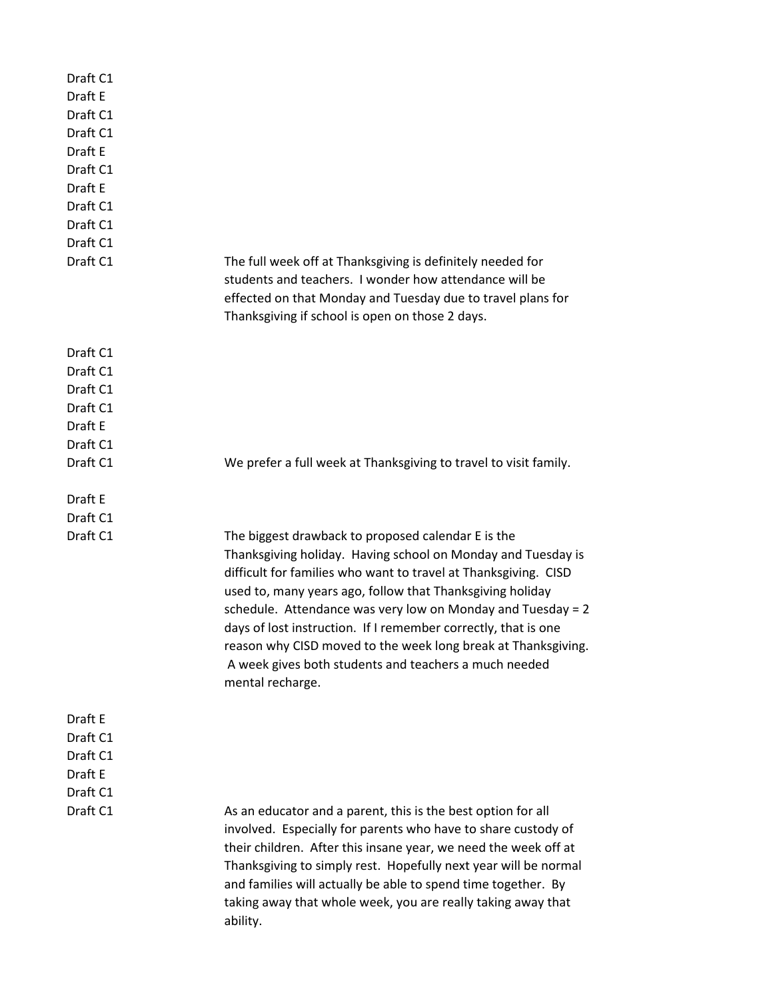| Draft C1<br>Draft E<br>Draft C1<br>Draft C1<br>Draft E<br>Draft C1<br>Draft E<br>Draft C1<br>Draft C1<br>Draft C1<br>Draft C1 | The full week off at Thanksgiving is definitely needed for<br>students and teachers. I wonder how attendance will be                                                                                                                                                                                                                                                                                                                                                                                                              |
|-------------------------------------------------------------------------------------------------------------------------------|-----------------------------------------------------------------------------------------------------------------------------------------------------------------------------------------------------------------------------------------------------------------------------------------------------------------------------------------------------------------------------------------------------------------------------------------------------------------------------------------------------------------------------------|
|                                                                                                                               | effected on that Monday and Tuesday due to travel plans for<br>Thanksgiving if school is open on those 2 days.                                                                                                                                                                                                                                                                                                                                                                                                                    |
| Draft C1                                                                                                                      |                                                                                                                                                                                                                                                                                                                                                                                                                                                                                                                                   |
| Draft C1                                                                                                                      |                                                                                                                                                                                                                                                                                                                                                                                                                                                                                                                                   |
| Draft C1                                                                                                                      |                                                                                                                                                                                                                                                                                                                                                                                                                                                                                                                                   |
| Draft C1                                                                                                                      |                                                                                                                                                                                                                                                                                                                                                                                                                                                                                                                                   |
| Draft E                                                                                                                       |                                                                                                                                                                                                                                                                                                                                                                                                                                                                                                                                   |
| Draft C1                                                                                                                      |                                                                                                                                                                                                                                                                                                                                                                                                                                                                                                                                   |
| Draft C1                                                                                                                      | We prefer a full week at Thanksgiving to travel to visit family.                                                                                                                                                                                                                                                                                                                                                                                                                                                                  |
| Draft E                                                                                                                       |                                                                                                                                                                                                                                                                                                                                                                                                                                                                                                                                   |
| Draft C1                                                                                                                      |                                                                                                                                                                                                                                                                                                                                                                                                                                                                                                                                   |
| Draft C1                                                                                                                      | The biggest drawback to proposed calendar E is the<br>Thanksgiving holiday. Having school on Monday and Tuesday is<br>difficult for families who want to travel at Thanksgiving. CISD<br>used to, many years ago, follow that Thanksgiving holiday<br>schedule. Attendance was very low on Monday and Tuesday = 2<br>days of lost instruction. If I remember correctly, that is one<br>reason why CISD moved to the week long break at Thanksgiving.<br>A week gives both students and teachers a much needed<br>mental recharge. |
| Draft E                                                                                                                       |                                                                                                                                                                                                                                                                                                                                                                                                                                                                                                                                   |
| Draft C1                                                                                                                      |                                                                                                                                                                                                                                                                                                                                                                                                                                                                                                                                   |
| Draft C1                                                                                                                      |                                                                                                                                                                                                                                                                                                                                                                                                                                                                                                                                   |
| Draft E                                                                                                                       |                                                                                                                                                                                                                                                                                                                                                                                                                                                                                                                                   |
| Draft C1                                                                                                                      |                                                                                                                                                                                                                                                                                                                                                                                                                                                                                                                                   |
| Draft C1                                                                                                                      | As an educator and a parent, this is the best option for all<br>involved. Especially for parents who have to share custody of<br>their children. After this insane year, we need the week off at<br>Thanksgiving to simply rest. Hopefully next year will be normal<br>and families will actually be able to spend time together. By<br>taking away that whole week, you are really taking away that<br>ability.                                                                                                                  |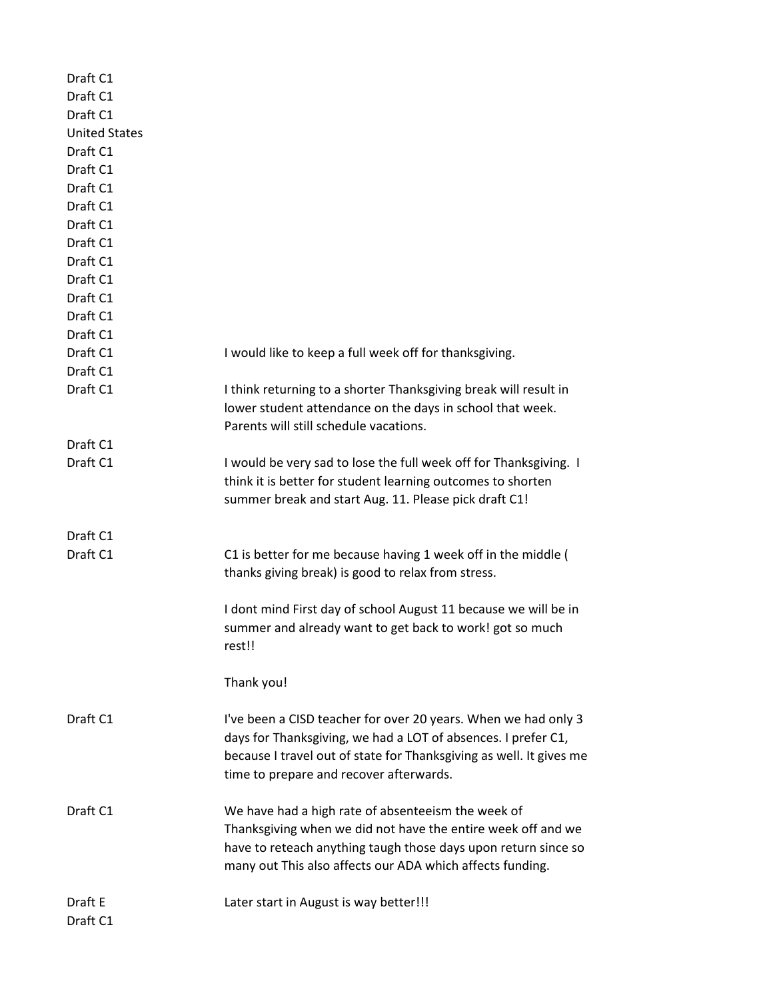| I would like to keep a full week off for thanksgiving.<br>I think returning to a shorter Thanksgiving break will result in<br>lower student attendance on the days in school that week.<br>Parents will still schedule vacations.<br>I would be very sad to lose the full week off for Thanksgiving. I<br>think it is better for student learning outcomes to shorten<br>summer break and start Aug. 11. Please pick draft C1!<br>C1 is better for me because having 1 week off in the middle (<br>thanks giving break) is good to relax from stress.<br>I dont mind First day of school August 11 because we will be in<br>summer and already want to get back to work! got so much<br>rest!!<br>Thank you!<br>I've been a CISD teacher for over 20 years. When we had only 3<br>days for Thanksgiving, we had a LOT of absences. I prefer C1,<br>because I travel out of state for Thanksgiving as well. It gives me<br>time to prepare and recover afterwards.<br>We have had a high rate of absenteeism the week of<br>Thanksgiving when we did not have the entire week off and we<br>have to reteach anything taugh those days upon return since so | Draft C1<br><b>United States</b><br>Draft C1<br>Draft C1<br>Draft C1<br>Draft C1<br>Draft C1<br>Draft C1<br>Draft C1<br>Draft C1<br>Draft C1<br>Draft C1<br>Draft C1<br>Draft C1<br>Draft C1<br>Draft C1<br>Draft C1<br>Draft C1<br>Draft C1<br>Draft C1<br>Draft C1<br>Draft C1<br>many out This also affects our ADA which affects funding.<br>Draft E<br>Later start in August is way better!!! | Draft C1 |  |
|-----------------------------------------------------------------------------------------------------------------------------------------------------------------------------------------------------------------------------------------------------------------------------------------------------------------------------------------------------------------------------------------------------------------------------------------------------------------------------------------------------------------------------------------------------------------------------------------------------------------------------------------------------------------------------------------------------------------------------------------------------------------------------------------------------------------------------------------------------------------------------------------------------------------------------------------------------------------------------------------------------------------------------------------------------------------------------------------------------------------------------------------------------------|----------------------------------------------------------------------------------------------------------------------------------------------------------------------------------------------------------------------------------------------------------------------------------------------------------------------------------------------------------------------------------------------------|----------|--|
|                                                                                                                                                                                                                                                                                                                                                                                                                                                                                                                                                                                                                                                                                                                                                                                                                                                                                                                                                                                                                                                                                                                                                           |                                                                                                                                                                                                                                                                                                                                                                                                    | Draft C1 |  |
|                                                                                                                                                                                                                                                                                                                                                                                                                                                                                                                                                                                                                                                                                                                                                                                                                                                                                                                                                                                                                                                                                                                                                           |                                                                                                                                                                                                                                                                                                                                                                                                    |          |  |
|                                                                                                                                                                                                                                                                                                                                                                                                                                                                                                                                                                                                                                                                                                                                                                                                                                                                                                                                                                                                                                                                                                                                                           |                                                                                                                                                                                                                                                                                                                                                                                                    |          |  |
|                                                                                                                                                                                                                                                                                                                                                                                                                                                                                                                                                                                                                                                                                                                                                                                                                                                                                                                                                                                                                                                                                                                                                           |                                                                                                                                                                                                                                                                                                                                                                                                    |          |  |
|                                                                                                                                                                                                                                                                                                                                                                                                                                                                                                                                                                                                                                                                                                                                                                                                                                                                                                                                                                                                                                                                                                                                                           |                                                                                                                                                                                                                                                                                                                                                                                                    |          |  |
|                                                                                                                                                                                                                                                                                                                                                                                                                                                                                                                                                                                                                                                                                                                                                                                                                                                                                                                                                                                                                                                                                                                                                           |                                                                                                                                                                                                                                                                                                                                                                                                    |          |  |
|                                                                                                                                                                                                                                                                                                                                                                                                                                                                                                                                                                                                                                                                                                                                                                                                                                                                                                                                                                                                                                                                                                                                                           |                                                                                                                                                                                                                                                                                                                                                                                                    |          |  |
|                                                                                                                                                                                                                                                                                                                                                                                                                                                                                                                                                                                                                                                                                                                                                                                                                                                                                                                                                                                                                                                                                                                                                           |                                                                                                                                                                                                                                                                                                                                                                                                    |          |  |
|                                                                                                                                                                                                                                                                                                                                                                                                                                                                                                                                                                                                                                                                                                                                                                                                                                                                                                                                                                                                                                                                                                                                                           |                                                                                                                                                                                                                                                                                                                                                                                                    |          |  |
|                                                                                                                                                                                                                                                                                                                                                                                                                                                                                                                                                                                                                                                                                                                                                                                                                                                                                                                                                                                                                                                                                                                                                           |                                                                                                                                                                                                                                                                                                                                                                                                    |          |  |
|                                                                                                                                                                                                                                                                                                                                                                                                                                                                                                                                                                                                                                                                                                                                                                                                                                                                                                                                                                                                                                                                                                                                                           |                                                                                                                                                                                                                                                                                                                                                                                                    |          |  |
|                                                                                                                                                                                                                                                                                                                                                                                                                                                                                                                                                                                                                                                                                                                                                                                                                                                                                                                                                                                                                                                                                                                                                           |                                                                                                                                                                                                                                                                                                                                                                                                    |          |  |
|                                                                                                                                                                                                                                                                                                                                                                                                                                                                                                                                                                                                                                                                                                                                                                                                                                                                                                                                                                                                                                                                                                                                                           |                                                                                                                                                                                                                                                                                                                                                                                                    |          |  |
|                                                                                                                                                                                                                                                                                                                                                                                                                                                                                                                                                                                                                                                                                                                                                                                                                                                                                                                                                                                                                                                                                                                                                           |                                                                                                                                                                                                                                                                                                                                                                                                    |          |  |
|                                                                                                                                                                                                                                                                                                                                                                                                                                                                                                                                                                                                                                                                                                                                                                                                                                                                                                                                                                                                                                                                                                                                                           |                                                                                                                                                                                                                                                                                                                                                                                                    |          |  |
|                                                                                                                                                                                                                                                                                                                                                                                                                                                                                                                                                                                                                                                                                                                                                                                                                                                                                                                                                                                                                                                                                                                                                           |                                                                                                                                                                                                                                                                                                                                                                                                    |          |  |
|                                                                                                                                                                                                                                                                                                                                                                                                                                                                                                                                                                                                                                                                                                                                                                                                                                                                                                                                                                                                                                                                                                                                                           |                                                                                                                                                                                                                                                                                                                                                                                                    |          |  |
|                                                                                                                                                                                                                                                                                                                                                                                                                                                                                                                                                                                                                                                                                                                                                                                                                                                                                                                                                                                                                                                                                                                                                           |                                                                                                                                                                                                                                                                                                                                                                                                    |          |  |
|                                                                                                                                                                                                                                                                                                                                                                                                                                                                                                                                                                                                                                                                                                                                                                                                                                                                                                                                                                                                                                                                                                                                                           |                                                                                                                                                                                                                                                                                                                                                                                                    |          |  |
|                                                                                                                                                                                                                                                                                                                                                                                                                                                                                                                                                                                                                                                                                                                                                                                                                                                                                                                                                                                                                                                                                                                                                           |                                                                                                                                                                                                                                                                                                                                                                                                    |          |  |
|                                                                                                                                                                                                                                                                                                                                                                                                                                                                                                                                                                                                                                                                                                                                                                                                                                                                                                                                                                                                                                                                                                                                                           |                                                                                                                                                                                                                                                                                                                                                                                                    |          |  |
|                                                                                                                                                                                                                                                                                                                                                                                                                                                                                                                                                                                                                                                                                                                                                                                                                                                                                                                                                                                                                                                                                                                                                           |                                                                                                                                                                                                                                                                                                                                                                                                    |          |  |
|                                                                                                                                                                                                                                                                                                                                                                                                                                                                                                                                                                                                                                                                                                                                                                                                                                                                                                                                                                                                                                                                                                                                                           |                                                                                                                                                                                                                                                                                                                                                                                                    |          |  |
|                                                                                                                                                                                                                                                                                                                                                                                                                                                                                                                                                                                                                                                                                                                                                                                                                                                                                                                                                                                                                                                                                                                                                           |                                                                                                                                                                                                                                                                                                                                                                                                    |          |  |
|                                                                                                                                                                                                                                                                                                                                                                                                                                                                                                                                                                                                                                                                                                                                                                                                                                                                                                                                                                                                                                                                                                                                                           |                                                                                                                                                                                                                                                                                                                                                                                                    |          |  |
|                                                                                                                                                                                                                                                                                                                                                                                                                                                                                                                                                                                                                                                                                                                                                                                                                                                                                                                                                                                                                                                                                                                                                           |                                                                                                                                                                                                                                                                                                                                                                                                    |          |  |
|                                                                                                                                                                                                                                                                                                                                                                                                                                                                                                                                                                                                                                                                                                                                                                                                                                                                                                                                                                                                                                                                                                                                                           |                                                                                                                                                                                                                                                                                                                                                                                                    |          |  |
|                                                                                                                                                                                                                                                                                                                                                                                                                                                                                                                                                                                                                                                                                                                                                                                                                                                                                                                                                                                                                                                                                                                                                           |                                                                                                                                                                                                                                                                                                                                                                                                    |          |  |
|                                                                                                                                                                                                                                                                                                                                                                                                                                                                                                                                                                                                                                                                                                                                                                                                                                                                                                                                                                                                                                                                                                                                                           |                                                                                                                                                                                                                                                                                                                                                                                                    |          |  |
|                                                                                                                                                                                                                                                                                                                                                                                                                                                                                                                                                                                                                                                                                                                                                                                                                                                                                                                                                                                                                                                                                                                                                           |                                                                                                                                                                                                                                                                                                                                                                                                    |          |  |
|                                                                                                                                                                                                                                                                                                                                                                                                                                                                                                                                                                                                                                                                                                                                                                                                                                                                                                                                                                                                                                                                                                                                                           |                                                                                                                                                                                                                                                                                                                                                                                                    |          |  |
|                                                                                                                                                                                                                                                                                                                                                                                                                                                                                                                                                                                                                                                                                                                                                                                                                                                                                                                                                                                                                                                                                                                                                           |                                                                                                                                                                                                                                                                                                                                                                                                    |          |  |
|                                                                                                                                                                                                                                                                                                                                                                                                                                                                                                                                                                                                                                                                                                                                                                                                                                                                                                                                                                                                                                                                                                                                                           |                                                                                                                                                                                                                                                                                                                                                                                                    |          |  |
|                                                                                                                                                                                                                                                                                                                                                                                                                                                                                                                                                                                                                                                                                                                                                                                                                                                                                                                                                                                                                                                                                                                                                           |                                                                                                                                                                                                                                                                                                                                                                                                    |          |  |
|                                                                                                                                                                                                                                                                                                                                                                                                                                                                                                                                                                                                                                                                                                                                                                                                                                                                                                                                                                                                                                                                                                                                                           |                                                                                                                                                                                                                                                                                                                                                                                                    |          |  |
|                                                                                                                                                                                                                                                                                                                                                                                                                                                                                                                                                                                                                                                                                                                                                                                                                                                                                                                                                                                                                                                                                                                                                           |                                                                                                                                                                                                                                                                                                                                                                                                    |          |  |
|                                                                                                                                                                                                                                                                                                                                                                                                                                                                                                                                                                                                                                                                                                                                                                                                                                                                                                                                                                                                                                                                                                                                                           |                                                                                                                                                                                                                                                                                                                                                                                                    |          |  |
|                                                                                                                                                                                                                                                                                                                                                                                                                                                                                                                                                                                                                                                                                                                                                                                                                                                                                                                                                                                                                                                                                                                                                           |                                                                                                                                                                                                                                                                                                                                                                                                    |          |  |
|                                                                                                                                                                                                                                                                                                                                                                                                                                                                                                                                                                                                                                                                                                                                                                                                                                                                                                                                                                                                                                                                                                                                                           |                                                                                                                                                                                                                                                                                                                                                                                                    |          |  |
|                                                                                                                                                                                                                                                                                                                                                                                                                                                                                                                                                                                                                                                                                                                                                                                                                                                                                                                                                                                                                                                                                                                                                           |                                                                                                                                                                                                                                                                                                                                                                                                    |          |  |
|                                                                                                                                                                                                                                                                                                                                                                                                                                                                                                                                                                                                                                                                                                                                                                                                                                                                                                                                                                                                                                                                                                                                                           |                                                                                                                                                                                                                                                                                                                                                                                                    |          |  |
|                                                                                                                                                                                                                                                                                                                                                                                                                                                                                                                                                                                                                                                                                                                                                                                                                                                                                                                                                                                                                                                                                                                                                           |                                                                                                                                                                                                                                                                                                                                                                                                    |          |  |
|                                                                                                                                                                                                                                                                                                                                                                                                                                                                                                                                                                                                                                                                                                                                                                                                                                                                                                                                                                                                                                                                                                                                                           |                                                                                                                                                                                                                                                                                                                                                                                                    |          |  |
|                                                                                                                                                                                                                                                                                                                                                                                                                                                                                                                                                                                                                                                                                                                                                                                                                                                                                                                                                                                                                                                                                                                                                           |                                                                                                                                                                                                                                                                                                                                                                                                    |          |  |
|                                                                                                                                                                                                                                                                                                                                                                                                                                                                                                                                                                                                                                                                                                                                                                                                                                                                                                                                                                                                                                                                                                                                                           |                                                                                                                                                                                                                                                                                                                                                                                                    |          |  |
|                                                                                                                                                                                                                                                                                                                                                                                                                                                                                                                                                                                                                                                                                                                                                                                                                                                                                                                                                                                                                                                                                                                                                           |                                                                                                                                                                                                                                                                                                                                                                                                    | Draft C1 |  |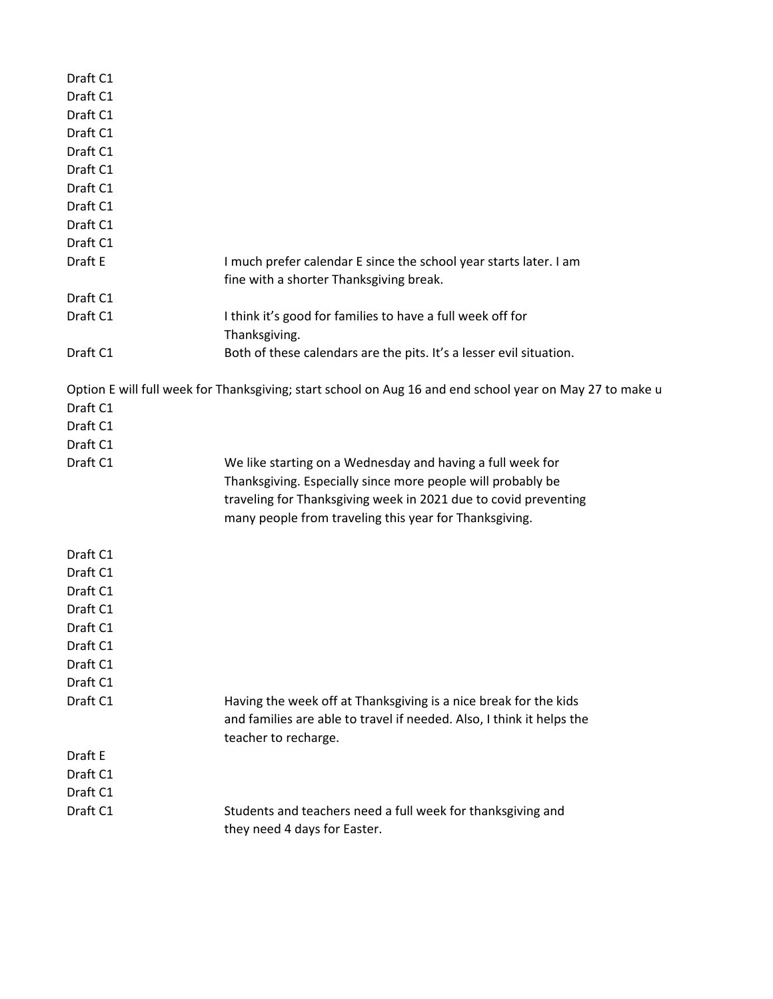| Draft C1 |                                                                                                          |
|----------|----------------------------------------------------------------------------------------------------------|
| Draft C1 |                                                                                                          |
| Draft C1 |                                                                                                          |
| Draft C1 |                                                                                                          |
| Draft C1 |                                                                                                          |
| Draft C1 |                                                                                                          |
| Draft C1 |                                                                                                          |
| Draft C1 |                                                                                                          |
| Draft C1 |                                                                                                          |
| Draft C1 |                                                                                                          |
| Draft E  | I much prefer calendar E since the school year starts later. I am                                        |
|          | fine with a shorter Thanksgiving break.                                                                  |
| Draft C1 |                                                                                                          |
| Draft C1 | I think it's good for families to have a full week off for                                               |
|          | Thanksgiving.                                                                                            |
| Draft C1 | Both of these calendars are the pits. It's a lesser evil situation.                                      |
|          | Option E will full week for Thanksgiving; start school on Aug 16 and end school year on May 27 to make u |
| Draft C1 |                                                                                                          |
| Draft C1 |                                                                                                          |
| Draft C1 |                                                                                                          |
| Draft C1 | We like starting on a Wednesday and having a full week for                                               |
|          | Thanksgiving. Especially since more people will probably be                                              |
|          | traveling for Thanksgiving week in 2021 due to covid preventing                                          |
|          | many people from traveling this year for Thanksgiving.                                                   |
| Draft C1 |                                                                                                          |
| Draft C1 |                                                                                                          |
| Draft C1 |                                                                                                          |
| Draft C1 |                                                                                                          |
| Draft C1 |                                                                                                          |
| Draft C1 |                                                                                                          |
| Draft C1 |                                                                                                          |
| Draft C1 |                                                                                                          |
| Draft C1 | Having the week off at Thanksgiving is a nice break for the kids                                         |
|          | and families are able to travel if needed. Also, I think it helps the                                    |
|          | teacher to recharge.                                                                                     |
| Draft E  |                                                                                                          |
| Draft C1 |                                                                                                          |
| Draft C1 |                                                                                                          |
| Draft C1 | Students and teachers need a full week for thanksgiving and<br>they need 4 days for Easter.              |
|          |                                                                                                          |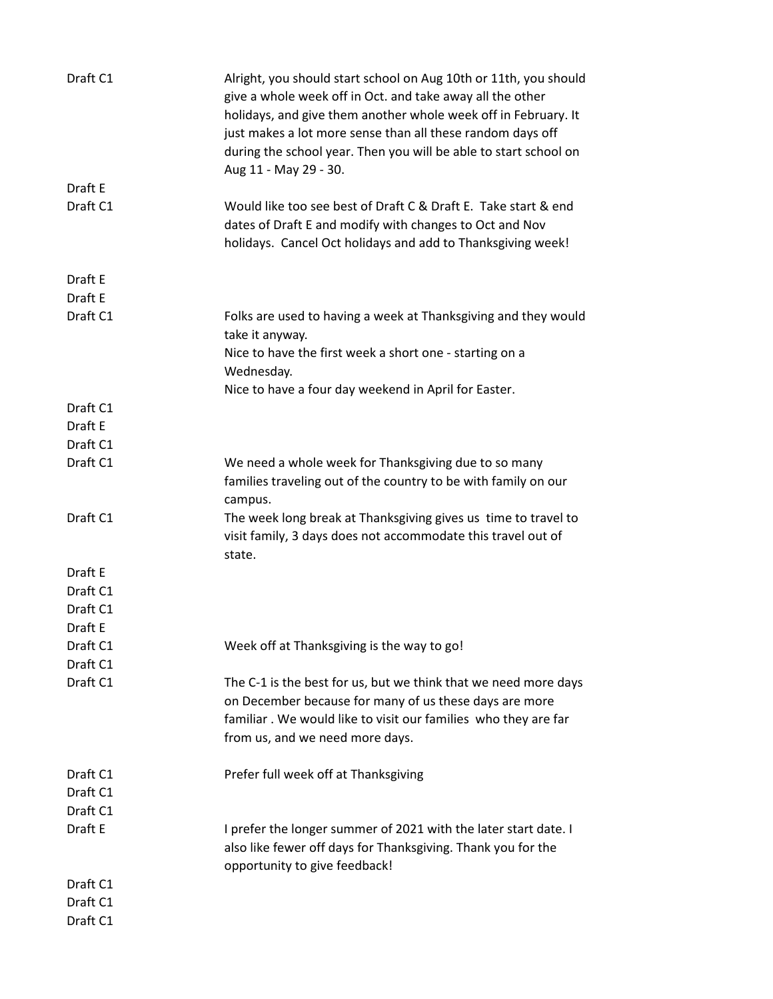| Draft C1             | Alright, you should start school on Aug 10th or 11th, you should<br>give a whole week off in Oct. and take away all the other<br>holidays, and give them another whole week off in February. It<br>just makes a lot more sense than all these random days off<br>during the school year. Then you will be able to start school on<br>Aug 11 - May 29 - 30. |
|----------------------|------------------------------------------------------------------------------------------------------------------------------------------------------------------------------------------------------------------------------------------------------------------------------------------------------------------------------------------------------------|
| Draft E              |                                                                                                                                                                                                                                                                                                                                                            |
| Draft C1             | Would like too see best of Draft C & Draft E. Take start & end<br>dates of Draft E and modify with changes to Oct and Nov<br>holidays. Cancel Oct holidays and add to Thanksgiving week!                                                                                                                                                                   |
| Draft E              |                                                                                                                                                                                                                                                                                                                                                            |
| Draft E              |                                                                                                                                                                                                                                                                                                                                                            |
| Draft C1             | Folks are used to having a week at Thanksgiving and they would<br>take it anyway.                                                                                                                                                                                                                                                                          |
|                      | Nice to have the first week a short one - starting on a<br>Wednesday.                                                                                                                                                                                                                                                                                      |
|                      | Nice to have a four day weekend in April for Easter.                                                                                                                                                                                                                                                                                                       |
| Draft C1             |                                                                                                                                                                                                                                                                                                                                                            |
| Draft E              |                                                                                                                                                                                                                                                                                                                                                            |
| Draft C1             |                                                                                                                                                                                                                                                                                                                                                            |
| Draft C1             | We need a whole week for Thanksgiving due to so many<br>families traveling out of the country to be with family on our<br>campus.                                                                                                                                                                                                                          |
| Draft C1             | The week long break at Thanksgiving gives us time to travel to<br>visit family, 3 days does not accommodate this travel out of<br>state.                                                                                                                                                                                                                   |
| Draft E              |                                                                                                                                                                                                                                                                                                                                                            |
| Draft C1             |                                                                                                                                                                                                                                                                                                                                                            |
| Draft C1             |                                                                                                                                                                                                                                                                                                                                                            |
| Draft E              |                                                                                                                                                                                                                                                                                                                                                            |
| Draft C1             | Week off at Thanksgiving is the way to go!                                                                                                                                                                                                                                                                                                                 |
| Draft C1             |                                                                                                                                                                                                                                                                                                                                                            |
| Draft C1             | The C-1 is the best for us, but we think that we need more days<br>on December because for many of us these days are more<br>familiar. We would like to visit our families who they are far<br>from us, and we need more days.                                                                                                                             |
| Draft C1<br>Draft C1 | Prefer full week off at Thanksgiving                                                                                                                                                                                                                                                                                                                       |
| Draft C1             |                                                                                                                                                                                                                                                                                                                                                            |
| Draft E              | I prefer the longer summer of 2021 with the later start date. I<br>also like fewer off days for Thanksgiving. Thank you for the<br>opportunity to give feedback!                                                                                                                                                                                           |
| Draft C1             |                                                                                                                                                                                                                                                                                                                                                            |
| Draft C1             |                                                                                                                                                                                                                                                                                                                                                            |
| Draft C1             |                                                                                                                                                                                                                                                                                                                                                            |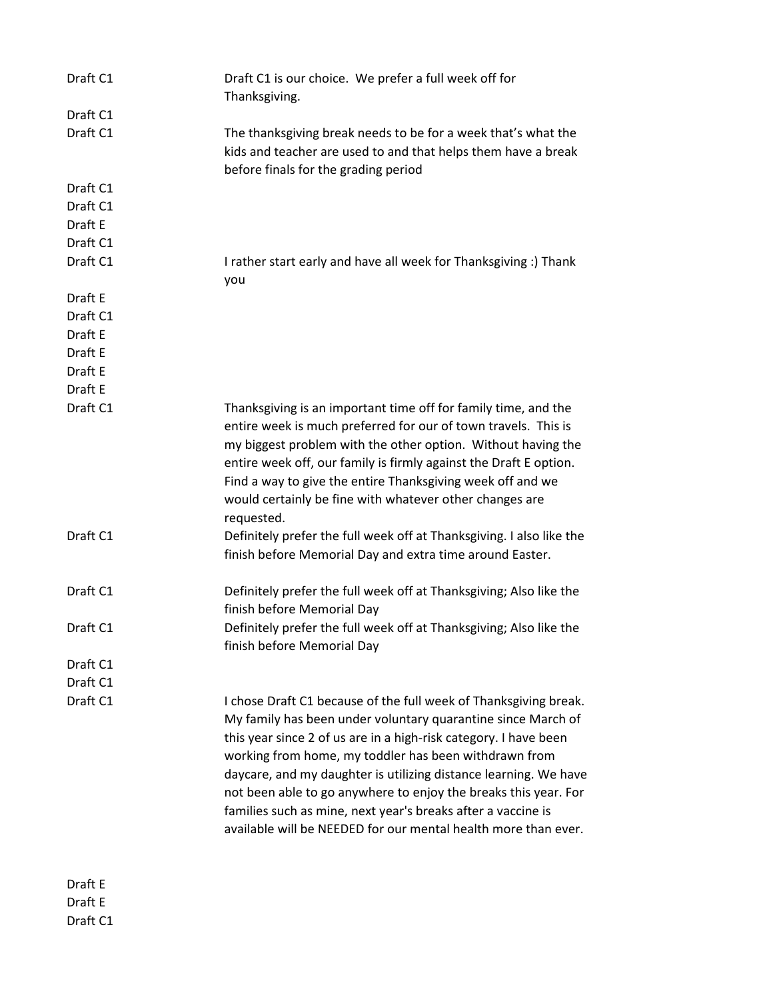| Draft C1 | Draft C1 is our choice. We prefer a full week off for<br>Thanksgiving.                                                                                                                                                                                                                                                                                                                                                                                                                                                                 |
|----------|----------------------------------------------------------------------------------------------------------------------------------------------------------------------------------------------------------------------------------------------------------------------------------------------------------------------------------------------------------------------------------------------------------------------------------------------------------------------------------------------------------------------------------------|
| Draft C1 |                                                                                                                                                                                                                                                                                                                                                                                                                                                                                                                                        |
| Draft C1 | The thanksgiving break needs to be for a week that's what the<br>kids and teacher are used to and that helps them have a break<br>before finals for the grading period                                                                                                                                                                                                                                                                                                                                                                 |
| Draft C1 |                                                                                                                                                                                                                                                                                                                                                                                                                                                                                                                                        |
| Draft C1 |                                                                                                                                                                                                                                                                                                                                                                                                                                                                                                                                        |
| Draft E  |                                                                                                                                                                                                                                                                                                                                                                                                                                                                                                                                        |
| Draft C1 |                                                                                                                                                                                                                                                                                                                                                                                                                                                                                                                                        |
| Draft C1 | I rather start early and have all week for Thanksgiving :) Thank<br>you                                                                                                                                                                                                                                                                                                                                                                                                                                                                |
| Draft E  |                                                                                                                                                                                                                                                                                                                                                                                                                                                                                                                                        |
| Draft C1 |                                                                                                                                                                                                                                                                                                                                                                                                                                                                                                                                        |
| Draft E  |                                                                                                                                                                                                                                                                                                                                                                                                                                                                                                                                        |
| Draft E  |                                                                                                                                                                                                                                                                                                                                                                                                                                                                                                                                        |
| Draft E  |                                                                                                                                                                                                                                                                                                                                                                                                                                                                                                                                        |
| Draft E  |                                                                                                                                                                                                                                                                                                                                                                                                                                                                                                                                        |
| Draft C1 | Thanksgiving is an important time off for family time, and the<br>entire week is much preferred for our of town travels. This is<br>my biggest problem with the other option. Without having the<br>entire week off, our family is firmly against the Draft E option.<br>Find a way to give the entire Thanksgiving week off and we<br>would certainly be fine with whatever other changes are<br>requested.                                                                                                                           |
| Draft C1 | Definitely prefer the full week off at Thanksgiving. I also like the<br>finish before Memorial Day and extra time around Easter.                                                                                                                                                                                                                                                                                                                                                                                                       |
| Draft C1 | Definitely prefer the full week off at Thanksgiving; Also like the<br>finish before Memorial Day                                                                                                                                                                                                                                                                                                                                                                                                                                       |
| Draft C1 | Definitely prefer the full week off at Thanksgiving; Also like the<br>finish before Memorial Day                                                                                                                                                                                                                                                                                                                                                                                                                                       |
| Draft C1 |                                                                                                                                                                                                                                                                                                                                                                                                                                                                                                                                        |
| Draft C1 |                                                                                                                                                                                                                                                                                                                                                                                                                                                                                                                                        |
| Draft C1 | I chose Draft C1 because of the full week of Thanksgiving break.<br>My family has been under voluntary quarantine since March of<br>this year since 2 of us are in a high-risk category. I have been<br>working from home, my toddler has been withdrawn from<br>daycare, and my daughter is utilizing distance learning. We have<br>not been able to go anywhere to enjoy the breaks this year. For<br>families such as mine, next year's breaks after a vaccine is<br>available will be NEEDED for our mental health more than ever. |
| Draff F  |                                                                                                                                                                                                                                                                                                                                                                                                                                                                                                                                        |

Draft E Draft E Draft C1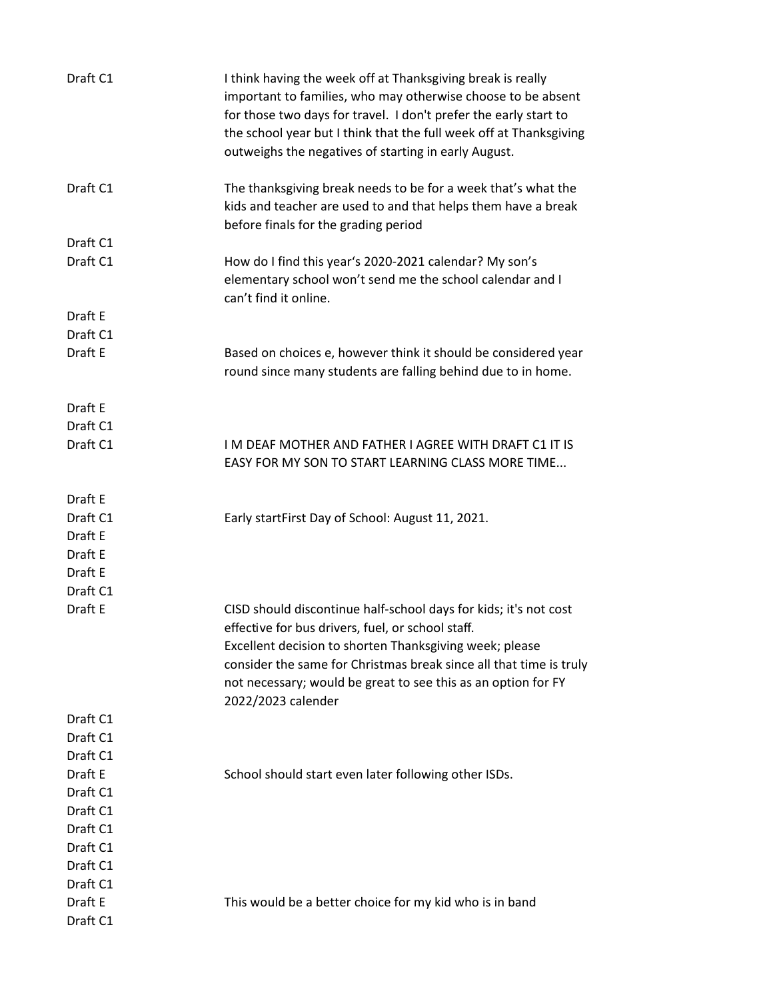| Draft C1 | I think having the week off at Thanksgiving break is really<br>important to families, who may otherwise choose to be absent<br>for those two days for travel. I don't prefer the early start to<br>the school year but I think that the full week off at Thanksgiving<br>outweighs the negatives of starting in early August.                 |
|----------|-----------------------------------------------------------------------------------------------------------------------------------------------------------------------------------------------------------------------------------------------------------------------------------------------------------------------------------------------|
| Draft C1 | The thanksgiving break needs to be for a week that's what the<br>kids and teacher are used to and that helps them have a break<br>before finals for the grading period                                                                                                                                                                        |
| Draft C1 |                                                                                                                                                                                                                                                                                                                                               |
| Draft C1 | How do I find this year's 2020-2021 calendar? My son's<br>elementary school won't send me the school calendar and I<br>can't find it online.                                                                                                                                                                                                  |
| Draft E  |                                                                                                                                                                                                                                                                                                                                               |
| Draft C1 |                                                                                                                                                                                                                                                                                                                                               |
| Draft E  | Based on choices e, however think it should be considered year<br>round since many students are falling behind due to in home.                                                                                                                                                                                                                |
| Draft E  |                                                                                                                                                                                                                                                                                                                                               |
| Draft C1 |                                                                                                                                                                                                                                                                                                                                               |
| Draft C1 | I M DEAF MOTHER AND FATHER I AGREE WITH DRAFT C1 IT IS<br>EASY FOR MY SON TO START LEARNING CLASS MORE TIME                                                                                                                                                                                                                                   |
| Draft E  |                                                                                                                                                                                                                                                                                                                                               |
| Draft C1 | Early startFirst Day of School: August 11, 2021.                                                                                                                                                                                                                                                                                              |
| Draft E  |                                                                                                                                                                                                                                                                                                                                               |
| Draft E  |                                                                                                                                                                                                                                                                                                                                               |
| Draft E  |                                                                                                                                                                                                                                                                                                                                               |
| Draft C1 |                                                                                                                                                                                                                                                                                                                                               |
| Draft E  | CISD should discontinue half-school days for kids; it's not cost<br>effective for bus drivers, fuel, or school staff.<br>Excellent decision to shorten Thanksgiving week; please<br>consider the same for Christmas break since all that time is truly<br>not necessary; would be great to see this as an option for FY<br>2022/2023 calender |
| Draft C1 |                                                                                                                                                                                                                                                                                                                                               |
| Draft C1 |                                                                                                                                                                                                                                                                                                                                               |
| Draft C1 |                                                                                                                                                                                                                                                                                                                                               |
| Draft E  | School should start even later following other ISDs.                                                                                                                                                                                                                                                                                          |
| Draft C1 |                                                                                                                                                                                                                                                                                                                                               |
| Draft C1 |                                                                                                                                                                                                                                                                                                                                               |
| Draft C1 |                                                                                                                                                                                                                                                                                                                                               |
| Draft C1 |                                                                                                                                                                                                                                                                                                                                               |
| Draft C1 |                                                                                                                                                                                                                                                                                                                                               |
| Draft C1 |                                                                                                                                                                                                                                                                                                                                               |
| Draft E  | This would be a better choice for my kid who is in band                                                                                                                                                                                                                                                                                       |
| Draft C1 |                                                                                                                                                                                                                                                                                                                                               |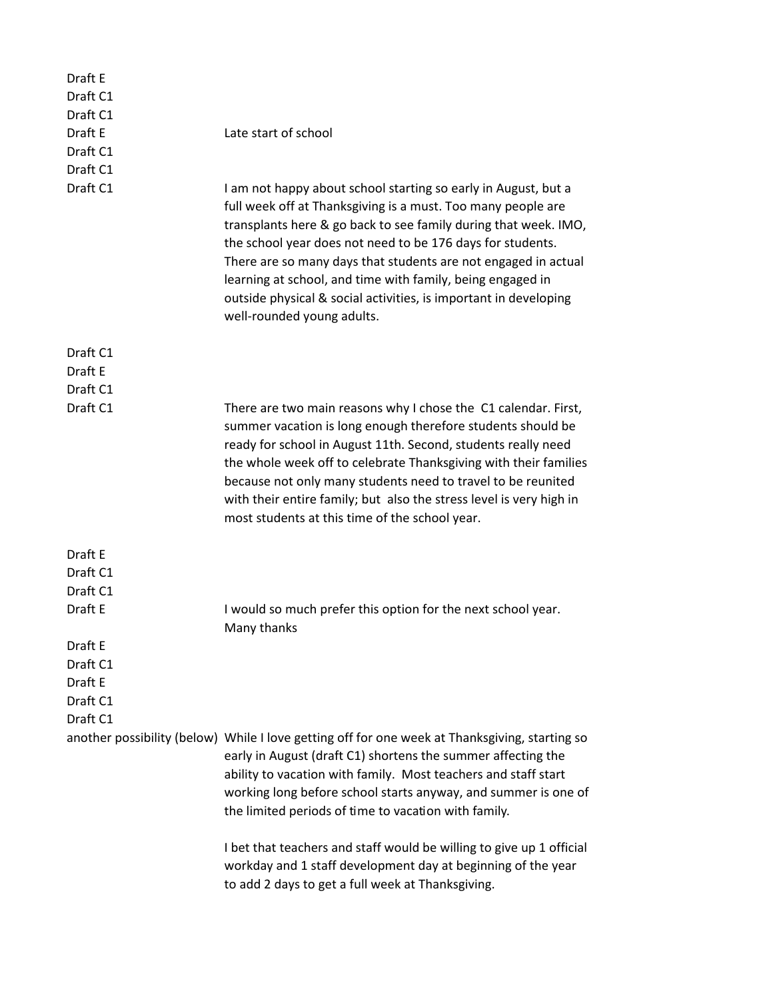| Draft E<br>Draft C1 |                                                                                                                                                                                                                                                                                                                                                                                                                                                                                                   |
|---------------------|---------------------------------------------------------------------------------------------------------------------------------------------------------------------------------------------------------------------------------------------------------------------------------------------------------------------------------------------------------------------------------------------------------------------------------------------------------------------------------------------------|
| Draft C1            |                                                                                                                                                                                                                                                                                                                                                                                                                                                                                                   |
| Draft E             | Late start of school                                                                                                                                                                                                                                                                                                                                                                                                                                                                              |
| Draft C1            |                                                                                                                                                                                                                                                                                                                                                                                                                                                                                                   |
| Draft C1            |                                                                                                                                                                                                                                                                                                                                                                                                                                                                                                   |
| Draft C1            | I am not happy about school starting so early in August, but a<br>full week off at Thanksgiving is a must. Too many people are<br>transplants here & go back to see family during that week. IMO,<br>the school year does not need to be 176 days for students.<br>There are so many days that students are not engaged in actual<br>learning at school, and time with family, being engaged in<br>outside physical & social activities, is important in developing<br>well-rounded young adults. |
| Draft C1            |                                                                                                                                                                                                                                                                                                                                                                                                                                                                                                   |
| Draft E             |                                                                                                                                                                                                                                                                                                                                                                                                                                                                                                   |
| Draft C1            |                                                                                                                                                                                                                                                                                                                                                                                                                                                                                                   |
| Draft C1            | There are two main reasons why I chose the C1 calendar. First,<br>summer vacation is long enough therefore students should be<br>ready for school in August 11th. Second, students really need<br>the whole week off to celebrate Thanksgiving with their families<br>because not only many students need to travel to be reunited<br>with their entire family; but also the stress level is very high in<br>most students at this time of the school year.                                       |
| Draft E             |                                                                                                                                                                                                                                                                                                                                                                                                                                                                                                   |
| Draft C1            |                                                                                                                                                                                                                                                                                                                                                                                                                                                                                                   |
| Draft C1            |                                                                                                                                                                                                                                                                                                                                                                                                                                                                                                   |
| Draft E             | I would so much prefer this option for the next school year.                                                                                                                                                                                                                                                                                                                                                                                                                                      |
|                     | Many thanks                                                                                                                                                                                                                                                                                                                                                                                                                                                                                       |
| Draft E             |                                                                                                                                                                                                                                                                                                                                                                                                                                                                                                   |
| Draft C1            |                                                                                                                                                                                                                                                                                                                                                                                                                                                                                                   |
| Draft E             |                                                                                                                                                                                                                                                                                                                                                                                                                                                                                                   |
| Draft C1            |                                                                                                                                                                                                                                                                                                                                                                                                                                                                                                   |
| Draft C1            |                                                                                                                                                                                                                                                                                                                                                                                                                                                                                                   |
|                     | another possibility (below) While I love getting off for one week at Thanksgiving, starting so<br>early in August (draft C1) shortens the summer affecting the<br>ability to vacation with family. Most teachers and staff start<br>working long before school starts anyway, and summer is one of<br>the limited periods of time to vacation with family.                                                                                                                                        |
|                     | I bet that teachers and staff would be willing to give up 1 official<br>workday and 1 staff development day at beginning of the year<br>to add 2 days to get a full week at Thanksgiving.                                                                                                                                                                                                                                                                                                         |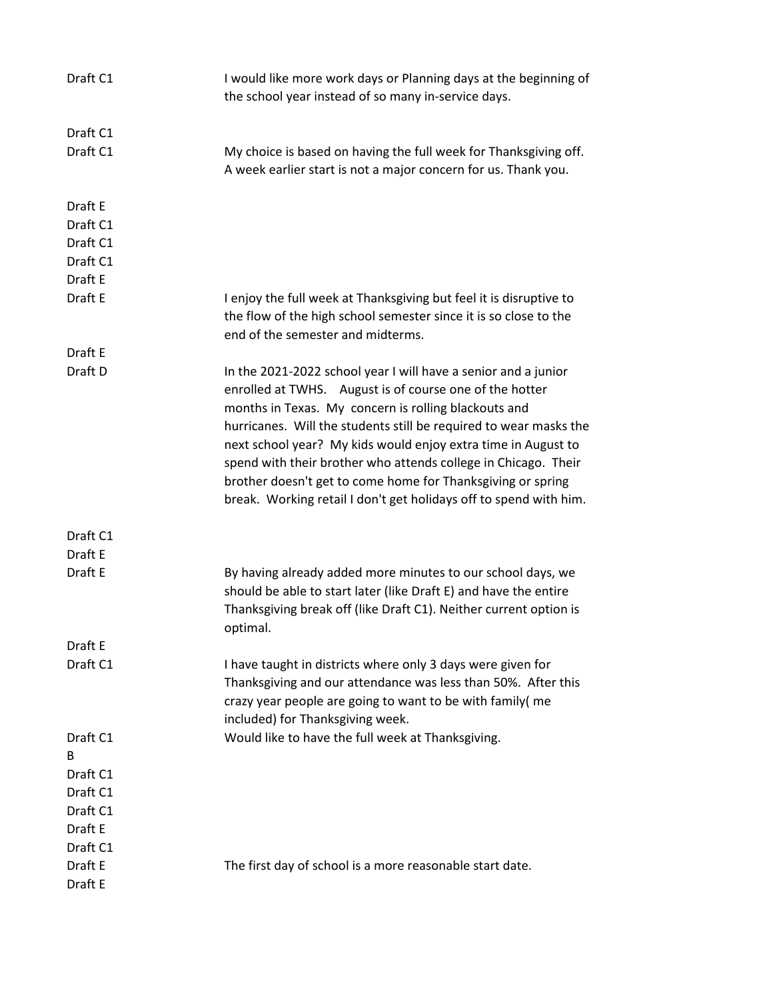| Draft C1      | I would like more work days or Planning days at the beginning of<br>the school year instead of so many in-service days.                                                                                                                                                                                                                                                                                                                                                                                                       |
|---------------|-------------------------------------------------------------------------------------------------------------------------------------------------------------------------------------------------------------------------------------------------------------------------------------------------------------------------------------------------------------------------------------------------------------------------------------------------------------------------------------------------------------------------------|
| Draft C1      |                                                                                                                                                                                                                                                                                                                                                                                                                                                                                                                               |
| Draft C1      | My choice is based on having the full week for Thanksgiving off.<br>A week earlier start is not a major concern for us. Thank you.                                                                                                                                                                                                                                                                                                                                                                                            |
| Draft E       |                                                                                                                                                                                                                                                                                                                                                                                                                                                                                                                               |
| Draft C1      |                                                                                                                                                                                                                                                                                                                                                                                                                                                                                                                               |
| Draft C1      |                                                                                                                                                                                                                                                                                                                                                                                                                                                                                                                               |
| Draft C1      |                                                                                                                                                                                                                                                                                                                                                                                                                                                                                                                               |
| Draft E       |                                                                                                                                                                                                                                                                                                                                                                                                                                                                                                                               |
| Draft E       | I enjoy the full week at Thanksgiving but feel it is disruptive to<br>the flow of the high school semester since it is so close to the<br>end of the semester and midterms.                                                                                                                                                                                                                                                                                                                                                   |
| Draft E       |                                                                                                                                                                                                                                                                                                                                                                                                                                                                                                                               |
| Draft D       | In the 2021-2022 school year I will have a senior and a junior<br>enrolled at TWHS. August is of course one of the hotter<br>months in Texas. My concern is rolling blackouts and<br>hurricanes. Will the students still be required to wear masks the<br>next school year? My kids would enjoy extra time in August to<br>spend with their brother who attends college in Chicago. Their<br>brother doesn't get to come home for Thanksgiving or spring<br>break. Working retail I don't get holidays off to spend with him. |
| Draft C1      |                                                                                                                                                                                                                                                                                                                                                                                                                                                                                                                               |
| Draft E       |                                                                                                                                                                                                                                                                                                                                                                                                                                                                                                                               |
| Draft E       | By having already added more minutes to our school days, we<br>should be able to start later (like Draft E) and have the entire<br>Thanksgiving break off (like Draft C1). Neither current option is<br>optimal.                                                                                                                                                                                                                                                                                                              |
| Draft E       |                                                                                                                                                                                                                                                                                                                                                                                                                                                                                                                               |
| Draft C1      | I have taught in districts where only 3 days were given for<br>Thanksgiving and our attendance was less than 50%. After this<br>crazy year people are going to want to be with family( me<br>included) for Thanksgiving week.                                                                                                                                                                                                                                                                                                 |
| Draft C1<br>B | Would like to have the full week at Thanksgiving.                                                                                                                                                                                                                                                                                                                                                                                                                                                                             |
| Draft C1      |                                                                                                                                                                                                                                                                                                                                                                                                                                                                                                                               |
| Draft C1      |                                                                                                                                                                                                                                                                                                                                                                                                                                                                                                                               |
| Draft C1      |                                                                                                                                                                                                                                                                                                                                                                                                                                                                                                                               |
| Draft E       |                                                                                                                                                                                                                                                                                                                                                                                                                                                                                                                               |
| Draft C1      |                                                                                                                                                                                                                                                                                                                                                                                                                                                                                                                               |
| Draft E       | The first day of school is a more reasonable start date.                                                                                                                                                                                                                                                                                                                                                                                                                                                                      |
| Draft E       |                                                                                                                                                                                                                                                                                                                                                                                                                                                                                                                               |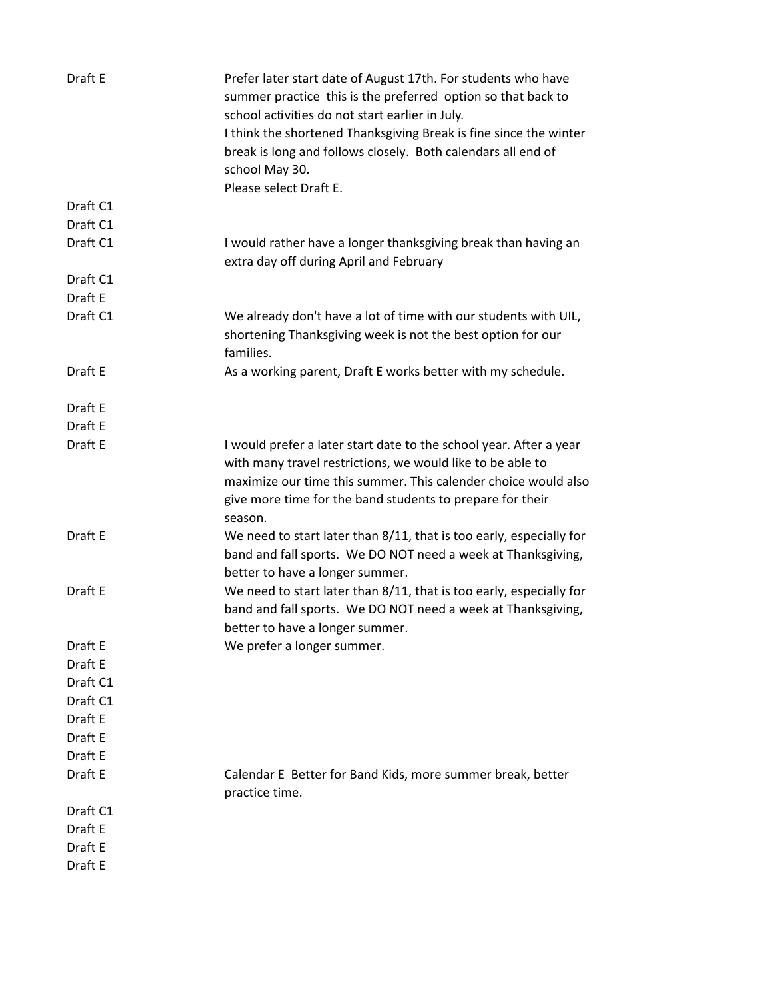| Draft E  | Prefer later start date of August 17th. For students who have<br>summer practice this is the preferred option so that back to<br>school activities do not start earlier in July.<br>I think the shortened Thanksgiving Break is fine since the winter<br>break is long and follows closely. Both calendars all end of<br>school May 30.<br>Please select Draft E. |
|----------|-------------------------------------------------------------------------------------------------------------------------------------------------------------------------------------------------------------------------------------------------------------------------------------------------------------------------------------------------------------------|
| Draft C1 |                                                                                                                                                                                                                                                                                                                                                                   |
| Draft C1 |                                                                                                                                                                                                                                                                                                                                                                   |
| Draft C1 | I would rather have a longer thanksgiving break than having an<br>extra day off during April and February                                                                                                                                                                                                                                                         |
| Draft C1 |                                                                                                                                                                                                                                                                                                                                                                   |
| Draft E  |                                                                                                                                                                                                                                                                                                                                                                   |
| Draft C1 | We already don't have a lot of time with our students with UIL,<br>shortening Thanksgiving week is not the best option for our<br>families.                                                                                                                                                                                                                       |
| Draft E  | As a working parent, Draft E works better with my schedule.                                                                                                                                                                                                                                                                                                       |
| Draft E  |                                                                                                                                                                                                                                                                                                                                                                   |
| Draft E  |                                                                                                                                                                                                                                                                                                                                                                   |
| Draft E  | I would prefer a later start date to the school year. After a year<br>with many travel restrictions, we would like to be able to<br>maximize our time this summer. This calender choice would also<br>give more time for the band students to prepare for their<br>season.                                                                                        |
| Draft E  | We need to start later than 8/11, that is too early, especially for<br>band and fall sports. We DO NOT need a week at Thanksgiving,<br>better to have a longer summer.                                                                                                                                                                                            |
| Draft E  | We need to start later than 8/11, that is too early, especially for<br>band and fall sports. We DO NOT need a week at Thanksgiving,<br>better to have a longer summer.                                                                                                                                                                                            |
| Draft E  | We prefer a longer summer.                                                                                                                                                                                                                                                                                                                                        |
| Draft E  |                                                                                                                                                                                                                                                                                                                                                                   |
| Draft C1 |                                                                                                                                                                                                                                                                                                                                                                   |
| Draft C1 |                                                                                                                                                                                                                                                                                                                                                                   |
| Draft E  |                                                                                                                                                                                                                                                                                                                                                                   |
| Draft E  |                                                                                                                                                                                                                                                                                                                                                                   |
| Draft E  |                                                                                                                                                                                                                                                                                                                                                                   |
| Draft E  | Calendar E Better for Band Kids, more summer break, better<br>practice time.                                                                                                                                                                                                                                                                                      |
| Draft C1 |                                                                                                                                                                                                                                                                                                                                                                   |
| Draft E  |                                                                                                                                                                                                                                                                                                                                                                   |
| Draft E  |                                                                                                                                                                                                                                                                                                                                                                   |
| Draft E  |                                                                                                                                                                                                                                                                                                                                                                   |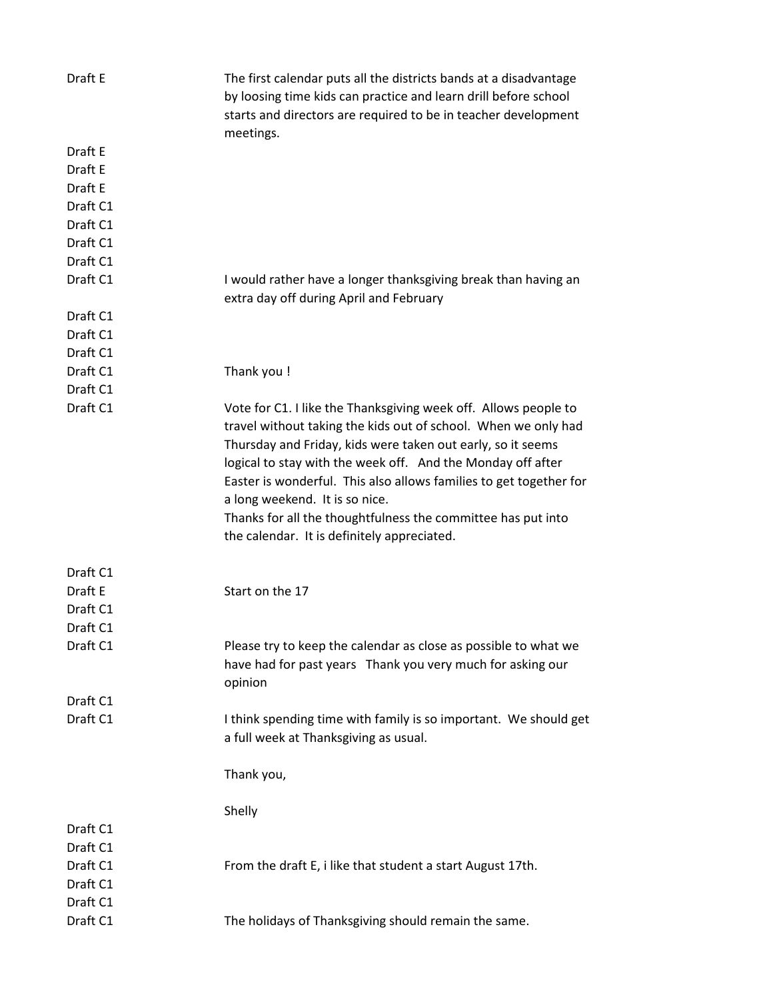| Draft E  | The first calendar puts all the districts bands at a disadvantage<br>by loosing time kids can practice and learn drill before school<br>starts and directors are required to be in teacher development<br>meetings. |
|----------|---------------------------------------------------------------------------------------------------------------------------------------------------------------------------------------------------------------------|
| Draft E  |                                                                                                                                                                                                                     |
| Draft E  |                                                                                                                                                                                                                     |
| Draft E  |                                                                                                                                                                                                                     |
| Draft C1 |                                                                                                                                                                                                                     |
| Draft C1 |                                                                                                                                                                                                                     |
| Draft C1 |                                                                                                                                                                                                                     |
| Draft C1 |                                                                                                                                                                                                                     |
| Draft C1 | I would rather have a longer thanksgiving break than having an                                                                                                                                                      |
|          | extra day off during April and February                                                                                                                                                                             |
| Draft C1 |                                                                                                                                                                                                                     |
| Draft C1 |                                                                                                                                                                                                                     |
| Draft C1 |                                                                                                                                                                                                                     |
| Draft C1 | Thank you !                                                                                                                                                                                                         |
| Draft C1 |                                                                                                                                                                                                                     |
| Draft C1 | Vote for C1. I like the Thanksgiving week off. Allows people to<br>travel without taking the kids out of school. When we only had                                                                                   |
|          | Thursday and Friday, kids were taken out early, so it seems<br>logical to stay with the week off. And the Monday off after<br>Easter is wonderful. This also allows families to get together for                    |
|          | a long weekend. It is so nice.                                                                                                                                                                                      |
|          | Thanks for all the thoughtfulness the committee has put into                                                                                                                                                        |
|          | the calendar. It is definitely appreciated.                                                                                                                                                                         |
|          |                                                                                                                                                                                                                     |
| Draft C1 |                                                                                                                                                                                                                     |
| Draft E  | Start on the 17                                                                                                                                                                                                     |
| Draft C1 |                                                                                                                                                                                                                     |
| Draft C1 |                                                                                                                                                                                                                     |
| Draft C1 | Please try to keep the calendar as close as possible to what we<br>have had for past years Thank you very much for asking our<br>opinion                                                                            |
| Draft C1 |                                                                                                                                                                                                                     |
| Draft C1 | I think spending time with family is so important. We should get                                                                                                                                                    |
|          | a full week at Thanksgiving as usual.                                                                                                                                                                               |
|          | Thank you,                                                                                                                                                                                                          |
|          | Shelly                                                                                                                                                                                                              |
| Draft C1 |                                                                                                                                                                                                                     |
| Draft C1 |                                                                                                                                                                                                                     |
| Draft C1 | From the draft E, i like that student a start August 17th.                                                                                                                                                          |
| Draft C1 |                                                                                                                                                                                                                     |
| Draft C1 |                                                                                                                                                                                                                     |
| Draft C1 |                                                                                                                                                                                                                     |
|          | The holidays of Thanksgiving should remain the same.                                                                                                                                                                |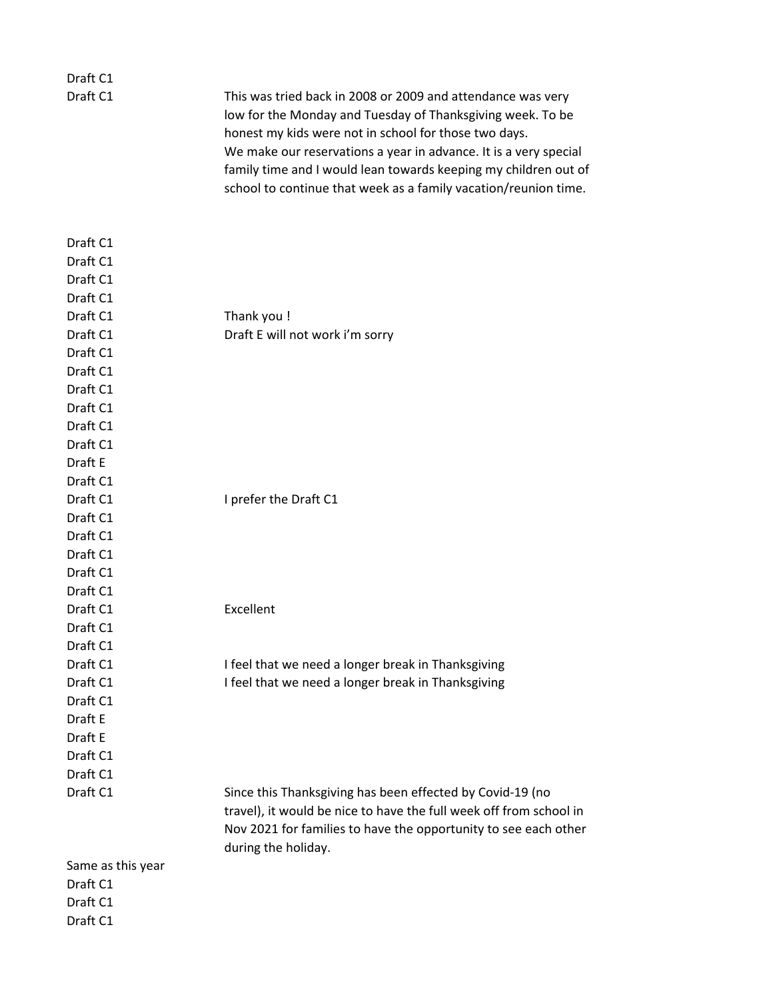| Draft C1<br>Draft C1                                                                                                             | This was tried back in 2008 or 2009 and attendance was very<br>low for the Monday and Tuesday of Thanksgiving week. To be<br>honest my kids were not in school for those two days.<br>We make our reservations a year in advance. It is a very special<br>family time and I would lean towards keeping my children out of<br>school to continue that week as a family vacation/reunion time. |
|----------------------------------------------------------------------------------------------------------------------------------|----------------------------------------------------------------------------------------------------------------------------------------------------------------------------------------------------------------------------------------------------------------------------------------------------------------------------------------------------------------------------------------------|
| Draft C1<br>Draft C1<br>Draft C1<br>Draft C1<br>Draft C1<br>Draft C1<br>Draft C1<br>Draft C1<br>Draft C1<br>Draft C1<br>Draft C1 | Thank you !<br>Draft E will not work i'm sorry                                                                                                                                                                                                                                                                                                                                               |
| Draft C1<br>Draft E<br>Draft C1<br>Draft C1<br>Draft C1<br>Draft C1<br>Draft C1<br>Draft C1<br>Draft C1                          | I prefer the Draft C1                                                                                                                                                                                                                                                                                                                                                                        |
| Draft C1<br>Draft C1<br>Draft C1                                                                                                 | Excellent                                                                                                                                                                                                                                                                                                                                                                                    |
| Draft C1                                                                                                                         | I feel that we need a longer break in Thanksgiving                                                                                                                                                                                                                                                                                                                                           |
| Draft C1<br>Draft C1<br>Draft E<br>Draft E<br>Draft C1<br>Draft C1                                                               | I feel that we need a longer break in Thanksgiving                                                                                                                                                                                                                                                                                                                                           |
| Draft C1                                                                                                                         | Since this Thanksgiving has been effected by Covid-19 (no<br>travel), it would be nice to have the full week off from school in<br>Nov 2021 for families to have the opportunity to see each other<br>during the holiday.                                                                                                                                                                    |
| Same as this year                                                                                                                |                                                                                                                                                                                                                                                                                                                                                                                              |
| Draft C1                                                                                                                         |                                                                                                                                                                                                                                                                                                                                                                                              |
| Draft C1                                                                                                                         |                                                                                                                                                                                                                                                                                                                                                                                              |
| Draft C1                                                                                                                         |                                                                                                                                                                                                                                                                                                                                                                                              |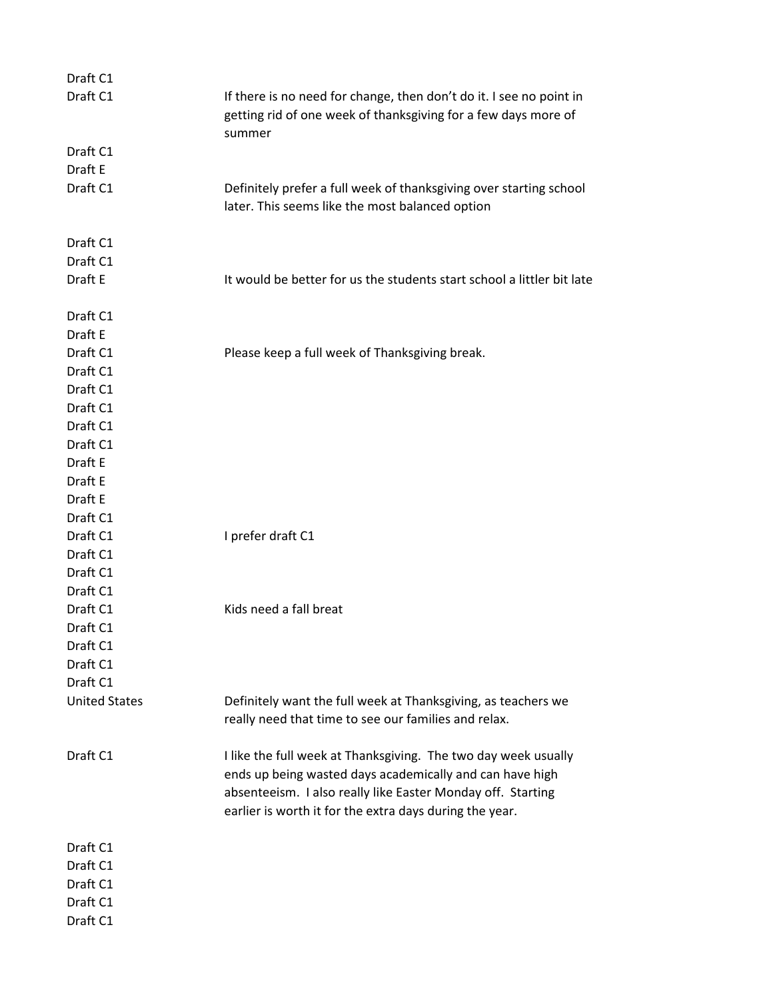| Draft C1             |                                                                                                                                                                                                                                                      |
|----------------------|------------------------------------------------------------------------------------------------------------------------------------------------------------------------------------------------------------------------------------------------------|
| Draft C1             | If there is no need for change, then don't do it. I see no point in<br>getting rid of one week of thanksgiving for a few days more of<br>summer                                                                                                      |
| Draft C1             |                                                                                                                                                                                                                                                      |
| Draft E              |                                                                                                                                                                                                                                                      |
| Draft C1             | Definitely prefer a full week of thanksgiving over starting school<br>later. This seems like the most balanced option                                                                                                                                |
| Draft C1             |                                                                                                                                                                                                                                                      |
| Draft C1             |                                                                                                                                                                                                                                                      |
| Draft E              | It would be better for us the students start school a littler bit late                                                                                                                                                                               |
| Draft C1             |                                                                                                                                                                                                                                                      |
| Draft E              |                                                                                                                                                                                                                                                      |
| Draft C1             | Please keep a full week of Thanksgiving break.                                                                                                                                                                                                       |
| Draft C1             |                                                                                                                                                                                                                                                      |
| Draft C1             |                                                                                                                                                                                                                                                      |
| Draft C1             |                                                                                                                                                                                                                                                      |
| Draft C1             |                                                                                                                                                                                                                                                      |
| Draft C1             |                                                                                                                                                                                                                                                      |
| Draft E              |                                                                                                                                                                                                                                                      |
| Draft E              |                                                                                                                                                                                                                                                      |
| Draft E              |                                                                                                                                                                                                                                                      |
| Draft C1             |                                                                                                                                                                                                                                                      |
| Draft C1             | I prefer draft C1                                                                                                                                                                                                                                    |
| Draft C1             |                                                                                                                                                                                                                                                      |
| Draft C1             |                                                                                                                                                                                                                                                      |
| Draft C1             |                                                                                                                                                                                                                                                      |
| Draft C1             | Kids need a fall breat                                                                                                                                                                                                                               |
| Draft C1             |                                                                                                                                                                                                                                                      |
| Draft C1             |                                                                                                                                                                                                                                                      |
| Draft C1             |                                                                                                                                                                                                                                                      |
| Draft C1             |                                                                                                                                                                                                                                                      |
| <b>United States</b> | Definitely want the full week at Thanksgiving, as teachers we<br>really need that time to see our families and relax.                                                                                                                                |
| Draft C1             | I like the full week at Thanksgiving. The two day week usually<br>ends up being wasted days academically and can have high<br>absenteeism. I also really like Easter Monday off. Starting<br>earlier is worth it for the extra days during the year. |
| Draft C1             |                                                                                                                                                                                                                                                      |
| Draft C1             |                                                                                                                                                                                                                                                      |
| Draft C1             |                                                                                                                                                                                                                                                      |
| Draft C1             |                                                                                                                                                                                                                                                      |
| Draft C1             |                                                                                                                                                                                                                                                      |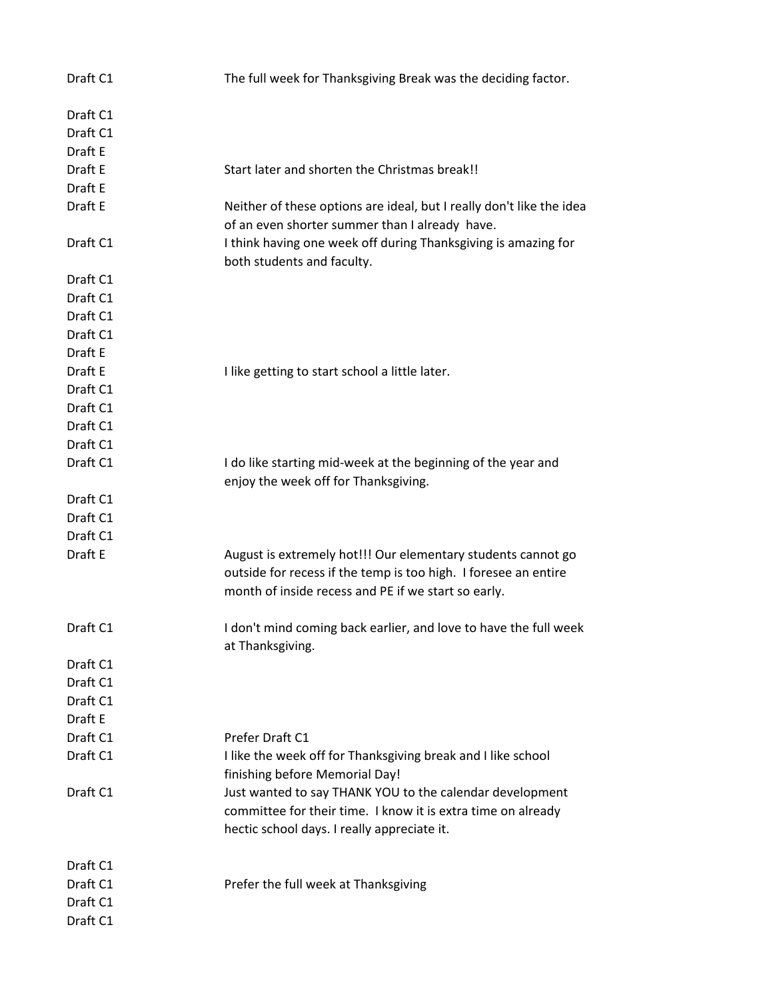| Draft C1<br>Draft C1<br>Draft E<br>Draft E<br>Start later and shorten the Christmas break!!<br>Draft E<br>Draft E<br>Neither of these options are ideal, but I really don't like the idea<br>of an even shorter summer than I already have.<br>I think having one week off during Thanksgiving is amazing for<br>Draft C1<br>both students and faculty.<br>Draft C1<br>Draft C1<br>Draft C1<br>Draft C1<br>Draft E<br>Draft E<br>I like getting to start school a little later.<br>Draft C1<br>Draft C1<br>Draft C1<br>Draft C1<br>Draft C1<br>I do like starting mid-week at the beginning of the year and<br>enjoy the week off for Thanksgiving.<br>Draft C1<br>Draft C1<br>Draft C1<br>Draft E<br>August is extremely hot!!! Our elementary students cannot go<br>outside for recess if the temp is too high. I foresee an entire<br>month of inside recess and PE if we start so early.<br>I don't mind coming back earlier, and love to have the full week<br>Draft C1<br>at Thanksgiving.<br>Draft C1<br>Draft C1<br>Draft C1<br>Draft E<br>Draft C1<br>Prefer Draft C1<br>Draft C1<br>I like the week off for Thanksgiving break and I like school<br>finishing before Memorial Day!<br>Just wanted to say THANK YOU to the calendar development<br>Draft C1<br>committee for their time. I know it is extra time on already<br>hectic school days. I really appreciate it.<br>Draft C1<br>Draft C1<br>Prefer the full week at Thanksgiving<br>Draft C1 | Draft C1 | The full week for Thanksgiving Break was the deciding factor. |
|-----------------------------------------------------------------------------------------------------------------------------------------------------------------------------------------------------------------------------------------------------------------------------------------------------------------------------------------------------------------------------------------------------------------------------------------------------------------------------------------------------------------------------------------------------------------------------------------------------------------------------------------------------------------------------------------------------------------------------------------------------------------------------------------------------------------------------------------------------------------------------------------------------------------------------------------------------------------------------------------------------------------------------------------------------------------------------------------------------------------------------------------------------------------------------------------------------------------------------------------------------------------------------------------------------------------------------------------------------------------------------------------------------------------------------------------------------------------|----------|---------------------------------------------------------------|
|                                                                                                                                                                                                                                                                                                                                                                                                                                                                                                                                                                                                                                                                                                                                                                                                                                                                                                                                                                                                                                                                                                                                                                                                                                                                                                                                                                                                                                                                 |          |                                                               |
|                                                                                                                                                                                                                                                                                                                                                                                                                                                                                                                                                                                                                                                                                                                                                                                                                                                                                                                                                                                                                                                                                                                                                                                                                                                                                                                                                                                                                                                                 |          |                                                               |
|                                                                                                                                                                                                                                                                                                                                                                                                                                                                                                                                                                                                                                                                                                                                                                                                                                                                                                                                                                                                                                                                                                                                                                                                                                                                                                                                                                                                                                                                 |          |                                                               |
|                                                                                                                                                                                                                                                                                                                                                                                                                                                                                                                                                                                                                                                                                                                                                                                                                                                                                                                                                                                                                                                                                                                                                                                                                                                                                                                                                                                                                                                                 |          |                                                               |
|                                                                                                                                                                                                                                                                                                                                                                                                                                                                                                                                                                                                                                                                                                                                                                                                                                                                                                                                                                                                                                                                                                                                                                                                                                                                                                                                                                                                                                                                 |          |                                                               |
|                                                                                                                                                                                                                                                                                                                                                                                                                                                                                                                                                                                                                                                                                                                                                                                                                                                                                                                                                                                                                                                                                                                                                                                                                                                                                                                                                                                                                                                                 |          |                                                               |
|                                                                                                                                                                                                                                                                                                                                                                                                                                                                                                                                                                                                                                                                                                                                                                                                                                                                                                                                                                                                                                                                                                                                                                                                                                                                                                                                                                                                                                                                 |          |                                                               |
|                                                                                                                                                                                                                                                                                                                                                                                                                                                                                                                                                                                                                                                                                                                                                                                                                                                                                                                                                                                                                                                                                                                                                                                                                                                                                                                                                                                                                                                                 |          |                                                               |
|                                                                                                                                                                                                                                                                                                                                                                                                                                                                                                                                                                                                                                                                                                                                                                                                                                                                                                                                                                                                                                                                                                                                                                                                                                                                                                                                                                                                                                                                 |          |                                                               |
|                                                                                                                                                                                                                                                                                                                                                                                                                                                                                                                                                                                                                                                                                                                                                                                                                                                                                                                                                                                                                                                                                                                                                                                                                                                                                                                                                                                                                                                                 |          |                                                               |
|                                                                                                                                                                                                                                                                                                                                                                                                                                                                                                                                                                                                                                                                                                                                                                                                                                                                                                                                                                                                                                                                                                                                                                                                                                                                                                                                                                                                                                                                 |          |                                                               |
|                                                                                                                                                                                                                                                                                                                                                                                                                                                                                                                                                                                                                                                                                                                                                                                                                                                                                                                                                                                                                                                                                                                                                                                                                                                                                                                                                                                                                                                                 |          |                                                               |
|                                                                                                                                                                                                                                                                                                                                                                                                                                                                                                                                                                                                                                                                                                                                                                                                                                                                                                                                                                                                                                                                                                                                                                                                                                                                                                                                                                                                                                                                 |          |                                                               |
|                                                                                                                                                                                                                                                                                                                                                                                                                                                                                                                                                                                                                                                                                                                                                                                                                                                                                                                                                                                                                                                                                                                                                                                                                                                                                                                                                                                                                                                                 |          |                                                               |
|                                                                                                                                                                                                                                                                                                                                                                                                                                                                                                                                                                                                                                                                                                                                                                                                                                                                                                                                                                                                                                                                                                                                                                                                                                                                                                                                                                                                                                                                 |          |                                                               |
|                                                                                                                                                                                                                                                                                                                                                                                                                                                                                                                                                                                                                                                                                                                                                                                                                                                                                                                                                                                                                                                                                                                                                                                                                                                                                                                                                                                                                                                                 |          |                                                               |
|                                                                                                                                                                                                                                                                                                                                                                                                                                                                                                                                                                                                                                                                                                                                                                                                                                                                                                                                                                                                                                                                                                                                                                                                                                                                                                                                                                                                                                                                 |          |                                                               |
|                                                                                                                                                                                                                                                                                                                                                                                                                                                                                                                                                                                                                                                                                                                                                                                                                                                                                                                                                                                                                                                                                                                                                                                                                                                                                                                                                                                                                                                                 |          |                                                               |
|                                                                                                                                                                                                                                                                                                                                                                                                                                                                                                                                                                                                                                                                                                                                                                                                                                                                                                                                                                                                                                                                                                                                                                                                                                                                                                                                                                                                                                                                 |          |                                                               |
|                                                                                                                                                                                                                                                                                                                                                                                                                                                                                                                                                                                                                                                                                                                                                                                                                                                                                                                                                                                                                                                                                                                                                                                                                                                                                                                                                                                                                                                                 |          |                                                               |
|                                                                                                                                                                                                                                                                                                                                                                                                                                                                                                                                                                                                                                                                                                                                                                                                                                                                                                                                                                                                                                                                                                                                                                                                                                                                                                                                                                                                                                                                 |          |                                                               |
|                                                                                                                                                                                                                                                                                                                                                                                                                                                                                                                                                                                                                                                                                                                                                                                                                                                                                                                                                                                                                                                                                                                                                                                                                                                                                                                                                                                                                                                                 |          |                                                               |
|                                                                                                                                                                                                                                                                                                                                                                                                                                                                                                                                                                                                                                                                                                                                                                                                                                                                                                                                                                                                                                                                                                                                                                                                                                                                                                                                                                                                                                                                 |          |                                                               |
|                                                                                                                                                                                                                                                                                                                                                                                                                                                                                                                                                                                                                                                                                                                                                                                                                                                                                                                                                                                                                                                                                                                                                                                                                                                                                                                                                                                                                                                                 |          |                                                               |
|                                                                                                                                                                                                                                                                                                                                                                                                                                                                                                                                                                                                                                                                                                                                                                                                                                                                                                                                                                                                                                                                                                                                                                                                                                                                                                                                                                                                                                                                 |          |                                                               |
|                                                                                                                                                                                                                                                                                                                                                                                                                                                                                                                                                                                                                                                                                                                                                                                                                                                                                                                                                                                                                                                                                                                                                                                                                                                                                                                                                                                                                                                                 |          |                                                               |
|                                                                                                                                                                                                                                                                                                                                                                                                                                                                                                                                                                                                                                                                                                                                                                                                                                                                                                                                                                                                                                                                                                                                                                                                                                                                                                                                                                                                                                                                 |          |                                                               |
|                                                                                                                                                                                                                                                                                                                                                                                                                                                                                                                                                                                                                                                                                                                                                                                                                                                                                                                                                                                                                                                                                                                                                                                                                                                                                                                                                                                                                                                                 |          |                                                               |
|                                                                                                                                                                                                                                                                                                                                                                                                                                                                                                                                                                                                                                                                                                                                                                                                                                                                                                                                                                                                                                                                                                                                                                                                                                                                                                                                                                                                                                                                 |          |                                                               |
|                                                                                                                                                                                                                                                                                                                                                                                                                                                                                                                                                                                                                                                                                                                                                                                                                                                                                                                                                                                                                                                                                                                                                                                                                                                                                                                                                                                                                                                                 |          |                                                               |
|                                                                                                                                                                                                                                                                                                                                                                                                                                                                                                                                                                                                                                                                                                                                                                                                                                                                                                                                                                                                                                                                                                                                                                                                                                                                                                                                                                                                                                                                 |          |                                                               |
|                                                                                                                                                                                                                                                                                                                                                                                                                                                                                                                                                                                                                                                                                                                                                                                                                                                                                                                                                                                                                                                                                                                                                                                                                                                                                                                                                                                                                                                                 |          |                                                               |
|                                                                                                                                                                                                                                                                                                                                                                                                                                                                                                                                                                                                                                                                                                                                                                                                                                                                                                                                                                                                                                                                                                                                                                                                                                                                                                                                                                                                                                                                 |          |                                                               |
|                                                                                                                                                                                                                                                                                                                                                                                                                                                                                                                                                                                                                                                                                                                                                                                                                                                                                                                                                                                                                                                                                                                                                                                                                                                                                                                                                                                                                                                                 |          |                                                               |
|                                                                                                                                                                                                                                                                                                                                                                                                                                                                                                                                                                                                                                                                                                                                                                                                                                                                                                                                                                                                                                                                                                                                                                                                                                                                                                                                                                                                                                                                 |          |                                                               |
|                                                                                                                                                                                                                                                                                                                                                                                                                                                                                                                                                                                                                                                                                                                                                                                                                                                                                                                                                                                                                                                                                                                                                                                                                                                                                                                                                                                                                                                                 |          |                                                               |
|                                                                                                                                                                                                                                                                                                                                                                                                                                                                                                                                                                                                                                                                                                                                                                                                                                                                                                                                                                                                                                                                                                                                                                                                                                                                                                                                                                                                                                                                 |          |                                                               |
|                                                                                                                                                                                                                                                                                                                                                                                                                                                                                                                                                                                                                                                                                                                                                                                                                                                                                                                                                                                                                                                                                                                                                                                                                                                                                                                                                                                                                                                                 |          |                                                               |
|                                                                                                                                                                                                                                                                                                                                                                                                                                                                                                                                                                                                                                                                                                                                                                                                                                                                                                                                                                                                                                                                                                                                                                                                                                                                                                                                                                                                                                                                 |          |                                                               |
|                                                                                                                                                                                                                                                                                                                                                                                                                                                                                                                                                                                                                                                                                                                                                                                                                                                                                                                                                                                                                                                                                                                                                                                                                                                                                                                                                                                                                                                                 |          |                                                               |
|                                                                                                                                                                                                                                                                                                                                                                                                                                                                                                                                                                                                                                                                                                                                                                                                                                                                                                                                                                                                                                                                                                                                                                                                                                                                                                                                                                                                                                                                 |          |                                                               |
|                                                                                                                                                                                                                                                                                                                                                                                                                                                                                                                                                                                                                                                                                                                                                                                                                                                                                                                                                                                                                                                                                                                                                                                                                                                                                                                                                                                                                                                                 | Draft C1 |                                                               |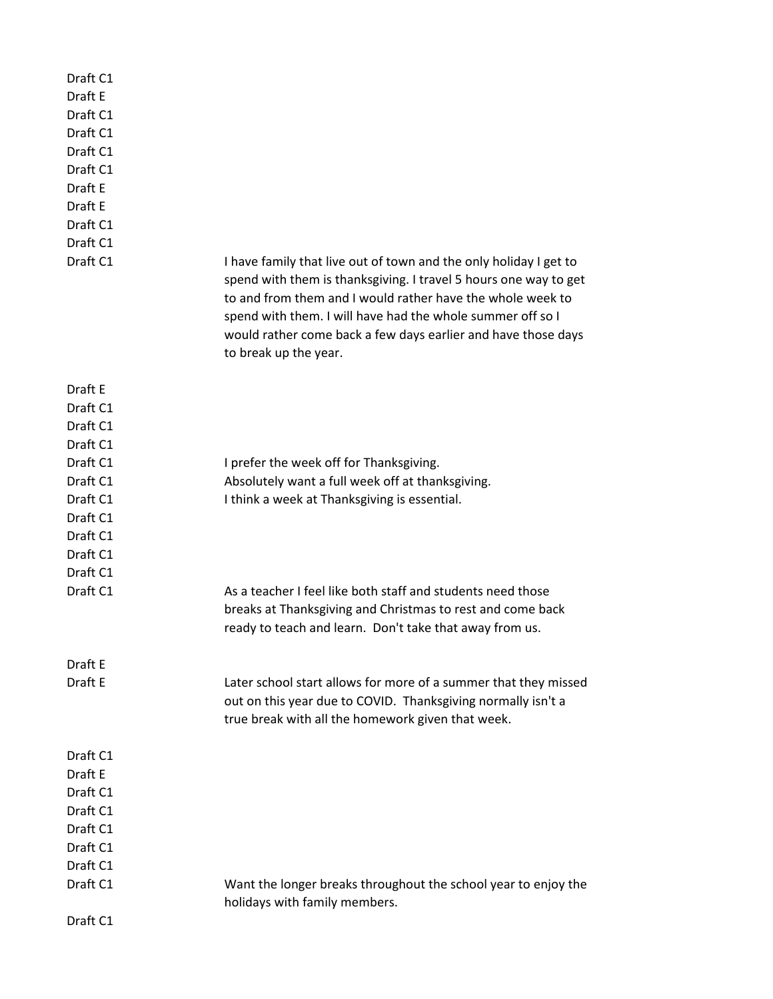| Draft C1 |                                                                                                                                                                                                                                                                                                                                                             |
|----------|-------------------------------------------------------------------------------------------------------------------------------------------------------------------------------------------------------------------------------------------------------------------------------------------------------------------------------------------------------------|
| Draft E  |                                                                                                                                                                                                                                                                                                                                                             |
| Draft C1 |                                                                                                                                                                                                                                                                                                                                                             |
| Draft C1 |                                                                                                                                                                                                                                                                                                                                                             |
| Draft C1 |                                                                                                                                                                                                                                                                                                                                                             |
| Draft C1 |                                                                                                                                                                                                                                                                                                                                                             |
| Draft E  |                                                                                                                                                                                                                                                                                                                                                             |
| Draft E  |                                                                                                                                                                                                                                                                                                                                                             |
| Draft C1 |                                                                                                                                                                                                                                                                                                                                                             |
| Draft C1 |                                                                                                                                                                                                                                                                                                                                                             |
| Draft C1 | I have family that live out of town and the only holiday I get to<br>spend with them is thanksgiving. I travel 5 hours one way to get<br>to and from them and I would rather have the whole week to<br>spend with them. I will have had the whole summer off so I<br>would rather come back a few days earlier and have those days<br>to break up the year. |
| Draft E  |                                                                                                                                                                                                                                                                                                                                                             |
| Draft C1 |                                                                                                                                                                                                                                                                                                                                                             |
| Draft C1 |                                                                                                                                                                                                                                                                                                                                                             |
| Draft C1 |                                                                                                                                                                                                                                                                                                                                                             |
| Draft C1 | I prefer the week off for Thanksgiving.                                                                                                                                                                                                                                                                                                                     |
| Draft C1 | Absolutely want a full week off at thanksgiving.                                                                                                                                                                                                                                                                                                            |
| Draft C1 | I think a week at Thanksgiving is essential.                                                                                                                                                                                                                                                                                                                |
| Draft C1 |                                                                                                                                                                                                                                                                                                                                                             |
| Draft C1 |                                                                                                                                                                                                                                                                                                                                                             |
| Draft C1 |                                                                                                                                                                                                                                                                                                                                                             |
| Draft C1 |                                                                                                                                                                                                                                                                                                                                                             |
| Draft C1 | As a teacher I feel like both staff and students need those<br>breaks at Thanksgiving and Christmas to rest and come back<br>ready to teach and learn. Don't take that away from us.                                                                                                                                                                        |
| Draft E  |                                                                                                                                                                                                                                                                                                                                                             |
| Draft E  | Later school start allows for more of a summer that they missed<br>out on this year due to COVID. Thanksgiving normally isn't a<br>true break with all the homework given that week.                                                                                                                                                                        |
| Draft C1 |                                                                                                                                                                                                                                                                                                                                                             |
| Draft E  |                                                                                                                                                                                                                                                                                                                                                             |
| Draft C1 |                                                                                                                                                                                                                                                                                                                                                             |
| Draft C1 |                                                                                                                                                                                                                                                                                                                                                             |
| Draft C1 |                                                                                                                                                                                                                                                                                                                                                             |
| Draft C1 |                                                                                                                                                                                                                                                                                                                                                             |
| Draft C1 |                                                                                                                                                                                                                                                                                                                                                             |
| Draft C1 | Want the longer breaks throughout the school year to enjoy the<br>holidays with family members.                                                                                                                                                                                                                                                             |
| Draft C1 |                                                                                                                                                                                                                                                                                                                                                             |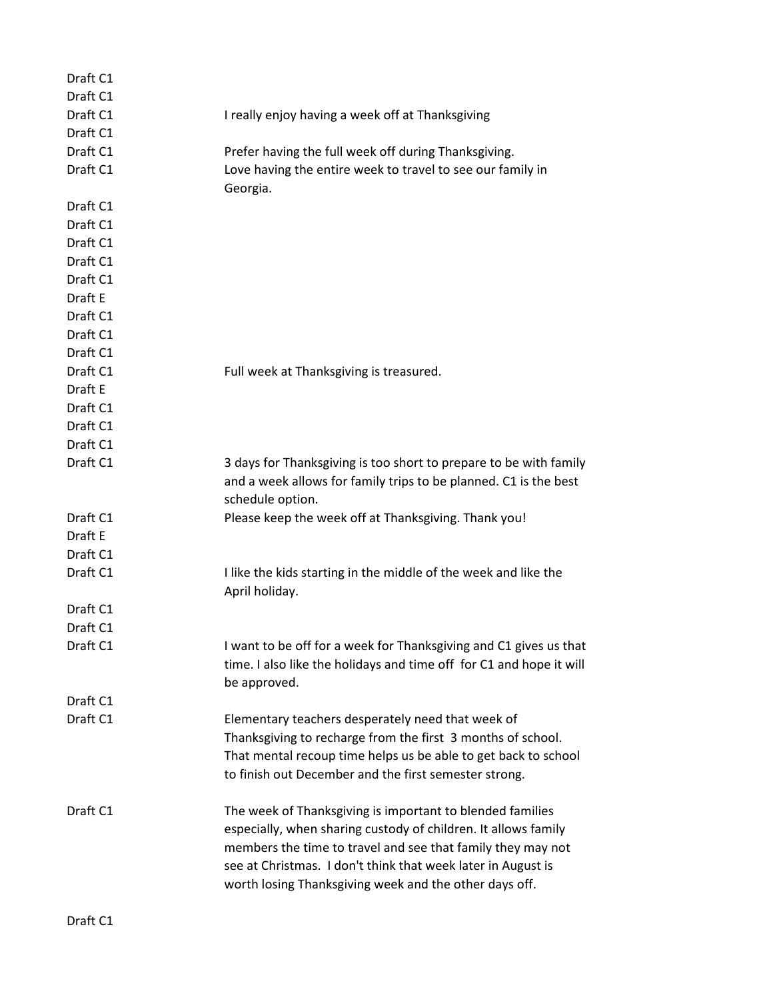| Draft C1 |                                                                                                                                       |
|----------|---------------------------------------------------------------------------------------------------------------------------------------|
| Draft C1 |                                                                                                                                       |
| Draft C1 | I really enjoy having a week off at Thanksgiving                                                                                      |
| Draft C1 |                                                                                                                                       |
| Draft C1 | Prefer having the full week off during Thanksgiving.                                                                                  |
| Draft C1 | Love having the entire week to travel to see our family in<br>Georgia.                                                                |
| Draft C1 |                                                                                                                                       |
| Draft C1 |                                                                                                                                       |
| Draft C1 |                                                                                                                                       |
| Draft C1 |                                                                                                                                       |
| Draft C1 |                                                                                                                                       |
| Draft E  |                                                                                                                                       |
| Draft C1 |                                                                                                                                       |
| Draft C1 |                                                                                                                                       |
| Draft C1 |                                                                                                                                       |
| Draft C1 | Full week at Thanksgiving is treasured.                                                                                               |
| Draft E  |                                                                                                                                       |
| Draft C1 |                                                                                                                                       |
| Draft C1 |                                                                                                                                       |
| Draft C1 |                                                                                                                                       |
| Draft C1 | 3 days for Thanksgiving is too short to prepare to be with family<br>and a week allows for family trips to be planned. C1 is the best |
|          | schedule option.                                                                                                                      |
| Draft C1 | Please keep the week off at Thanksgiving. Thank you!                                                                                  |
| Draft E  |                                                                                                                                       |
| Draft C1 |                                                                                                                                       |
| Draft C1 | I like the kids starting in the middle of the week and like the                                                                       |
| Draft C1 | April holiday.                                                                                                                        |
| Draft C1 |                                                                                                                                       |
| Draft C1 | I want to be off for a week for Thanksgiving and C1 gives us that                                                                     |
|          | time. I also like the holidays and time off for C1 and hope it will                                                                   |
|          | be approved.                                                                                                                          |
| Draft C1 |                                                                                                                                       |
| Draft C1 | Elementary teachers desperately need that week of                                                                                     |
|          | Thanksgiving to recharge from the first 3 months of school.                                                                           |
|          | That mental recoup time helps us be able to get back to school                                                                        |
|          | to finish out December and the first semester strong.                                                                                 |
| Draft C1 | The week of Thanksgiving is important to blended families                                                                             |
|          | especially, when sharing custody of children. It allows family                                                                        |
|          | members the time to travel and see that family they may not                                                                           |
|          | see at Christmas. I don't think that week later in August is                                                                          |
|          | worth losing Thanksgiving week and the other days off.                                                                                |
|          |                                                                                                                                       |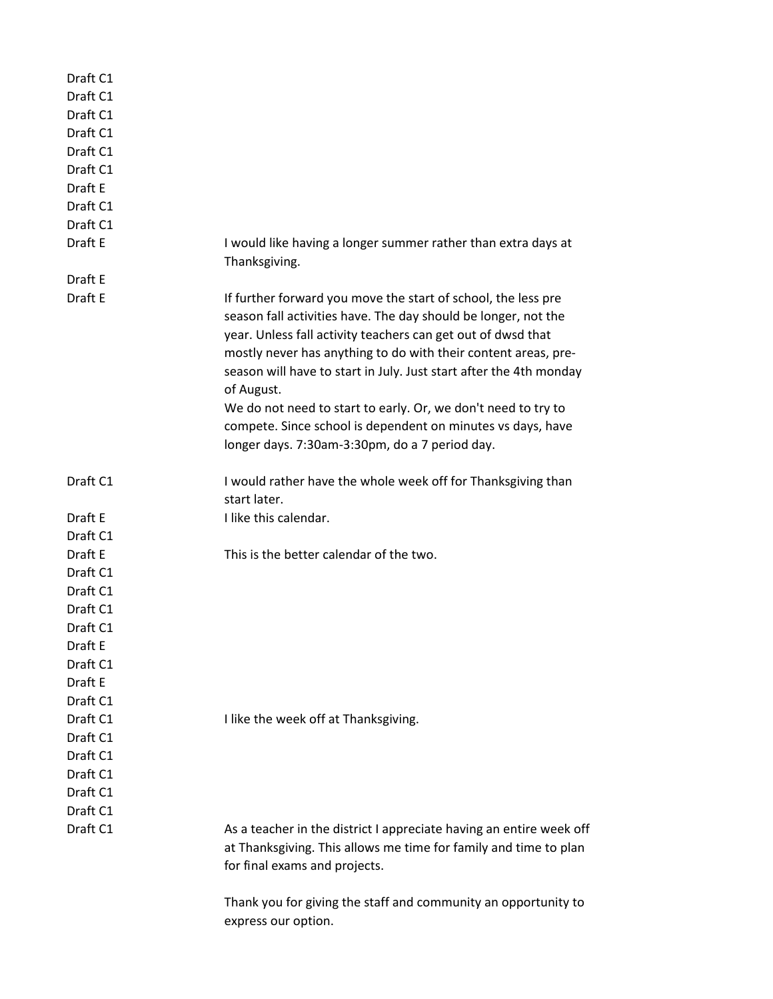| Draft C1 |                                                                                                                                                                                                                                                                                                                                                       |
|----------|-------------------------------------------------------------------------------------------------------------------------------------------------------------------------------------------------------------------------------------------------------------------------------------------------------------------------------------------------------|
| Draft C1 |                                                                                                                                                                                                                                                                                                                                                       |
| Draft C1 |                                                                                                                                                                                                                                                                                                                                                       |
| Draft C1 |                                                                                                                                                                                                                                                                                                                                                       |
| Draft C1 |                                                                                                                                                                                                                                                                                                                                                       |
| Draft C1 |                                                                                                                                                                                                                                                                                                                                                       |
| Draft E  |                                                                                                                                                                                                                                                                                                                                                       |
| Draft C1 |                                                                                                                                                                                                                                                                                                                                                       |
| Draft C1 |                                                                                                                                                                                                                                                                                                                                                       |
| Draft E  | I would like having a longer summer rather than extra days at                                                                                                                                                                                                                                                                                         |
|          | Thanksgiving.                                                                                                                                                                                                                                                                                                                                         |
| Draft E  |                                                                                                                                                                                                                                                                                                                                                       |
| Draft E  | If further forward you move the start of school, the less pre<br>season fall activities have. The day should be longer, not the<br>year. Unless fall activity teachers can get out of dwsd that<br>mostly never has anything to do with their content areas, pre-<br>season will have to start in July. Just start after the 4th monday<br>of August. |
|          | We do not need to start to early. Or, we don't need to try to                                                                                                                                                                                                                                                                                         |
|          | compete. Since school is dependent on minutes vs days, have                                                                                                                                                                                                                                                                                           |
|          | longer days. 7:30am-3:30pm, do a 7 period day.                                                                                                                                                                                                                                                                                                        |
| Draft C1 | I would rather have the whole week off for Thanksgiving than                                                                                                                                                                                                                                                                                          |
|          | start later.                                                                                                                                                                                                                                                                                                                                          |
| Draft E  | I like this calendar.                                                                                                                                                                                                                                                                                                                                 |
| Draft C1 |                                                                                                                                                                                                                                                                                                                                                       |
| Draft E  | This is the better calendar of the two.                                                                                                                                                                                                                                                                                                               |
| Draft C1 |                                                                                                                                                                                                                                                                                                                                                       |
| Draft C1 |                                                                                                                                                                                                                                                                                                                                                       |
| Draft C1 |                                                                                                                                                                                                                                                                                                                                                       |
| Draft C1 |                                                                                                                                                                                                                                                                                                                                                       |
| Draft E  |                                                                                                                                                                                                                                                                                                                                                       |
| Draft C1 |                                                                                                                                                                                                                                                                                                                                                       |
| Draft E  |                                                                                                                                                                                                                                                                                                                                                       |
| Draft C1 |                                                                                                                                                                                                                                                                                                                                                       |
| Draft C1 | I like the week off at Thanksgiving.                                                                                                                                                                                                                                                                                                                  |
| Draft C1 |                                                                                                                                                                                                                                                                                                                                                       |
| Draft C1 |                                                                                                                                                                                                                                                                                                                                                       |
| Draft C1 |                                                                                                                                                                                                                                                                                                                                                       |
| Draft C1 |                                                                                                                                                                                                                                                                                                                                                       |
| Draft C1 |                                                                                                                                                                                                                                                                                                                                                       |
| Draft C1 | As a teacher in the district I appreciate having an entire week off                                                                                                                                                                                                                                                                                   |
|          | at Thanksgiving. This allows me time for family and time to plan                                                                                                                                                                                                                                                                                      |
|          | for final exams and projects.                                                                                                                                                                                                                                                                                                                         |
|          |                                                                                                                                                                                                                                                                                                                                                       |
|          | Thank you for giving the staff and community an opportunity to                                                                                                                                                                                                                                                                                        |
|          | express our option.                                                                                                                                                                                                                                                                                                                                   |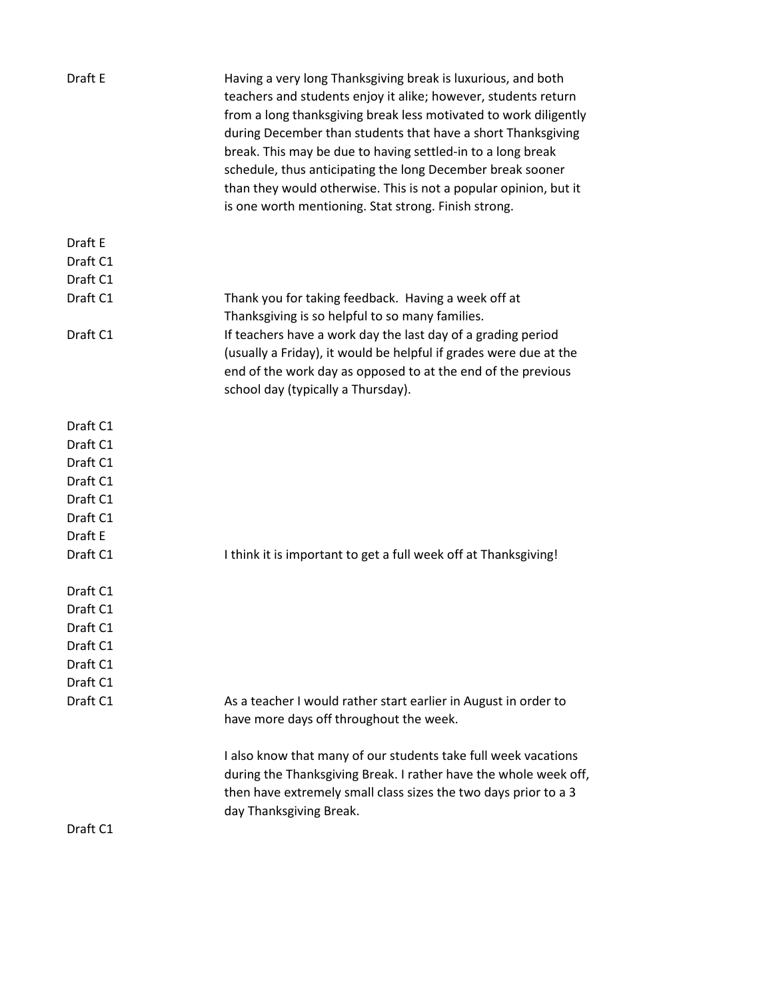| Draft E  | Having a very long Thanksgiving break is luxurious, and both<br>teachers and students enjoy it alike; however, students return<br>from a long thanksgiving break less motivated to work diligently<br>during December than students that have a short Thanksgiving<br>break. This may be due to having settled-in to a long break<br>schedule, thus anticipating the long December break sooner<br>than they would otherwise. This is not a popular opinion, but it<br>is one worth mentioning. Stat strong. Finish strong. |
|----------|-----------------------------------------------------------------------------------------------------------------------------------------------------------------------------------------------------------------------------------------------------------------------------------------------------------------------------------------------------------------------------------------------------------------------------------------------------------------------------------------------------------------------------|
| Draft E  |                                                                                                                                                                                                                                                                                                                                                                                                                                                                                                                             |
| Draft C1 |                                                                                                                                                                                                                                                                                                                                                                                                                                                                                                                             |
| Draft C1 |                                                                                                                                                                                                                                                                                                                                                                                                                                                                                                                             |
| Draft C1 | Thank you for taking feedback. Having a week off at                                                                                                                                                                                                                                                                                                                                                                                                                                                                         |
|          | Thanksgiving is so helpful to so many families.                                                                                                                                                                                                                                                                                                                                                                                                                                                                             |
| Draft C1 | If teachers have a work day the last day of a grading period                                                                                                                                                                                                                                                                                                                                                                                                                                                                |
|          | (usually a Friday), it would be helpful if grades were due at the                                                                                                                                                                                                                                                                                                                                                                                                                                                           |
|          | end of the work day as opposed to at the end of the previous                                                                                                                                                                                                                                                                                                                                                                                                                                                                |
|          | school day (typically a Thursday).                                                                                                                                                                                                                                                                                                                                                                                                                                                                                          |
| Draft C1 |                                                                                                                                                                                                                                                                                                                                                                                                                                                                                                                             |
| Draft C1 |                                                                                                                                                                                                                                                                                                                                                                                                                                                                                                                             |
| Draft C1 |                                                                                                                                                                                                                                                                                                                                                                                                                                                                                                                             |
| Draft C1 |                                                                                                                                                                                                                                                                                                                                                                                                                                                                                                                             |
| Draft C1 |                                                                                                                                                                                                                                                                                                                                                                                                                                                                                                                             |
| Draft C1 |                                                                                                                                                                                                                                                                                                                                                                                                                                                                                                                             |
| Draft E  |                                                                                                                                                                                                                                                                                                                                                                                                                                                                                                                             |
| Draft C1 | I think it is important to get a full week off at Thanksgiving!                                                                                                                                                                                                                                                                                                                                                                                                                                                             |
| Draft C1 |                                                                                                                                                                                                                                                                                                                                                                                                                                                                                                                             |
| Draft C1 |                                                                                                                                                                                                                                                                                                                                                                                                                                                                                                                             |
| Draft C1 |                                                                                                                                                                                                                                                                                                                                                                                                                                                                                                                             |
| Draft C1 |                                                                                                                                                                                                                                                                                                                                                                                                                                                                                                                             |
| Draft C1 |                                                                                                                                                                                                                                                                                                                                                                                                                                                                                                                             |
| Draft C1 |                                                                                                                                                                                                                                                                                                                                                                                                                                                                                                                             |
| Draft C1 | As a teacher I would rather start earlier in August in order to                                                                                                                                                                                                                                                                                                                                                                                                                                                             |
|          | have more days off throughout the week.                                                                                                                                                                                                                                                                                                                                                                                                                                                                                     |
|          | I also know that many of our students take full week vacations<br>during the Thanksgiving Break. I rather have the whole week off,<br>then have extremely small class sizes the two days prior to a 3<br>day Thanksgiving Break.                                                                                                                                                                                                                                                                                            |
| Draft C1 |                                                                                                                                                                                                                                                                                                                                                                                                                                                                                                                             |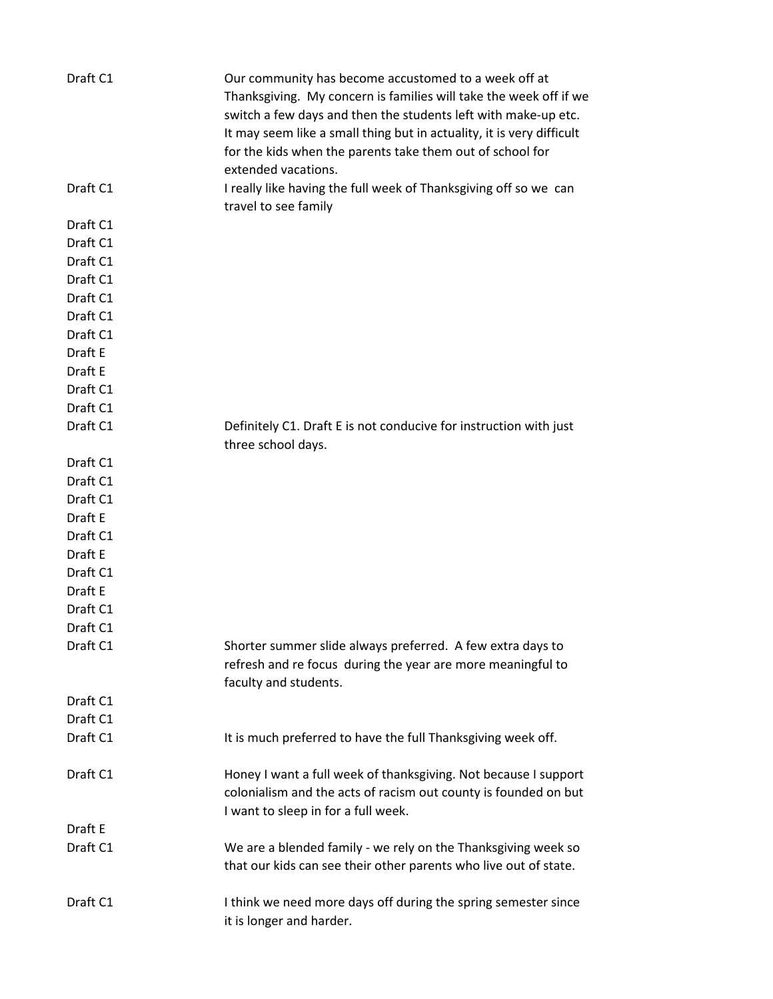| Draft C1 | Our community has become accustomed to a week off at<br>Thanksgiving. My concern is families will take the week off if we<br>switch a few days and then the students left with make-up etc.<br>It may seem like a small thing but in actuality, it is very difficult<br>for the kids when the parents take them out of school for<br>extended vacations. |
|----------|----------------------------------------------------------------------------------------------------------------------------------------------------------------------------------------------------------------------------------------------------------------------------------------------------------------------------------------------------------|
| Draft C1 | I really like having the full week of Thanksgiving off so we can<br>travel to see family                                                                                                                                                                                                                                                                 |
| Draft C1 |                                                                                                                                                                                                                                                                                                                                                          |
| Draft C1 |                                                                                                                                                                                                                                                                                                                                                          |
| Draft C1 |                                                                                                                                                                                                                                                                                                                                                          |
| Draft C1 |                                                                                                                                                                                                                                                                                                                                                          |
| Draft C1 |                                                                                                                                                                                                                                                                                                                                                          |
| Draft C1 |                                                                                                                                                                                                                                                                                                                                                          |
| Draft C1 |                                                                                                                                                                                                                                                                                                                                                          |
| Draft E  |                                                                                                                                                                                                                                                                                                                                                          |
| Draft E  |                                                                                                                                                                                                                                                                                                                                                          |
| Draft C1 |                                                                                                                                                                                                                                                                                                                                                          |
| Draft C1 |                                                                                                                                                                                                                                                                                                                                                          |
| Draft C1 | Definitely C1. Draft E is not conducive for instruction with just<br>three school days.                                                                                                                                                                                                                                                                  |
| Draft C1 |                                                                                                                                                                                                                                                                                                                                                          |
| Draft C1 |                                                                                                                                                                                                                                                                                                                                                          |
| Draft C1 |                                                                                                                                                                                                                                                                                                                                                          |
| Draft E  |                                                                                                                                                                                                                                                                                                                                                          |
| Draft C1 |                                                                                                                                                                                                                                                                                                                                                          |
| Draft E  |                                                                                                                                                                                                                                                                                                                                                          |
| Draft C1 |                                                                                                                                                                                                                                                                                                                                                          |
| Draft E  |                                                                                                                                                                                                                                                                                                                                                          |
| Draft C1 |                                                                                                                                                                                                                                                                                                                                                          |
| Draft C1 |                                                                                                                                                                                                                                                                                                                                                          |
| Draft C1 | Shorter summer slide always preferred. A few extra days to<br>refresh and re focus during the year are more meaningful to<br>faculty and students.                                                                                                                                                                                                       |
| Draft C1 |                                                                                                                                                                                                                                                                                                                                                          |
| Draft C1 |                                                                                                                                                                                                                                                                                                                                                          |
| Draft C1 | It is much preferred to have the full Thanksgiving week off.                                                                                                                                                                                                                                                                                             |
| Draft C1 | Honey I want a full week of thanksgiving. Not because I support<br>colonialism and the acts of racism out county is founded on but<br>I want to sleep in for a full week.                                                                                                                                                                                |
| Draft E  |                                                                                                                                                                                                                                                                                                                                                          |
| Draft C1 | We are a blended family - we rely on the Thanksgiving week so<br>that our kids can see their other parents who live out of state.                                                                                                                                                                                                                        |
| Draft C1 | I think we need more days off during the spring semester since<br>it is longer and harder.                                                                                                                                                                                                                                                               |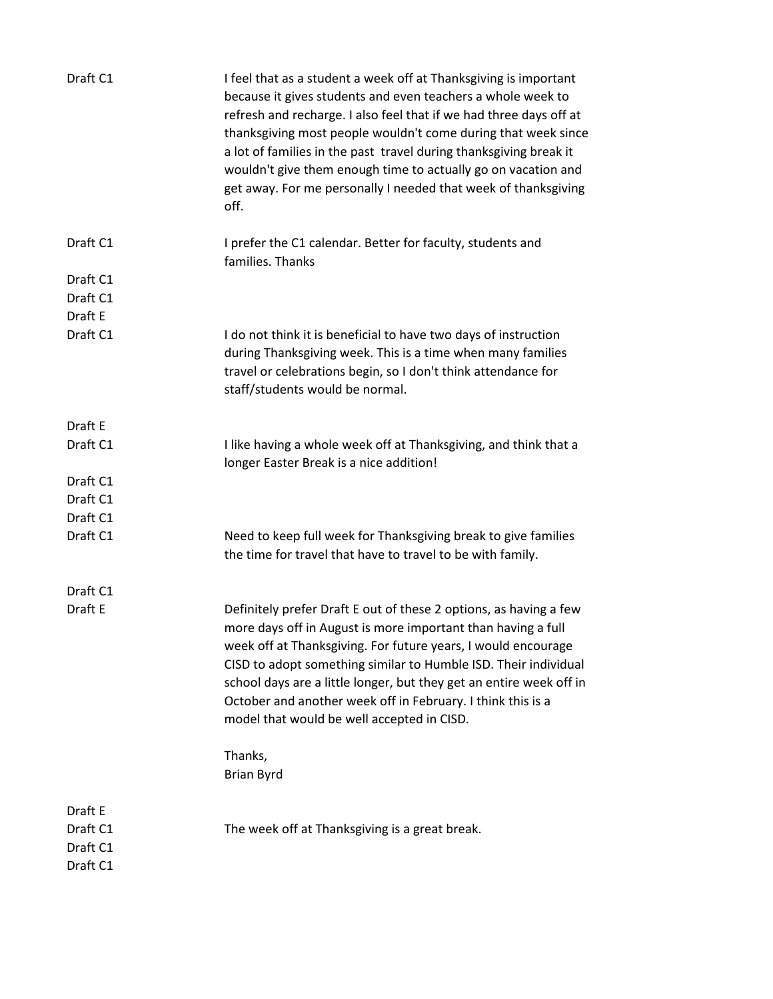| Draft C1                                    | I feel that as a student a week off at Thanksgiving is important<br>because it gives students and even teachers a whole week to<br>refresh and recharge. I also feel that if we had three days off at<br>thanksgiving most people wouldn't come during that week since<br>a lot of families in the past travel during thanksgiving break it<br>wouldn't give them enough time to actually go on vacation and<br>get away. For me personally I needed that week of thanksgiving<br>off. |
|---------------------------------------------|----------------------------------------------------------------------------------------------------------------------------------------------------------------------------------------------------------------------------------------------------------------------------------------------------------------------------------------------------------------------------------------------------------------------------------------------------------------------------------------|
| Draft C1                                    | I prefer the C1 calendar. Better for faculty, students and<br>families. Thanks                                                                                                                                                                                                                                                                                                                                                                                                         |
| Draft C1                                    |                                                                                                                                                                                                                                                                                                                                                                                                                                                                                        |
| Draft C1                                    |                                                                                                                                                                                                                                                                                                                                                                                                                                                                                        |
| Draft E                                     |                                                                                                                                                                                                                                                                                                                                                                                                                                                                                        |
| Draft C1                                    | I do not think it is beneficial to have two days of instruction<br>during Thanksgiving week. This is a time when many families<br>travel or celebrations begin, so I don't think attendance for<br>staff/students would be normal.                                                                                                                                                                                                                                                     |
| Draft E                                     |                                                                                                                                                                                                                                                                                                                                                                                                                                                                                        |
| Draft C1                                    | I like having a whole week off at Thanksgiving, and think that a<br>longer Easter Break is a nice addition!                                                                                                                                                                                                                                                                                                                                                                            |
| Draft C1                                    |                                                                                                                                                                                                                                                                                                                                                                                                                                                                                        |
| Draft C1                                    |                                                                                                                                                                                                                                                                                                                                                                                                                                                                                        |
| Draft C1                                    |                                                                                                                                                                                                                                                                                                                                                                                                                                                                                        |
| Draft C1                                    | Need to keep full week for Thanksgiving break to give families<br>the time for travel that have to travel to be with family.                                                                                                                                                                                                                                                                                                                                                           |
| Draft C1                                    |                                                                                                                                                                                                                                                                                                                                                                                                                                                                                        |
| Draft E                                     | Definitely prefer Draft E out of these 2 options, as having a few<br>more days off in August is more important than having a full<br>week off at Thanksgiving. For future years, I would encourage<br>CISD to adopt something similar to Humble ISD. Their individual<br>school days are a little longer, but they get an entire week off in<br>October and another week off in February. I think this is a<br>model that would be well accepted in CISD.                              |
|                                             | Thanks,<br><b>Brian Byrd</b>                                                                                                                                                                                                                                                                                                                                                                                                                                                           |
| Draft E<br>Draft C1<br>Draft C1<br>Draft C1 | The week off at Thanksgiving is a great break.                                                                                                                                                                                                                                                                                                                                                                                                                                         |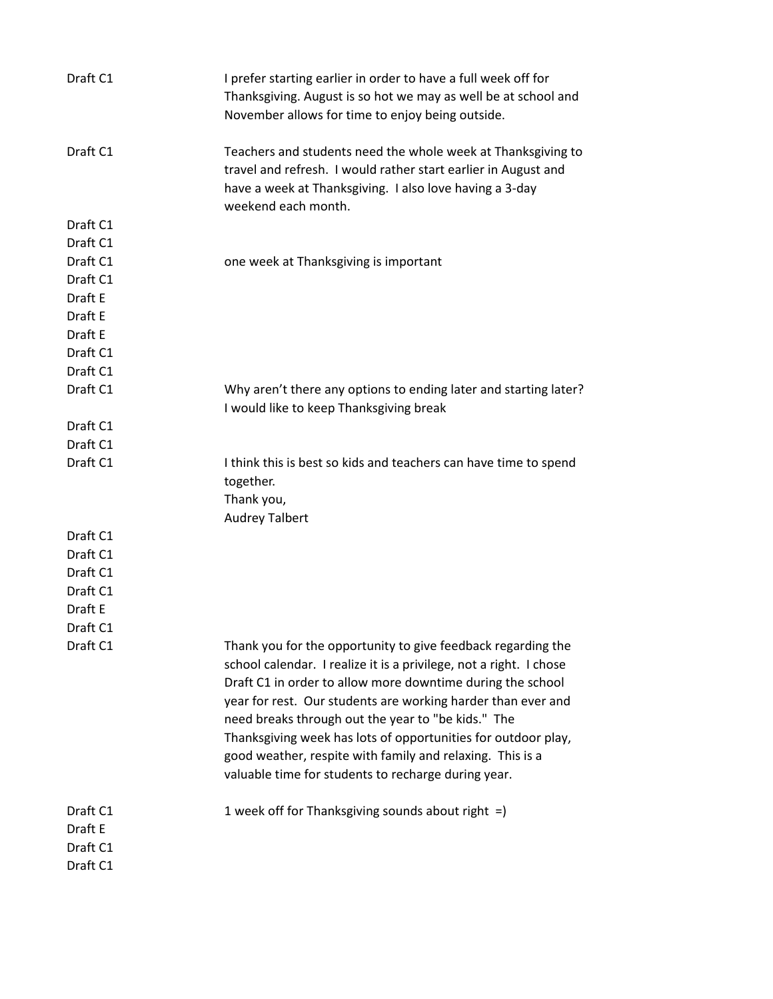| Draft C1                                    | I prefer starting earlier in order to have a full week off for<br>Thanksgiving. August is so hot we may as well be at school and<br>November allows for time to enjoy being outside.                                                                                                                                                                                                                                                                                                                        |
|---------------------------------------------|-------------------------------------------------------------------------------------------------------------------------------------------------------------------------------------------------------------------------------------------------------------------------------------------------------------------------------------------------------------------------------------------------------------------------------------------------------------------------------------------------------------|
| Draft C1                                    | Teachers and students need the whole week at Thanksgiving to<br>travel and refresh. I would rather start earlier in August and<br>have a week at Thanksgiving. I also love having a 3-day<br>weekend each month.                                                                                                                                                                                                                                                                                            |
| Draft C1                                    |                                                                                                                                                                                                                                                                                                                                                                                                                                                                                                             |
| Draft C1                                    |                                                                                                                                                                                                                                                                                                                                                                                                                                                                                                             |
| Draft C1                                    | one week at Thanksgiving is important                                                                                                                                                                                                                                                                                                                                                                                                                                                                       |
| Draft C1                                    |                                                                                                                                                                                                                                                                                                                                                                                                                                                                                                             |
| Draft E                                     |                                                                                                                                                                                                                                                                                                                                                                                                                                                                                                             |
| Draft E                                     |                                                                                                                                                                                                                                                                                                                                                                                                                                                                                                             |
| Draft E                                     |                                                                                                                                                                                                                                                                                                                                                                                                                                                                                                             |
| Draft C1                                    |                                                                                                                                                                                                                                                                                                                                                                                                                                                                                                             |
| Draft C1                                    |                                                                                                                                                                                                                                                                                                                                                                                                                                                                                                             |
| Draft C1                                    | Why aren't there any options to ending later and starting later?<br>I would like to keep Thanksgiving break                                                                                                                                                                                                                                                                                                                                                                                                 |
| Draft C1                                    |                                                                                                                                                                                                                                                                                                                                                                                                                                                                                                             |
| Draft C1                                    |                                                                                                                                                                                                                                                                                                                                                                                                                                                                                                             |
| Draft C1                                    | I think this is best so kids and teachers can have time to spend                                                                                                                                                                                                                                                                                                                                                                                                                                            |
|                                             | together.                                                                                                                                                                                                                                                                                                                                                                                                                                                                                                   |
|                                             | Thank you,                                                                                                                                                                                                                                                                                                                                                                                                                                                                                                  |
|                                             | <b>Audrey Talbert</b>                                                                                                                                                                                                                                                                                                                                                                                                                                                                                       |
| Draft C1                                    |                                                                                                                                                                                                                                                                                                                                                                                                                                                                                                             |
| Draft C1                                    |                                                                                                                                                                                                                                                                                                                                                                                                                                                                                                             |
| Draft C1                                    |                                                                                                                                                                                                                                                                                                                                                                                                                                                                                                             |
| Draft C1                                    |                                                                                                                                                                                                                                                                                                                                                                                                                                                                                                             |
| Draft E                                     |                                                                                                                                                                                                                                                                                                                                                                                                                                                                                                             |
| Draft C1                                    |                                                                                                                                                                                                                                                                                                                                                                                                                                                                                                             |
| Draft C1                                    | Thank you for the opportunity to give feedback regarding the<br>school calendar. I realize it is a privilege, not a right. I chose<br>Draft C1 in order to allow more downtime during the school<br>year for rest. Our students are working harder than ever and<br>need breaks through out the year to "be kids." The<br>Thanksgiving week has lots of opportunities for outdoor play,<br>good weather, respite with family and relaxing. This is a<br>valuable time for students to recharge during year. |
| Draft C1<br>Draft E<br>Draft C1<br>Draft C1 | 1 week off for Thanksgiving sounds about right =)                                                                                                                                                                                                                                                                                                                                                                                                                                                           |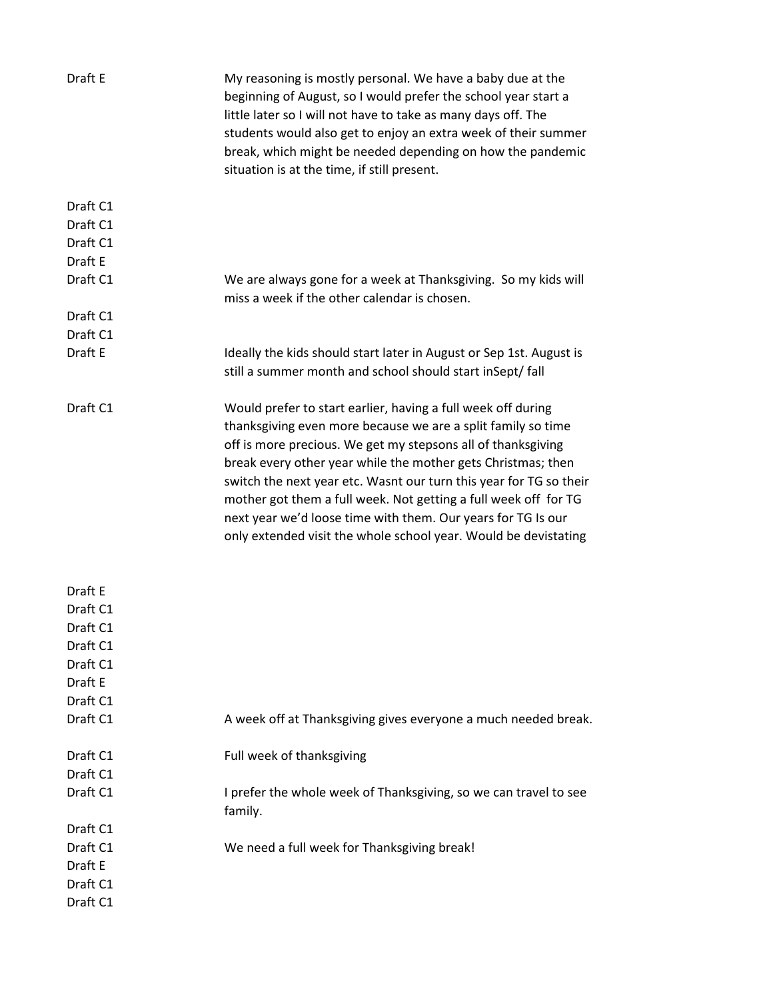| Draft E             | My reasoning is mostly personal. We have a baby due at the<br>beginning of August, so I would prefer the school year start a<br>little later so I will not have to take as many days off. The<br>students would also get to enjoy an extra week of their summer<br>break, which might be needed depending on how the pandemic<br>situation is at the time, if still present.                                                                                                                                                             |
|---------------------|------------------------------------------------------------------------------------------------------------------------------------------------------------------------------------------------------------------------------------------------------------------------------------------------------------------------------------------------------------------------------------------------------------------------------------------------------------------------------------------------------------------------------------------|
| Draft C1            |                                                                                                                                                                                                                                                                                                                                                                                                                                                                                                                                          |
| Draft C1            |                                                                                                                                                                                                                                                                                                                                                                                                                                                                                                                                          |
| Draft C1            |                                                                                                                                                                                                                                                                                                                                                                                                                                                                                                                                          |
| Draft E             |                                                                                                                                                                                                                                                                                                                                                                                                                                                                                                                                          |
| Draft C1            | We are always gone for a week at Thanksgiving. So my kids will<br>miss a week if the other calendar is chosen.                                                                                                                                                                                                                                                                                                                                                                                                                           |
| Draft C1            |                                                                                                                                                                                                                                                                                                                                                                                                                                                                                                                                          |
| Draft C1            |                                                                                                                                                                                                                                                                                                                                                                                                                                                                                                                                          |
| Draft E             | Ideally the kids should start later in August or Sep 1st. August is<br>still a summer month and school should start inSept/ fall                                                                                                                                                                                                                                                                                                                                                                                                         |
| Draft C1            | Would prefer to start earlier, having a full week off during<br>thanksgiving even more because we are a split family so time<br>off is more precious. We get my stepsons all of thanksgiving<br>break every other year while the mother gets Christmas; then<br>switch the next year etc. Wasnt our turn this year for TG so their<br>mother got them a full week. Not getting a full week off for TG<br>next year we'd loose time with them. Our years for TG Is our<br>only extended visit the whole school year. Would be devistating |
|                     |                                                                                                                                                                                                                                                                                                                                                                                                                                                                                                                                          |
| Draft E<br>Draft C1 |                                                                                                                                                                                                                                                                                                                                                                                                                                                                                                                                          |
| Draft C1            |                                                                                                                                                                                                                                                                                                                                                                                                                                                                                                                                          |
| Draft C1            |                                                                                                                                                                                                                                                                                                                                                                                                                                                                                                                                          |
| Draft C1            |                                                                                                                                                                                                                                                                                                                                                                                                                                                                                                                                          |
| Draft E             |                                                                                                                                                                                                                                                                                                                                                                                                                                                                                                                                          |
| Draft C1            |                                                                                                                                                                                                                                                                                                                                                                                                                                                                                                                                          |
| Draft C1            | A week off at Thanksgiving gives everyone a much needed break.                                                                                                                                                                                                                                                                                                                                                                                                                                                                           |
| Draft C1            | Full week of thanksgiving                                                                                                                                                                                                                                                                                                                                                                                                                                                                                                                |
| Draft C1            |                                                                                                                                                                                                                                                                                                                                                                                                                                                                                                                                          |
| Draft C1            | I prefer the whole week of Thanksgiving, so we can travel to see<br>family.                                                                                                                                                                                                                                                                                                                                                                                                                                                              |
| Draft C1            |                                                                                                                                                                                                                                                                                                                                                                                                                                                                                                                                          |
| Draft C1            | We need a full week for Thanksgiving break!                                                                                                                                                                                                                                                                                                                                                                                                                                                                                              |
| Draft E             |                                                                                                                                                                                                                                                                                                                                                                                                                                                                                                                                          |
| Draft C1            |                                                                                                                                                                                                                                                                                                                                                                                                                                                                                                                                          |
| Draft C1            |                                                                                                                                                                                                                                                                                                                                                                                                                                                                                                                                          |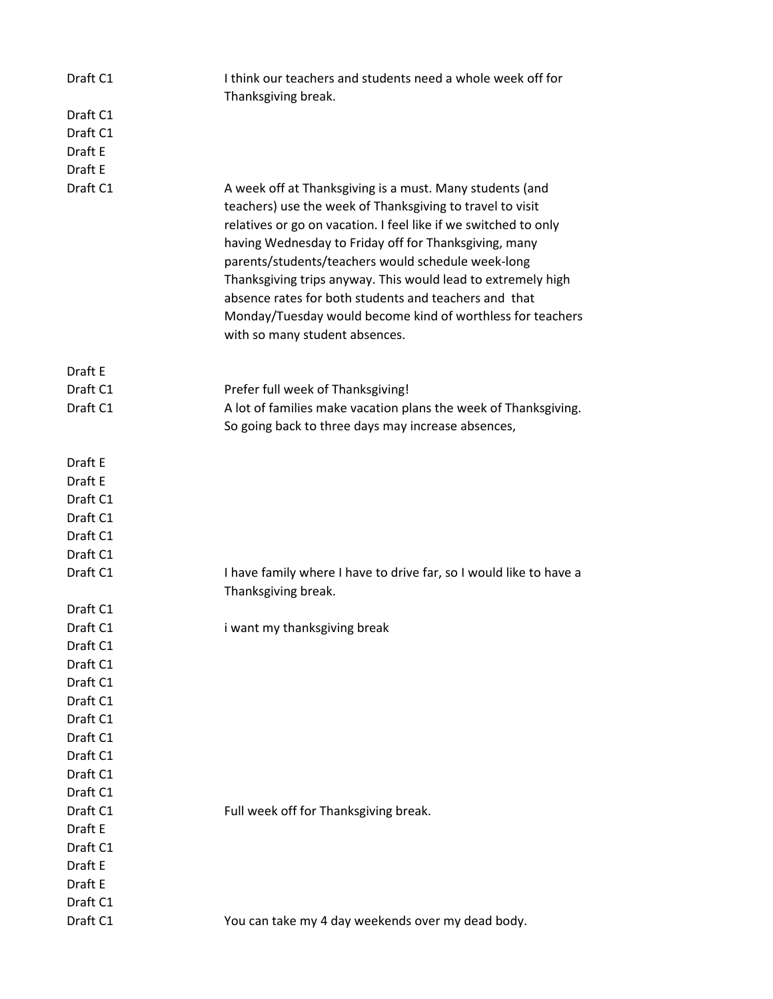| Draft C1            | I think our teachers and students need a whole week off for<br>Thanksgiving break.                                                                                                                                                                                                                                                                                                                                                                                                                                               |
|---------------------|----------------------------------------------------------------------------------------------------------------------------------------------------------------------------------------------------------------------------------------------------------------------------------------------------------------------------------------------------------------------------------------------------------------------------------------------------------------------------------------------------------------------------------|
| Draft C1            |                                                                                                                                                                                                                                                                                                                                                                                                                                                                                                                                  |
| Draft C1            |                                                                                                                                                                                                                                                                                                                                                                                                                                                                                                                                  |
| Draft E             |                                                                                                                                                                                                                                                                                                                                                                                                                                                                                                                                  |
| Draft E             |                                                                                                                                                                                                                                                                                                                                                                                                                                                                                                                                  |
| Draft C1            | A week off at Thanksgiving is a must. Many students (and<br>teachers) use the week of Thanksgiving to travel to visit<br>relatives or go on vacation. I feel like if we switched to only<br>having Wednesday to Friday off for Thanksgiving, many<br>parents/students/teachers would schedule week-long<br>Thanksgiving trips anyway. This would lead to extremely high<br>absence rates for both students and teachers and that<br>Monday/Tuesday would become kind of worthless for teachers<br>with so many student absences. |
| Draft E             |                                                                                                                                                                                                                                                                                                                                                                                                                                                                                                                                  |
| Draft C1            | Prefer full week of Thanksgiving!                                                                                                                                                                                                                                                                                                                                                                                                                                                                                                |
| Draft C1            | A lot of families make vacation plans the week of Thanksgiving.                                                                                                                                                                                                                                                                                                                                                                                                                                                                  |
|                     | So going back to three days may increase absences,                                                                                                                                                                                                                                                                                                                                                                                                                                                                               |
| Draft E             |                                                                                                                                                                                                                                                                                                                                                                                                                                                                                                                                  |
| Draft E             |                                                                                                                                                                                                                                                                                                                                                                                                                                                                                                                                  |
| Draft C1            |                                                                                                                                                                                                                                                                                                                                                                                                                                                                                                                                  |
| Draft C1            |                                                                                                                                                                                                                                                                                                                                                                                                                                                                                                                                  |
| Draft C1            |                                                                                                                                                                                                                                                                                                                                                                                                                                                                                                                                  |
| Draft C1            |                                                                                                                                                                                                                                                                                                                                                                                                                                                                                                                                  |
| Draft C1            | I have family where I have to drive far, so I would like to have a<br>Thanksgiving break.                                                                                                                                                                                                                                                                                                                                                                                                                                        |
| Draft C1            |                                                                                                                                                                                                                                                                                                                                                                                                                                                                                                                                  |
| Draft C1            | i want my thanksgiving break                                                                                                                                                                                                                                                                                                                                                                                                                                                                                                     |
| Draft C1            |                                                                                                                                                                                                                                                                                                                                                                                                                                                                                                                                  |
| Draft C1            |                                                                                                                                                                                                                                                                                                                                                                                                                                                                                                                                  |
| Draft C1            |                                                                                                                                                                                                                                                                                                                                                                                                                                                                                                                                  |
| Draft C1            |                                                                                                                                                                                                                                                                                                                                                                                                                                                                                                                                  |
| Draft C1            |                                                                                                                                                                                                                                                                                                                                                                                                                                                                                                                                  |
| Draft C1            |                                                                                                                                                                                                                                                                                                                                                                                                                                                                                                                                  |
| Draft C1            |                                                                                                                                                                                                                                                                                                                                                                                                                                                                                                                                  |
| Draft C1            |                                                                                                                                                                                                                                                                                                                                                                                                                                                                                                                                  |
| Draft C1            |                                                                                                                                                                                                                                                                                                                                                                                                                                                                                                                                  |
| Draft C1            | Full week off for Thanksgiving break.                                                                                                                                                                                                                                                                                                                                                                                                                                                                                            |
| Draft E<br>Draft C1 |                                                                                                                                                                                                                                                                                                                                                                                                                                                                                                                                  |
| Draft E             |                                                                                                                                                                                                                                                                                                                                                                                                                                                                                                                                  |
| Draft E             |                                                                                                                                                                                                                                                                                                                                                                                                                                                                                                                                  |
| Draft C1            |                                                                                                                                                                                                                                                                                                                                                                                                                                                                                                                                  |
| Draft C1            | You can take my 4 day weekends over my dead body.                                                                                                                                                                                                                                                                                                                                                                                                                                                                                |
|                     |                                                                                                                                                                                                                                                                                                                                                                                                                                                                                                                                  |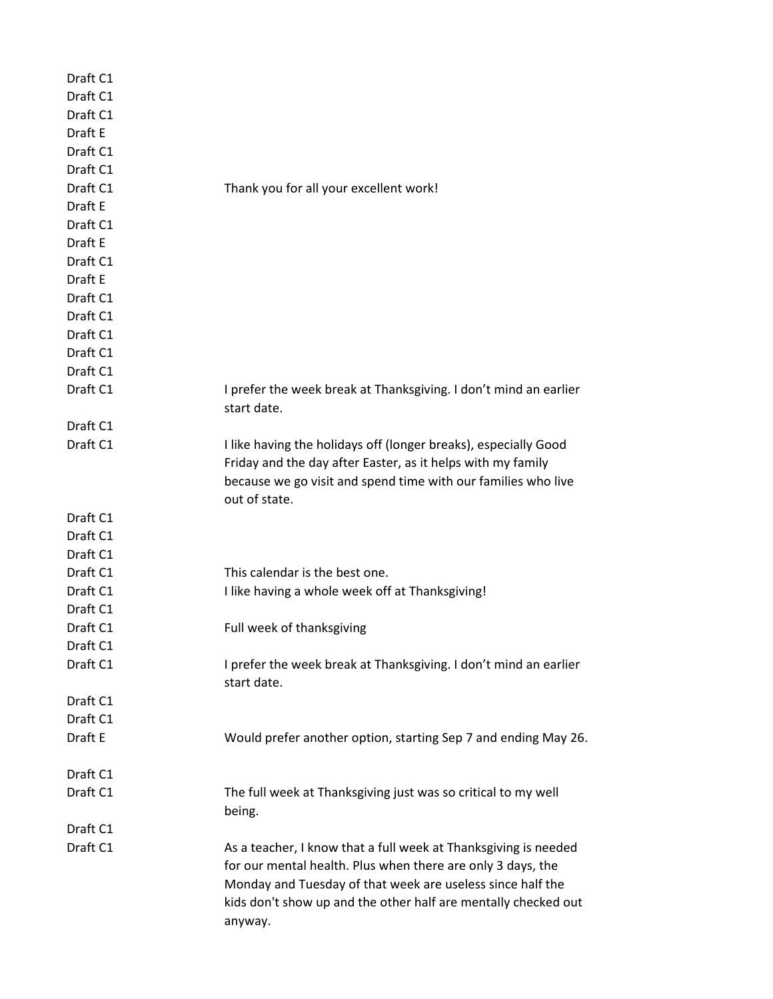| Draft C1 |                                                                                                                                                                                                                                                                |
|----------|----------------------------------------------------------------------------------------------------------------------------------------------------------------------------------------------------------------------------------------------------------------|
| Draft C1 |                                                                                                                                                                                                                                                                |
| Draft C1 |                                                                                                                                                                                                                                                                |
| Draft E  |                                                                                                                                                                                                                                                                |
| Draft C1 |                                                                                                                                                                                                                                                                |
| Draft C1 |                                                                                                                                                                                                                                                                |
| Draft C1 | Thank you for all your excellent work!                                                                                                                                                                                                                         |
| Draft E  |                                                                                                                                                                                                                                                                |
| Draft C1 |                                                                                                                                                                                                                                                                |
| Draft E  |                                                                                                                                                                                                                                                                |
| Draft C1 |                                                                                                                                                                                                                                                                |
| Draft E  |                                                                                                                                                                                                                                                                |
| Draft C1 |                                                                                                                                                                                                                                                                |
| Draft C1 |                                                                                                                                                                                                                                                                |
| Draft C1 |                                                                                                                                                                                                                                                                |
| Draft C1 |                                                                                                                                                                                                                                                                |
| Draft C1 |                                                                                                                                                                                                                                                                |
| Draft C1 | I prefer the week break at Thanksgiving. I don't mind an earlier                                                                                                                                                                                               |
|          | start date.                                                                                                                                                                                                                                                    |
| Draft C1 |                                                                                                                                                                                                                                                                |
| Draft C1 | I like having the holidays off (longer breaks), especially Good<br>Friday and the day after Easter, as it helps with my family                                                                                                                                 |
|          | because we go visit and spend time with our families who live<br>out of state.                                                                                                                                                                                 |
| Draft C1 |                                                                                                                                                                                                                                                                |
| Draft C1 |                                                                                                                                                                                                                                                                |
| Draft C1 |                                                                                                                                                                                                                                                                |
| Draft C1 | This calendar is the best one.                                                                                                                                                                                                                                 |
| Draft C1 | I like having a whole week off at Thanksgiving!                                                                                                                                                                                                                |
| Draft C1 |                                                                                                                                                                                                                                                                |
| Draft C1 | Full week of thanksgiving                                                                                                                                                                                                                                      |
| Draft C1 |                                                                                                                                                                                                                                                                |
| Draft C1 | I prefer the week break at Thanksgiving. I don't mind an earlier                                                                                                                                                                                               |
|          | start date.                                                                                                                                                                                                                                                    |
| Draft C1 |                                                                                                                                                                                                                                                                |
| Draft C1 |                                                                                                                                                                                                                                                                |
| Draft E  | Would prefer another option, starting Sep 7 and ending May 26.                                                                                                                                                                                                 |
| Draft C1 |                                                                                                                                                                                                                                                                |
| Draft C1 | The full week at Thanksgiving just was so critical to my well                                                                                                                                                                                                  |
|          | being.                                                                                                                                                                                                                                                         |
| Draft C1 |                                                                                                                                                                                                                                                                |
| Draft C1 | As a teacher, I know that a full week at Thanksgiving is needed<br>for our mental health. Plus when there are only 3 days, the<br>Monday and Tuesday of that week are useless since half the<br>kids don't show up and the other half are mentally checked out |
|          | anyway.                                                                                                                                                                                                                                                        |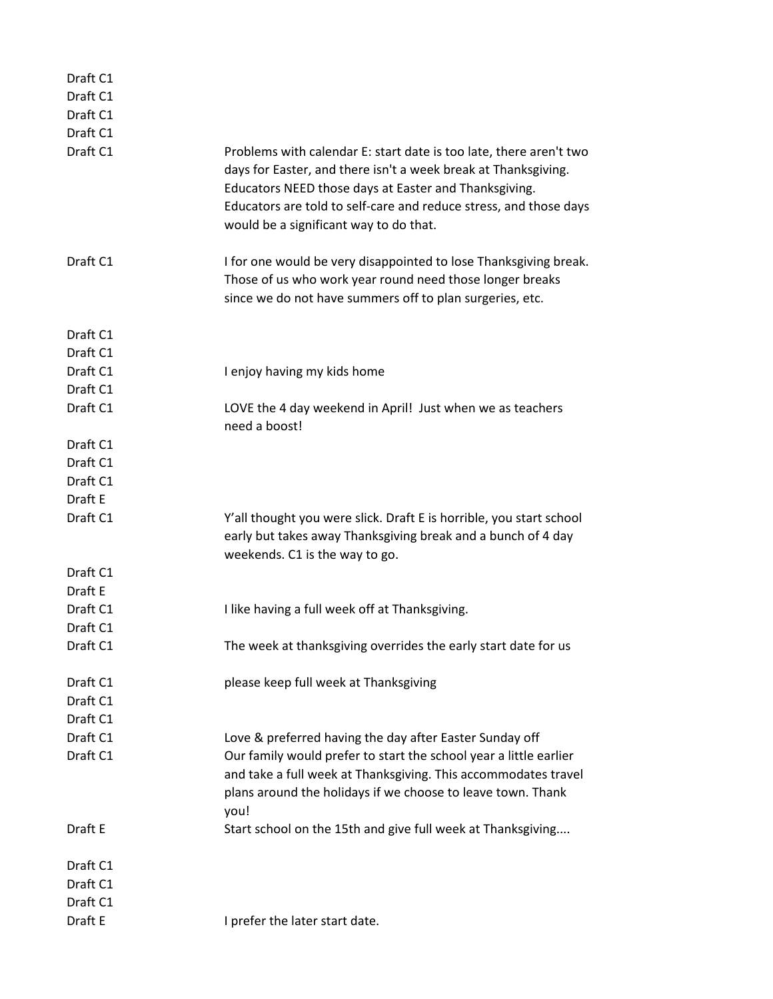| Draft C1 |                                                                                                                                                                                                                                                                                                              |
|----------|--------------------------------------------------------------------------------------------------------------------------------------------------------------------------------------------------------------------------------------------------------------------------------------------------------------|
| Draft C1 |                                                                                                                                                                                                                                                                                                              |
| Draft C1 |                                                                                                                                                                                                                                                                                                              |
| Draft C1 |                                                                                                                                                                                                                                                                                                              |
| Draft C1 | Problems with calendar E: start date is too late, there aren't two<br>days for Easter, and there isn't a week break at Thanksgiving.<br>Educators NEED those days at Easter and Thanksgiving.<br>Educators are told to self-care and reduce stress, and those days<br>would be a significant way to do that. |
| Draft C1 | I for one would be very disappointed to lose Thanksgiving break.<br>Those of us who work year round need those longer breaks<br>since we do not have summers off to plan surgeries, etc.                                                                                                                     |
| Draft C1 |                                                                                                                                                                                                                                                                                                              |
| Draft C1 |                                                                                                                                                                                                                                                                                                              |
| Draft C1 | I enjoy having my kids home                                                                                                                                                                                                                                                                                  |
| Draft C1 |                                                                                                                                                                                                                                                                                                              |
| Draft C1 | LOVE the 4 day weekend in April! Just when we as teachers<br>need a boost!                                                                                                                                                                                                                                   |
| Draft C1 |                                                                                                                                                                                                                                                                                                              |
| Draft C1 |                                                                                                                                                                                                                                                                                                              |
| Draft C1 |                                                                                                                                                                                                                                                                                                              |
| Draft E  |                                                                                                                                                                                                                                                                                                              |
| Draft C1 | Y'all thought you were slick. Draft E is horrible, you start school<br>early but takes away Thanksgiving break and a bunch of 4 day<br>weekends. C1 is the way to go.                                                                                                                                        |
| Draft C1 |                                                                                                                                                                                                                                                                                                              |
| Draft E  |                                                                                                                                                                                                                                                                                                              |
| Draft C1 | I like having a full week off at Thanksgiving.                                                                                                                                                                                                                                                               |
| Draft C1 |                                                                                                                                                                                                                                                                                                              |
| Draft C1 | The week at thanksgiving overrides the early start date for us                                                                                                                                                                                                                                               |
| Draft C1 | please keep full week at Thanksgiving                                                                                                                                                                                                                                                                        |
| Draft C1 |                                                                                                                                                                                                                                                                                                              |
| Draft C1 |                                                                                                                                                                                                                                                                                                              |
| Draft C1 | Love & preferred having the day after Easter Sunday off                                                                                                                                                                                                                                                      |
| Draft C1 | Our family would prefer to start the school year a little earlier<br>and take a full week at Thanksgiving. This accommodates travel<br>plans around the holidays if we choose to leave town. Thank<br>you!                                                                                                   |
| Draft E  | Start school on the 15th and give full week at Thanksgiving                                                                                                                                                                                                                                                  |
| Draft C1 |                                                                                                                                                                                                                                                                                                              |
| Draft C1 |                                                                                                                                                                                                                                                                                                              |
| Draft C1 |                                                                                                                                                                                                                                                                                                              |
| Draft E  | I prefer the later start date.                                                                                                                                                                                                                                                                               |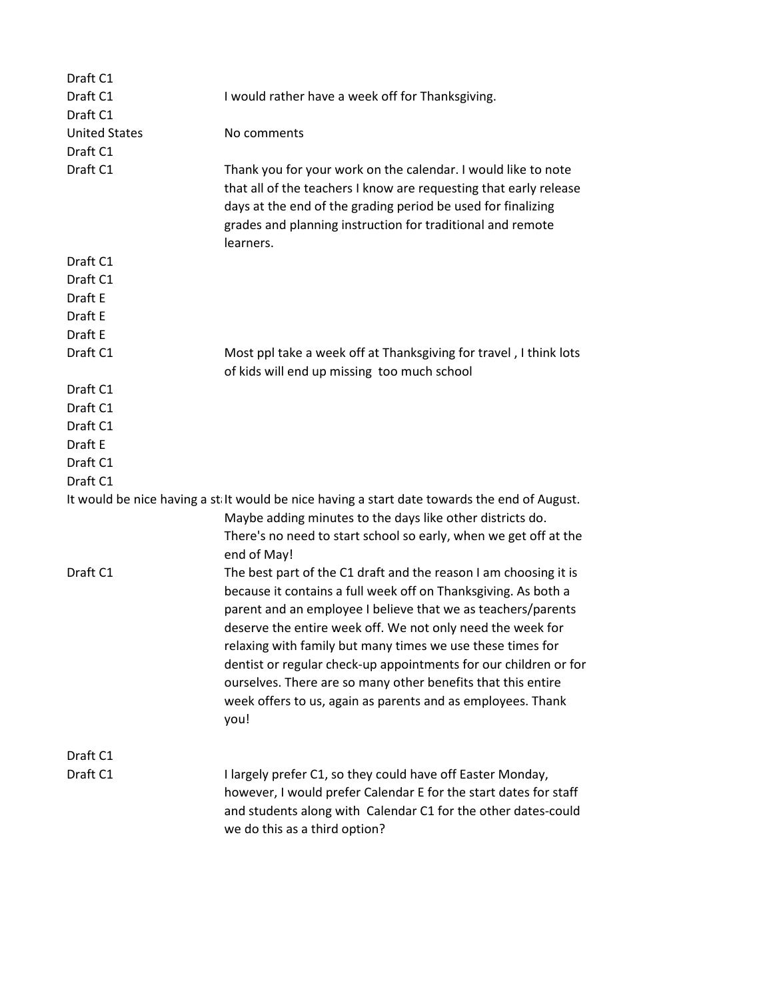| I would rather have a week off for Thanksgiving.                                                                                                                                                                                                                                                                                                                                                                                                                                                                                          |
|-------------------------------------------------------------------------------------------------------------------------------------------------------------------------------------------------------------------------------------------------------------------------------------------------------------------------------------------------------------------------------------------------------------------------------------------------------------------------------------------------------------------------------------------|
|                                                                                                                                                                                                                                                                                                                                                                                                                                                                                                                                           |
| No comments                                                                                                                                                                                                                                                                                                                                                                                                                                                                                                                               |
|                                                                                                                                                                                                                                                                                                                                                                                                                                                                                                                                           |
| Thank you for your work on the calendar. I would like to note<br>that all of the teachers I know are requesting that early release<br>days at the end of the grading period be used for finalizing<br>grades and planning instruction for traditional and remote<br>learners.                                                                                                                                                                                                                                                             |
|                                                                                                                                                                                                                                                                                                                                                                                                                                                                                                                                           |
|                                                                                                                                                                                                                                                                                                                                                                                                                                                                                                                                           |
|                                                                                                                                                                                                                                                                                                                                                                                                                                                                                                                                           |
|                                                                                                                                                                                                                                                                                                                                                                                                                                                                                                                                           |
|                                                                                                                                                                                                                                                                                                                                                                                                                                                                                                                                           |
| Most ppl take a week off at Thanksgiving for travel, I think lots                                                                                                                                                                                                                                                                                                                                                                                                                                                                         |
| of kids will end up missing too much school                                                                                                                                                                                                                                                                                                                                                                                                                                                                                               |
|                                                                                                                                                                                                                                                                                                                                                                                                                                                                                                                                           |
|                                                                                                                                                                                                                                                                                                                                                                                                                                                                                                                                           |
|                                                                                                                                                                                                                                                                                                                                                                                                                                                                                                                                           |
|                                                                                                                                                                                                                                                                                                                                                                                                                                                                                                                                           |
|                                                                                                                                                                                                                                                                                                                                                                                                                                                                                                                                           |
|                                                                                                                                                                                                                                                                                                                                                                                                                                                                                                                                           |
| It would be nice having a st It would be nice having a start date towards the end of August.<br>Maybe adding minutes to the days like other districts do.<br>There's no need to start school so early, when we get off at the<br>end of May!                                                                                                                                                                                                                                                                                              |
| The best part of the C1 draft and the reason I am choosing it is<br>because it contains a full week off on Thanksgiving. As both a<br>parent and an employee I believe that we as teachers/parents<br>deserve the entire week off. We not only need the week for<br>relaxing with family but many times we use these times for<br>dentist or regular check-up appointments for our children or for<br>ourselves. There are so many other benefits that this entire<br>week offers to us, again as parents and as employees. Thank<br>you! |
|                                                                                                                                                                                                                                                                                                                                                                                                                                                                                                                                           |
| I largely prefer C1, so they could have off Easter Monday,<br>however, I would prefer Calendar E for the start dates for staff<br>and students along with Calendar C1 for the other dates-could<br>we do this as a third option?                                                                                                                                                                                                                                                                                                          |
|                                                                                                                                                                                                                                                                                                                                                                                                                                                                                                                                           |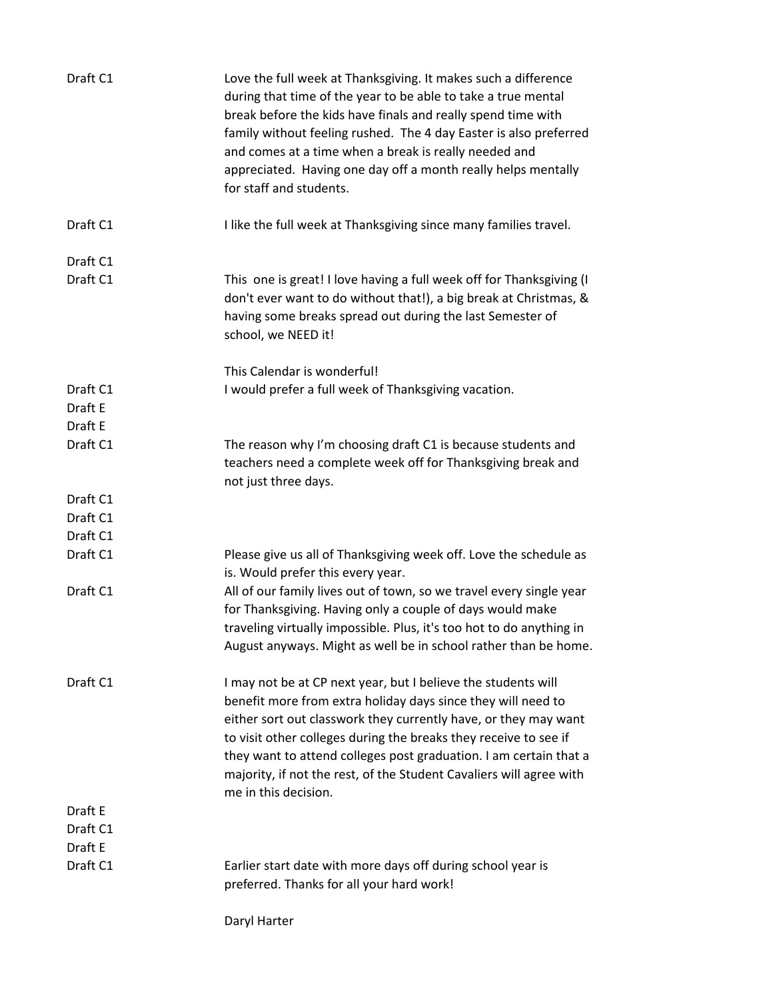| Draft C1             | Love the full week at Thanksgiving. It makes such a difference<br>during that time of the year to be able to take a true mental<br>break before the kids have finals and really spend time with<br>family without feeling rushed. The 4 day Easter is also preferred<br>and comes at a time when a break is really needed and<br>appreciated. Having one day off a month really helps mentally<br>for staff and students.                |
|----------------------|------------------------------------------------------------------------------------------------------------------------------------------------------------------------------------------------------------------------------------------------------------------------------------------------------------------------------------------------------------------------------------------------------------------------------------------|
| Draft C1             | I like the full week at Thanksgiving since many families travel.                                                                                                                                                                                                                                                                                                                                                                         |
| Draft C1<br>Draft C1 | This one is great! I love having a full week off for Thanksgiving (I<br>don't ever want to do without that!), a big break at Christmas, &<br>having some breaks spread out during the last Semester of<br>school, we NEED it!                                                                                                                                                                                                            |
|                      | This Calendar is wonderful!                                                                                                                                                                                                                                                                                                                                                                                                              |
| Draft C1             | I would prefer a full week of Thanksgiving vacation.                                                                                                                                                                                                                                                                                                                                                                                     |
| Draft E              |                                                                                                                                                                                                                                                                                                                                                                                                                                          |
| Draft E              |                                                                                                                                                                                                                                                                                                                                                                                                                                          |
| Draft C1             | The reason why I'm choosing draft C1 is because students and<br>teachers need a complete week off for Thanksgiving break and<br>not just three days.                                                                                                                                                                                                                                                                                     |
| Draft C1             |                                                                                                                                                                                                                                                                                                                                                                                                                                          |
| Draft C1             |                                                                                                                                                                                                                                                                                                                                                                                                                                          |
| Draft C1             |                                                                                                                                                                                                                                                                                                                                                                                                                                          |
| Draft C1             | Please give us all of Thanksgiving week off. Love the schedule as<br>is. Would prefer this every year.                                                                                                                                                                                                                                                                                                                                   |
| Draft C1             | All of our family lives out of town, so we travel every single year<br>for Thanksgiving. Having only a couple of days would make<br>traveling virtually impossible. Plus, it's too hot to do anything in<br>August anyways. Might as well be in school rather than be home.                                                                                                                                                              |
| Draft C1             | I may not be at CP next year, but I believe the students will<br>benefit more from extra holiday days since they will need to<br>either sort out classwork they currently have, or they may want<br>to visit other colleges during the breaks they receive to see if<br>they want to attend colleges post graduation. I am certain that a<br>majority, if not the rest, of the Student Cavaliers will agree with<br>me in this decision. |
| Draft E              |                                                                                                                                                                                                                                                                                                                                                                                                                                          |
| Draft C1             |                                                                                                                                                                                                                                                                                                                                                                                                                                          |
| Draft E              |                                                                                                                                                                                                                                                                                                                                                                                                                                          |
| Draft C1             | Earlier start date with more days off during school year is<br>preferred. Thanks for all your hard work!                                                                                                                                                                                                                                                                                                                                 |
|                      |                                                                                                                                                                                                                                                                                                                                                                                                                                          |

Daryl Harter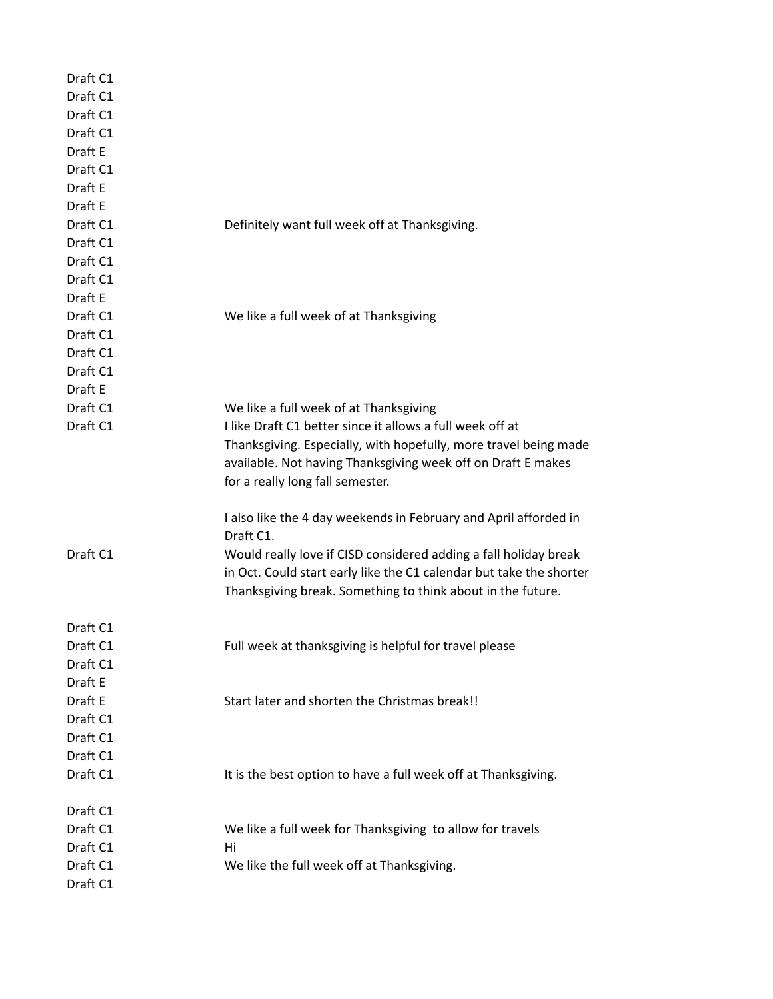| Draft C1<br>Draft C1 |                                                                                                                                         |
|----------------------|-----------------------------------------------------------------------------------------------------------------------------------------|
| Draft C1             |                                                                                                                                         |
| Draft C1             |                                                                                                                                         |
| Draft E              |                                                                                                                                         |
| Draft C1             |                                                                                                                                         |
| Draft E              |                                                                                                                                         |
| Draft E              |                                                                                                                                         |
| Draft C1             | Definitely want full week off at Thanksgiving.                                                                                          |
| Draft C1             |                                                                                                                                         |
| Draft C1             |                                                                                                                                         |
| Draft C1             |                                                                                                                                         |
| Draft E              |                                                                                                                                         |
| Draft C1             | We like a full week of at Thanksgiving                                                                                                  |
| Draft C1             |                                                                                                                                         |
| Draft C1             |                                                                                                                                         |
| Draft C1             |                                                                                                                                         |
| Draft E              |                                                                                                                                         |
| Draft C1             | We like a full week of at Thanksgiving                                                                                                  |
| Draft C1             | I like Draft C1 better since it allows a full week off at                                                                               |
|                      | Thanksgiving. Especially, with hopefully, more travel being made                                                                        |
|                      | available. Not having Thanksgiving week off on Draft E makes                                                                            |
|                      | for a really long fall semester.                                                                                                        |
|                      | I also like the 4 day weekends in February and April afforded in                                                                        |
|                      | Draft C1.                                                                                                                               |
| Draft C1             | Would really love if CISD considered adding a fall holiday break<br>in Oct. Could start early like the C1 calendar but take the shorter |
|                      | Thanksgiving break. Something to think about in the future.                                                                             |
|                      |                                                                                                                                         |
| Draft C1             |                                                                                                                                         |
| Draft C1             | Full week at thanksgiving is helpful for travel please                                                                                  |
| Draft C1             |                                                                                                                                         |
| Draft E              |                                                                                                                                         |
| Draft E              | Start later and shorten the Christmas break!!                                                                                           |
| Draft C1             |                                                                                                                                         |
| Draft C1             |                                                                                                                                         |
| Draft C1             |                                                                                                                                         |
| Draft C1             | It is the best option to have a full week off at Thanksgiving.                                                                          |
| Draft C1             |                                                                                                                                         |
| Draft C1             | We like a full week for Thanksgiving to allow for travels                                                                               |
| Draft C1             | Hi                                                                                                                                      |
| Draft C1             | We like the full week off at Thanksgiving.                                                                                              |
| Draft C1             |                                                                                                                                         |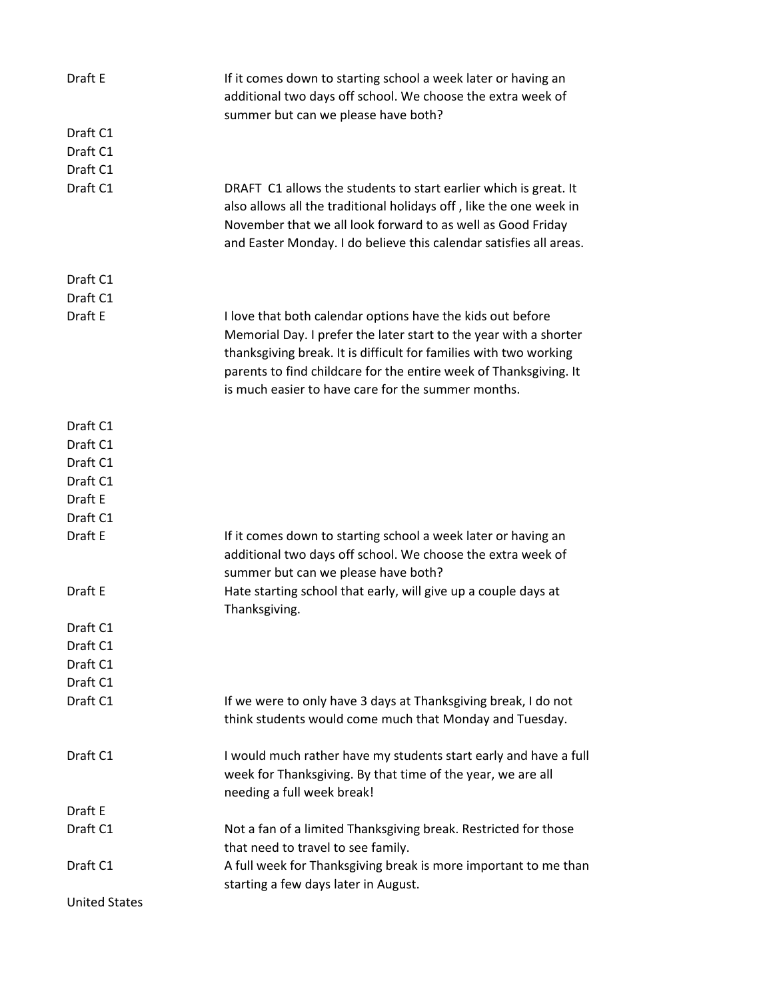| Draft E                          | If it comes down to starting school a week later or having an<br>additional two days off school. We choose the extra week of<br>summer but can we please have both?                                                                                                                                                             |
|----------------------------------|---------------------------------------------------------------------------------------------------------------------------------------------------------------------------------------------------------------------------------------------------------------------------------------------------------------------------------|
| Draft C1<br>Draft C1<br>Draft C1 |                                                                                                                                                                                                                                                                                                                                 |
| Draft C1                         | DRAFT C1 allows the students to start earlier which is great. It<br>also allows all the traditional holidays off, like the one week in<br>November that we all look forward to as well as Good Friday<br>and Easter Monday. I do believe this calendar satisfies all areas.                                                     |
| Draft C1                         |                                                                                                                                                                                                                                                                                                                                 |
| Draft C1                         |                                                                                                                                                                                                                                                                                                                                 |
| Draft E                          | I love that both calendar options have the kids out before<br>Memorial Day. I prefer the later start to the year with a shorter<br>thanksgiving break. It is difficult for families with two working<br>parents to find childcare for the entire week of Thanksgiving. It<br>is much easier to have care for the summer months. |
| Draft C1                         |                                                                                                                                                                                                                                                                                                                                 |
| Draft C1                         |                                                                                                                                                                                                                                                                                                                                 |
| Draft C1                         |                                                                                                                                                                                                                                                                                                                                 |
| Draft C1                         |                                                                                                                                                                                                                                                                                                                                 |
| Draft E                          |                                                                                                                                                                                                                                                                                                                                 |
| Draft C1                         |                                                                                                                                                                                                                                                                                                                                 |
| Draft E                          | If it comes down to starting school a week later or having an<br>additional two days off school. We choose the extra week of<br>summer but can we please have both?                                                                                                                                                             |
| Draft E                          | Hate starting school that early, will give up a couple days at<br>Thanksgiving.                                                                                                                                                                                                                                                 |
| Draft C1                         |                                                                                                                                                                                                                                                                                                                                 |
| Draft C1                         |                                                                                                                                                                                                                                                                                                                                 |
| Draft C1                         |                                                                                                                                                                                                                                                                                                                                 |
| Draft C1                         |                                                                                                                                                                                                                                                                                                                                 |
| Draft C1                         | If we were to only have 3 days at Thanksgiving break, I do not<br>think students would come much that Monday and Tuesday.                                                                                                                                                                                                       |
| Draft C1                         | I would much rather have my students start early and have a full<br>week for Thanksgiving. By that time of the year, we are all<br>needing a full week break!                                                                                                                                                                   |
| Draft E                          |                                                                                                                                                                                                                                                                                                                                 |
| Draft C1                         | Not a fan of a limited Thanksgiving break. Restricted for those<br>that need to travel to see family.                                                                                                                                                                                                                           |
| Draft C1                         | A full week for Thanksgiving break is more important to me than<br>starting a few days later in August.                                                                                                                                                                                                                         |
| <b>United States</b>             |                                                                                                                                                                                                                                                                                                                                 |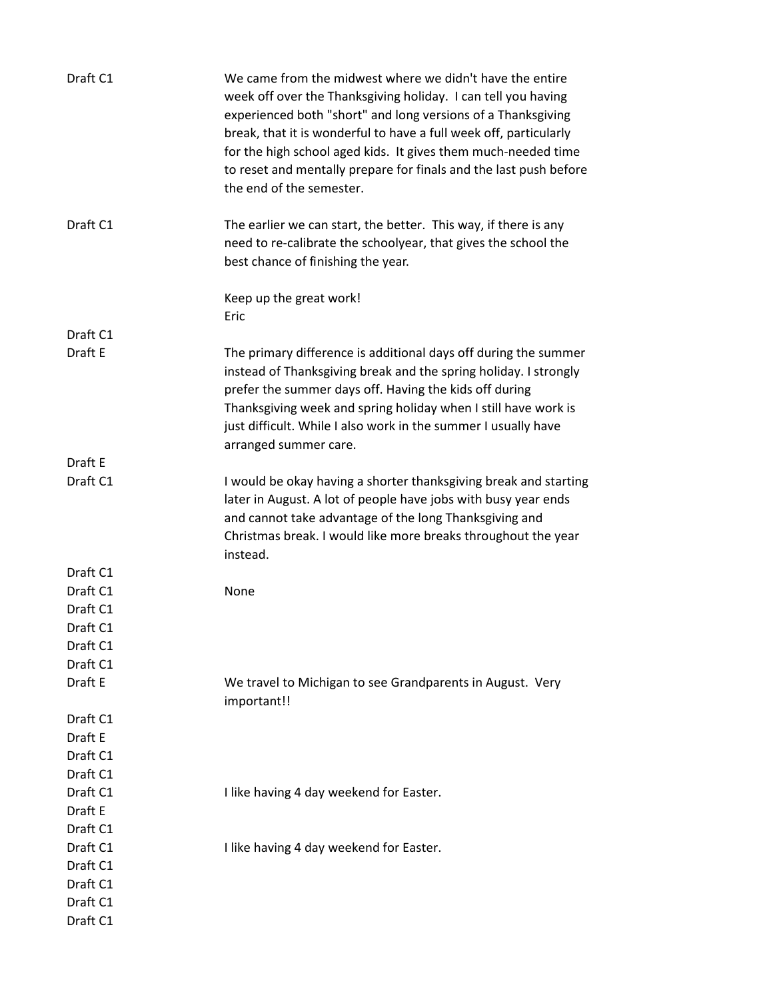| Draft C1 | We came from the midwest where we didn't have the entire<br>week off over the Thanksgiving holiday. I can tell you having<br>experienced both "short" and long versions of a Thanksgiving<br>break, that it is wonderful to have a full week off, particularly<br>for the high school aged kids. It gives them much-needed time<br>to reset and mentally prepare for finals and the last push before<br>the end of the semester. |
|----------|----------------------------------------------------------------------------------------------------------------------------------------------------------------------------------------------------------------------------------------------------------------------------------------------------------------------------------------------------------------------------------------------------------------------------------|
| Draft C1 | The earlier we can start, the better. This way, if there is any<br>need to re-calibrate the schoolyear, that gives the school the<br>best chance of finishing the year.                                                                                                                                                                                                                                                          |
|          | Keep up the great work!<br>Eric                                                                                                                                                                                                                                                                                                                                                                                                  |
| Draft C1 |                                                                                                                                                                                                                                                                                                                                                                                                                                  |
| Draft E  | The primary difference is additional days off during the summer<br>instead of Thanksgiving break and the spring holiday. I strongly<br>prefer the summer days off. Having the kids off during<br>Thanksgiving week and spring holiday when I still have work is<br>just difficult. While I also work in the summer I usually have<br>arranged summer care.                                                                       |
| Draft E  |                                                                                                                                                                                                                                                                                                                                                                                                                                  |
| Draft C1 | I would be okay having a shorter thanksgiving break and starting<br>later in August. A lot of people have jobs with busy year ends<br>and cannot take advantage of the long Thanksgiving and<br>Christmas break. I would like more breaks throughout the year<br>instead.                                                                                                                                                        |
| Draft C1 |                                                                                                                                                                                                                                                                                                                                                                                                                                  |
| Draft C1 | None                                                                                                                                                                                                                                                                                                                                                                                                                             |
| Draft C1 |                                                                                                                                                                                                                                                                                                                                                                                                                                  |
| Draft C1 |                                                                                                                                                                                                                                                                                                                                                                                                                                  |
| Draft C1 |                                                                                                                                                                                                                                                                                                                                                                                                                                  |
| Draft C1 |                                                                                                                                                                                                                                                                                                                                                                                                                                  |
| Draft E  | We travel to Michigan to see Grandparents in August. Very<br>important!!                                                                                                                                                                                                                                                                                                                                                         |
| Draft C1 |                                                                                                                                                                                                                                                                                                                                                                                                                                  |
| Draft E  |                                                                                                                                                                                                                                                                                                                                                                                                                                  |
| Draft C1 |                                                                                                                                                                                                                                                                                                                                                                                                                                  |
| Draft C1 |                                                                                                                                                                                                                                                                                                                                                                                                                                  |
| Draft C1 | I like having 4 day weekend for Easter.                                                                                                                                                                                                                                                                                                                                                                                          |
| Draft E  |                                                                                                                                                                                                                                                                                                                                                                                                                                  |
| Draft C1 |                                                                                                                                                                                                                                                                                                                                                                                                                                  |
| Draft C1 | I like having 4 day weekend for Easter.                                                                                                                                                                                                                                                                                                                                                                                          |
| Draft C1 |                                                                                                                                                                                                                                                                                                                                                                                                                                  |
| Draft C1 |                                                                                                                                                                                                                                                                                                                                                                                                                                  |
| Draft C1 |                                                                                                                                                                                                                                                                                                                                                                                                                                  |
| Draft C1 |                                                                                                                                                                                                                                                                                                                                                                                                                                  |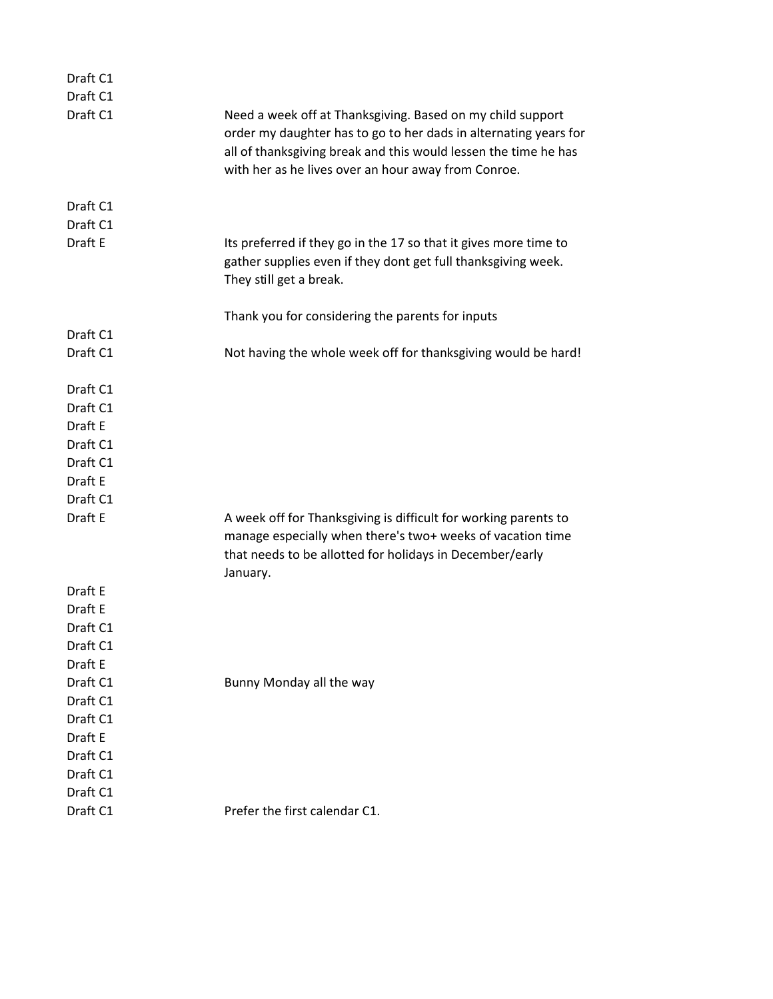| Draft C1            |                                                                                                                                                                                                                                                          |
|---------------------|----------------------------------------------------------------------------------------------------------------------------------------------------------------------------------------------------------------------------------------------------------|
| Draft C1            |                                                                                                                                                                                                                                                          |
| Draft C1            | Need a week off at Thanksgiving. Based on my child support<br>order my daughter has to go to her dads in alternating years for<br>all of thanksgiving break and this would lessen the time he has<br>with her as he lives over an hour away from Conroe. |
| Draft C1            |                                                                                                                                                                                                                                                          |
| Draft C1<br>Draft E | Its preferred if they go in the 17 so that it gives more time to<br>gather supplies even if they dont get full thanksgiving week.<br>They still get a break.                                                                                             |
|                     | Thank you for considering the parents for inputs                                                                                                                                                                                                         |
| Draft C1            |                                                                                                                                                                                                                                                          |
| Draft C1            | Not having the whole week off for thanksgiving would be hard!                                                                                                                                                                                            |
| Draft C1            |                                                                                                                                                                                                                                                          |
| Draft C1            |                                                                                                                                                                                                                                                          |
| Draft E             |                                                                                                                                                                                                                                                          |
| Draft C1            |                                                                                                                                                                                                                                                          |
| Draft C1            |                                                                                                                                                                                                                                                          |
| Draft E             |                                                                                                                                                                                                                                                          |
| Draft C1            |                                                                                                                                                                                                                                                          |
| Draft E             | A week off for Thanksgiving is difficult for working parents to<br>manage especially when there's two+ weeks of vacation time<br>that needs to be allotted for holidays in December/early<br>January.                                                    |
| Draft E             |                                                                                                                                                                                                                                                          |
| Draft E             |                                                                                                                                                                                                                                                          |
| Draft C1            |                                                                                                                                                                                                                                                          |
| Draft C1            |                                                                                                                                                                                                                                                          |
| Draft E             |                                                                                                                                                                                                                                                          |
| Draft C1            | Bunny Monday all the way                                                                                                                                                                                                                                 |
| Draft C1            |                                                                                                                                                                                                                                                          |
| Draft C1            |                                                                                                                                                                                                                                                          |
| Draft E             |                                                                                                                                                                                                                                                          |
| Draft C1            |                                                                                                                                                                                                                                                          |
| Draft C1            |                                                                                                                                                                                                                                                          |
| Draft C1            |                                                                                                                                                                                                                                                          |
| Draft C1            | Prefer the first calendar C1.                                                                                                                                                                                                                            |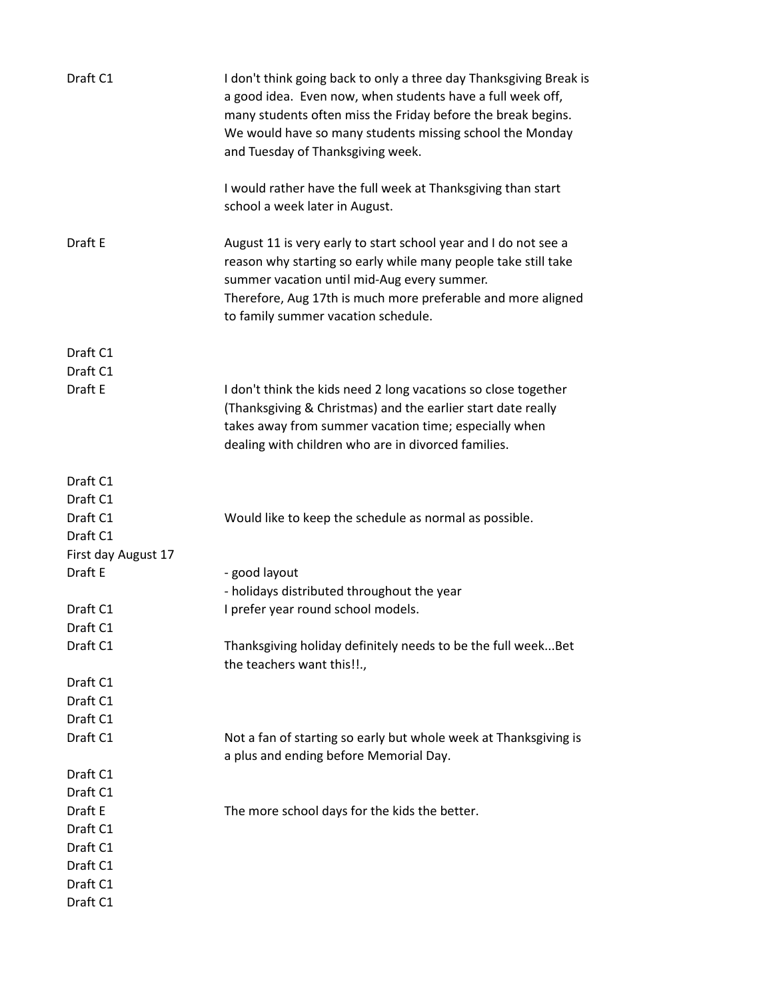| Draft C1            | I don't think going back to only a three day Thanksgiving Break is<br>a good idea. Even now, when students have a full week off,<br>many students often miss the Friday before the break begins.<br>We would have so many students missing school the Monday<br>and Tuesday of Thanksgiving week. |
|---------------------|---------------------------------------------------------------------------------------------------------------------------------------------------------------------------------------------------------------------------------------------------------------------------------------------------|
|                     | I would rather have the full week at Thanksgiving than start<br>school a week later in August.                                                                                                                                                                                                    |
| Draft E             | August 11 is very early to start school year and I do not see a<br>reason why starting so early while many people take still take<br>summer vacation until mid-Aug every summer.<br>Therefore, Aug 17th is much more preferable and more aligned<br>to family summer vacation schedule.           |
| Draft C1            |                                                                                                                                                                                                                                                                                                   |
| Draft C1            |                                                                                                                                                                                                                                                                                                   |
| Draft E             | I don't think the kids need 2 long vacations so close together<br>(Thanksgiving & Christmas) and the earlier start date really<br>takes away from summer vacation time; especially when<br>dealing with children who are in divorced families.                                                    |
| Draft C1            |                                                                                                                                                                                                                                                                                                   |
| Draft C1            |                                                                                                                                                                                                                                                                                                   |
| Draft C1            | Would like to keep the schedule as normal as possible.                                                                                                                                                                                                                                            |
| Draft C1            |                                                                                                                                                                                                                                                                                                   |
| First day August 17 |                                                                                                                                                                                                                                                                                                   |
| Draft E             | - good layout                                                                                                                                                                                                                                                                                     |
|                     | - holidays distributed throughout the year                                                                                                                                                                                                                                                        |
| Draft C1            | I prefer year round school models.                                                                                                                                                                                                                                                                |
| Draft C1            |                                                                                                                                                                                                                                                                                                   |
| Draft C1            | Thanksgiving holiday definitely needs to be the full week Bet<br>the teachers want this!!.,                                                                                                                                                                                                       |
| Draft C1            |                                                                                                                                                                                                                                                                                                   |
| Draft C1            |                                                                                                                                                                                                                                                                                                   |
| Draft C1            |                                                                                                                                                                                                                                                                                                   |
| Draft C1            | Not a fan of starting so early but whole week at Thanksgiving is<br>a plus and ending before Memorial Day.                                                                                                                                                                                        |
| Draft C1            |                                                                                                                                                                                                                                                                                                   |
| Draft C1            |                                                                                                                                                                                                                                                                                                   |
| Draft E             | The more school days for the kids the better.                                                                                                                                                                                                                                                     |
| Draft C1            |                                                                                                                                                                                                                                                                                                   |
| Draft C1            |                                                                                                                                                                                                                                                                                                   |
| Draft C1            |                                                                                                                                                                                                                                                                                                   |
| Draft C1            |                                                                                                                                                                                                                                                                                                   |
| Draft C1            |                                                                                                                                                                                                                                                                                                   |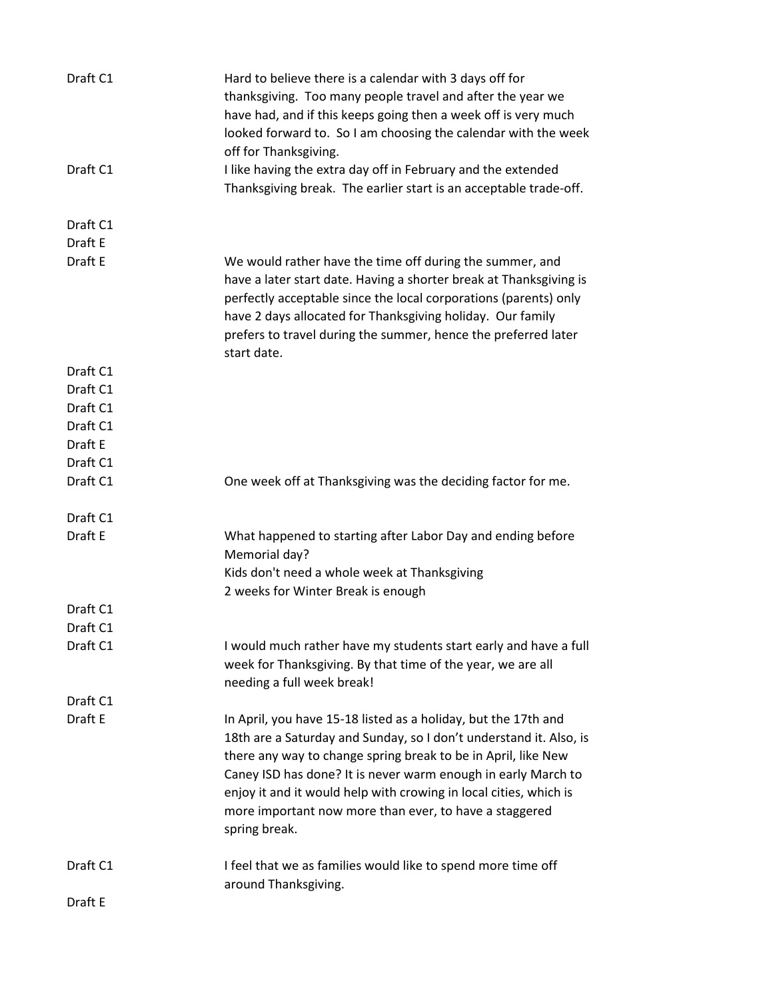| Draft C1           | Hard to believe there is a calendar with 3 days off for<br>thanksgiving. Too many people travel and after the year we<br>have had, and if this keeps going then a week off is very much<br>looked forward to. So I am choosing the calendar with the week<br>off for Thanksgiving.                                                                                                                                     |
|--------------------|------------------------------------------------------------------------------------------------------------------------------------------------------------------------------------------------------------------------------------------------------------------------------------------------------------------------------------------------------------------------------------------------------------------------|
| Draft C1           | I like having the extra day off in February and the extended<br>Thanksgiving break. The earlier start is an acceptable trade-off.                                                                                                                                                                                                                                                                                      |
| Draft C1           |                                                                                                                                                                                                                                                                                                                                                                                                                        |
| Draft E<br>Draft E | We would rather have the time off during the summer, and                                                                                                                                                                                                                                                                                                                                                               |
|                    | have a later start date. Having a shorter break at Thanksgiving is<br>perfectly acceptable since the local corporations (parents) only<br>have 2 days allocated for Thanksgiving holiday. Our family<br>prefers to travel during the summer, hence the preferred later<br>start date.                                                                                                                                  |
| Draft C1           |                                                                                                                                                                                                                                                                                                                                                                                                                        |
| Draft C1           |                                                                                                                                                                                                                                                                                                                                                                                                                        |
| Draft C1           |                                                                                                                                                                                                                                                                                                                                                                                                                        |
| Draft C1           |                                                                                                                                                                                                                                                                                                                                                                                                                        |
| Draft E            |                                                                                                                                                                                                                                                                                                                                                                                                                        |
| Draft C1           |                                                                                                                                                                                                                                                                                                                                                                                                                        |
| Draft C1           | One week off at Thanksgiving was the deciding factor for me.                                                                                                                                                                                                                                                                                                                                                           |
| Draft C1           |                                                                                                                                                                                                                                                                                                                                                                                                                        |
| Draft E            | What happened to starting after Labor Day and ending before<br>Memorial day?<br>Kids don't need a whole week at Thanksgiving                                                                                                                                                                                                                                                                                           |
| Draft C1           | 2 weeks for Winter Break is enough                                                                                                                                                                                                                                                                                                                                                                                     |
| Draft C1           |                                                                                                                                                                                                                                                                                                                                                                                                                        |
| Draft C1           | I would much rather have my students start early and have a full<br>week for Thanksgiving. By that time of the year, we are all<br>needing a full week break!                                                                                                                                                                                                                                                          |
| Draft C1           |                                                                                                                                                                                                                                                                                                                                                                                                                        |
| Draft E            | In April, you have 15-18 listed as a holiday, but the 17th and<br>18th are a Saturday and Sunday, so I don't understand it. Also, is<br>there any way to change spring break to be in April, like New<br>Caney ISD has done? It is never warm enough in early March to<br>enjoy it and it would help with crowing in local cities, which is<br>more important now more than ever, to have a staggered<br>spring break. |
| Draft C1           | I feel that we as families would like to spend more time off<br>around Thanksgiving.                                                                                                                                                                                                                                                                                                                                   |
| Draft E            |                                                                                                                                                                                                                                                                                                                                                                                                                        |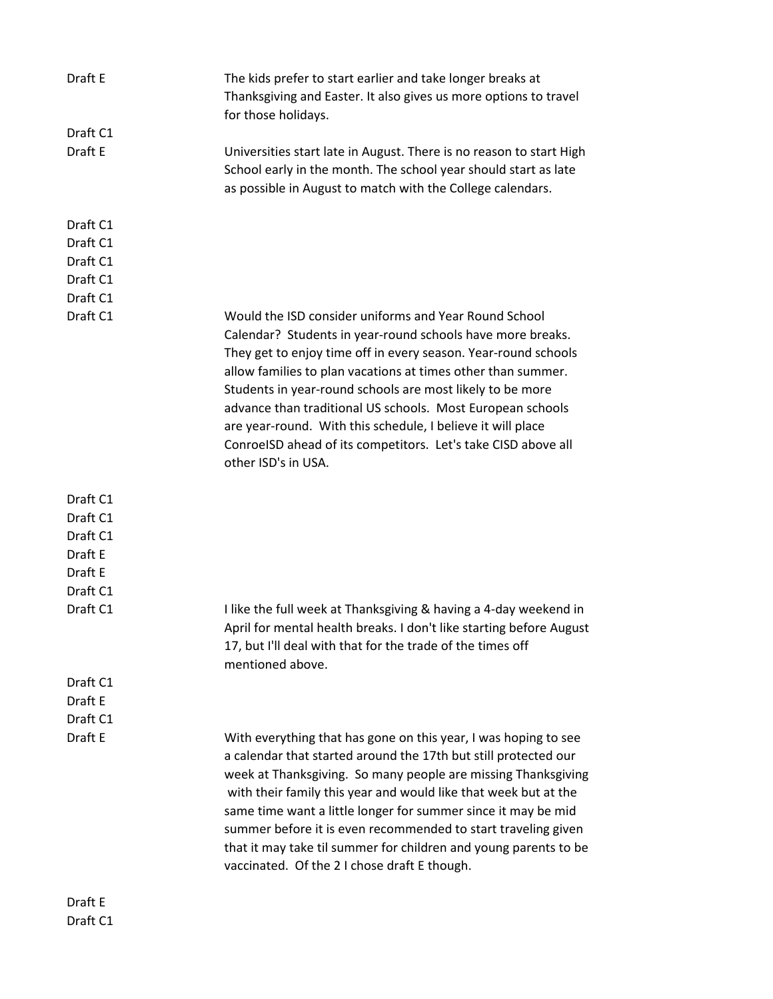| Draft E                                                            | The kids prefer to start earlier and take longer breaks at<br>Thanksgiving and Easter. It also gives us more options to travel<br>for those holidays.                                                                                                                                                                                                                                                                                                                                                                                   |
|--------------------------------------------------------------------|-----------------------------------------------------------------------------------------------------------------------------------------------------------------------------------------------------------------------------------------------------------------------------------------------------------------------------------------------------------------------------------------------------------------------------------------------------------------------------------------------------------------------------------------|
| Draft C1                                                           |                                                                                                                                                                                                                                                                                                                                                                                                                                                                                                                                         |
| Draft E                                                            | Universities start late in August. There is no reason to start High<br>School early in the month. The school year should start as late<br>as possible in August to match with the College calendars.                                                                                                                                                                                                                                                                                                                                    |
| Draft C1                                                           |                                                                                                                                                                                                                                                                                                                                                                                                                                                                                                                                         |
| Draft C1                                                           |                                                                                                                                                                                                                                                                                                                                                                                                                                                                                                                                         |
| Draft C1                                                           |                                                                                                                                                                                                                                                                                                                                                                                                                                                                                                                                         |
| Draft C1                                                           |                                                                                                                                                                                                                                                                                                                                                                                                                                                                                                                                         |
| Draft C1                                                           |                                                                                                                                                                                                                                                                                                                                                                                                                                                                                                                                         |
| Draft C1                                                           | Would the ISD consider uniforms and Year Round School<br>Calendar? Students in year-round schools have more breaks.<br>They get to enjoy time off in every season. Year-round schools<br>allow families to plan vacations at times other than summer.<br>Students in year-round schools are most likely to be more<br>advance than traditional US schools. Most European schools<br>are year-round. With this schedule, I believe it will place<br>ConroelSD ahead of its competitors. Let's take CISD above all<br>other ISD's in USA. |
| Draft C1<br>Draft C1<br>Draft C1<br>Draft E<br>Draft E<br>Draft C1 |                                                                                                                                                                                                                                                                                                                                                                                                                                                                                                                                         |
| Draft C1                                                           | I like the full week at Thanksgiving & having a 4-day weekend in<br>April for mental health breaks. I don't like starting before August<br>17, but I'll deal with that for the trade of the times off<br>mentioned above.                                                                                                                                                                                                                                                                                                               |
| Draft C1                                                           |                                                                                                                                                                                                                                                                                                                                                                                                                                                                                                                                         |
| Draft E                                                            |                                                                                                                                                                                                                                                                                                                                                                                                                                                                                                                                         |
| Draft C1                                                           |                                                                                                                                                                                                                                                                                                                                                                                                                                                                                                                                         |
| Draft E                                                            | With everything that has gone on this year, I was hoping to see<br>a calendar that started around the 17th but still protected our<br>week at Thanksgiving. So many people are missing Thanksgiving<br>with their family this year and would like that week but at the<br>same time want a little longer for summer since it may be mid<br>summer before it is even recommended to start traveling given<br>that it may take til summer for children and young parents to be<br>vaccinated. Of the 2 I chose draft E though.            |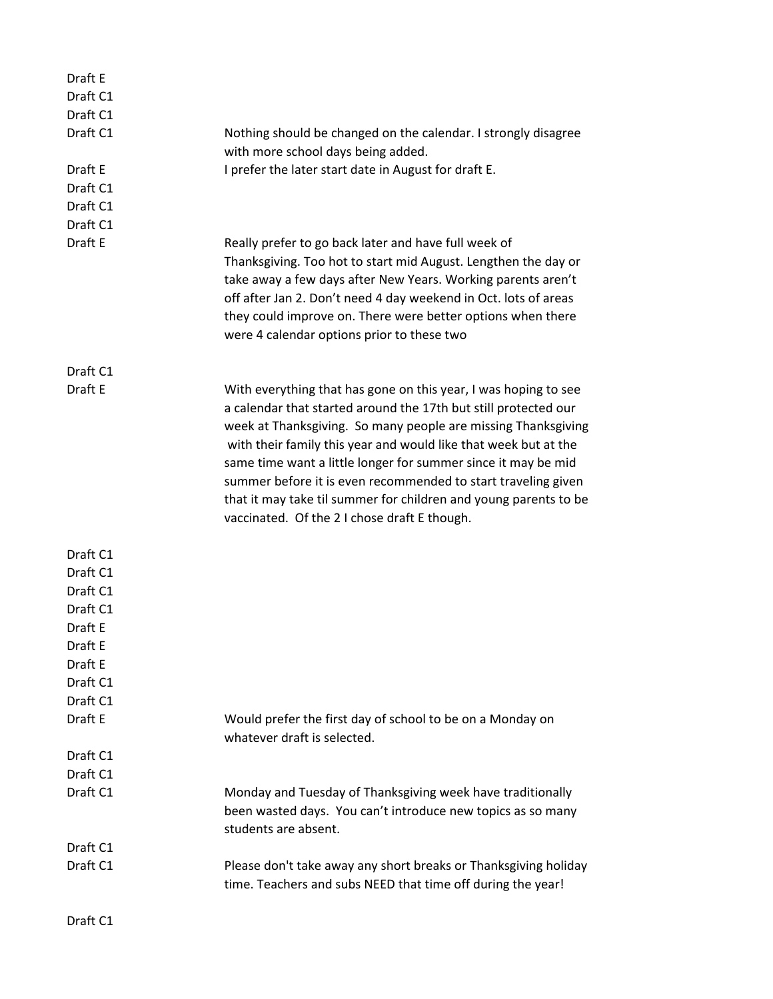| Draft E  |                                                                                                                                                                                                                                                                                                                                                                                                                                                                                                                              |
|----------|------------------------------------------------------------------------------------------------------------------------------------------------------------------------------------------------------------------------------------------------------------------------------------------------------------------------------------------------------------------------------------------------------------------------------------------------------------------------------------------------------------------------------|
| Draft C1 |                                                                                                                                                                                                                                                                                                                                                                                                                                                                                                                              |
| Draft C1 |                                                                                                                                                                                                                                                                                                                                                                                                                                                                                                                              |
| Draft C1 | Nothing should be changed on the calendar. I strongly disagree                                                                                                                                                                                                                                                                                                                                                                                                                                                               |
|          | with more school days being added.                                                                                                                                                                                                                                                                                                                                                                                                                                                                                           |
| Draft E  | I prefer the later start date in August for draft E.                                                                                                                                                                                                                                                                                                                                                                                                                                                                         |
| Draft C1 |                                                                                                                                                                                                                                                                                                                                                                                                                                                                                                                              |
| Draft C1 |                                                                                                                                                                                                                                                                                                                                                                                                                                                                                                                              |
| Draft C1 |                                                                                                                                                                                                                                                                                                                                                                                                                                                                                                                              |
| Draft E  | Really prefer to go back later and have full week of<br>Thanksgiving. Too hot to start mid August. Lengthen the day or<br>take away a few days after New Years. Working parents aren't<br>off after Jan 2. Don't need 4 day weekend in Oct. lots of areas<br>they could improve on. There were better options when there<br>were 4 calendar options prior to these two                                                                                                                                                       |
| Draft C1 |                                                                                                                                                                                                                                                                                                                                                                                                                                                                                                                              |
| Draft E  | With everything that has gone on this year, I was hoping to see<br>a calendar that started around the 17th but still protected our<br>week at Thanksgiving. So many people are missing Thanksgiving<br>with their family this year and would like that week but at the<br>same time want a little longer for summer since it may be mid<br>summer before it is even recommended to start traveling given<br>that it may take til summer for children and young parents to be<br>vaccinated. Of the 2 I chose draft E though. |
| Draft C1 |                                                                                                                                                                                                                                                                                                                                                                                                                                                                                                                              |
| Draft C1 |                                                                                                                                                                                                                                                                                                                                                                                                                                                                                                                              |
| Draft C1 |                                                                                                                                                                                                                                                                                                                                                                                                                                                                                                                              |
| Draft C1 |                                                                                                                                                                                                                                                                                                                                                                                                                                                                                                                              |
| Draft E  |                                                                                                                                                                                                                                                                                                                                                                                                                                                                                                                              |
| Draft E  |                                                                                                                                                                                                                                                                                                                                                                                                                                                                                                                              |
| Draft E  |                                                                                                                                                                                                                                                                                                                                                                                                                                                                                                                              |
| Draft C1 |                                                                                                                                                                                                                                                                                                                                                                                                                                                                                                                              |
| Draft C1 |                                                                                                                                                                                                                                                                                                                                                                                                                                                                                                                              |
| Draft E  | Would prefer the first day of school to be on a Monday on<br>whatever draft is selected.                                                                                                                                                                                                                                                                                                                                                                                                                                     |
| Draft C1 |                                                                                                                                                                                                                                                                                                                                                                                                                                                                                                                              |
| Draft C1 |                                                                                                                                                                                                                                                                                                                                                                                                                                                                                                                              |
| Draft C1 | Monday and Tuesday of Thanksgiving week have traditionally<br>been wasted days. You can't introduce new topics as so many<br>students are absent.                                                                                                                                                                                                                                                                                                                                                                            |
| Draft C1 |                                                                                                                                                                                                                                                                                                                                                                                                                                                                                                                              |
| Draft C1 | Please don't take away any short breaks or Thanksgiving holiday<br>time. Teachers and subs NEED that time off during the year!                                                                                                                                                                                                                                                                                                                                                                                               |
| Draft C1 |                                                                                                                                                                                                                                                                                                                                                                                                                                                                                                                              |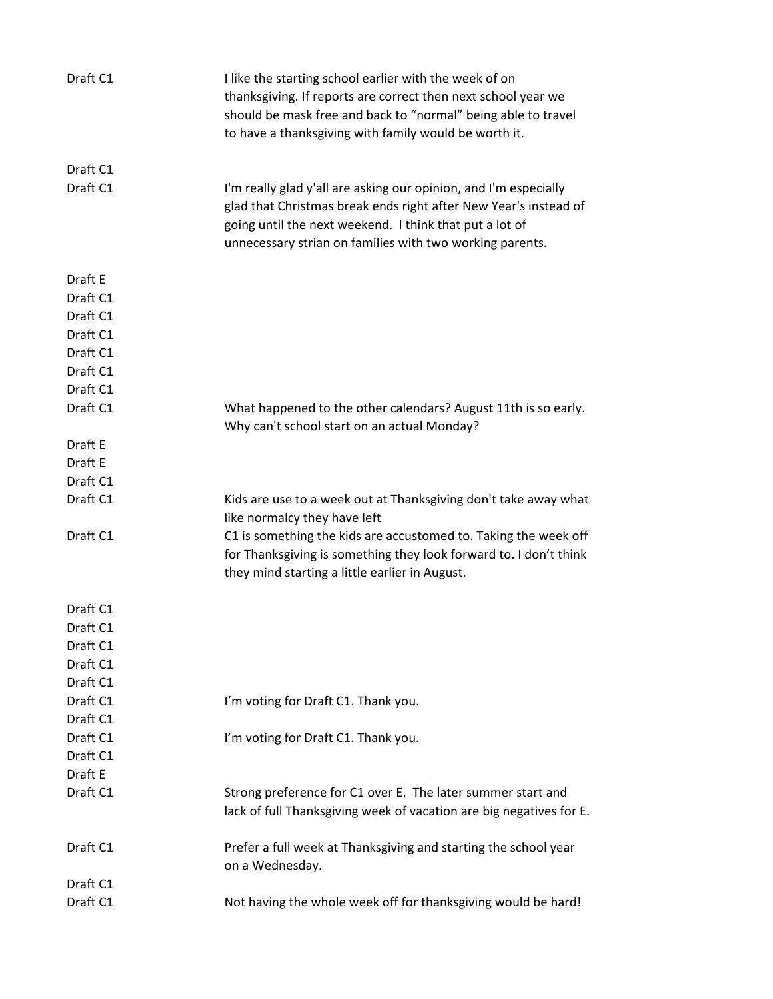| Draft C1 | I like the starting school earlier with the week of on<br>thanksgiving. If reports are correct then next school year we<br>should be mask free and back to "normal" being able to travel<br>to have a thanksgiving with family would be worth it.           |
|----------|-------------------------------------------------------------------------------------------------------------------------------------------------------------------------------------------------------------------------------------------------------------|
| Draft C1 |                                                                                                                                                                                                                                                             |
| Draft C1 | I'm really glad y'all are asking our opinion, and I'm especially<br>glad that Christmas break ends right after New Year's instead of<br>going until the next weekend. I think that put a lot of<br>unnecessary strian on families with two working parents. |
| Draft E  |                                                                                                                                                                                                                                                             |
| Draft C1 |                                                                                                                                                                                                                                                             |
| Draft C1 |                                                                                                                                                                                                                                                             |
| Draft C1 |                                                                                                                                                                                                                                                             |
| Draft C1 |                                                                                                                                                                                                                                                             |
| Draft C1 |                                                                                                                                                                                                                                                             |
| Draft C1 |                                                                                                                                                                                                                                                             |
| Draft C1 | What happened to the other calendars? August 11th is so early.                                                                                                                                                                                              |
|          | Why can't school start on an actual Monday?                                                                                                                                                                                                                 |
| Draft E  |                                                                                                                                                                                                                                                             |
| Draft E  |                                                                                                                                                                                                                                                             |
| Draft C1 |                                                                                                                                                                                                                                                             |
| Draft C1 | Kids are use to a week out at Thanksgiving don't take away what<br>like normalcy they have left                                                                                                                                                             |
| Draft C1 | C1 is something the kids are accustomed to. Taking the week off                                                                                                                                                                                             |
|          | for Thanksgiving is something they look forward to. I don't think                                                                                                                                                                                           |
|          | they mind starting a little earlier in August.                                                                                                                                                                                                              |
| Draft C1 |                                                                                                                                                                                                                                                             |
| Draft C1 |                                                                                                                                                                                                                                                             |
| Draft C1 |                                                                                                                                                                                                                                                             |
| Draft C1 |                                                                                                                                                                                                                                                             |
| Draft C1 |                                                                                                                                                                                                                                                             |
| Draft C1 | I'm voting for Draft C1. Thank you.                                                                                                                                                                                                                         |
| Draft C1 |                                                                                                                                                                                                                                                             |
| Draft C1 | I'm voting for Draft C1. Thank you.                                                                                                                                                                                                                         |
| Draft C1 |                                                                                                                                                                                                                                                             |
| Draft E  |                                                                                                                                                                                                                                                             |
| Draft C1 | Strong preference for C1 over E. The later summer start and<br>lack of full Thanksgiving week of vacation are big negatives for E.                                                                                                                          |
| Draft C1 | Prefer a full week at Thanksgiving and starting the school year<br>on a Wednesday.                                                                                                                                                                          |
| Draft C1 |                                                                                                                                                                                                                                                             |
| Draft C1 | Not having the whole week off for thanksgiving would be hard!                                                                                                                                                                                               |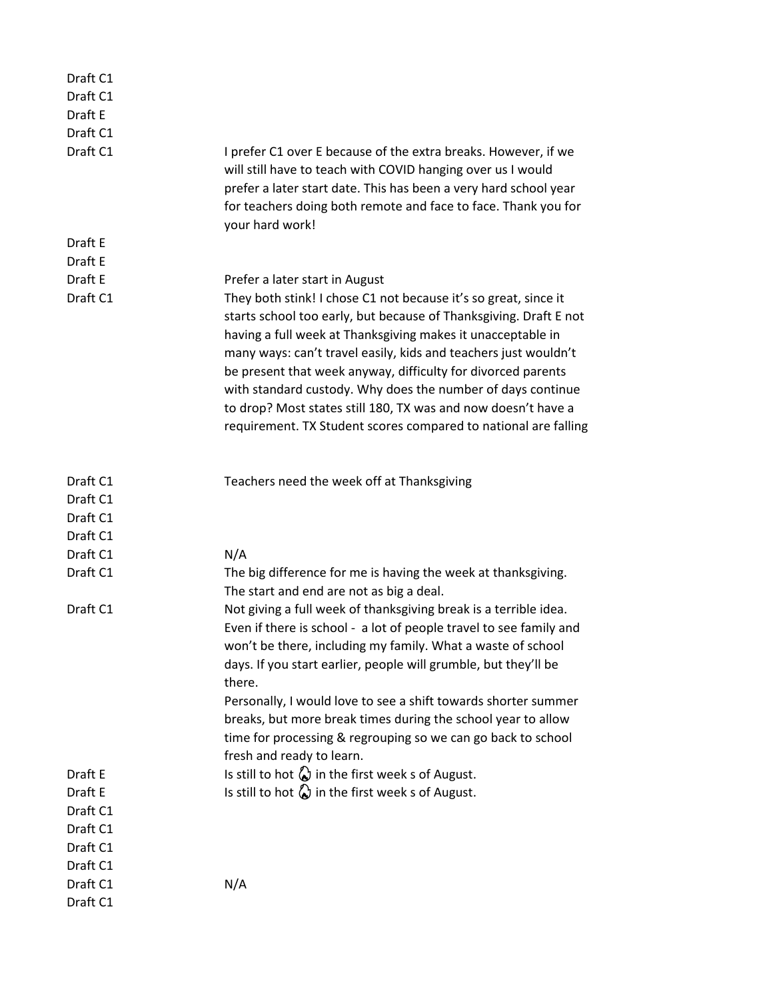| Draft C1             |                                                                                                                                                                                                                                                                                                                                                                                                                                                                                                                                           |
|----------------------|-------------------------------------------------------------------------------------------------------------------------------------------------------------------------------------------------------------------------------------------------------------------------------------------------------------------------------------------------------------------------------------------------------------------------------------------------------------------------------------------------------------------------------------------|
| Draft C1             |                                                                                                                                                                                                                                                                                                                                                                                                                                                                                                                                           |
| Draft E              |                                                                                                                                                                                                                                                                                                                                                                                                                                                                                                                                           |
| Draft C1             |                                                                                                                                                                                                                                                                                                                                                                                                                                                                                                                                           |
| Draft C1             | I prefer C1 over E because of the extra breaks. However, if we<br>will still have to teach with COVID hanging over us I would<br>prefer a later start date. This has been a very hard school year<br>for teachers doing both remote and face to face. Thank you for<br>your hard work!                                                                                                                                                                                                                                                    |
| Draft E              |                                                                                                                                                                                                                                                                                                                                                                                                                                                                                                                                           |
| Draft E              |                                                                                                                                                                                                                                                                                                                                                                                                                                                                                                                                           |
| Draft E              | Prefer a later start in August                                                                                                                                                                                                                                                                                                                                                                                                                                                                                                            |
| Draft C1             | They both stink! I chose C1 not because it's so great, since it<br>starts school too early, but because of Thanksgiving. Draft E not<br>having a full week at Thanksgiving makes it unacceptable in<br>many ways: can't travel easily, kids and teachers just wouldn't<br>be present that week anyway, difficulty for divorced parents<br>with standard custody. Why does the number of days continue<br>to drop? Most states still 180, TX was and now doesn't have a<br>requirement. TX Student scores compared to national are falling |
| Draft C1             | Teachers need the week off at Thanksgiving                                                                                                                                                                                                                                                                                                                                                                                                                                                                                                |
| Draft C1<br>Draft C1 |                                                                                                                                                                                                                                                                                                                                                                                                                                                                                                                                           |
| Draft C1             |                                                                                                                                                                                                                                                                                                                                                                                                                                                                                                                                           |
| Draft C1             | N/A                                                                                                                                                                                                                                                                                                                                                                                                                                                                                                                                       |
| Draft C1             | The big difference for me is having the week at thanksgiving.                                                                                                                                                                                                                                                                                                                                                                                                                                                                             |
|                      | The start and end are not as big a deal.                                                                                                                                                                                                                                                                                                                                                                                                                                                                                                  |
| Draft C1             | Not giving a full week of thanksgiving break is a terrible idea.<br>Even if there is school - a lot of people travel to see family and<br>won't be there, including my family. What a waste of school<br>days. If you start earlier, people will grumble, but they'll be<br>there.<br>Personally, I would love to see a shift towards shorter summer<br>breaks, but more break times during the school year to allow<br>time for processing & regrouping so we can go back to school<br>fresh and ready to learn.                         |
| Draft E              | Is still to hot $\bigotimes$ in the first week s of August.                                                                                                                                                                                                                                                                                                                                                                                                                                                                               |
| Draft E              | Is still to hot $\bigotimes$ in the first week s of August.                                                                                                                                                                                                                                                                                                                                                                                                                                                                               |
| Draft C1             |                                                                                                                                                                                                                                                                                                                                                                                                                                                                                                                                           |
| Draft C1             |                                                                                                                                                                                                                                                                                                                                                                                                                                                                                                                                           |
| Draft C1             |                                                                                                                                                                                                                                                                                                                                                                                                                                                                                                                                           |
| Draft C1             |                                                                                                                                                                                                                                                                                                                                                                                                                                                                                                                                           |
| Draft C1             | N/A                                                                                                                                                                                                                                                                                                                                                                                                                                                                                                                                       |
| Draft C1             |                                                                                                                                                                                                                                                                                                                                                                                                                                                                                                                                           |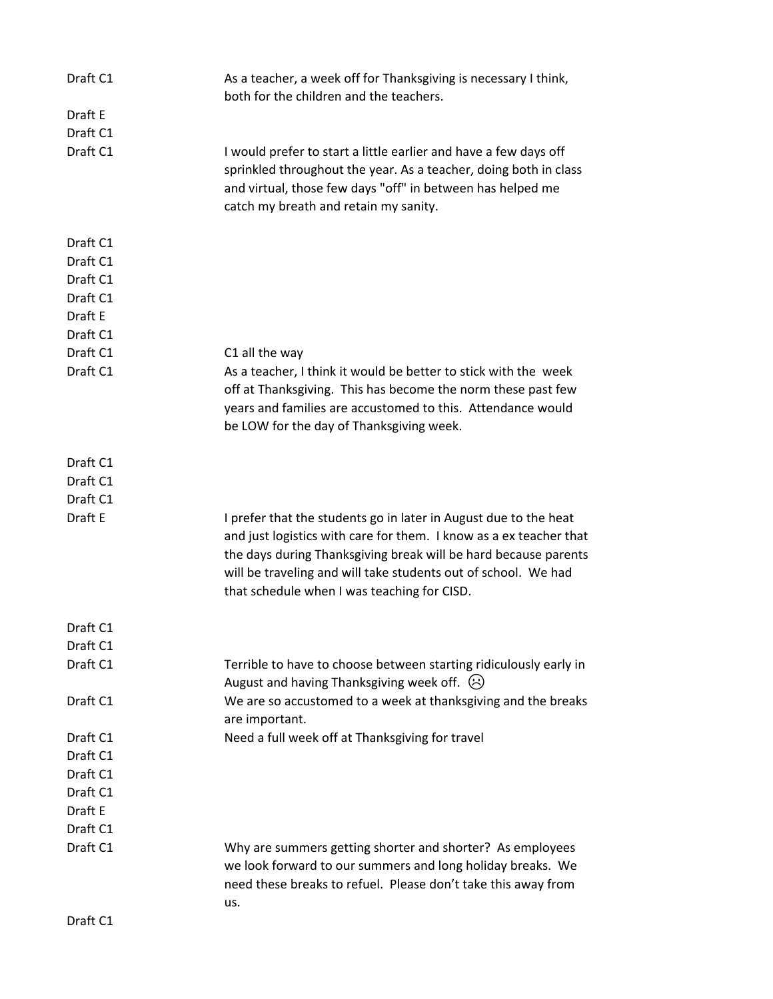| Draft C1 | As a teacher, a week off for Thanksgiving is necessary I think,<br>both for the children and the teachers.                                                                                                                                                                                                                 |
|----------|----------------------------------------------------------------------------------------------------------------------------------------------------------------------------------------------------------------------------------------------------------------------------------------------------------------------------|
| Draft E  |                                                                                                                                                                                                                                                                                                                            |
| Draft C1 |                                                                                                                                                                                                                                                                                                                            |
| Draft C1 | I would prefer to start a little earlier and have a few days off<br>sprinkled throughout the year. As a teacher, doing both in class<br>and virtual, those few days "off" in between has helped me<br>catch my breath and retain my sanity.                                                                                |
| Draft C1 |                                                                                                                                                                                                                                                                                                                            |
| Draft C1 |                                                                                                                                                                                                                                                                                                                            |
| Draft C1 |                                                                                                                                                                                                                                                                                                                            |
| Draft C1 |                                                                                                                                                                                                                                                                                                                            |
| Draft E  |                                                                                                                                                                                                                                                                                                                            |
| Draft C1 |                                                                                                                                                                                                                                                                                                                            |
| Draft C1 | C1 all the way                                                                                                                                                                                                                                                                                                             |
| Draft C1 | As a teacher, I think it would be better to stick with the week<br>off at Thanksgiving. This has become the norm these past few<br>years and families are accustomed to this. Attendance would<br>be LOW for the day of Thanksgiving week.                                                                                 |
| Draft C1 |                                                                                                                                                                                                                                                                                                                            |
| Draft C1 |                                                                                                                                                                                                                                                                                                                            |
| Draft C1 |                                                                                                                                                                                                                                                                                                                            |
| Draft E  | I prefer that the students go in later in August due to the heat<br>and just logistics with care for them. I know as a ex teacher that<br>the days during Thanksgiving break will be hard because parents<br>will be traveling and will take students out of school. We had<br>that schedule when I was teaching for CISD. |
| Draft C1 |                                                                                                                                                                                                                                                                                                                            |
| Draft C1 |                                                                                                                                                                                                                                                                                                                            |
| Draft C1 | Terrible to have to choose between starting ridiculously early in<br>August and having Thanksgiving week off. $\odot$                                                                                                                                                                                                      |
| Draft C1 | We are so accustomed to a week at thanksgiving and the breaks<br>are important.                                                                                                                                                                                                                                            |
| Draft C1 | Need a full week off at Thanksgiving for travel                                                                                                                                                                                                                                                                            |
| Draft C1 |                                                                                                                                                                                                                                                                                                                            |
| Draft C1 |                                                                                                                                                                                                                                                                                                                            |
| Draft C1 |                                                                                                                                                                                                                                                                                                                            |
| Draft E  |                                                                                                                                                                                                                                                                                                                            |
| Draft C1 |                                                                                                                                                                                                                                                                                                                            |
| Draft C1 | Why are summers getting shorter and shorter? As employees<br>we look forward to our summers and long holiday breaks. We<br>need these breaks to refuel. Please don't take this away from                                                                                                                                   |
| Draft C1 | us.                                                                                                                                                                                                                                                                                                                        |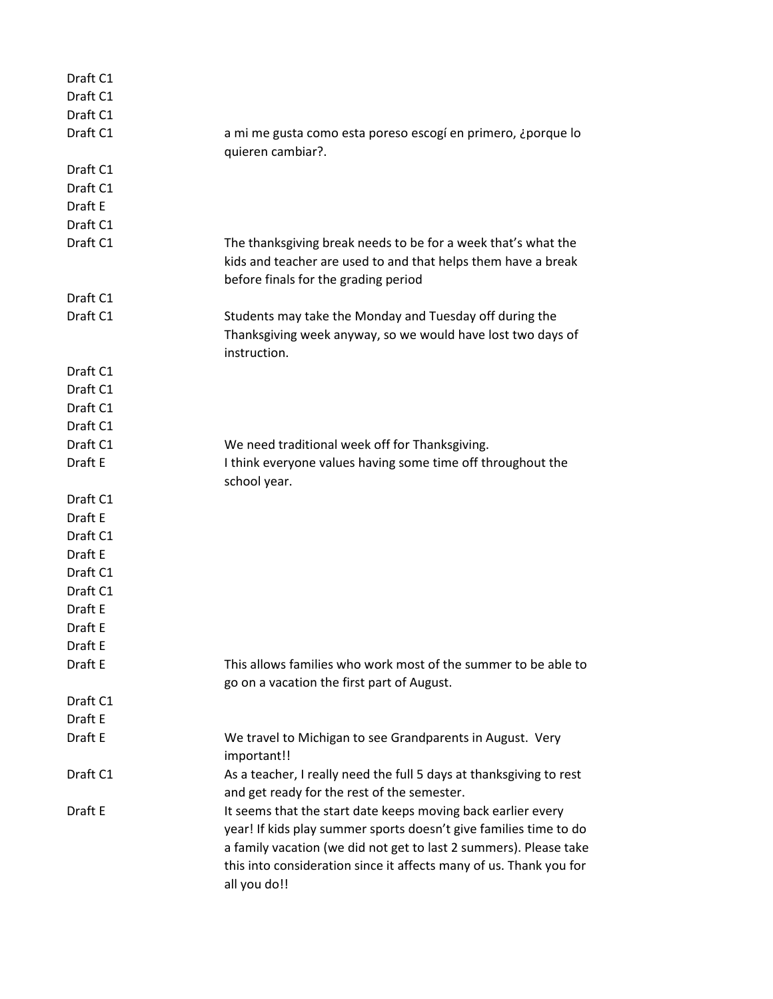| Draft C1 |                                                                     |
|----------|---------------------------------------------------------------------|
| Draft C1 |                                                                     |
| Draft C1 |                                                                     |
| Draft C1 | a mi me gusta como esta poreso escogí en primero, ¿porque lo        |
|          | quieren cambiar?.                                                   |
| Draft C1 |                                                                     |
| Draft C1 |                                                                     |
| Draft E  |                                                                     |
| Draft C1 |                                                                     |
| Draft C1 | The thanksgiving break needs to be for a week that's what the       |
|          | kids and teacher are used to and that helps them have a break       |
|          | before finals for the grading period                                |
| Draft C1 |                                                                     |
| Draft C1 | Students may take the Monday and Tuesday off during the             |
|          | Thanksgiving week anyway, so we would have lost two days of         |
|          | instruction.                                                        |
| Draft C1 |                                                                     |
| Draft C1 |                                                                     |
| Draft C1 |                                                                     |
| Draft C1 |                                                                     |
| Draft C1 | We need traditional week off for Thanksgiving.                      |
| Draft E  | I think everyone values having some time off throughout the         |
|          | school year.                                                        |
| Draft C1 |                                                                     |
| Draft E  |                                                                     |
| Draft C1 |                                                                     |
| Draft E  |                                                                     |
| Draft C1 |                                                                     |
| Draft C1 |                                                                     |
| Draft E  |                                                                     |
| Draft E  |                                                                     |
| Draft E  |                                                                     |
| Draft E  | This allows families who work most of the summer to be able to      |
|          | go on a vacation the first part of August.                          |
| Draft C1 |                                                                     |
| Draft E  |                                                                     |
| Draft E  | We travel to Michigan to see Grandparents in August. Very           |
|          | important!!                                                         |
| Draft C1 | As a teacher, I really need the full 5 days at thanksgiving to rest |
|          | and get ready for the rest of the semester.                         |
| Draft E  | It seems that the start date keeps moving back earlier every        |
|          | year! If kids play summer sports doesn't give families time to do   |
|          | a family vacation (we did not get to last 2 summers). Please take   |
|          | this into consideration since it affects many of us. Thank you for  |
|          | all you do!!                                                        |
|          |                                                                     |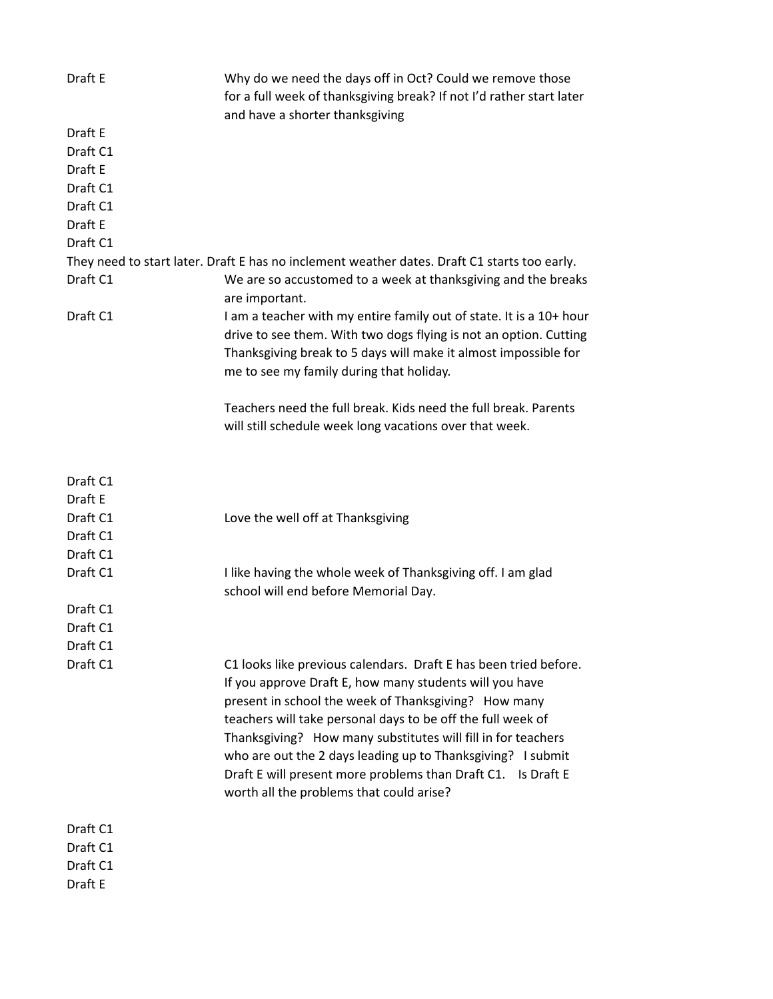| Draft E  | Why do we need the days off in Oct? Could we remove those<br>for a full week of thanksgiving break? If not I'd rather start later                                                                                                                                                                                                                                                                                                                                                             |
|----------|-----------------------------------------------------------------------------------------------------------------------------------------------------------------------------------------------------------------------------------------------------------------------------------------------------------------------------------------------------------------------------------------------------------------------------------------------------------------------------------------------|
|          | and have a shorter thanksgiving                                                                                                                                                                                                                                                                                                                                                                                                                                                               |
| Draft E  |                                                                                                                                                                                                                                                                                                                                                                                                                                                                                               |
| Draft C1 |                                                                                                                                                                                                                                                                                                                                                                                                                                                                                               |
| Draft E  |                                                                                                                                                                                                                                                                                                                                                                                                                                                                                               |
| Draft C1 |                                                                                                                                                                                                                                                                                                                                                                                                                                                                                               |
| Draft C1 |                                                                                                                                                                                                                                                                                                                                                                                                                                                                                               |
| Draft E  |                                                                                                                                                                                                                                                                                                                                                                                                                                                                                               |
| Draft C1 |                                                                                                                                                                                                                                                                                                                                                                                                                                                                                               |
|          | They need to start later. Draft E has no inclement weather dates. Draft C1 starts too early.                                                                                                                                                                                                                                                                                                                                                                                                  |
| Draft C1 | We are so accustomed to a week at thanksgiving and the breaks<br>are important.                                                                                                                                                                                                                                                                                                                                                                                                               |
| Draft C1 | I am a teacher with my entire family out of state. It is a 10+ hour<br>drive to see them. With two dogs flying is not an option. Cutting<br>Thanksgiving break to 5 days will make it almost impossible for<br>me to see my family during that holiday.                                                                                                                                                                                                                                       |
|          | Teachers need the full break. Kids need the full break. Parents                                                                                                                                                                                                                                                                                                                                                                                                                               |
|          | will still schedule week long vacations over that week.                                                                                                                                                                                                                                                                                                                                                                                                                                       |
| Draft C1 |                                                                                                                                                                                                                                                                                                                                                                                                                                                                                               |
| Draft E  |                                                                                                                                                                                                                                                                                                                                                                                                                                                                                               |
| Draft C1 | Love the well off at Thanksgiving                                                                                                                                                                                                                                                                                                                                                                                                                                                             |
| Draft C1 |                                                                                                                                                                                                                                                                                                                                                                                                                                                                                               |
| Draft C1 |                                                                                                                                                                                                                                                                                                                                                                                                                                                                                               |
| Draft C1 | I like having the whole week of Thanksgiving off. I am glad<br>school will end before Memorial Day.                                                                                                                                                                                                                                                                                                                                                                                           |
| Draft C1 |                                                                                                                                                                                                                                                                                                                                                                                                                                                                                               |
| Draft C1 |                                                                                                                                                                                                                                                                                                                                                                                                                                                                                               |
| Draft C1 |                                                                                                                                                                                                                                                                                                                                                                                                                                                                                               |
| Draft C1 | C1 looks like previous calendars. Draft E has been tried before.<br>If you approve Draft E, how many students will you have<br>present in school the week of Thanksgiving? How many<br>teachers will take personal days to be off the full week of<br>Thanksgiving? How many substitutes will fill in for teachers<br>who are out the 2 days leading up to Thanksgiving? I submit<br>Draft E will present more problems than Draft C1. Is Draft E<br>worth all the problems that could arise? |
| Draft C1 |                                                                                                                                                                                                                                                                                                                                                                                                                                                                                               |
| Draft C1 |                                                                                                                                                                                                                                                                                                                                                                                                                                                                                               |
| Draft C1 |                                                                                                                                                                                                                                                                                                                                                                                                                                                                                               |
| Draft E  |                                                                                                                                                                                                                                                                                                                                                                                                                                                                                               |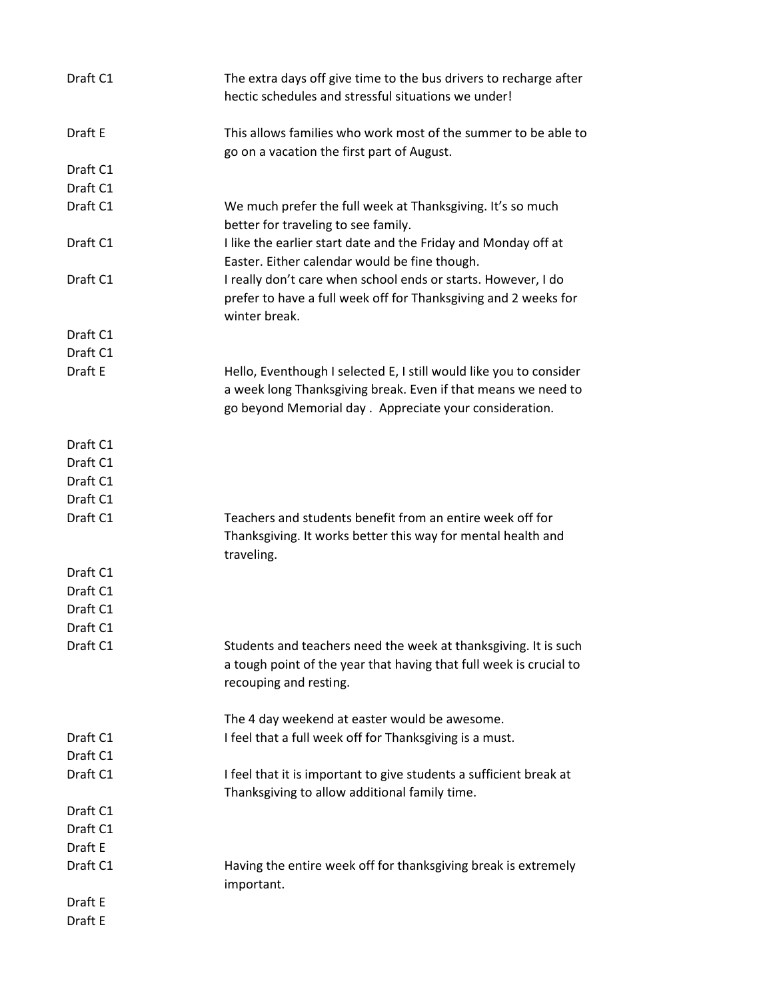| Draft C1 | The extra days off give time to the bus drivers to recharge after<br>hectic schedules and stressful situations we under!                                                                      |
|----------|-----------------------------------------------------------------------------------------------------------------------------------------------------------------------------------------------|
| Draft E  | This allows families who work most of the summer to be able to<br>go on a vacation the first part of August.                                                                                  |
| Draft C1 |                                                                                                                                                                                               |
| Draft C1 |                                                                                                                                                                                               |
| Draft C1 | We much prefer the full week at Thanksgiving. It's so much<br>better for traveling to see family.                                                                                             |
| Draft C1 | I like the earlier start date and the Friday and Monday off at<br>Easter. Either calendar would be fine though.                                                                               |
| Draft C1 | I really don't care when school ends or starts. However, I do<br>prefer to have a full week off for Thanksgiving and 2 weeks for<br>winter break.                                             |
| Draft C1 |                                                                                                                                                                                               |
| Draft C1 |                                                                                                                                                                                               |
| Draft E  | Hello, Eventhough I selected E, I still would like you to consider<br>a week long Thanksgiving break. Even if that means we need to<br>go beyond Memorial day. Appreciate your consideration. |
| Draft C1 |                                                                                                                                                                                               |
| Draft C1 |                                                                                                                                                                                               |
| Draft C1 |                                                                                                                                                                                               |
| Draft C1 |                                                                                                                                                                                               |
| Draft C1 | Teachers and students benefit from an entire week off for<br>Thanksgiving. It works better this way for mental health and<br>traveling.                                                       |
| Draft C1 |                                                                                                                                                                                               |
| Draft C1 |                                                                                                                                                                                               |
| Draft C1 |                                                                                                                                                                                               |
| Draft C1 |                                                                                                                                                                                               |
| Draft C1 | Students and teachers need the week at thanksgiving. It is such<br>a tough point of the year that having that full week is crucial to<br>recouping and resting.                               |
|          | The 4 day weekend at easter would be awesome.                                                                                                                                                 |
| Draft C1 | I feel that a full week off for Thanksgiving is a must.                                                                                                                                       |
| Draft C1 |                                                                                                                                                                                               |
| Draft C1 | I feel that it is important to give students a sufficient break at<br>Thanksgiving to allow additional family time.                                                                           |
| Draft C1 |                                                                                                                                                                                               |
| Draft C1 |                                                                                                                                                                                               |
| Draft E  |                                                                                                                                                                                               |
| Draft C1 | Having the entire week off for thanksgiving break is extremely<br>important.                                                                                                                  |
| Draft E  |                                                                                                                                                                                               |
| Draft E  |                                                                                                                                                                                               |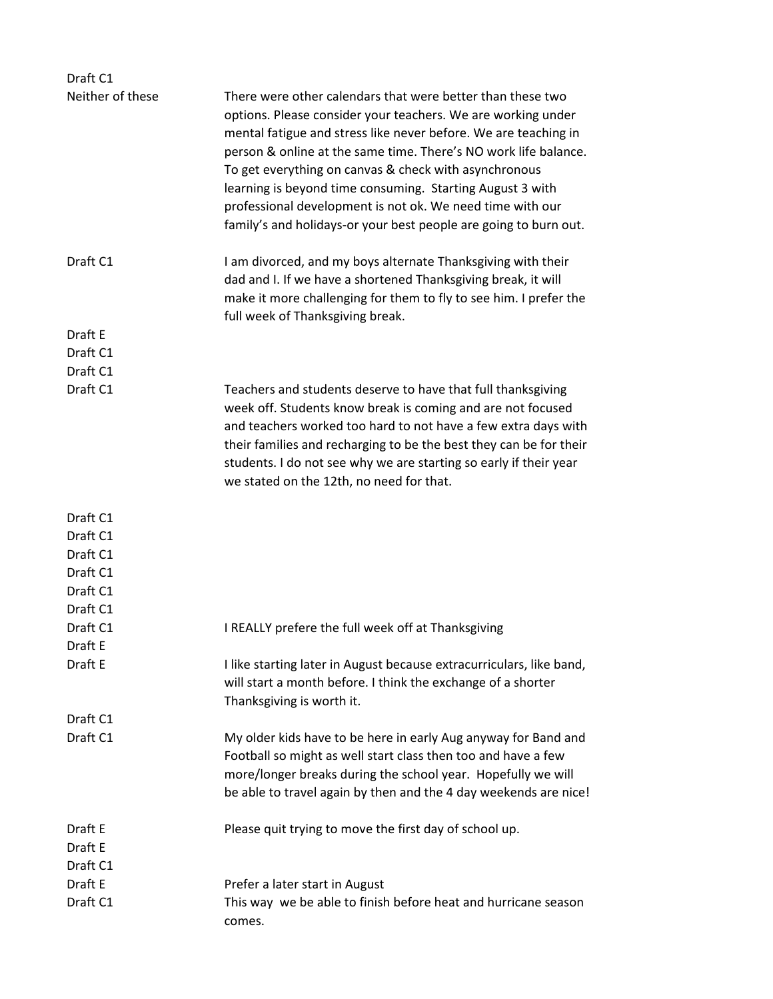| Draft C1           |                                                                                                                                                                                                                                                                                                                                                                                                                                                                                                                         |
|--------------------|-------------------------------------------------------------------------------------------------------------------------------------------------------------------------------------------------------------------------------------------------------------------------------------------------------------------------------------------------------------------------------------------------------------------------------------------------------------------------------------------------------------------------|
| Neither of these   | There were other calendars that were better than these two<br>options. Please consider your teachers. We are working under<br>mental fatigue and stress like never before. We are teaching in<br>person & online at the same time. There's NO work life balance.<br>To get everything on canvas & check with asynchronous<br>learning is beyond time consuming. Starting August 3 with<br>professional development is not ok. We need time with our<br>family's and holidays-or your best people are going to burn out. |
| Draft C1           | I am divorced, and my boys alternate Thanksgiving with their<br>dad and I. If we have a shortened Thanksgiving break, it will<br>make it more challenging for them to fly to see him. I prefer the<br>full week of Thanksgiving break.                                                                                                                                                                                                                                                                                  |
| Draft E            |                                                                                                                                                                                                                                                                                                                                                                                                                                                                                                                         |
| Draft C1           |                                                                                                                                                                                                                                                                                                                                                                                                                                                                                                                         |
| Draft C1           |                                                                                                                                                                                                                                                                                                                                                                                                                                                                                                                         |
| Draft C1           | Teachers and students deserve to have that full thanksgiving<br>week off. Students know break is coming and are not focused<br>and teachers worked too hard to not have a few extra days with<br>their families and recharging to be the best they can be for their<br>students. I do not see why we are starting so early if their year<br>we stated on the 12th, no need for that.                                                                                                                                    |
| Draft C1           |                                                                                                                                                                                                                                                                                                                                                                                                                                                                                                                         |
| Draft C1           |                                                                                                                                                                                                                                                                                                                                                                                                                                                                                                                         |
| Draft C1           |                                                                                                                                                                                                                                                                                                                                                                                                                                                                                                                         |
| Draft C1           |                                                                                                                                                                                                                                                                                                                                                                                                                                                                                                                         |
| Draft C1           |                                                                                                                                                                                                                                                                                                                                                                                                                                                                                                                         |
| Draft C1           |                                                                                                                                                                                                                                                                                                                                                                                                                                                                                                                         |
| Draft C1           | I REALLY prefere the full week off at Thanksgiving                                                                                                                                                                                                                                                                                                                                                                                                                                                                      |
| Draft E            |                                                                                                                                                                                                                                                                                                                                                                                                                                                                                                                         |
| Draft E            | I like starting later in August because extracurriculars, like band,<br>will start a month before. I think the exchange of a shorter<br>Thanksgiving is worth it.                                                                                                                                                                                                                                                                                                                                                       |
| Draft C1           |                                                                                                                                                                                                                                                                                                                                                                                                                                                                                                                         |
| Draft C1           | My older kids have to be here in early Aug anyway for Band and<br>Football so might as well start class then too and have a few<br>more/longer breaks during the school year. Hopefully we will<br>be able to travel again by then and the 4 day weekends are nice!                                                                                                                                                                                                                                                     |
| Draft E<br>Draft E | Please quit trying to move the first day of school up.                                                                                                                                                                                                                                                                                                                                                                                                                                                                  |
| Draft C1           |                                                                                                                                                                                                                                                                                                                                                                                                                                                                                                                         |
| Draft E            | Prefer a later start in August                                                                                                                                                                                                                                                                                                                                                                                                                                                                                          |
| Draft C1           | This way we be able to finish before heat and hurricane season<br>comes.                                                                                                                                                                                                                                                                                                                                                                                                                                                |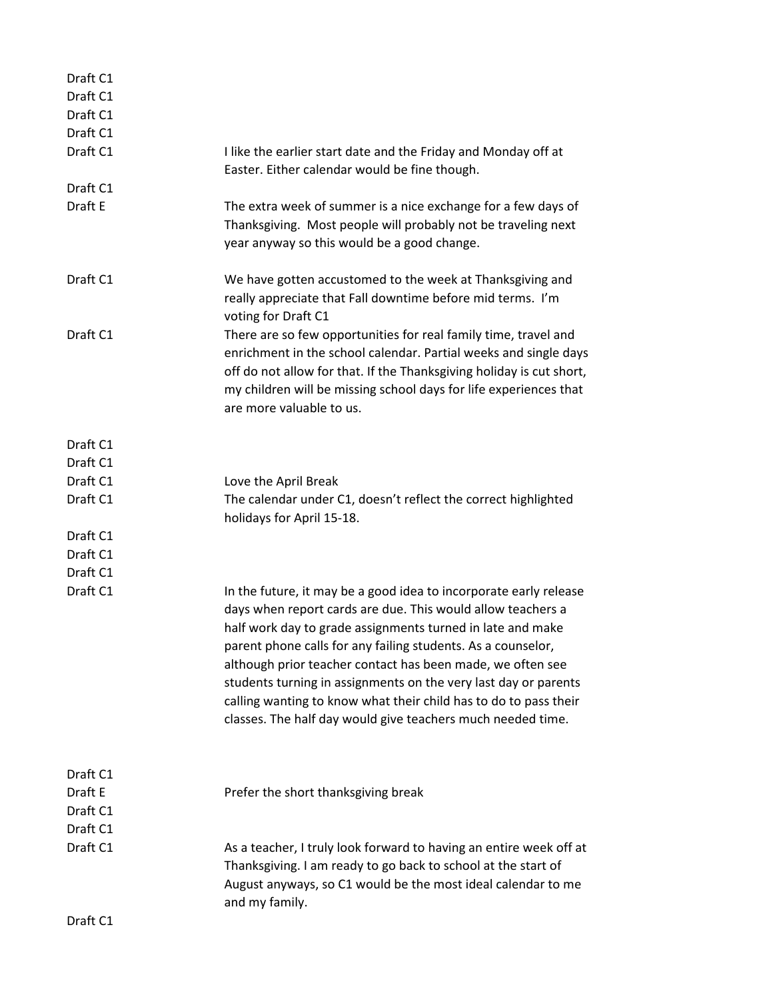| Draft C1 |                                                                                                                                                                                                                                                                                                                                                                                                                                                                                                                                    |
|----------|------------------------------------------------------------------------------------------------------------------------------------------------------------------------------------------------------------------------------------------------------------------------------------------------------------------------------------------------------------------------------------------------------------------------------------------------------------------------------------------------------------------------------------|
| Draft C1 |                                                                                                                                                                                                                                                                                                                                                                                                                                                                                                                                    |
| Draft C1 |                                                                                                                                                                                                                                                                                                                                                                                                                                                                                                                                    |
| Draft C1 |                                                                                                                                                                                                                                                                                                                                                                                                                                                                                                                                    |
| Draft C1 | I like the earlier start date and the Friday and Monday off at<br>Easter. Either calendar would be fine though.                                                                                                                                                                                                                                                                                                                                                                                                                    |
| Draft C1 |                                                                                                                                                                                                                                                                                                                                                                                                                                                                                                                                    |
| Draft E  | The extra week of summer is a nice exchange for a few days of<br>Thanksgiving. Most people will probably not be traveling next<br>year anyway so this would be a good change.                                                                                                                                                                                                                                                                                                                                                      |
| Draft C1 | We have gotten accustomed to the week at Thanksgiving and<br>really appreciate that Fall downtime before mid terms. I'm<br>voting for Draft C1                                                                                                                                                                                                                                                                                                                                                                                     |
| Draft C1 | There are so few opportunities for real family time, travel and<br>enrichment in the school calendar. Partial weeks and single days<br>off do not allow for that. If the Thanksgiving holiday is cut short,<br>my children will be missing school days for life experiences that<br>are more valuable to us.                                                                                                                                                                                                                       |
| Draft C1 |                                                                                                                                                                                                                                                                                                                                                                                                                                                                                                                                    |
| Draft C1 |                                                                                                                                                                                                                                                                                                                                                                                                                                                                                                                                    |
| Draft C1 | Love the April Break                                                                                                                                                                                                                                                                                                                                                                                                                                                                                                               |
| Draft C1 | The calendar under C1, doesn't reflect the correct highlighted<br>holidays for April 15-18.                                                                                                                                                                                                                                                                                                                                                                                                                                        |
| Draft C1 |                                                                                                                                                                                                                                                                                                                                                                                                                                                                                                                                    |
| Draft C1 |                                                                                                                                                                                                                                                                                                                                                                                                                                                                                                                                    |
| Draft C1 |                                                                                                                                                                                                                                                                                                                                                                                                                                                                                                                                    |
| Draft C1 | In the future, it may be a good idea to incorporate early release<br>days when report cards are due. This would allow teachers a<br>half work day to grade assignments turned in late and make<br>parent phone calls for any failing students. As a counselor,<br>although prior teacher contact has been made, we often see<br>students turning in assignments on the very last day or parents<br>calling wanting to know what their child has to do to pass their<br>classes. The half day would give teachers much needed time. |
| Draft C1 |                                                                                                                                                                                                                                                                                                                                                                                                                                                                                                                                    |
| Draft E  | Prefer the short thanksgiving break                                                                                                                                                                                                                                                                                                                                                                                                                                                                                                |
| Draft C1 |                                                                                                                                                                                                                                                                                                                                                                                                                                                                                                                                    |
| Draft C1 |                                                                                                                                                                                                                                                                                                                                                                                                                                                                                                                                    |
| Draft C1 | As a teacher, I truly look forward to having an entire week off at<br>Thanksgiving. I am ready to go back to school at the start of<br>August anyways, so C1 would be the most ideal calendar to me<br>and my family.                                                                                                                                                                                                                                                                                                              |
| Draft C1 |                                                                                                                                                                                                                                                                                                                                                                                                                                                                                                                                    |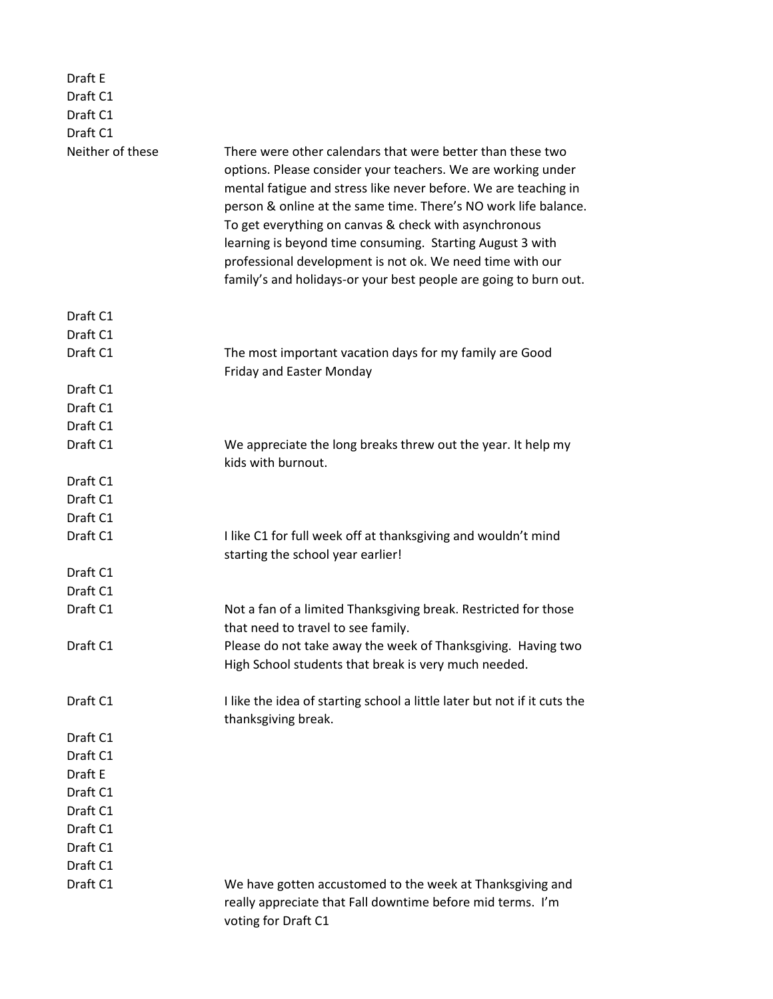| Draft E          |                                                                                                                                                                                                                                                                                                                                                                                                                                                                                                                         |
|------------------|-------------------------------------------------------------------------------------------------------------------------------------------------------------------------------------------------------------------------------------------------------------------------------------------------------------------------------------------------------------------------------------------------------------------------------------------------------------------------------------------------------------------------|
| Draft C1         |                                                                                                                                                                                                                                                                                                                                                                                                                                                                                                                         |
| Draft C1         |                                                                                                                                                                                                                                                                                                                                                                                                                                                                                                                         |
| Draft C1         |                                                                                                                                                                                                                                                                                                                                                                                                                                                                                                                         |
| Neither of these | There were other calendars that were better than these two<br>options. Please consider your teachers. We are working under<br>mental fatigue and stress like never before. We are teaching in<br>person & online at the same time. There's NO work life balance.<br>To get everything on canvas & check with asynchronous<br>learning is beyond time consuming. Starting August 3 with<br>professional development is not ok. We need time with our<br>family's and holidays-or your best people are going to burn out. |
| Draft C1         |                                                                                                                                                                                                                                                                                                                                                                                                                                                                                                                         |
| Draft C1         |                                                                                                                                                                                                                                                                                                                                                                                                                                                                                                                         |
| Draft C1         | The most important vacation days for my family are Good<br><b>Friday and Easter Monday</b>                                                                                                                                                                                                                                                                                                                                                                                                                              |
| Draft C1         |                                                                                                                                                                                                                                                                                                                                                                                                                                                                                                                         |
| Draft C1         |                                                                                                                                                                                                                                                                                                                                                                                                                                                                                                                         |
| Draft C1         |                                                                                                                                                                                                                                                                                                                                                                                                                                                                                                                         |
| Draft C1         | We appreciate the long breaks threw out the year. It help my<br>kids with burnout.                                                                                                                                                                                                                                                                                                                                                                                                                                      |
| Draft C1         |                                                                                                                                                                                                                                                                                                                                                                                                                                                                                                                         |
| Draft C1         |                                                                                                                                                                                                                                                                                                                                                                                                                                                                                                                         |
| Draft C1         |                                                                                                                                                                                                                                                                                                                                                                                                                                                                                                                         |
| Draft C1         | I like C1 for full week off at thanksgiving and wouldn't mind<br>starting the school year earlier!                                                                                                                                                                                                                                                                                                                                                                                                                      |
| Draft C1         |                                                                                                                                                                                                                                                                                                                                                                                                                                                                                                                         |
| Draft C1         |                                                                                                                                                                                                                                                                                                                                                                                                                                                                                                                         |
| Draft C1         | Not a fan of a limited Thanksgiving break. Restricted for those<br>that need to travel to see family.                                                                                                                                                                                                                                                                                                                                                                                                                   |
| Draft C1         | Please do not take away the week of Thanksgiving. Having two<br>High School students that break is very much needed.                                                                                                                                                                                                                                                                                                                                                                                                    |
| Draft C1         | I like the idea of starting school a little later but not if it cuts the<br>thanksgiving break.                                                                                                                                                                                                                                                                                                                                                                                                                         |
| Draft C1         |                                                                                                                                                                                                                                                                                                                                                                                                                                                                                                                         |
| Draft C1         |                                                                                                                                                                                                                                                                                                                                                                                                                                                                                                                         |
| Draft E          |                                                                                                                                                                                                                                                                                                                                                                                                                                                                                                                         |
| Draft C1         |                                                                                                                                                                                                                                                                                                                                                                                                                                                                                                                         |
| Draft C1         |                                                                                                                                                                                                                                                                                                                                                                                                                                                                                                                         |
| Draft C1         |                                                                                                                                                                                                                                                                                                                                                                                                                                                                                                                         |
| Draft C1         |                                                                                                                                                                                                                                                                                                                                                                                                                                                                                                                         |
| Draft C1         |                                                                                                                                                                                                                                                                                                                                                                                                                                                                                                                         |
| Draft C1         | We have gotten accustomed to the week at Thanksgiving and<br>really appreciate that Fall downtime before mid terms. I'm<br>voting for Draft C1                                                                                                                                                                                                                                                                                                                                                                          |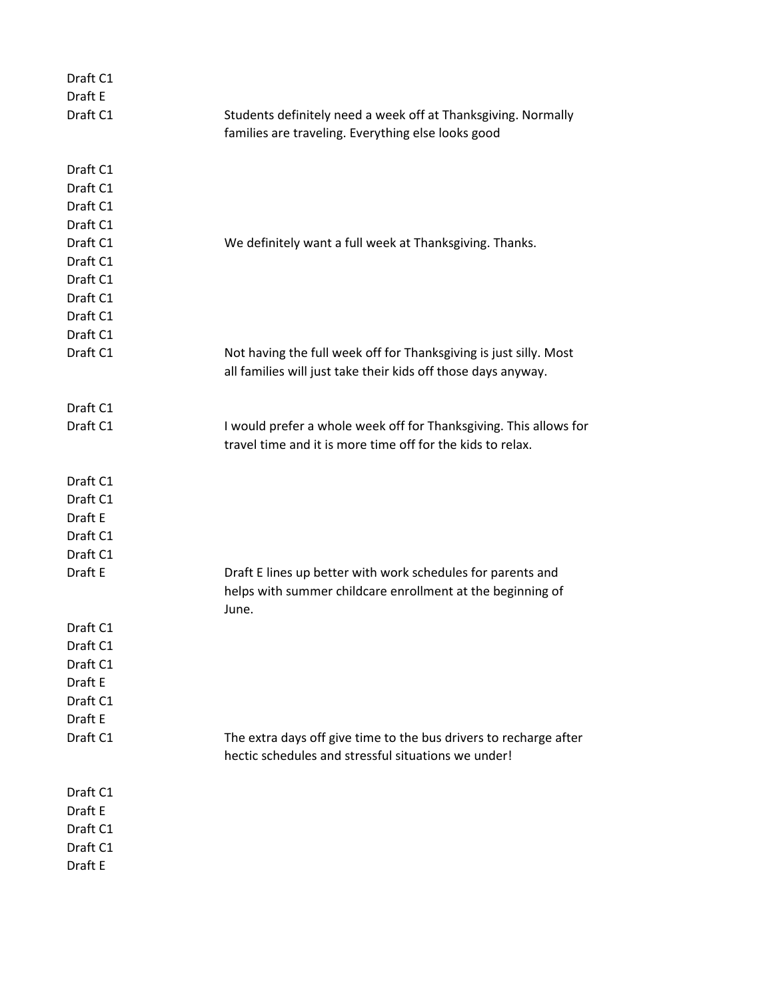| Draft C1             |                                                                                                                                    |
|----------------------|------------------------------------------------------------------------------------------------------------------------------------|
| Draft E              |                                                                                                                                    |
| Draft C1             | Students definitely need a week off at Thanksgiving. Normally                                                                      |
|                      | families are traveling. Everything else looks good                                                                                 |
| Draft C1             |                                                                                                                                    |
| Draft C1             |                                                                                                                                    |
| Draft C1             |                                                                                                                                    |
| Draft C1             |                                                                                                                                    |
| Draft C1             | We definitely want a full week at Thanksgiving. Thanks.                                                                            |
| Draft C1             |                                                                                                                                    |
| Draft C1             |                                                                                                                                    |
| Draft C1             |                                                                                                                                    |
| Draft C1             |                                                                                                                                    |
| Draft C1             |                                                                                                                                    |
| Draft C1             | Not having the full week off for Thanksgiving is just silly. Most<br>all families will just take their kids off those days anyway. |
| Draft C1             |                                                                                                                                    |
| Draft C1             | I would prefer a whole week off for Thanksgiving. This allows for                                                                  |
|                      | travel time and it is more time off for the kids to relax.                                                                         |
|                      |                                                                                                                                    |
| Draft C1             |                                                                                                                                    |
| Draft C1             |                                                                                                                                    |
| Draft E              |                                                                                                                                    |
| Draft C1             |                                                                                                                                    |
| Draft C1             |                                                                                                                                    |
| Draft E              | Draft E lines up better with work schedules for parents and                                                                        |
|                      | helps with summer childcare enrollment at the beginning of                                                                         |
|                      | June.                                                                                                                              |
| Draft C1<br>Draft C1 |                                                                                                                                    |
| Draft C1             |                                                                                                                                    |
| Draft E              |                                                                                                                                    |
| Draft C1             |                                                                                                                                    |
| Draft E              |                                                                                                                                    |
| Draft C1             | The extra days off give time to the bus drivers to recharge after                                                                  |
|                      | hectic schedules and stressful situations we under!                                                                                |
|                      |                                                                                                                                    |
| Draft C1             |                                                                                                                                    |
| Draft E              |                                                                                                                                    |
| Draft C1             |                                                                                                                                    |
| Draft C1             |                                                                                                                                    |
| Draft E              |                                                                                                                                    |
|                      |                                                                                                                                    |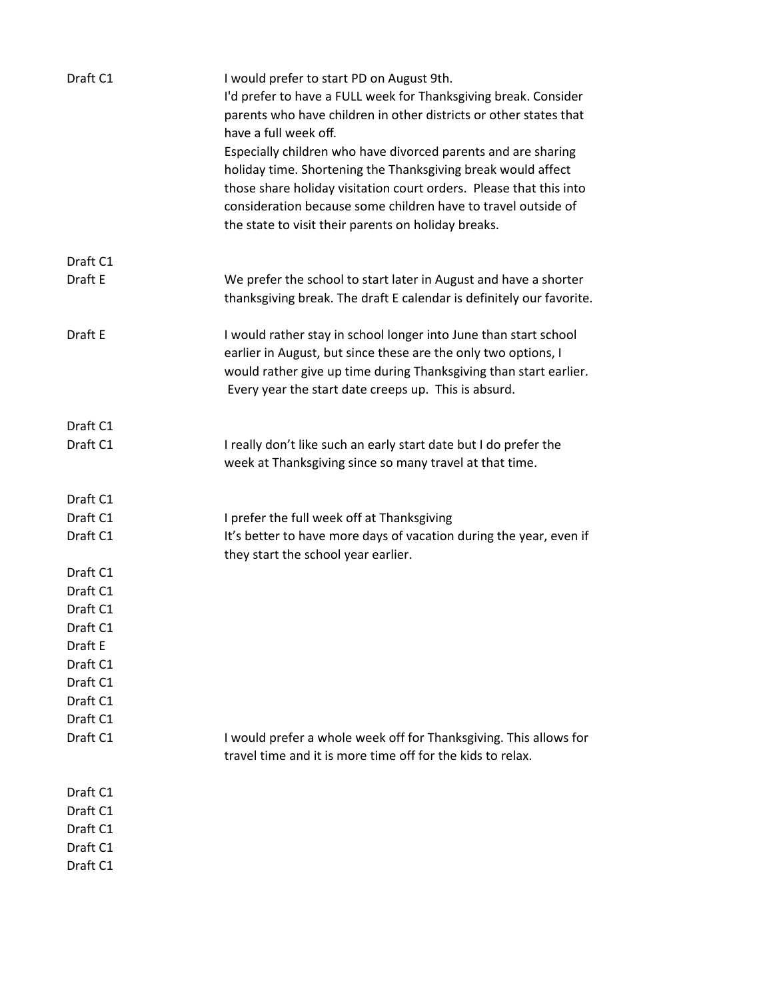| Draft C1             | I would prefer to start PD on August 9th.<br>I'd prefer to have a FULL week for Thanksgiving break. Consider<br>parents who have children in other districts or other states that<br>have a full week off.<br>Especially children who have divorced parents and are sharing<br>holiday time. Shortening the Thanksgiving break would affect<br>those share holiday visitation court orders. Please that this into<br>consideration because some children have to travel outside of<br>the state to visit their parents on holiday breaks. |
|----------------------|-------------------------------------------------------------------------------------------------------------------------------------------------------------------------------------------------------------------------------------------------------------------------------------------------------------------------------------------------------------------------------------------------------------------------------------------------------------------------------------------------------------------------------------------|
| Draft C1             |                                                                                                                                                                                                                                                                                                                                                                                                                                                                                                                                           |
| Draft E              | We prefer the school to start later in August and have a shorter<br>thanksgiving break. The draft E calendar is definitely our favorite.                                                                                                                                                                                                                                                                                                                                                                                                  |
| Draft E              | I would rather stay in school longer into June than start school<br>earlier in August, but since these are the only two options, I<br>would rather give up time during Thanksgiving than start earlier.<br>Every year the start date creeps up. This is absurd.                                                                                                                                                                                                                                                                           |
| Draft C1             |                                                                                                                                                                                                                                                                                                                                                                                                                                                                                                                                           |
| Draft C1             | I really don't like such an early start date but I do prefer the<br>week at Thanksgiving since so many travel at that time.                                                                                                                                                                                                                                                                                                                                                                                                               |
| Draft C1             |                                                                                                                                                                                                                                                                                                                                                                                                                                                                                                                                           |
| Draft C1             | I prefer the full week off at Thanksgiving                                                                                                                                                                                                                                                                                                                                                                                                                                                                                                |
| Draft C1             | It's better to have more days of vacation during the year, even if                                                                                                                                                                                                                                                                                                                                                                                                                                                                        |
|                      | they start the school year earlier.                                                                                                                                                                                                                                                                                                                                                                                                                                                                                                       |
| Draft C1             |                                                                                                                                                                                                                                                                                                                                                                                                                                                                                                                                           |
| Draft C1             |                                                                                                                                                                                                                                                                                                                                                                                                                                                                                                                                           |
| Draft C1             |                                                                                                                                                                                                                                                                                                                                                                                                                                                                                                                                           |
| Draft C1             |                                                                                                                                                                                                                                                                                                                                                                                                                                                                                                                                           |
| Draft E              |                                                                                                                                                                                                                                                                                                                                                                                                                                                                                                                                           |
| Draft C1<br>Draft C1 |                                                                                                                                                                                                                                                                                                                                                                                                                                                                                                                                           |
| Draft C1             |                                                                                                                                                                                                                                                                                                                                                                                                                                                                                                                                           |
| Draft C1             |                                                                                                                                                                                                                                                                                                                                                                                                                                                                                                                                           |
| Draft C1             | I would prefer a whole week off for Thanksgiving. This allows for                                                                                                                                                                                                                                                                                                                                                                                                                                                                         |
|                      | travel time and it is more time off for the kids to relax.                                                                                                                                                                                                                                                                                                                                                                                                                                                                                |
| Draft C1             |                                                                                                                                                                                                                                                                                                                                                                                                                                                                                                                                           |
| Draft C1             |                                                                                                                                                                                                                                                                                                                                                                                                                                                                                                                                           |
| Draft C1             |                                                                                                                                                                                                                                                                                                                                                                                                                                                                                                                                           |
| Draft C1             |                                                                                                                                                                                                                                                                                                                                                                                                                                                                                                                                           |
| Draft C1             |                                                                                                                                                                                                                                                                                                                                                                                                                                                                                                                                           |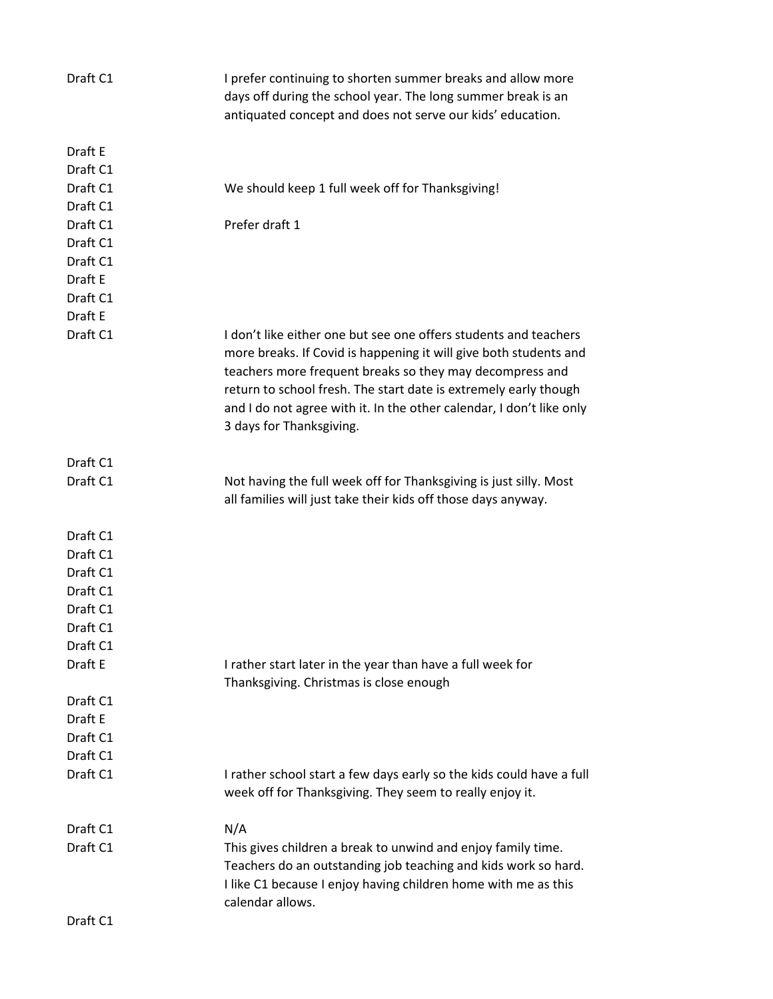| Draft C1 | I prefer continuing to shorten summer breaks and allow more<br>days off during the school year. The long summer break is an<br>antiquated concept and does not serve our kids' education.                                                                                                                                                                                 |
|----------|---------------------------------------------------------------------------------------------------------------------------------------------------------------------------------------------------------------------------------------------------------------------------------------------------------------------------------------------------------------------------|
| Draft E  |                                                                                                                                                                                                                                                                                                                                                                           |
| Draft C1 |                                                                                                                                                                                                                                                                                                                                                                           |
| Draft C1 | We should keep 1 full week off for Thanksgiving!                                                                                                                                                                                                                                                                                                                          |
| Draft C1 |                                                                                                                                                                                                                                                                                                                                                                           |
| Draft C1 | Prefer draft 1                                                                                                                                                                                                                                                                                                                                                            |
| Draft C1 |                                                                                                                                                                                                                                                                                                                                                                           |
| Draft C1 |                                                                                                                                                                                                                                                                                                                                                                           |
| Draft E  |                                                                                                                                                                                                                                                                                                                                                                           |
| Draft C1 |                                                                                                                                                                                                                                                                                                                                                                           |
| Draft E  |                                                                                                                                                                                                                                                                                                                                                                           |
| Draft C1 | I don't like either one but see one offers students and teachers<br>more breaks. If Covid is happening it will give both students and<br>teachers more frequent breaks so they may decompress and<br>return to school fresh. The start date is extremely early though<br>and I do not agree with it. In the other calendar, I don't like only<br>3 days for Thanksgiving. |
| Draft C1 |                                                                                                                                                                                                                                                                                                                                                                           |
| Draft C1 | Not having the full week off for Thanksgiving is just silly. Most<br>all families will just take their kids off those days anyway.                                                                                                                                                                                                                                        |
| Draft C1 |                                                                                                                                                                                                                                                                                                                                                                           |
| Draft C1 |                                                                                                                                                                                                                                                                                                                                                                           |
| Draft C1 |                                                                                                                                                                                                                                                                                                                                                                           |
| Draft C1 |                                                                                                                                                                                                                                                                                                                                                                           |
| Draft C1 |                                                                                                                                                                                                                                                                                                                                                                           |
| Draft C1 |                                                                                                                                                                                                                                                                                                                                                                           |
| Draft C1 |                                                                                                                                                                                                                                                                                                                                                                           |
| Draft E  | I rather start later in the year than have a full week for<br>Thanksgiving. Christmas is close enough                                                                                                                                                                                                                                                                     |
| Draft C1 |                                                                                                                                                                                                                                                                                                                                                                           |
| Draft E  |                                                                                                                                                                                                                                                                                                                                                                           |
| Draft C1 |                                                                                                                                                                                                                                                                                                                                                                           |
| Draft C1 |                                                                                                                                                                                                                                                                                                                                                                           |
| Draft C1 | I rather school start a few days early so the kids could have a full                                                                                                                                                                                                                                                                                                      |
|          | week off for Thanksgiving. They seem to really enjoy it.                                                                                                                                                                                                                                                                                                                  |
| Draft C1 | N/A                                                                                                                                                                                                                                                                                                                                                                       |
| Draft C1 | This gives children a break to unwind and enjoy family time.<br>Teachers do an outstanding job teaching and kids work so hard.<br>I like C1 because I enjoy having children home with me as this<br>calendar allows.                                                                                                                                                      |
| Draft C1 |                                                                                                                                                                                                                                                                                                                                                                           |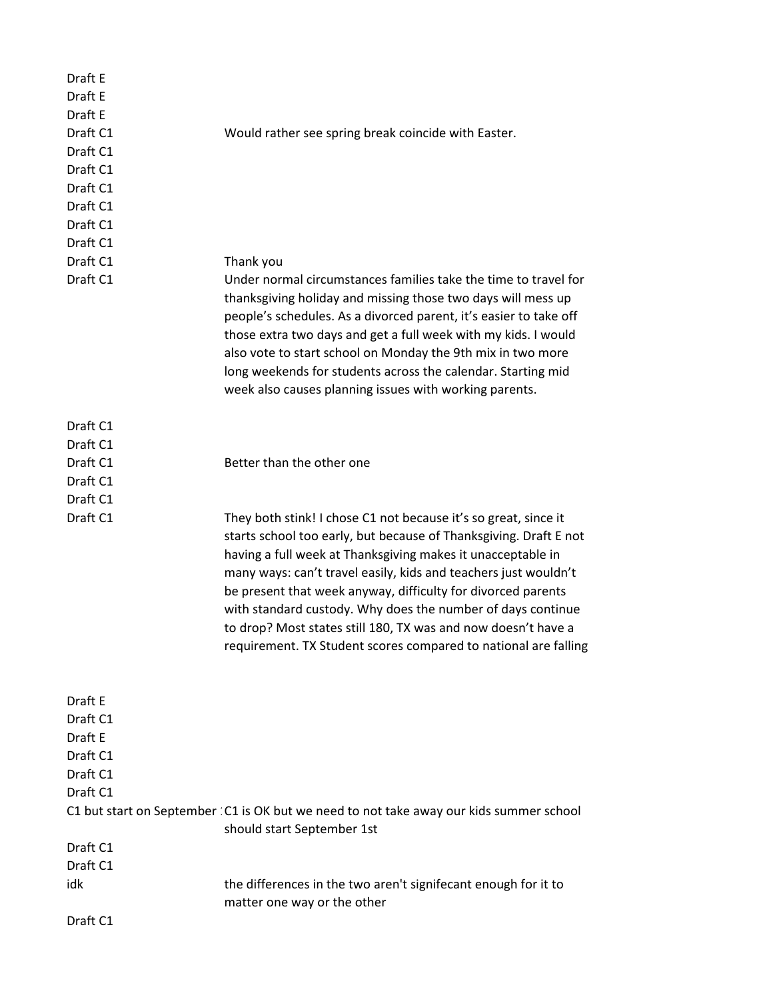| Draft E<br>Draft E |                                                                                                                                                                                                                                                                                                                                                                                                                                                                                                                                           |
|--------------------|-------------------------------------------------------------------------------------------------------------------------------------------------------------------------------------------------------------------------------------------------------------------------------------------------------------------------------------------------------------------------------------------------------------------------------------------------------------------------------------------------------------------------------------------|
| Draft E            |                                                                                                                                                                                                                                                                                                                                                                                                                                                                                                                                           |
| Draft C1           | Would rather see spring break coincide with Easter.                                                                                                                                                                                                                                                                                                                                                                                                                                                                                       |
| Draft C1           |                                                                                                                                                                                                                                                                                                                                                                                                                                                                                                                                           |
| Draft C1           |                                                                                                                                                                                                                                                                                                                                                                                                                                                                                                                                           |
| Draft C1           |                                                                                                                                                                                                                                                                                                                                                                                                                                                                                                                                           |
| Draft C1           |                                                                                                                                                                                                                                                                                                                                                                                                                                                                                                                                           |
| Draft C1           |                                                                                                                                                                                                                                                                                                                                                                                                                                                                                                                                           |
| Draft C1           |                                                                                                                                                                                                                                                                                                                                                                                                                                                                                                                                           |
| Draft C1           |                                                                                                                                                                                                                                                                                                                                                                                                                                                                                                                                           |
|                    | Thank you                                                                                                                                                                                                                                                                                                                                                                                                                                                                                                                                 |
| Draft C1           | Under normal circumstances families take the time to travel for<br>thanksgiving holiday and missing those two days will mess up<br>people's schedules. As a divorced parent, it's easier to take off<br>those extra two days and get a full week with my kids. I would<br>also vote to start school on Monday the 9th mix in two more<br>long weekends for students across the calendar. Starting mid<br>week also causes planning issues with working parents.                                                                           |
| Draft C1           |                                                                                                                                                                                                                                                                                                                                                                                                                                                                                                                                           |
| Draft C1           |                                                                                                                                                                                                                                                                                                                                                                                                                                                                                                                                           |
| Draft C1           | Better than the other one                                                                                                                                                                                                                                                                                                                                                                                                                                                                                                                 |
| Draft C1           |                                                                                                                                                                                                                                                                                                                                                                                                                                                                                                                                           |
| Draft C1           |                                                                                                                                                                                                                                                                                                                                                                                                                                                                                                                                           |
| Draft C1           | They both stink! I chose C1 not because it's so great, since it<br>starts school too early, but because of Thanksgiving. Draft E not<br>having a full week at Thanksgiving makes it unacceptable in<br>many ways: can't travel easily, kids and teachers just wouldn't<br>be present that week anyway, difficulty for divorced parents<br>with standard custody. Why does the number of days continue<br>to drop? Most states still 180, TX was and now doesn't have a<br>requirement. TX Student scores compared to national are falling |
| Draft E            |                                                                                                                                                                                                                                                                                                                                                                                                                                                                                                                                           |
| Draft C1           |                                                                                                                                                                                                                                                                                                                                                                                                                                                                                                                                           |
| Draft E            |                                                                                                                                                                                                                                                                                                                                                                                                                                                                                                                                           |
| Draft C1           |                                                                                                                                                                                                                                                                                                                                                                                                                                                                                                                                           |
| Draft C1           |                                                                                                                                                                                                                                                                                                                                                                                                                                                                                                                                           |
| Draft C1           |                                                                                                                                                                                                                                                                                                                                                                                                                                                                                                                                           |
|                    | C1 but start on September : C1 is OK but we need to not take away our kids summer school<br>should start September 1st                                                                                                                                                                                                                                                                                                                                                                                                                    |
| Draft C1           |                                                                                                                                                                                                                                                                                                                                                                                                                                                                                                                                           |
| Draft C1           |                                                                                                                                                                                                                                                                                                                                                                                                                                                                                                                                           |
| idk                | the differences in the two aren't signifecant enough for it to<br>matter one way or the other                                                                                                                                                                                                                                                                                                                                                                                                                                             |
| Draft C1           |                                                                                                                                                                                                                                                                                                                                                                                                                                                                                                                                           |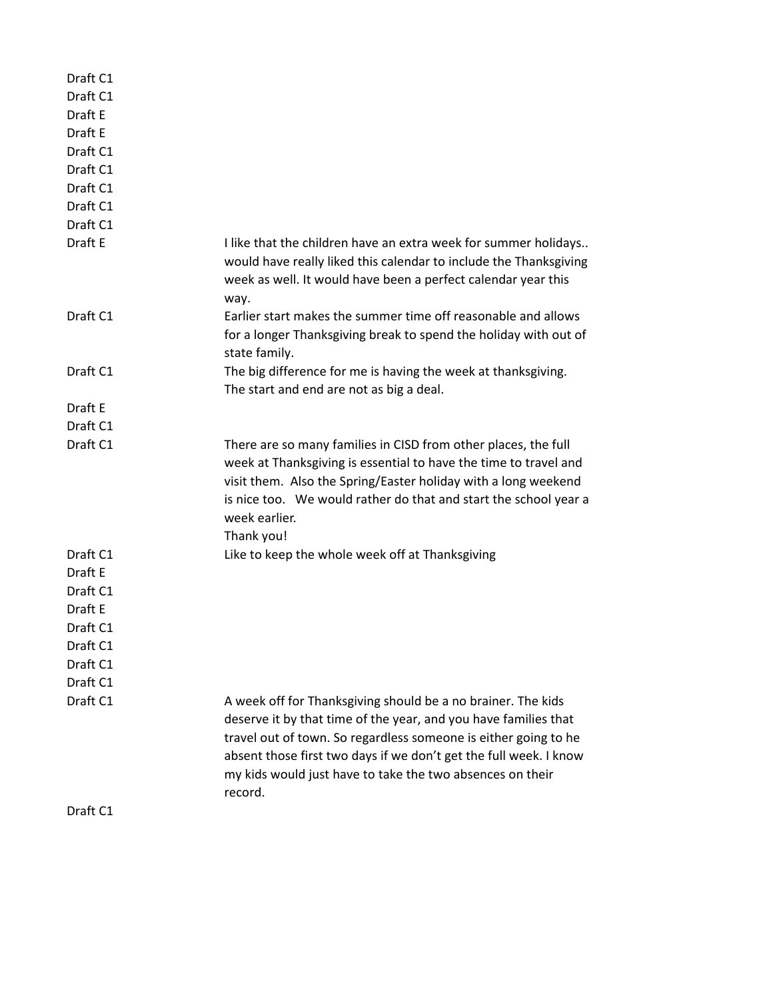| Draft C1 |                                                                                                                                                                                                                                                                                                                                                 |
|----------|-------------------------------------------------------------------------------------------------------------------------------------------------------------------------------------------------------------------------------------------------------------------------------------------------------------------------------------------------|
| Draft C1 |                                                                                                                                                                                                                                                                                                                                                 |
| Draft E  |                                                                                                                                                                                                                                                                                                                                                 |
| Draft E  |                                                                                                                                                                                                                                                                                                                                                 |
| Draft C1 |                                                                                                                                                                                                                                                                                                                                                 |
| Draft C1 |                                                                                                                                                                                                                                                                                                                                                 |
| Draft C1 |                                                                                                                                                                                                                                                                                                                                                 |
| Draft C1 |                                                                                                                                                                                                                                                                                                                                                 |
| Draft C1 |                                                                                                                                                                                                                                                                                                                                                 |
| Draft E  | I like that the children have an extra week for summer holidays<br>would have really liked this calendar to include the Thanksgiving<br>week as well. It would have been a perfect calendar year this<br>way.                                                                                                                                   |
| Draft C1 | Earlier start makes the summer time off reasonable and allows<br>for a longer Thanksgiving break to spend the holiday with out of<br>state family.                                                                                                                                                                                              |
| Draft C1 | The big difference for me is having the week at thanksgiving.<br>The start and end are not as big a deal.                                                                                                                                                                                                                                       |
| Draft E  |                                                                                                                                                                                                                                                                                                                                                 |
| Draft C1 |                                                                                                                                                                                                                                                                                                                                                 |
| Draft C1 | There are so many families in CISD from other places, the full<br>week at Thanksgiving is essential to have the time to travel and<br>visit them. Also the Spring/Easter holiday with a long weekend<br>is nice too. We would rather do that and start the school year a<br>week earlier.<br>Thank you!                                         |
| Draft C1 | Like to keep the whole week off at Thanksgiving                                                                                                                                                                                                                                                                                                 |
| Draft E  |                                                                                                                                                                                                                                                                                                                                                 |
| Draft C1 |                                                                                                                                                                                                                                                                                                                                                 |
| Draft E  |                                                                                                                                                                                                                                                                                                                                                 |
| Draft C1 |                                                                                                                                                                                                                                                                                                                                                 |
| Draft C1 |                                                                                                                                                                                                                                                                                                                                                 |
| Draft C1 |                                                                                                                                                                                                                                                                                                                                                 |
| Draft C1 |                                                                                                                                                                                                                                                                                                                                                 |
| Draft C1 | A week off for Thanksgiving should be a no brainer. The kids<br>deserve it by that time of the year, and you have families that<br>travel out of town. So regardless someone is either going to he<br>absent those first two days if we don't get the full week. I know<br>my kids would just have to take the two absences on their<br>record. |
| Draft C1 |                                                                                                                                                                                                                                                                                                                                                 |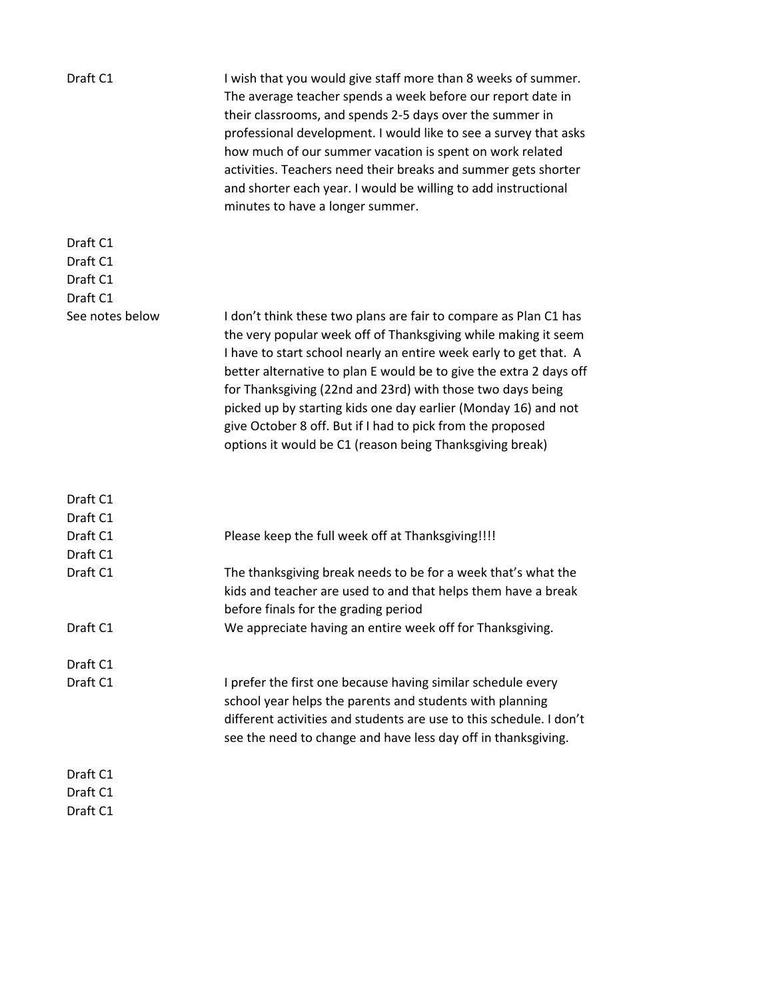| Draft C1                         | I wish that you would give staff more than 8 weeks of summer.<br>The average teacher spends a week before our report date in<br>their classrooms, and spends 2-5 days over the summer in<br>professional development. I would like to see a survey that asks<br>how much of our summer vacation is spent on work related<br>activities. Teachers need their breaks and summer gets shorter<br>and shorter each year. I would be willing to add instructional<br>minutes to have a longer summer.                                        |
|----------------------------------|-----------------------------------------------------------------------------------------------------------------------------------------------------------------------------------------------------------------------------------------------------------------------------------------------------------------------------------------------------------------------------------------------------------------------------------------------------------------------------------------------------------------------------------------|
| Draft C1<br>Draft C1<br>Draft C1 |                                                                                                                                                                                                                                                                                                                                                                                                                                                                                                                                         |
| Draft C1                         |                                                                                                                                                                                                                                                                                                                                                                                                                                                                                                                                         |
| See notes below                  | I don't think these two plans are fair to compare as Plan C1 has<br>the very popular week off of Thanksgiving while making it seem<br>I have to start school nearly an entire week early to get that. A<br>better alternative to plan E would be to give the extra 2 days off<br>for Thanksgiving (22nd and 23rd) with those two days being<br>picked up by starting kids one day earlier (Monday 16) and not<br>give October 8 off. But if I had to pick from the proposed<br>options it would be C1 (reason being Thanksgiving break) |
| Draft C1                         |                                                                                                                                                                                                                                                                                                                                                                                                                                                                                                                                         |
| Draft C1<br>Draft C1             |                                                                                                                                                                                                                                                                                                                                                                                                                                                                                                                                         |
| Draft C1                         | Please keep the full week off at Thanksgiving!!!!                                                                                                                                                                                                                                                                                                                                                                                                                                                                                       |
| Draft C1                         | The thanksgiving break needs to be for a week that's what the<br>kids and teacher are used to and that helps them have a break<br>before finals for the grading period                                                                                                                                                                                                                                                                                                                                                                  |
| Draft C1                         | We appreciate having an entire week off for Thanksgiving.                                                                                                                                                                                                                                                                                                                                                                                                                                                                               |
| Draft C1                         |                                                                                                                                                                                                                                                                                                                                                                                                                                                                                                                                         |
| Draft C1                         | I prefer the first one because having similar schedule every<br>school year helps the parents and students with planning<br>different activities and students are use to this schedule. I don't<br>see the need to change and have less day off in thanksgiving.                                                                                                                                                                                                                                                                        |
| Draft C1                         |                                                                                                                                                                                                                                                                                                                                                                                                                                                                                                                                         |
| Draft C1                         |                                                                                                                                                                                                                                                                                                                                                                                                                                                                                                                                         |
| Draft C1                         |                                                                                                                                                                                                                                                                                                                                                                                                                                                                                                                                         |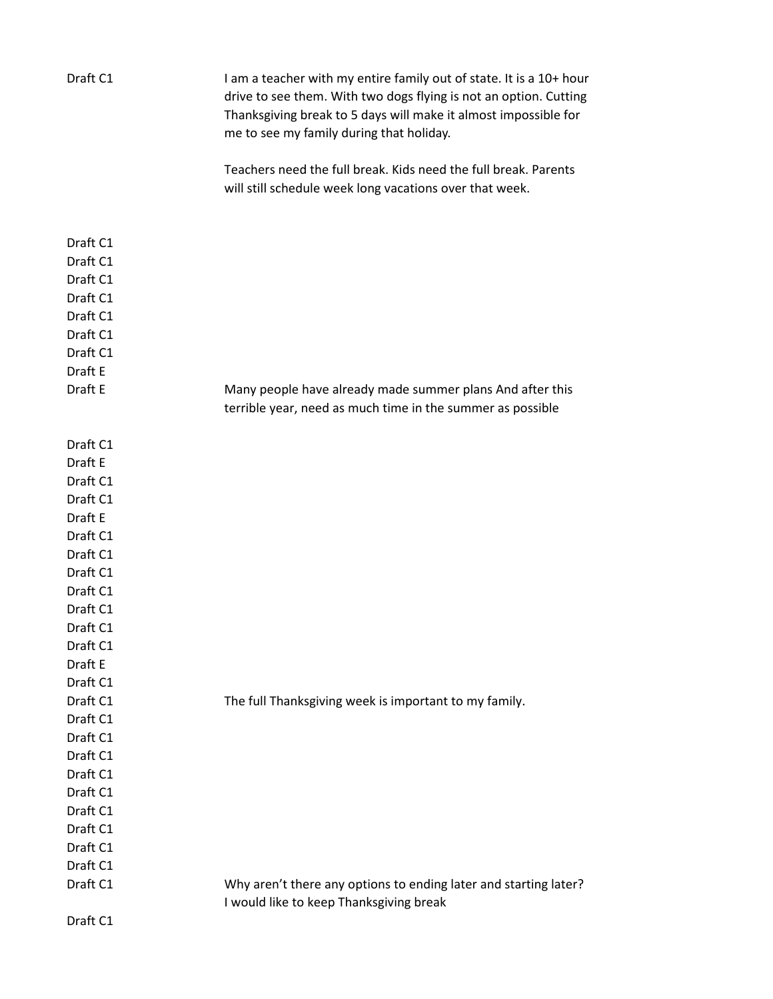| Draft C1             | I am a teacher with my entire family out of state. It is a 10+ hour<br>drive to see them. With two dogs flying is not an option. Cutting<br>Thanksgiving break to 5 days will make it almost impossible for<br>me to see my family during that holiday. |
|----------------------|---------------------------------------------------------------------------------------------------------------------------------------------------------------------------------------------------------------------------------------------------------|
|                      | Teachers need the full break. Kids need the full break. Parents<br>will still schedule week long vacations over that week.                                                                                                                              |
|                      |                                                                                                                                                                                                                                                         |
| Draft C1             |                                                                                                                                                                                                                                                         |
| Draft C1             |                                                                                                                                                                                                                                                         |
| Draft C1             |                                                                                                                                                                                                                                                         |
| Draft C1             |                                                                                                                                                                                                                                                         |
| Draft C1             |                                                                                                                                                                                                                                                         |
| Draft C1             |                                                                                                                                                                                                                                                         |
| Draft C1             |                                                                                                                                                                                                                                                         |
| Draft E              |                                                                                                                                                                                                                                                         |
| Draft E              | Many people have already made summer plans And after this                                                                                                                                                                                               |
|                      | terrible year, need as much time in the summer as possible                                                                                                                                                                                              |
| Draft C1             |                                                                                                                                                                                                                                                         |
| Draft E              |                                                                                                                                                                                                                                                         |
| Draft C1             |                                                                                                                                                                                                                                                         |
| Draft C1             |                                                                                                                                                                                                                                                         |
| Draft E              |                                                                                                                                                                                                                                                         |
| Draft C1             |                                                                                                                                                                                                                                                         |
| Draft C1             |                                                                                                                                                                                                                                                         |
| Draft C1             |                                                                                                                                                                                                                                                         |
| Draft C1             |                                                                                                                                                                                                                                                         |
| Draft C1             |                                                                                                                                                                                                                                                         |
| Draft C1             |                                                                                                                                                                                                                                                         |
| Draft C1             |                                                                                                                                                                                                                                                         |
| Draft E              |                                                                                                                                                                                                                                                         |
| Draft C1             |                                                                                                                                                                                                                                                         |
| Draft C1             | The full Thanksgiving week is important to my family.                                                                                                                                                                                                   |
| Draft C1<br>Draft C1 |                                                                                                                                                                                                                                                         |
| Draft C1             |                                                                                                                                                                                                                                                         |
| Draft C1             |                                                                                                                                                                                                                                                         |
| Draft C1             |                                                                                                                                                                                                                                                         |
| Draft C1             |                                                                                                                                                                                                                                                         |
| Draft C1             |                                                                                                                                                                                                                                                         |
| Draft C1             |                                                                                                                                                                                                                                                         |
| Draft C1             |                                                                                                                                                                                                                                                         |
| Draft C1             | Why aren't there any options to ending later and starting later?                                                                                                                                                                                        |
|                      | I would like to keep Thanksgiving break                                                                                                                                                                                                                 |
| Draft C1             |                                                                                                                                                                                                                                                         |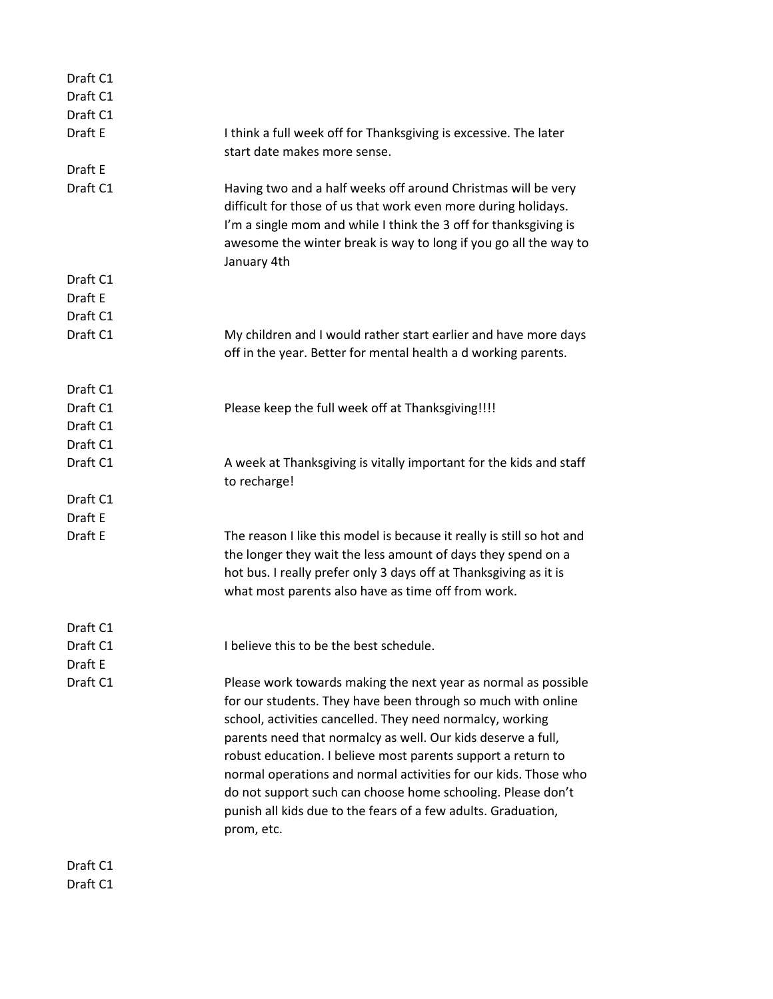| Draft C1             |                                                                                                                                                                                                                                                                                                                                                                                                                                                                                                                                              |
|----------------------|----------------------------------------------------------------------------------------------------------------------------------------------------------------------------------------------------------------------------------------------------------------------------------------------------------------------------------------------------------------------------------------------------------------------------------------------------------------------------------------------------------------------------------------------|
| Draft C1             |                                                                                                                                                                                                                                                                                                                                                                                                                                                                                                                                              |
| Draft C1             |                                                                                                                                                                                                                                                                                                                                                                                                                                                                                                                                              |
| Draft E              | I think a full week off for Thanksgiving is excessive. The later                                                                                                                                                                                                                                                                                                                                                                                                                                                                             |
|                      | start date makes more sense.                                                                                                                                                                                                                                                                                                                                                                                                                                                                                                                 |
| Draft E              |                                                                                                                                                                                                                                                                                                                                                                                                                                                                                                                                              |
| Draft C1             | Having two and a half weeks off around Christmas will be very<br>difficult for those of us that work even more during holidays.<br>I'm a single mom and while I think the 3 off for thanksgiving is<br>awesome the winter break is way to long if you go all the way to<br>January 4th                                                                                                                                                                                                                                                       |
| Draft C1             |                                                                                                                                                                                                                                                                                                                                                                                                                                                                                                                                              |
| Draft E              |                                                                                                                                                                                                                                                                                                                                                                                                                                                                                                                                              |
| Draft C1             |                                                                                                                                                                                                                                                                                                                                                                                                                                                                                                                                              |
| Draft C1             | My children and I would rather start earlier and have more days<br>off in the year. Better for mental health a d working parents.                                                                                                                                                                                                                                                                                                                                                                                                            |
| Draft C1             |                                                                                                                                                                                                                                                                                                                                                                                                                                                                                                                                              |
| Draft C1             | Please keep the full week off at Thanksgiving!!!!                                                                                                                                                                                                                                                                                                                                                                                                                                                                                            |
| Draft C1             |                                                                                                                                                                                                                                                                                                                                                                                                                                                                                                                                              |
| Draft C1             |                                                                                                                                                                                                                                                                                                                                                                                                                                                                                                                                              |
| Draft C1             | A week at Thanksgiving is vitally important for the kids and staff<br>to recharge!                                                                                                                                                                                                                                                                                                                                                                                                                                                           |
| Draft C1             |                                                                                                                                                                                                                                                                                                                                                                                                                                                                                                                                              |
| Draft E              |                                                                                                                                                                                                                                                                                                                                                                                                                                                                                                                                              |
| Draft E              | The reason I like this model is because it really is still so hot and                                                                                                                                                                                                                                                                                                                                                                                                                                                                        |
|                      | the longer they wait the less amount of days they spend on a<br>hot bus. I really prefer only 3 days off at Thanksgiving as it is<br>what most parents also have as time off from work.                                                                                                                                                                                                                                                                                                                                                      |
| Draft C1             |                                                                                                                                                                                                                                                                                                                                                                                                                                                                                                                                              |
| Draft C1             | I believe this to be the best schedule.                                                                                                                                                                                                                                                                                                                                                                                                                                                                                                      |
| Draft E              |                                                                                                                                                                                                                                                                                                                                                                                                                                                                                                                                              |
| Draft C1             | Please work towards making the next year as normal as possible<br>for our students. They have been through so much with online<br>school, activities cancelled. They need normalcy, working<br>parents need that normalcy as well. Our kids deserve a full,<br>robust education. I believe most parents support a return to<br>normal operations and normal activities for our kids. Those who<br>do not support such can choose home schooling. Please don't<br>punish all kids due to the fears of a few adults. Graduation,<br>prom, etc. |
| Draft C1<br>Draft C1 |                                                                                                                                                                                                                                                                                                                                                                                                                                                                                                                                              |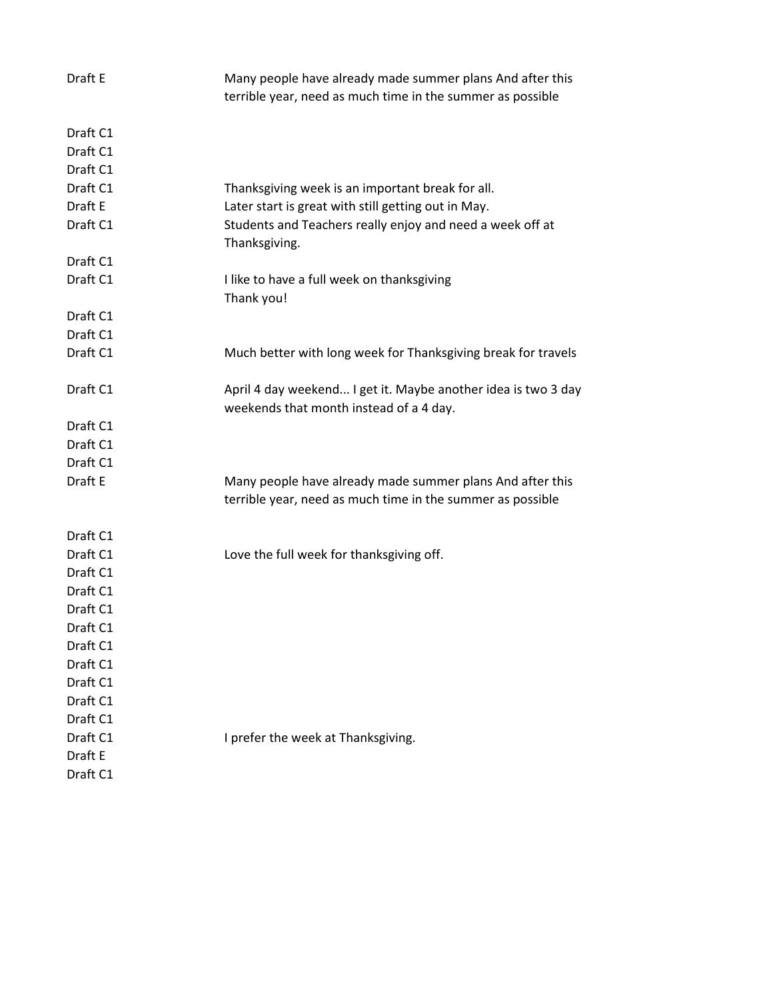| Draft E  | Many people have already made summer plans And after this<br>terrible year, need as much time in the summer as possible |
|----------|-------------------------------------------------------------------------------------------------------------------------|
| Draft C1 |                                                                                                                         |
| Draft C1 |                                                                                                                         |
| Draft C1 |                                                                                                                         |
| Draft C1 | Thanksgiving week is an important break for all.                                                                        |
| Draft E  | Later start is great with still getting out in May.                                                                     |
| Draft C1 | Students and Teachers really enjoy and need a week off at<br>Thanksgiving.                                              |
| Draft C1 |                                                                                                                         |
| Draft C1 | I like to have a full week on thanksgiving<br>Thank you!                                                                |
| Draft C1 |                                                                                                                         |
| Draft C1 |                                                                                                                         |
| Draft C1 | Much better with long week for Thanksgiving break for travels                                                           |
| Draft C1 | April 4 day weekend I get it. Maybe another idea is two 3 day<br>weekends that month instead of a 4 day.                |
| Draft C1 |                                                                                                                         |
| Draft C1 |                                                                                                                         |
| Draft C1 |                                                                                                                         |
| Draft E  | Many people have already made summer plans And after this                                                               |
|          | terrible year, need as much time in the summer as possible                                                              |
| Draft C1 |                                                                                                                         |
| Draft C1 | Love the full week for thanksgiving off.                                                                                |
| Draft C1 |                                                                                                                         |
| Draft C1 |                                                                                                                         |
| Draft C1 |                                                                                                                         |
| Draft C1 |                                                                                                                         |
| Draft C1 |                                                                                                                         |
| Draft C1 |                                                                                                                         |
| Draft C1 |                                                                                                                         |
| Draft C1 |                                                                                                                         |
| Draft C1 |                                                                                                                         |
| Draft C1 | I prefer the week at Thanksgiving.                                                                                      |
| Draft E  |                                                                                                                         |
| Draft C1 |                                                                                                                         |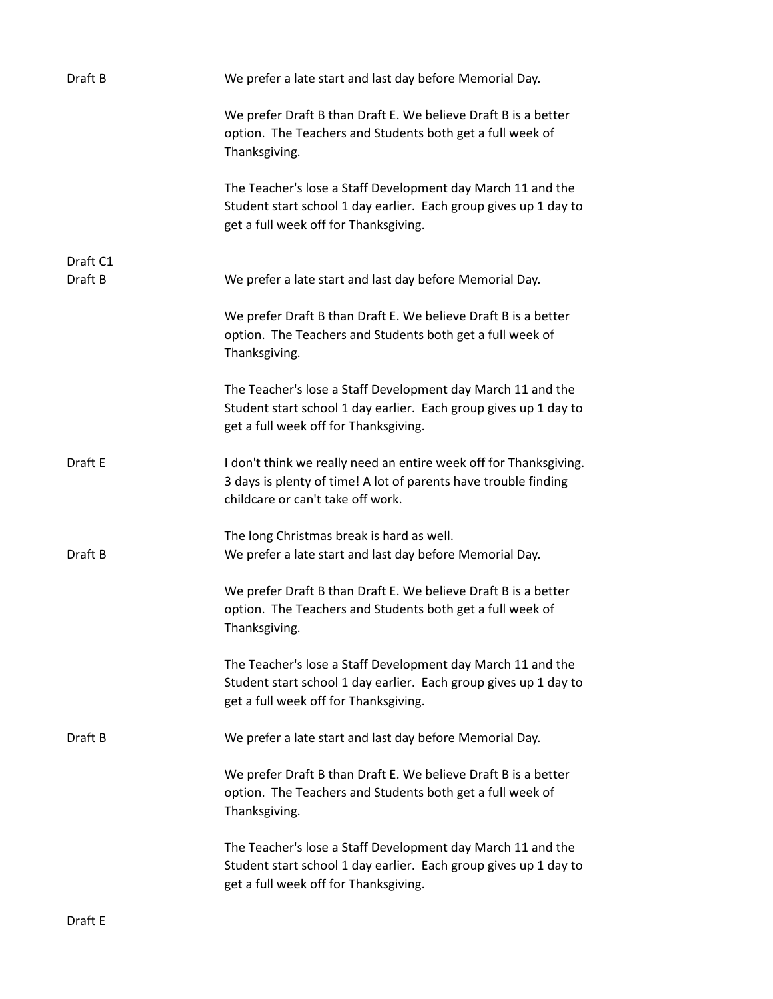| Draft B             | We prefer a late start and last day before Memorial Day.                                                                                                                  |
|---------------------|---------------------------------------------------------------------------------------------------------------------------------------------------------------------------|
|                     | We prefer Draft B than Draft E. We believe Draft B is a better<br>option. The Teachers and Students both get a full week of<br>Thanksgiving.                              |
|                     | The Teacher's lose a Staff Development day March 11 and the<br>Student start school 1 day earlier. Each group gives up 1 day to<br>get a full week off for Thanksgiving.  |
| Draft C1<br>Draft B | We prefer a late start and last day before Memorial Day.                                                                                                                  |
|                     | We prefer Draft B than Draft E. We believe Draft B is a better<br>option. The Teachers and Students both get a full week of<br>Thanksgiving.                              |
|                     | The Teacher's lose a Staff Development day March 11 and the<br>Student start school 1 day earlier. Each group gives up 1 day to<br>get a full week off for Thanksgiving.  |
| Draft E             | I don't think we really need an entire week off for Thanksgiving.<br>3 days is plenty of time! A lot of parents have trouble finding<br>childcare or can't take off work. |
| Draft B             | The long Christmas break is hard as well.<br>We prefer a late start and last day before Memorial Day.                                                                     |
|                     | We prefer Draft B than Draft E. We believe Draft B is a better<br>option. The Teachers and Students both get a full week of<br>Thanksgiving.                              |
|                     | The Teacher's lose a Staff Development day March 11 and the<br>Student start school 1 day earlier. Each group gives up 1 day to<br>get a full week off for Thanksgiving.  |
| Draft B             | We prefer a late start and last day before Memorial Day.                                                                                                                  |
|                     | We prefer Draft B than Draft E. We believe Draft B is a better<br>option. The Teachers and Students both get a full week of<br>Thanksgiving.                              |
|                     | The Teacher's lose a Staff Development day March 11 and the<br>Student start school 1 day earlier. Each group gives up 1 day to<br>get a full week off for Thanksgiving.  |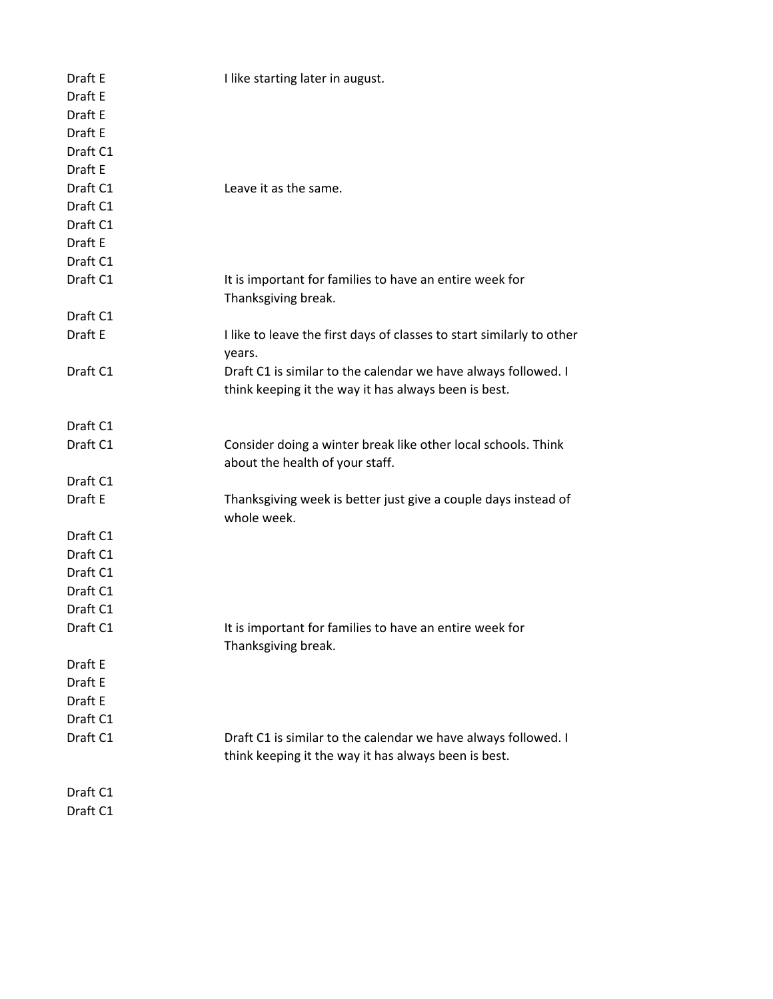| Draft E<br>Draft E<br>Draft E<br>Draft E<br>Draft C1<br>Draft E | I like starting later in august.                                                                                       |
|-----------------------------------------------------------------|------------------------------------------------------------------------------------------------------------------------|
| Draft C1                                                        | Leave it as the same.                                                                                                  |
| Draft C1                                                        |                                                                                                                        |
| Draft C1                                                        |                                                                                                                        |
| Draft E                                                         |                                                                                                                        |
| Draft C1                                                        |                                                                                                                        |
| Draft C1                                                        | It is important for families to have an entire week for                                                                |
| Draft C1                                                        | Thanksgiving break.                                                                                                    |
| Draft E                                                         | I like to leave the first days of classes to start similarly to other                                                  |
|                                                                 | years.                                                                                                                 |
| Draft C1                                                        | Draft C1 is similar to the calendar we have always followed. I                                                         |
|                                                                 | think keeping it the way it has always been is best.                                                                   |
| Draft C1                                                        |                                                                                                                        |
| Draft C1                                                        | Consider doing a winter break like other local schools. Think<br>about the health of your staff.                       |
| Draft C1                                                        |                                                                                                                        |
| Draft E                                                         | Thanksgiving week is better just give a couple days instead of<br>whole week.                                          |
| Draft C1                                                        |                                                                                                                        |
| Draft C1                                                        |                                                                                                                        |
| Draft C1                                                        |                                                                                                                        |
| Draft C1                                                        |                                                                                                                        |
| Draft C1                                                        |                                                                                                                        |
| Draft C1                                                        | It is important for families to have an entire week for<br>Thanksgiving break.                                         |
| Draft E                                                         |                                                                                                                        |
| Draft E                                                         |                                                                                                                        |
| Draft E                                                         |                                                                                                                        |
| Draft C1                                                        |                                                                                                                        |
| Draft C1                                                        | Draft C1 is similar to the calendar we have always followed. I<br>think keeping it the way it has always been is best. |
| Draft C1                                                        |                                                                                                                        |
| Draft C1                                                        |                                                                                                                        |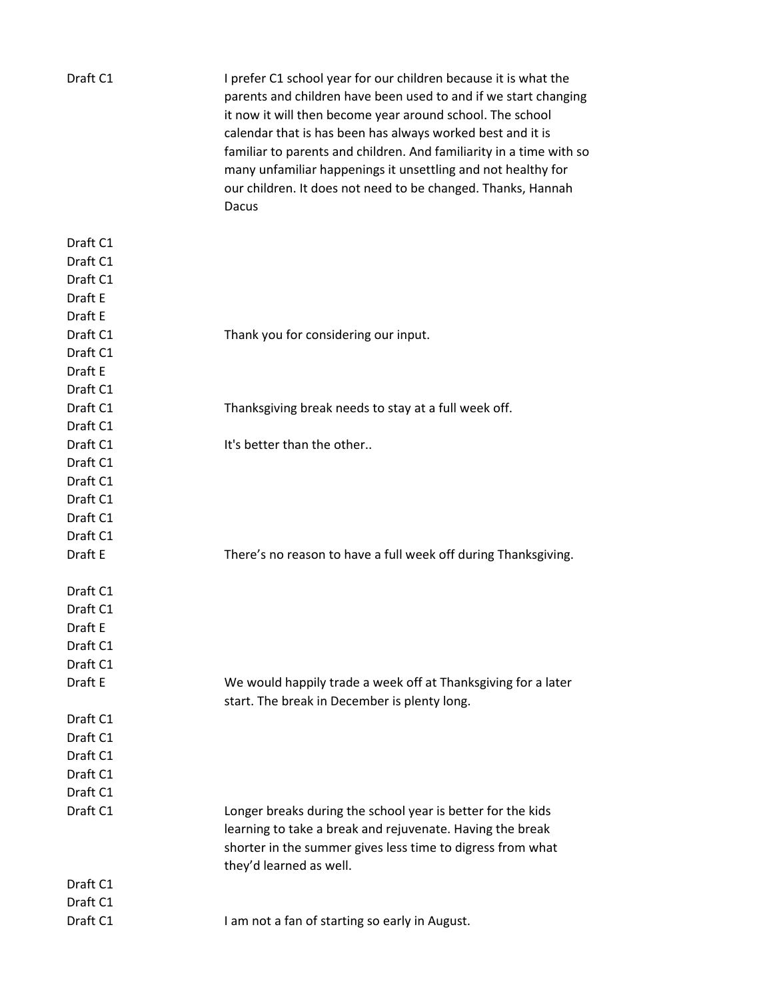| Draft C1 | I prefer C1 school year for our children because it is what the<br>parents and children have been used to and if we start changing<br>it now it will then become year around school. The school<br>calendar that is has been has always worked best and it is<br>familiar to parents and children. And familiarity in a time with so<br>many unfamiliar happenings it unsettling and not healthy for<br>our children. It does not need to be changed. Thanks, Hannah<br>Dacus |
|----------|-------------------------------------------------------------------------------------------------------------------------------------------------------------------------------------------------------------------------------------------------------------------------------------------------------------------------------------------------------------------------------------------------------------------------------------------------------------------------------|
| Draft C1 |                                                                                                                                                                                                                                                                                                                                                                                                                                                                               |
| Draft C1 |                                                                                                                                                                                                                                                                                                                                                                                                                                                                               |
| Draft C1 |                                                                                                                                                                                                                                                                                                                                                                                                                                                                               |
| Draft E  |                                                                                                                                                                                                                                                                                                                                                                                                                                                                               |
| Draft E  |                                                                                                                                                                                                                                                                                                                                                                                                                                                                               |
| Draft C1 | Thank you for considering our input.                                                                                                                                                                                                                                                                                                                                                                                                                                          |
| Draft C1 |                                                                                                                                                                                                                                                                                                                                                                                                                                                                               |
| Draft E  |                                                                                                                                                                                                                                                                                                                                                                                                                                                                               |
| Draft C1 |                                                                                                                                                                                                                                                                                                                                                                                                                                                                               |
| Draft C1 | Thanksgiving break needs to stay at a full week off.                                                                                                                                                                                                                                                                                                                                                                                                                          |
| Draft C1 |                                                                                                                                                                                                                                                                                                                                                                                                                                                                               |
| Draft C1 | It's better than the other                                                                                                                                                                                                                                                                                                                                                                                                                                                    |
| Draft C1 |                                                                                                                                                                                                                                                                                                                                                                                                                                                                               |
| Draft C1 |                                                                                                                                                                                                                                                                                                                                                                                                                                                                               |
| Draft C1 |                                                                                                                                                                                                                                                                                                                                                                                                                                                                               |
| Draft C1 |                                                                                                                                                                                                                                                                                                                                                                                                                                                                               |
| Draft C1 |                                                                                                                                                                                                                                                                                                                                                                                                                                                                               |
| Draft E  | There's no reason to have a full week off during Thanksgiving.                                                                                                                                                                                                                                                                                                                                                                                                                |
| Draft C1 |                                                                                                                                                                                                                                                                                                                                                                                                                                                                               |
| Draft C1 |                                                                                                                                                                                                                                                                                                                                                                                                                                                                               |
| Draft E  |                                                                                                                                                                                                                                                                                                                                                                                                                                                                               |
| Draft C1 |                                                                                                                                                                                                                                                                                                                                                                                                                                                                               |
| Draft C1 |                                                                                                                                                                                                                                                                                                                                                                                                                                                                               |
| Draft E  | We would happily trade a week off at Thanksgiving for a later<br>start. The break in December is plenty long.                                                                                                                                                                                                                                                                                                                                                                 |
| Draft C1 |                                                                                                                                                                                                                                                                                                                                                                                                                                                                               |
| Draft C1 |                                                                                                                                                                                                                                                                                                                                                                                                                                                                               |
| Draft C1 |                                                                                                                                                                                                                                                                                                                                                                                                                                                                               |
| Draft C1 |                                                                                                                                                                                                                                                                                                                                                                                                                                                                               |
| Draft C1 |                                                                                                                                                                                                                                                                                                                                                                                                                                                                               |
| Draft C1 | Longer breaks during the school year is better for the kids<br>learning to take a break and rejuvenate. Having the break<br>shorter in the summer gives less time to digress from what<br>they'd learned as well.                                                                                                                                                                                                                                                             |
| Draft C1 |                                                                                                                                                                                                                                                                                                                                                                                                                                                                               |
| Draft C1 |                                                                                                                                                                                                                                                                                                                                                                                                                                                                               |
| Draft C1 | I am not a fan of starting so early in August.                                                                                                                                                                                                                                                                                                                                                                                                                                |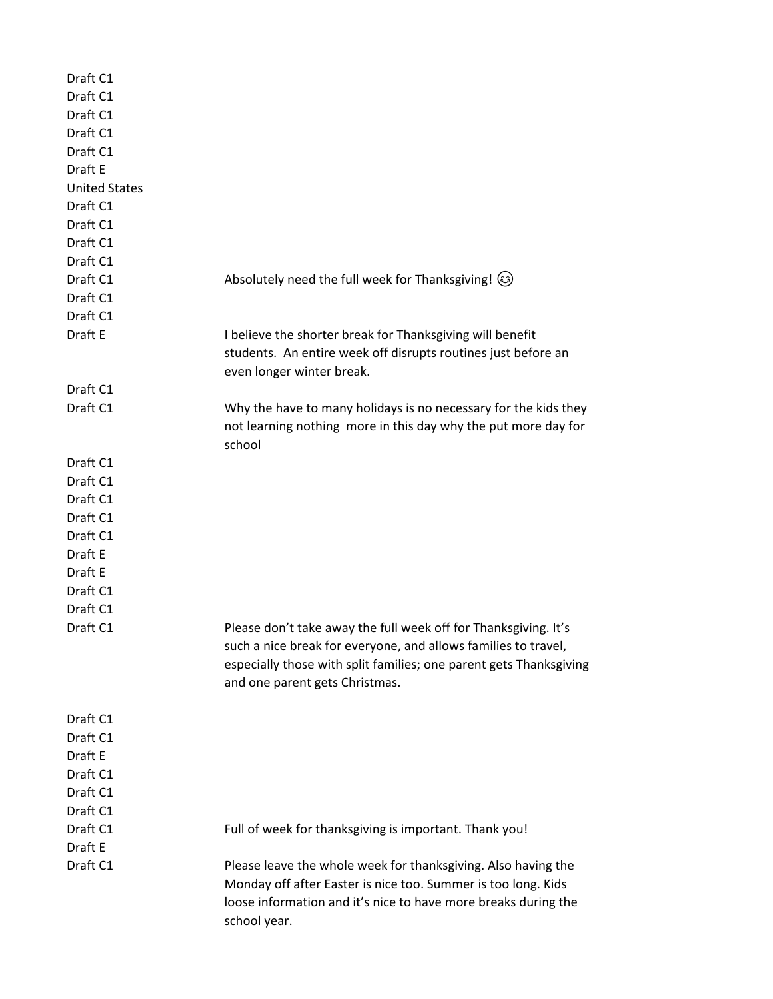| Draft C1             |                                                                    |
|----------------------|--------------------------------------------------------------------|
| Draft C1             |                                                                    |
| Draft C1             |                                                                    |
| Draft C1             |                                                                    |
| Draft C1             |                                                                    |
| Draft E              |                                                                    |
| <b>United States</b> |                                                                    |
| Draft C1             |                                                                    |
| Draft C1             |                                                                    |
| Draft C1             |                                                                    |
| Draft C1             |                                                                    |
| Draft C1             | Absolutely need the full week for Thanksgiving! (3)                |
| Draft C1             |                                                                    |
| Draft C1             |                                                                    |
| Draft E              | I believe the shorter break for Thanksgiving will benefit          |
|                      | students. An entire week off disrupts routines just before an      |
|                      | even longer winter break.                                          |
| Draft C1             |                                                                    |
| Draft C1             | Why the have to many holidays is no necessary for the kids they    |
|                      | not learning nothing more in this day why the put more day for     |
|                      | school                                                             |
| Draft C1             |                                                                    |
| Draft C1             |                                                                    |
| Draft C1             |                                                                    |
| Draft C1             |                                                                    |
| Draft C1             |                                                                    |
| Draft E              |                                                                    |
| Draft E              |                                                                    |
| Draft C1             |                                                                    |
| Draft C1             |                                                                    |
| Draft C1             | Please don't take away the full week off for Thanksgiving. It's    |
|                      | such a nice break for everyone, and allows families to travel,     |
|                      | especially those with split families; one parent gets Thanksgiving |
|                      | and one parent gets Christmas.                                     |
|                      |                                                                    |
| Draft C1             |                                                                    |
| Draft C1             |                                                                    |
| Draft E              |                                                                    |
| Draft C1             |                                                                    |
| Draft C1             |                                                                    |
| Draft C1             |                                                                    |
| Draft C1             | Full of week for thanksgiving is important. Thank you!             |
| Draft E              |                                                                    |
| Draft C1             | Please leave the whole week for thanksgiving. Also having the      |
|                      | Monday off after Easter is nice too. Summer is too long. Kids      |
|                      | loose information and it's nice to have more breaks during the     |
|                      | school year.                                                       |
|                      |                                                                    |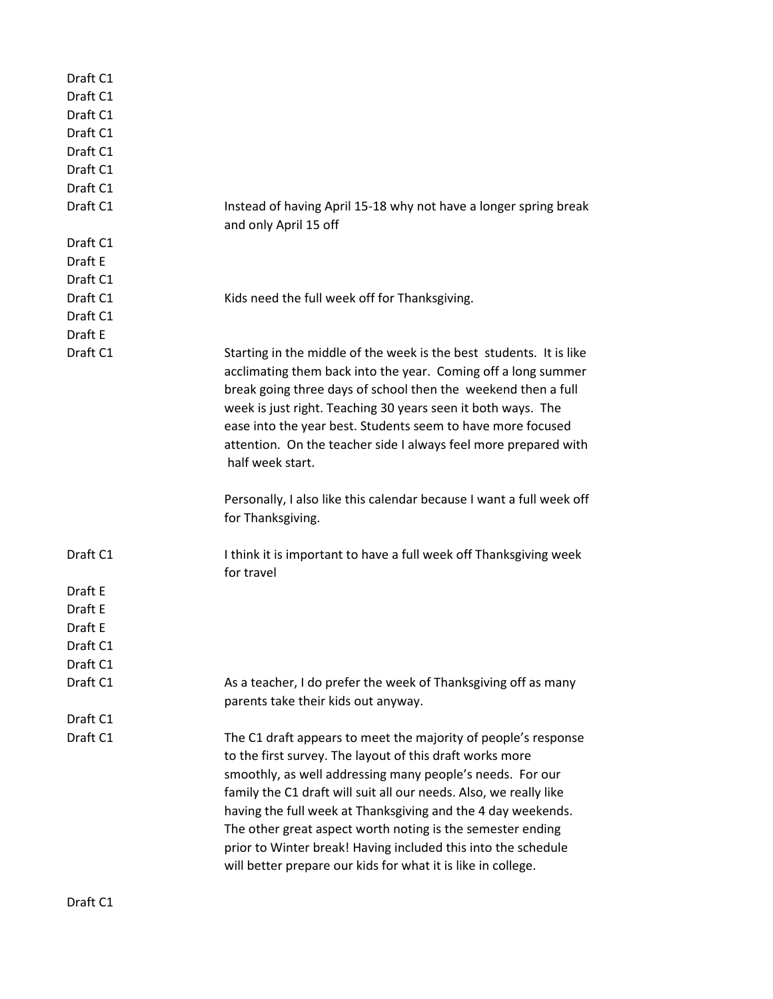| Draft C1<br>Draft C1<br>Draft C1<br>Draft C1<br>Draft C1<br>Draft C1<br>Draft C1<br>Draft C1<br>Draft C1 | Instead of having April 15-18 why not have a longer spring break<br>and only April 15 off                                                                                                                                                                                                                                                                                                                                                                                                                                   |
|----------------------------------------------------------------------------------------------------------|-----------------------------------------------------------------------------------------------------------------------------------------------------------------------------------------------------------------------------------------------------------------------------------------------------------------------------------------------------------------------------------------------------------------------------------------------------------------------------------------------------------------------------|
| Draft E<br>Draft C1                                                                                      |                                                                                                                                                                                                                                                                                                                                                                                                                                                                                                                             |
| Draft C1<br>Draft C1<br>Draft E                                                                          | Kids need the full week off for Thanksgiving.                                                                                                                                                                                                                                                                                                                                                                                                                                                                               |
| Draft C1                                                                                                 | Starting in the middle of the week is the best students. It is like<br>acclimating them back into the year. Coming off a long summer<br>break going three days of school then the weekend then a full<br>week is just right. Teaching 30 years seen it both ways. The<br>ease into the year best. Students seem to have more focused<br>attention. On the teacher side I always feel more prepared with<br>half week start.<br>Personally, I also like this calendar because I want a full week off<br>for Thanksgiving.    |
| Draft C1                                                                                                 | I think it is important to have a full week off Thanksgiving week                                                                                                                                                                                                                                                                                                                                                                                                                                                           |
| Draft E<br>Draft E<br>Draft E<br>Draft C1<br>Draft C1                                                    | for travel                                                                                                                                                                                                                                                                                                                                                                                                                                                                                                                  |
| Draft C1                                                                                                 | As a teacher, I do prefer the week of Thanksgiving off as many<br>parents take their kids out anyway.                                                                                                                                                                                                                                                                                                                                                                                                                       |
| Draft C1<br>Draft C1                                                                                     | The C1 draft appears to meet the majority of people's response<br>to the first survey. The layout of this draft works more<br>smoothly, as well addressing many people's needs. For our<br>family the C1 draft will suit all our needs. Also, we really like<br>having the full week at Thanksgiving and the 4 day weekends.<br>The other great aspect worth noting is the semester ending<br>prior to Winter break! Having included this into the schedule<br>will better prepare our kids for what it is like in college. |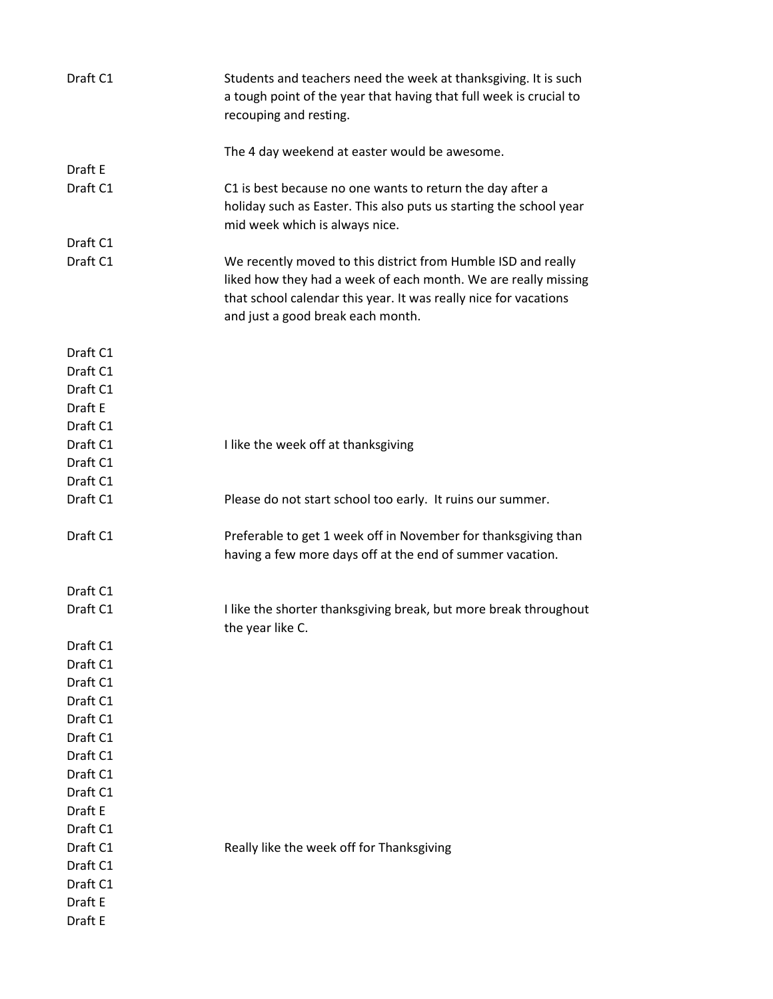| Draft C1 | Students and teachers need the week at thanksgiving. It is such<br>a tough point of the year that having that full week is crucial to<br>recouping and resting.                                                                          |
|----------|------------------------------------------------------------------------------------------------------------------------------------------------------------------------------------------------------------------------------------------|
|          | The 4 day weekend at easter would be awesome.                                                                                                                                                                                            |
| Draft E  |                                                                                                                                                                                                                                          |
| Draft C1 | C1 is best because no one wants to return the day after a<br>holiday such as Easter. This also puts us starting the school year<br>mid week which is always nice.                                                                        |
| Draft C1 |                                                                                                                                                                                                                                          |
| Draft C1 | We recently moved to this district from Humble ISD and really<br>liked how they had a week of each month. We are really missing<br>that school calendar this year. It was really nice for vacations<br>and just a good break each month. |
| Draft C1 |                                                                                                                                                                                                                                          |
| Draft C1 |                                                                                                                                                                                                                                          |
| Draft C1 |                                                                                                                                                                                                                                          |
| Draft E  |                                                                                                                                                                                                                                          |
| Draft C1 |                                                                                                                                                                                                                                          |
| Draft C1 | I like the week off at thanksgiving                                                                                                                                                                                                      |
| Draft C1 |                                                                                                                                                                                                                                          |
| Draft C1 |                                                                                                                                                                                                                                          |
| Draft C1 | Please do not start school too early. It ruins our summer.                                                                                                                                                                               |
|          |                                                                                                                                                                                                                                          |
| Draft C1 | Preferable to get 1 week off in November for thanksgiving than<br>having a few more days off at the end of summer vacation.                                                                                                              |
| Draft C1 |                                                                                                                                                                                                                                          |
| Draft C1 | I like the shorter thanksgiving break, but more break throughout<br>the year like C.                                                                                                                                                     |
| Draft C1 |                                                                                                                                                                                                                                          |
| Draft C1 |                                                                                                                                                                                                                                          |
| Draft C1 |                                                                                                                                                                                                                                          |
| Draft C1 |                                                                                                                                                                                                                                          |
| Draft C1 |                                                                                                                                                                                                                                          |
| Draft C1 |                                                                                                                                                                                                                                          |
| Draft C1 |                                                                                                                                                                                                                                          |
| Draft C1 |                                                                                                                                                                                                                                          |
| Draft C1 |                                                                                                                                                                                                                                          |
| Draft E  |                                                                                                                                                                                                                                          |
| Draft C1 |                                                                                                                                                                                                                                          |
| Draft C1 | Really like the week off for Thanksgiving                                                                                                                                                                                                |
| Draft C1 |                                                                                                                                                                                                                                          |
| Draft C1 |                                                                                                                                                                                                                                          |
| Draft E  |                                                                                                                                                                                                                                          |
| Draft E  |                                                                                                                                                                                                                                          |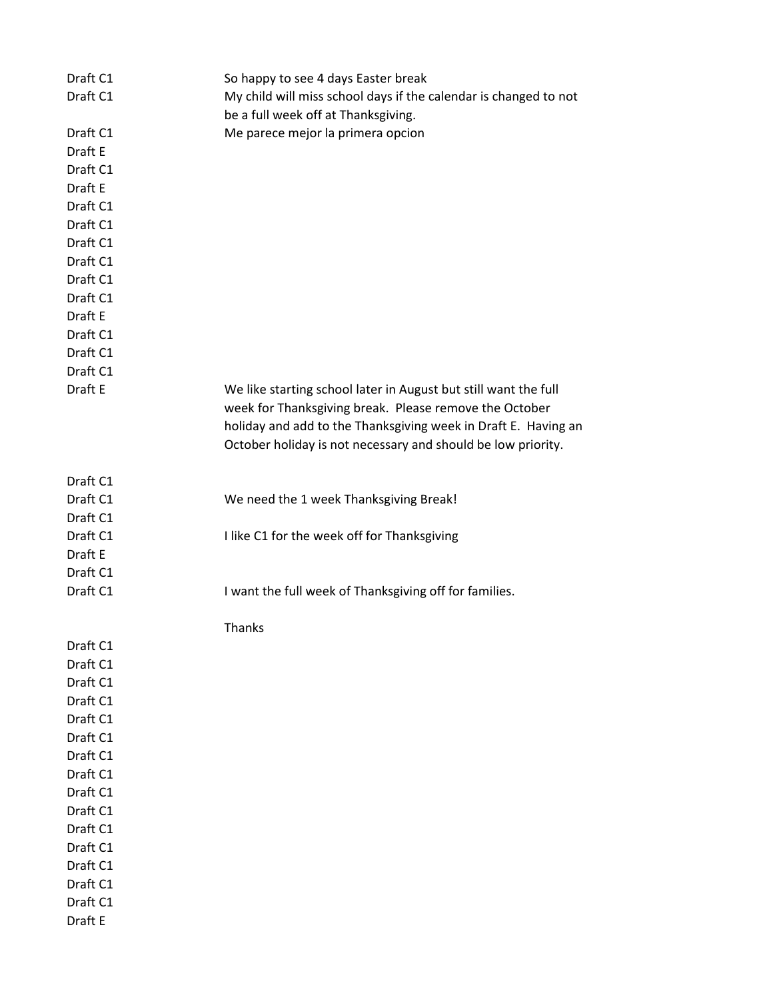| Draft C1 | So happy to see 4 days Easter break                              |
|----------|------------------------------------------------------------------|
| Draft C1 | My child will miss school days if the calendar is changed to not |
|          | be a full week off at Thanksgiving.                              |
| Draft C1 | Me parece mejor la primera opcion                                |
| Draft E  |                                                                  |
| Draft C1 |                                                                  |
| Draft E  |                                                                  |
| Draft C1 |                                                                  |
| Draft C1 |                                                                  |
| Draft C1 |                                                                  |
| Draft C1 |                                                                  |
| Draft C1 |                                                                  |
| Draft C1 |                                                                  |
| Draft E  |                                                                  |
| Draft C1 |                                                                  |
| Draft C1 |                                                                  |
| Draft C1 |                                                                  |
| Draft E  | We like starting school later in August but still want the full  |
|          | week for Thanksgiving break. Please remove the October           |
|          | holiday and add to the Thanksgiving week in Draft E. Having an   |
|          | October holiday is not necessary and should be low priority.     |
|          |                                                                  |
| Draft C1 |                                                                  |
| Draft C1 | We need the 1 week Thanksgiving Break!                           |
| Draft C1 |                                                                  |
| Draft C1 | I like C1 for the week off for Thanksgiving                      |
| Draft E  |                                                                  |
| Draft C1 |                                                                  |
| Draft C1 | I want the full week of Thanksgiving off for families.           |
|          |                                                                  |
|          | Thanks                                                           |
| Draft C1 |                                                                  |
| Draft C1 |                                                                  |
| Draft C1 |                                                                  |
| Draft C1 |                                                                  |
| Draft C1 |                                                                  |
| Draft C1 |                                                                  |
| Draft C1 |                                                                  |
| Draft C1 |                                                                  |
| Draft C1 |                                                                  |
| Draft C1 |                                                                  |
| Draft C1 |                                                                  |
| Draft C1 |                                                                  |
| Draft C1 |                                                                  |
| Draft C1 |                                                                  |
| Draft C1 |                                                                  |
| Draft E  |                                                                  |
|          |                                                                  |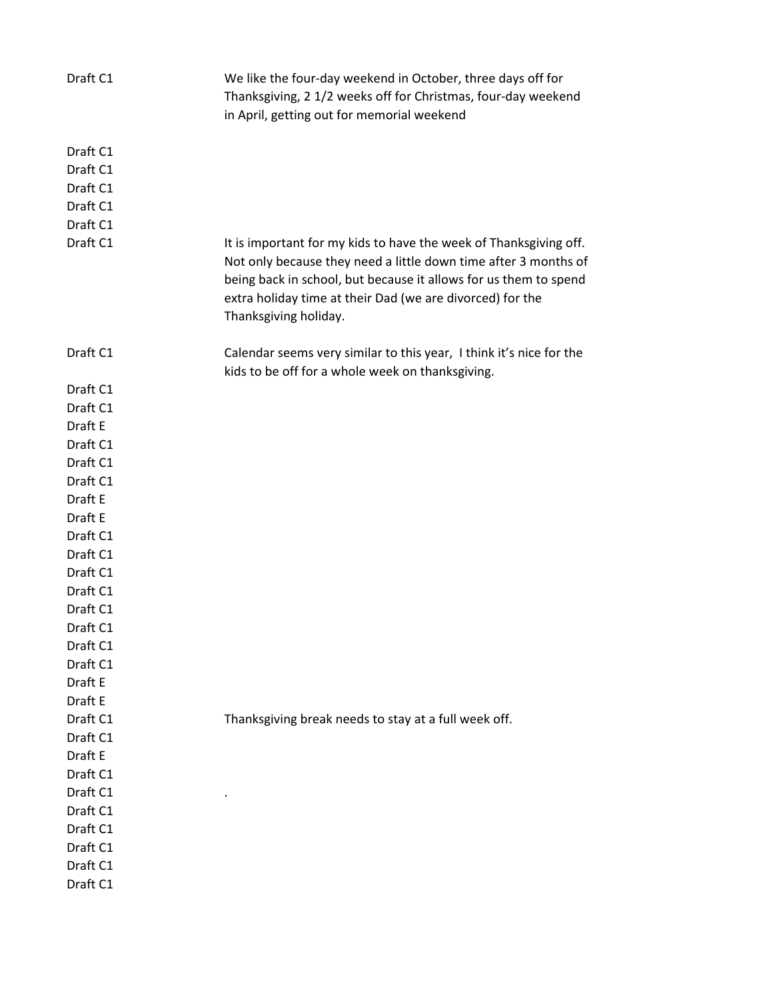| Draft C1           | We like the four-day weekend in October, three days off for<br>Thanksgiving, 2 1/2 weeks off for Christmas, four-day weekend<br>in April, getting out for memorial weekend                                                                                                                     |
|--------------------|------------------------------------------------------------------------------------------------------------------------------------------------------------------------------------------------------------------------------------------------------------------------------------------------|
| Draft C1           |                                                                                                                                                                                                                                                                                                |
| Draft C1           |                                                                                                                                                                                                                                                                                                |
| Draft C1           |                                                                                                                                                                                                                                                                                                |
| Draft C1           |                                                                                                                                                                                                                                                                                                |
| Draft C1           |                                                                                                                                                                                                                                                                                                |
| Draft C1           | It is important for my kids to have the week of Thanksgiving off.<br>Not only because they need a little down time after 3 months of<br>being back in school, but because it allows for us them to spend<br>extra holiday time at their Dad (we are divorced) for the<br>Thanksgiving holiday. |
| Draft C1           | Calendar seems very similar to this year, I think it's nice for the<br>kids to be off for a whole week on thanksgiving.                                                                                                                                                                        |
| Draft C1           |                                                                                                                                                                                                                                                                                                |
| Draft C1           |                                                                                                                                                                                                                                                                                                |
| Draft E            |                                                                                                                                                                                                                                                                                                |
| Draft C1           |                                                                                                                                                                                                                                                                                                |
| Draft C1           |                                                                                                                                                                                                                                                                                                |
| Draft C1           |                                                                                                                                                                                                                                                                                                |
| Draft E            |                                                                                                                                                                                                                                                                                                |
| Draft E            |                                                                                                                                                                                                                                                                                                |
| Draft C1           |                                                                                                                                                                                                                                                                                                |
| Draft C1           |                                                                                                                                                                                                                                                                                                |
| Draft C1           |                                                                                                                                                                                                                                                                                                |
| Draft C1           |                                                                                                                                                                                                                                                                                                |
| Draft C1           |                                                                                                                                                                                                                                                                                                |
| Draft C1           |                                                                                                                                                                                                                                                                                                |
| Draft C1           |                                                                                                                                                                                                                                                                                                |
| Draft C1           |                                                                                                                                                                                                                                                                                                |
| Draft E<br>Draft E |                                                                                                                                                                                                                                                                                                |
| Draft C1           |                                                                                                                                                                                                                                                                                                |
| Draft C1           | Thanksgiving break needs to stay at a full week off.                                                                                                                                                                                                                                           |
| Draft E            |                                                                                                                                                                                                                                                                                                |
| Draft C1           |                                                                                                                                                                                                                                                                                                |
| Draft C1           |                                                                                                                                                                                                                                                                                                |
| Draft C1           |                                                                                                                                                                                                                                                                                                |
| Draft C1           |                                                                                                                                                                                                                                                                                                |
| Draft C1           |                                                                                                                                                                                                                                                                                                |
| Draft C1           |                                                                                                                                                                                                                                                                                                |
| Draft C1           |                                                                                                                                                                                                                                                                                                |
|                    |                                                                                                                                                                                                                                                                                                |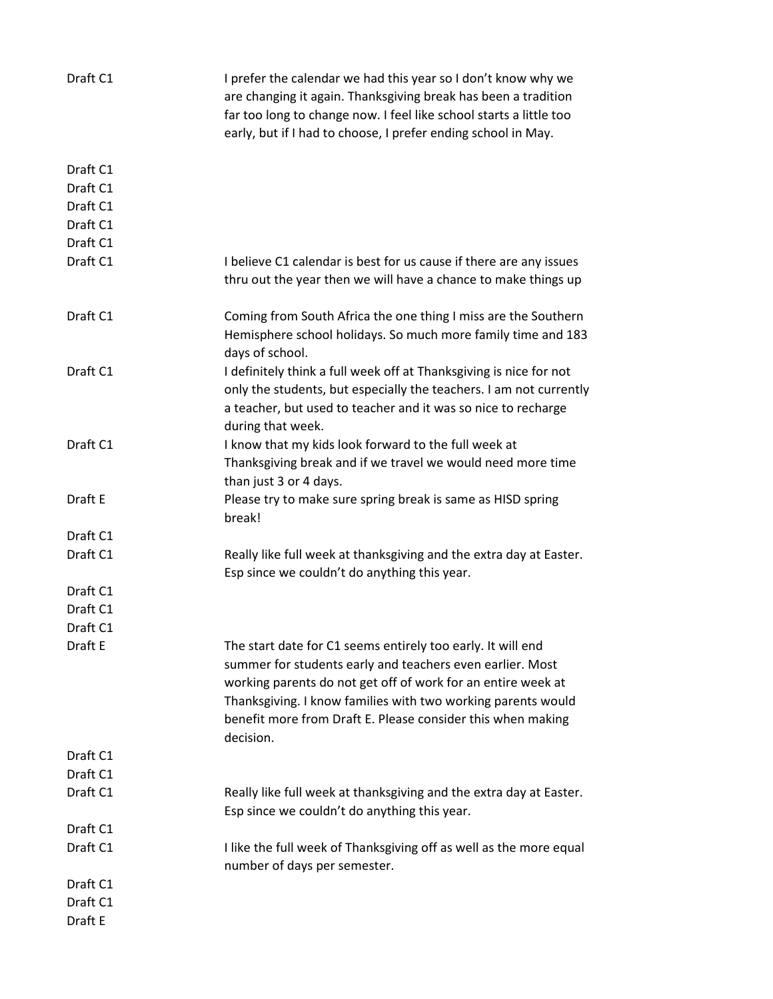| Draft C1 | I prefer the calendar we had this year so I don't know why we<br>are changing it again. Thanksgiving break has been a tradition<br>far too long to change now. I feel like school starts a little too<br>early, but if I had to choose, I prefer ending school in May.                                                               |
|----------|--------------------------------------------------------------------------------------------------------------------------------------------------------------------------------------------------------------------------------------------------------------------------------------------------------------------------------------|
| Draft C1 |                                                                                                                                                                                                                                                                                                                                      |
| Draft C1 |                                                                                                                                                                                                                                                                                                                                      |
| Draft C1 |                                                                                                                                                                                                                                                                                                                                      |
| Draft C1 |                                                                                                                                                                                                                                                                                                                                      |
| Draft C1 |                                                                                                                                                                                                                                                                                                                                      |
| Draft C1 | I believe C1 calendar is best for us cause if there are any issues<br>thru out the year then we will have a chance to make things up                                                                                                                                                                                                 |
| Draft C1 | Coming from South Africa the one thing I miss are the Southern<br>Hemisphere school holidays. So much more family time and 183<br>days of school.                                                                                                                                                                                    |
| Draft C1 | I definitely think a full week off at Thanksgiving is nice for not<br>only the students, but especially the teachers. I am not currently<br>a teacher, but used to teacher and it was so nice to recharge<br>during that week.                                                                                                       |
| Draft C1 | I know that my kids look forward to the full week at<br>Thanksgiving break and if we travel we would need more time<br>than just 3 or 4 days.                                                                                                                                                                                        |
| Draft E  | Please try to make sure spring break is same as HISD spring<br>break!                                                                                                                                                                                                                                                                |
| Draft C1 |                                                                                                                                                                                                                                                                                                                                      |
| Draft C1 | Really like full week at thanksgiving and the extra day at Easter.<br>Esp since we couldn't do anything this year.                                                                                                                                                                                                                   |
| Draft C1 |                                                                                                                                                                                                                                                                                                                                      |
| Draft C1 |                                                                                                                                                                                                                                                                                                                                      |
| Draft C1 |                                                                                                                                                                                                                                                                                                                                      |
| Draft E  | The start date for C1 seems entirely too early. It will end<br>summer for students early and teachers even earlier. Most<br>working parents do not get off of work for an entire week at<br>Thanksgiving. I know families with two working parents would<br>benefit more from Draft E. Please consider this when making<br>decision. |
| Draft C1 |                                                                                                                                                                                                                                                                                                                                      |
| Draft C1 |                                                                                                                                                                                                                                                                                                                                      |
| Draft C1 | Really like full week at thanksgiving and the extra day at Easter.<br>Esp since we couldn't do anything this year.                                                                                                                                                                                                                   |
| Draft C1 |                                                                                                                                                                                                                                                                                                                                      |
| Draft C1 | I like the full week of Thanksgiving off as well as the more equal<br>number of days per semester.                                                                                                                                                                                                                                   |
| Draft C1 |                                                                                                                                                                                                                                                                                                                                      |
| Draft C1 |                                                                                                                                                                                                                                                                                                                                      |
| Draft E  |                                                                                                                                                                                                                                                                                                                                      |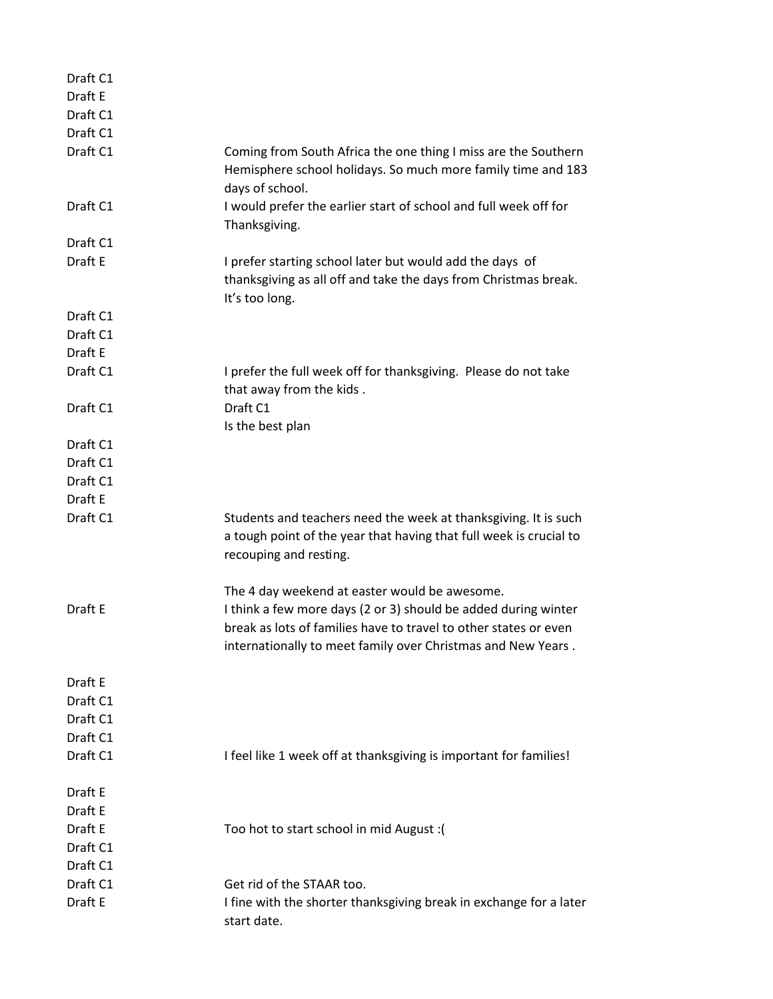| Draft C1 |                                                                                                                                                                                                                                                     |
|----------|-----------------------------------------------------------------------------------------------------------------------------------------------------------------------------------------------------------------------------------------------------|
| Draft E  |                                                                                                                                                                                                                                                     |
| Draft C1 |                                                                                                                                                                                                                                                     |
| Draft C1 |                                                                                                                                                                                                                                                     |
| Draft C1 | Coming from South Africa the one thing I miss are the Southern<br>Hemisphere school holidays. So much more family time and 183<br>days of school.                                                                                                   |
| Draft C1 | I would prefer the earlier start of school and full week off for<br>Thanksgiving.                                                                                                                                                                   |
| Draft C1 |                                                                                                                                                                                                                                                     |
| Draft E  | I prefer starting school later but would add the days of<br>thanksgiving as all off and take the days from Christmas break.<br>It's too long.                                                                                                       |
| Draft C1 |                                                                                                                                                                                                                                                     |
| Draft C1 |                                                                                                                                                                                                                                                     |
| Draft E  |                                                                                                                                                                                                                                                     |
| Draft C1 | I prefer the full week off for thanksgiving. Please do not take<br>that away from the kids.                                                                                                                                                         |
| Draft C1 | Draft C1<br>Is the best plan                                                                                                                                                                                                                        |
| Draft C1 |                                                                                                                                                                                                                                                     |
| Draft C1 |                                                                                                                                                                                                                                                     |
| Draft C1 |                                                                                                                                                                                                                                                     |
| Draft E  |                                                                                                                                                                                                                                                     |
| Draft C1 | Students and teachers need the week at thanksgiving. It is such<br>a tough point of the year that having that full week is crucial to<br>recouping and resting.                                                                                     |
| Draft E  | The 4 day weekend at easter would be awesome.<br>I think a few more days (2 or 3) should be added during winter<br>break as lots of families have to travel to other states or even<br>internationally to meet family over Christmas and New Years. |
| Draft E  |                                                                                                                                                                                                                                                     |
| Draft C1 |                                                                                                                                                                                                                                                     |
| Draft C1 |                                                                                                                                                                                                                                                     |
| Draft C1 |                                                                                                                                                                                                                                                     |
| Draft C1 | I feel like 1 week off at thanksgiving is important for families!                                                                                                                                                                                   |
|          |                                                                                                                                                                                                                                                     |
| Draft E  |                                                                                                                                                                                                                                                     |
| Draft E  |                                                                                                                                                                                                                                                     |
| Draft E  | Too hot to start school in mid August : (                                                                                                                                                                                                           |
| Draft C1 |                                                                                                                                                                                                                                                     |
| Draft C1 |                                                                                                                                                                                                                                                     |
| Draft C1 | Get rid of the STAAR too.                                                                                                                                                                                                                           |
| Draft E  | I fine with the shorter thanksgiving break in exchange for a later<br>start date.                                                                                                                                                                   |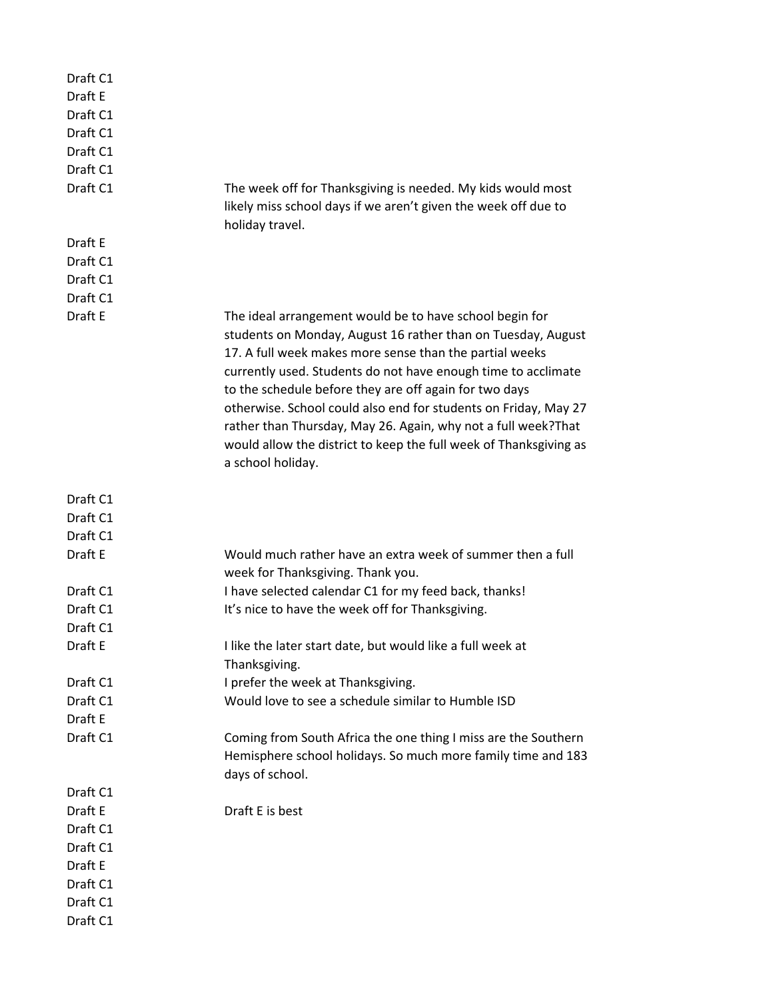| Draft C1 |                                                                                                                                                                                                                                                                                                                                                                                                                                                                                                                                              |
|----------|----------------------------------------------------------------------------------------------------------------------------------------------------------------------------------------------------------------------------------------------------------------------------------------------------------------------------------------------------------------------------------------------------------------------------------------------------------------------------------------------------------------------------------------------|
| Draft E  |                                                                                                                                                                                                                                                                                                                                                                                                                                                                                                                                              |
| Draft C1 |                                                                                                                                                                                                                                                                                                                                                                                                                                                                                                                                              |
| Draft C1 |                                                                                                                                                                                                                                                                                                                                                                                                                                                                                                                                              |
| Draft C1 |                                                                                                                                                                                                                                                                                                                                                                                                                                                                                                                                              |
| Draft C1 |                                                                                                                                                                                                                                                                                                                                                                                                                                                                                                                                              |
| Draft C1 | The week off for Thanksgiving is needed. My kids would most<br>likely miss school days if we aren't given the week off due to<br>holiday travel.                                                                                                                                                                                                                                                                                                                                                                                             |
| Draft E  |                                                                                                                                                                                                                                                                                                                                                                                                                                                                                                                                              |
| Draft C1 |                                                                                                                                                                                                                                                                                                                                                                                                                                                                                                                                              |
| Draft C1 |                                                                                                                                                                                                                                                                                                                                                                                                                                                                                                                                              |
| Draft C1 |                                                                                                                                                                                                                                                                                                                                                                                                                                                                                                                                              |
| Draft E  | The ideal arrangement would be to have school begin for<br>students on Monday, August 16 rather than on Tuesday, August<br>17. A full week makes more sense than the partial weeks<br>currently used. Students do not have enough time to acclimate<br>to the schedule before they are off again for two days<br>otherwise. School could also end for students on Friday, May 27<br>rather than Thursday, May 26. Again, why not a full week? That<br>would allow the district to keep the full week of Thanksgiving as<br>a school holiday. |
| Draft C1 |                                                                                                                                                                                                                                                                                                                                                                                                                                                                                                                                              |
| Draft C1 |                                                                                                                                                                                                                                                                                                                                                                                                                                                                                                                                              |
| Draft C1 |                                                                                                                                                                                                                                                                                                                                                                                                                                                                                                                                              |
| Draft E  | Would much rather have an extra week of summer then a full                                                                                                                                                                                                                                                                                                                                                                                                                                                                                   |
|          | week for Thanksgiving. Thank you.                                                                                                                                                                                                                                                                                                                                                                                                                                                                                                            |
| Draft C1 | I have selected calendar C1 for my feed back, thanks!                                                                                                                                                                                                                                                                                                                                                                                                                                                                                        |
| Draft C1 | It's nice to have the week off for Thanksgiving.                                                                                                                                                                                                                                                                                                                                                                                                                                                                                             |
| Draft C1 |                                                                                                                                                                                                                                                                                                                                                                                                                                                                                                                                              |
| Draft E  | I like the later start date, but would like a full week at<br>Thanksgiving.                                                                                                                                                                                                                                                                                                                                                                                                                                                                  |
| Draft C1 | I prefer the week at Thanksgiving.                                                                                                                                                                                                                                                                                                                                                                                                                                                                                                           |
| Draft C1 | Would love to see a schedule similar to Humble ISD                                                                                                                                                                                                                                                                                                                                                                                                                                                                                           |
| Draft E  |                                                                                                                                                                                                                                                                                                                                                                                                                                                                                                                                              |
| Draft C1 |                                                                                                                                                                                                                                                                                                                                                                                                                                                                                                                                              |
|          | Coming from South Africa the one thing I miss are the Southern<br>Hemisphere school holidays. So much more family time and 183<br>days of school.                                                                                                                                                                                                                                                                                                                                                                                            |
| Draft C1 |                                                                                                                                                                                                                                                                                                                                                                                                                                                                                                                                              |
| Draft E  | Draft E is best                                                                                                                                                                                                                                                                                                                                                                                                                                                                                                                              |
| Draft C1 |                                                                                                                                                                                                                                                                                                                                                                                                                                                                                                                                              |
| Draft C1 |                                                                                                                                                                                                                                                                                                                                                                                                                                                                                                                                              |
| Draft E  |                                                                                                                                                                                                                                                                                                                                                                                                                                                                                                                                              |
| Draft C1 |                                                                                                                                                                                                                                                                                                                                                                                                                                                                                                                                              |
| Draft C1 |                                                                                                                                                                                                                                                                                                                                                                                                                                                                                                                                              |
| Draft C1 |                                                                                                                                                                                                                                                                                                                                                                                                                                                                                                                                              |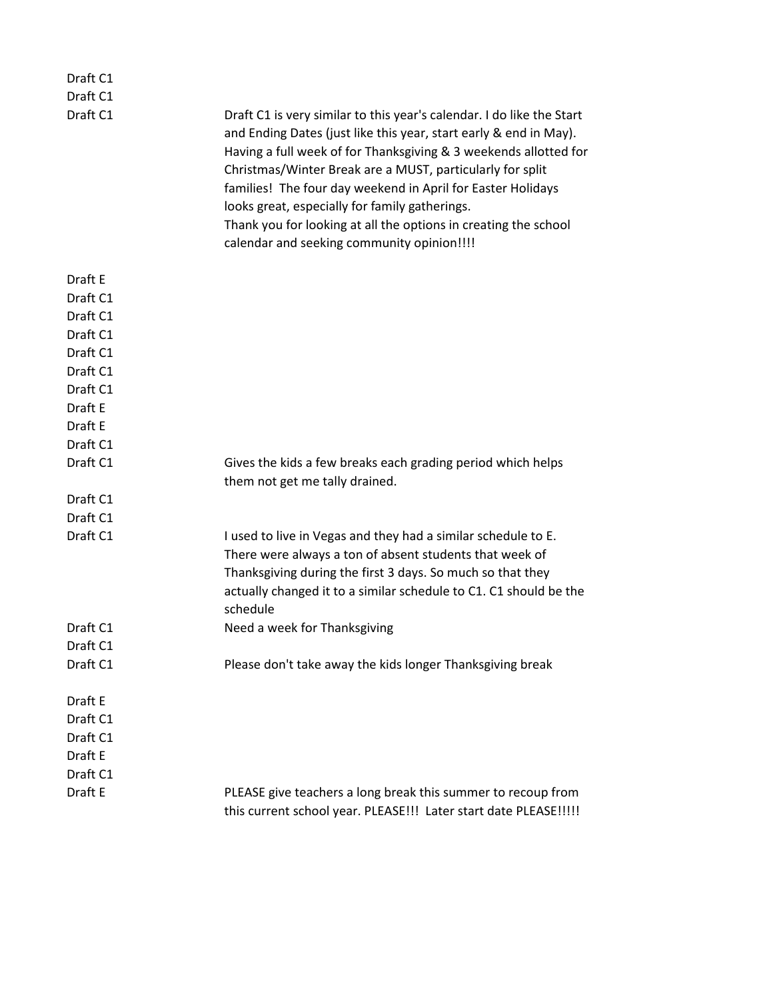| Draft C1                                    |                                                                                                                                                                                                                                                                                                                                                                                                                                                                                                               |
|---------------------------------------------|---------------------------------------------------------------------------------------------------------------------------------------------------------------------------------------------------------------------------------------------------------------------------------------------------------------------------------------------------------------------------------------------------------------------------------------------------------------------------------------------------------------|
| Draft C1                                    |                                                                                                                                                                                                                                                                                                                                                                                                                                                                                                               |
| Draft C1                                    | Draft C1 is very similar to this year's calendar. I do like the Start<br>and Ending Dates (just like this year, start early & end in May).<br>Having a full week of for Thanksgiving & 3 weekends allotted for<br>Christmas/Winter Break are a MUST, particularly for split<br>families! The four day weekend in April for Easter Holidays<br>looks great, especially for family gatherings.<br>Thank you for looking at all the options in creating the school<br>calendar and seeking community opinion!!!! |
| Draft E                                     |                                                                                                                                                                                                                                                                                                                                                                                                                                                                                                               |
| Draft C1                                    |                                                                                                                                                                                                                                                                                                                                                                                                                                                                                                               |
| Draft C1                                    |                                                                                                                                                                                                                                                                                                                                                                                                                                                                                                               |
| Draft C1                                    |                                                                                                                                                                                                                                                                                                                                                                                                                                                                                                               |
| Draft C1                                    |                                                                                                                                                                                                                                                                                                                                                                                                                                                                                                               |
| Draft C1                                    |                                                                                                                                                                                                                                                                                                                                                                                                                                                                                                               |
| Draft C1                                    |                                                                                                                                                                                                                                                                                                                                                                                                                                                                                                               |
| Draft E                                     |                                                                                                                                                                                                                                                                                                                                                                                                                                                                                                               |
| Draft E                                     |                                                                                                                                                                                                                                                                                                                                                                                                                                                                                                               |
| Draft C1                                    |                                                                                                                                                                                                                                                                                                                                                                                                                                                                                                               |
| Draft C1                                    | Gives the kids a few breaks each grading period which helps<br>them not get me tally drained.                                                                                                                                                                                                                                                                                                                                                                                                                 |
| Draft C1                                    |                                                                                                                                                                                                                                                                                                                                                                                                                                                                                                               |
| Draft C1                                    |                                                                                                                                                                                                                                                                                                                                                                                                                                                                                                               |
| Draft C1                                    | I used to live in Vegas and they had a similar schedule to E.<br>There were always a ton of absent students that week of<br>Thanksgiving during the first 3 days. So much so that they<br>actually changed it to a similar schedule to C1. C1 should be the<br>schedule                                                                                                                                                                                                                                       |
| Draft C1                                    | Need a week for Thanksgiving                                                                                                                                                                                                                                                                                                                                                                                                                                                                                  |
| Draft C1                                    |                                                                                                                                                                                                                                                                                                                                                                                                                                                                                                               |
| Draft C1                                    | Please don't take away the kids longer Thanksgiving break                                                                                                                                                                                                                                                                                                                                                                                                                                                     |
| Draft E                                     |                                                                                                                                                                                                                                                                                                                                                                                                                                                                                                               |
| Draft C1<br>Draft C1<br>Draft E<br>Draft C1 |                                                                                                                                                                                                                                                                                                                                                                                                                                                                                                               |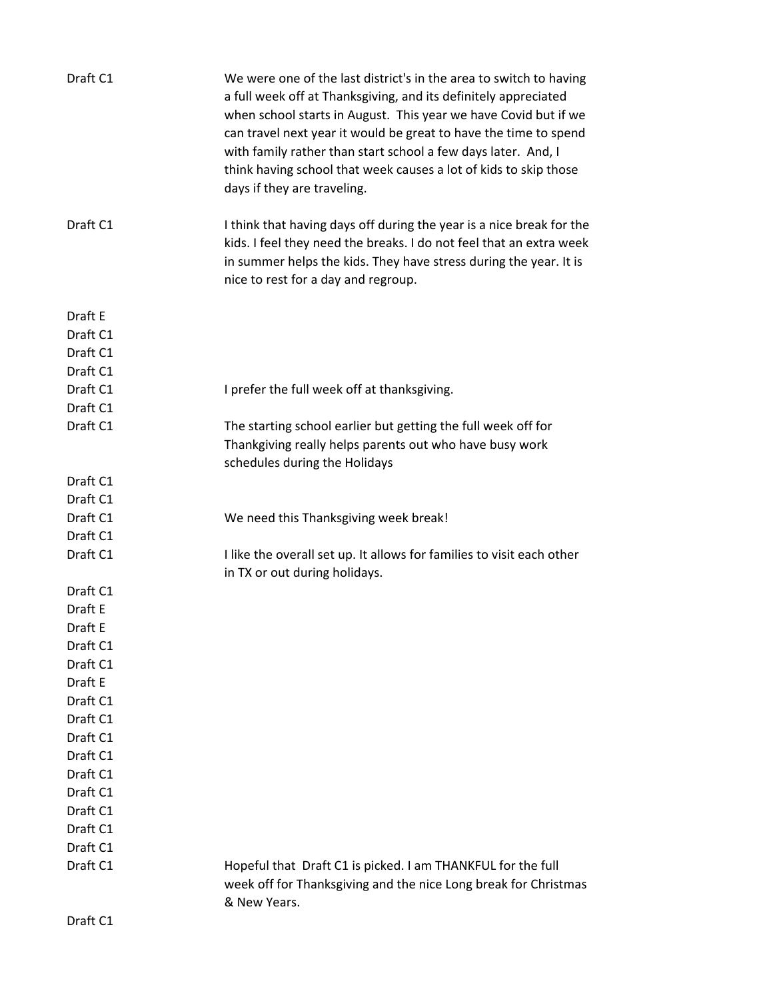| Draft C1 | We were one of the last district's in the area to switch to having<br>a full week off at Thanksgiving, and its definitely appreciated<br>when school starts in August. This year we have Covid but if we<br>can travel next year it would be great to have the time to spend<br>with family rather than start school a few days later. And, I<br>think having school that week causes a lot of kids to skip those<br>days if they are traveling. |
|----------|--------------------------------------------------------------------------------------------------------------------------------------------------------------------------------------------------------------------------------------------------------------------------------------------------------------------------------------------------------------------------------------------------------------------------------------------------|
| Draft C1 | I think that having days off during the year is a nice break for the<br>kids. I feel they need the breaks. I do not feel that an extra week<br>in summer helps the kids. They have stress during the year. It is<br>nice to rest for a day and regroup.                                                                                                                                                                                          |
| Draft E  |                                                                                                                                                                                                                                                                                                                                                                                                                                                  |
| Draft C1 |                                                                                                                                                                                                                                                                                                                                                                                                                                                  |
| Draft C1 |                                                                                                                                                                                                                                                                                                                                                                                                                                                  |
| Draft C1 |                                                                                                                                                                                                                                                                                                                                                                                                                                                  |
| Draft C1 | I prefer the full week off at thanksgiving.                                                                                                                                                                                                                                                                                                                                                                                                      |
| Draft C1 |                                                                                                                                                                                                                                                                                                                                                                                                                                                  |
| Draft C1 | The starting school earlier but getting the full week off for                                                                                                                                                                                                                                                                                                                                                                                    |
|          | Thankgiving really helps parents out who have busy work<br>schedules during the Holidays                                                                                                                                                                                                                                                                                                                                                         |
| Draft C1 |                                                                                                                                                                                                                                                                                                                                                                                                                                                  |
| Draft C1 |                                                                                                                                                                                                                                                                                                                                                                                                                                                  |
| Draft C1 | We need this Thanksgiving week break!                                                                                                                                                                                                                                                                                                                                                                                                            |
| Draft C1 |                                                                                                                                                                                                                                                                                                                                                                                                                                                  |
| Draft C1 | I like the overall set up. It allows for families to visit each other                                                                                                                                                                                                                                                                                                                                                                            |
|          | in TX or out during holidays.                                                                                                                                                                                                                                                                                                                                                                                                                    |
| Draft C1 |                                                                                                                                                                                                                                                                                                                                                                                                                                                  |
| Draft E  |                                                                                                                                                                                                                                                                                                                                                                                                                                                  |
| Draft E  |                                                                                                                                                                                                                                                                                                                                                                                                                                                  |
| Draft C1 |                                                                                                                                                                                                                                                                                                                                                                                                                                                  |
| Draft C1 |                                                                                                                                                                                                                                                                                                                                                                                                                                                  |
| Draft E  |                                                                                                                                                                                                                                                                                                                                                                                                                                                  |
| Draft C1 |                                                                                                                                                                                                                                                                                                                                                                                                                                                  |
| Draft C1 |                                                                                                                                                                                                                                                                                                                                                                                                                                                  |
| Draft C1 |                                                                                                                                                                                                                                                                                                                                                                                                                                                  |
| Draft C1 |                                                                                                                                                                                                                                                                                                                                                                                                                                                  |
| Draft C1 |                                                                                                                                                                                                                                                                                                                                                                                                                                                  |
| Draft C1 |                                                                                                                                                                                                                                                                                                                                                                                                                                                  |
| Draft C1 |                                                                                                                                                                                                                                                                                                                                                                                                                                                  |
| Draft C1 |                                                                                                                                                                                                                                                                                                                                                                                                                                                  |
| Draft C1 |                                                                                                                                                                                                                                                                                                                                                                                                                                                  |
| Draft C1 | Hopeful that Draft C1 is picked. I am THANKFUL for the full                                                                                                                                                                                                                                                                                                                                                                                      |
|          | week off for Thanksgiving and the nice Long break for Christmas<br>& New Years.                                                                                                                                                                                                                                                                                                                                                                  |
| Draft C1 |                                                                                                                                                                                                                                                                                                                                                                                                                                                  |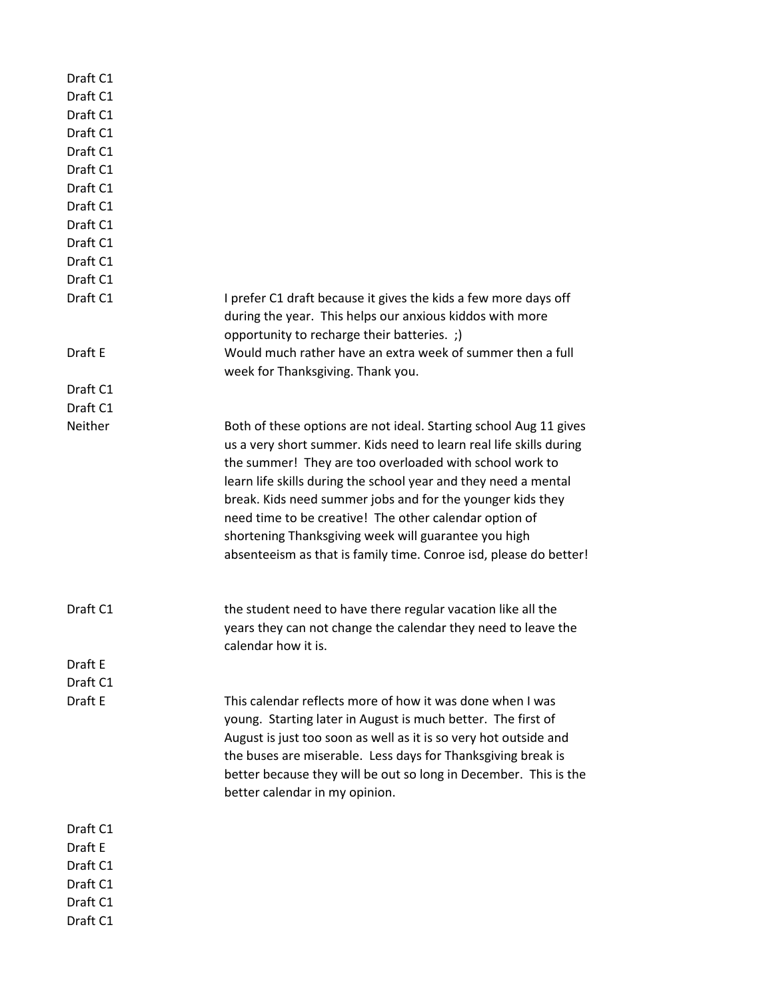| Draft C1 |                                                                    |
|----------|--------------------------------------------------------------------|
| Draft C1 |                                                                    |
| Draft C1 |                                                                    |
| Draft C1 |                                                                    |
| Draft C1 |                                                                    |
| Draft C1 |                                                                    |
| Draft C1 |                                                                    |
| Draft C1 |                                                                    |
| Draft C1 |                                                                    |
| Draft C1 |                                                                    |
| Draft C1 |                                                                    |
| Draft C1 |                                                                    |
| Draft C1 | I prefer C1 draft because it gives the kids a few more days off    |
|          | during the year. This helps our anxious kiddos with more           |
|          | opportunity to recharge their batteries. ;)                        |
| Draft E  | Would much rather have an extra week of summer then a full         |
|          | week for Thanksgiving. Thank you.                                  |
| Draft C1 |                                                                    |
| Draft C1 |                                                                    |
| Neither  |                                                                    |
|          | Both of these options are not ideal. Starting school Aug 11 gives  |
|          | us a very short summer. Kids need to learn real life skills during |
|          | the summer! They are too overloaded with school work to            |
|          | learn life skills during the school year and they need a mental    |
|          | break. Kids need summer jobs and for the younger kids they         |
|          | need time to be creative! The other calendar option of             |
|          | shortening Thanksgiving week will guarantee you high               |
|          | absenteeism as that is family time. Conroe isd, please do better!  |
|          |                                                                    |
| Draft C1 | the student need to have there regular vacation like all the       |
|          | years they can not change the calendar they need to leave the      |
|          | calendar how it is.                                                |
| Draft E  |                                                                    |
| Draft C1 |                                                                    |
| Draft E  | This calendar reflects more of how it was done when I was          |
|          | young. Starting later in August is much better. The first of       |
|          | August is just too soon as well as it is so very hot outside and   |
|          | the buses are miserable. Less days for Thanksgiving break is       |
|          | better because they will be out so long in December. This is the   |
|          |                                                                    |
|          | better calendar in my opinion.                                     |
| Draft C1 |                                                                    |
| Draft E  |                                                                    |
| Draft C1 |                                                                    |
| Draft C1 |                                                                    |
| Draft C1 |                                                                    |
|          |                                                                    |
| Draft C1 |                                                                    |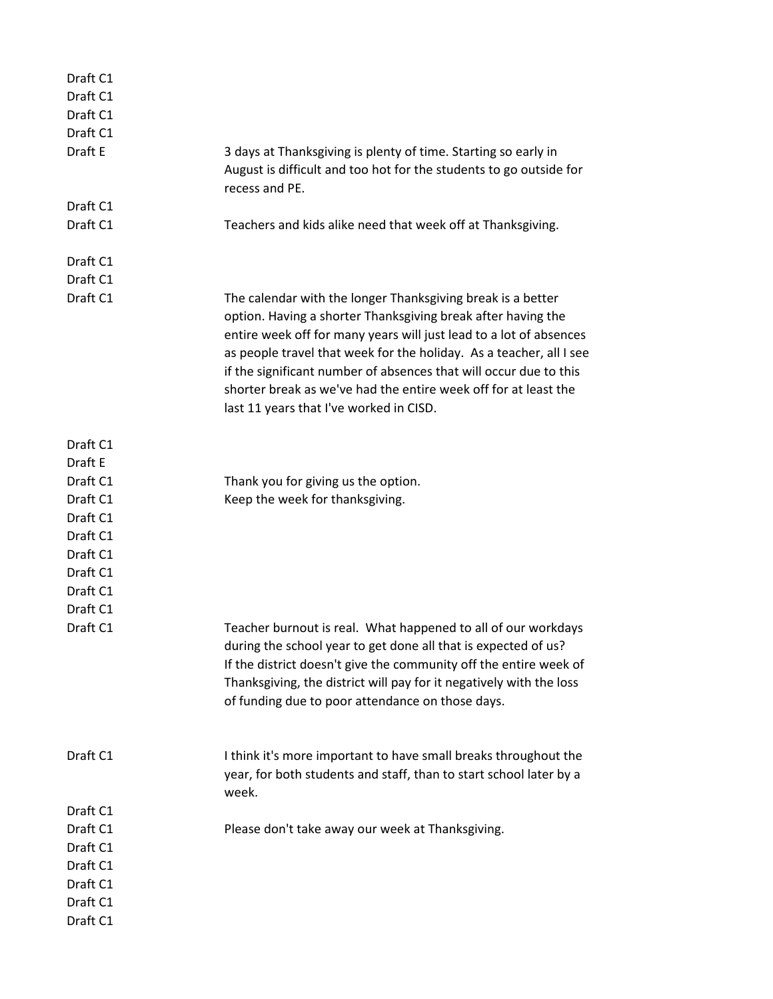| Draft C1             |                                                                                                                                                                                                                                                                                                                                                                                                                                                             |
|----------------------|-------------------------------------------------------------------------------------------------------------------------------------------------------------------------------------------------------------------------------------------------------------------------------------------------------------------------------------------------------------------------------------------------------------------------------------------------------------|
| Draft C1             |                                                                                                                                                                                                                                                                                                                                                                                                                                                             |
| Draft C1             |                                                                                                                                                                                                                                                                                                                                                                                                                                                             |
| Draft C1<br>Draft E  |                                                                                                                                                                                                                                                                                                                                                                                                                                                             |
|                      | 3 days at Thanksgiving is plenty of time. Starting so early in<br>August is difficult and too hot for the students to go outside for<br>recess and PE.                                                                                                                                                                                                                                                                                                      |
| Draft C1             |                                                                                                                                                                                                                                                                                                                                                                                                                                                             |
| Draft C1             | Teachers and kids alike need that week off at Thanksgiving.                                                                                                                                                                                                                                                                                                                                                                                                 |
| Draft C1             |                                                                                                                                                                                                                                                                                                                                                                                                                                                             |
| Draft C1             |                                                                                                                                                                                                                                                                                                                                                                                                                                                             |
| Draft C1             | The calendar with the longer Thanksgiving break is a better<br>option. Having a shorter Thanksgiving break after having the<br>entire week off for many years will just lead to a lot of absences<br>as people travel that week for the holiday. As a teacher, all I see<br>if the significant number of absences that will occur due to this<br>shorter break as we've had the entire week off for at least the<br>last 11 years that I've worked in CISD. |
| Draft C1             |                                                                                                                                                                                                                                                                                                                                                                                                                                                             |
| Draft E              |                                                                                                                                                                                                                                                                                                                                                                                                                                                             |
| Draft C1             | Thank you for giving us the option.                                                                                                                                                                                                                                                                                                                                                                                                                         |
| Draft C1<br>Draft C1 | Keep the week for thanksgiving.                                                                                                                                                                                                                                                                                                                                                                                                                             |
| Draft C1             |                                                                                                                                                                                                                                                                                                                                                                                                                                                             |
| Draft C1             |                                                                                                                                                                                                                                                                                                                                                                                                                                                             |
| Draft C1             |                                                                                                                                                                                                                                                                                                                                                                                                                                                             |
| Draft C1             |                                                                                                                                                                                                                                                                                                                                                                                                                                                             |
| Draft C1             |                                                                                                                                                                                                                                                                                                                                                                                                                                                             |
| Draft C1             | Teacher burnout is real. What happened to all of our workdays                                                                                                                                                                                                                                                                                                                                                                                               |
|                      | during the school year to get done all that is expected of us?<br>If the district doesn't give the community off the entire week of<br>Thanksgiving, the district will pay for it negatively with the loss<br>of funding due to poor attendance on those days.                                                                                                                                                                                              |
| Draft C1             | I think it's more important to have small breaks throughout the<br>year, for both students and staff, than to start school later by a<br>week.                                                                                                                                                                                                                                                                                                              |
| Draft C1             |                                                                                                                                                                                                                                                                                                                                                                                                                                                             |
| Draft C1             | Please don't take away our week at Thanksgiving.                                                                                                                                                                                                                                                                                                                                                                                                            |
| Draft C1             |                                                                                                                                                                                                                                                                                                                                                                                                                                                             |
| Draft C1             |                                                                                                                                                                                                                                                                                                                                                                                                                                                             |
| Draft C1             |                                                                                                                                                                                                                                                                                                                                                                                                                                                             |
| Draft C1             |                                                                                                                                                                                                                                                                                                                                                                                                                                                             |
| Draft C1             |                                                                                                                                                                                                                                                                                                                                                                                                                                                             |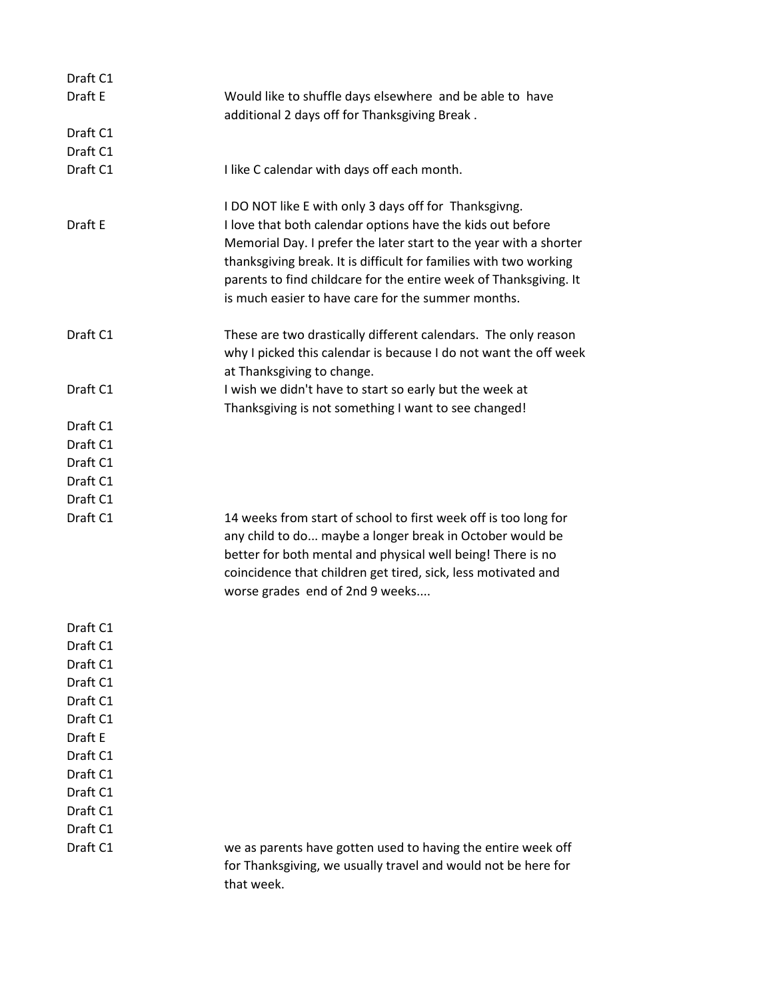| Draft C1 |                                                                                                                                                                                                                                                                                                                                 |
|----------|---------------------------------------------------------------------------------------------------------------------------------------------------------------------------------------------------------------------------------------------------------------------------------------------------------------------------------|
| Draft E  | Would like to shuffle days elsewhere and be able to have<br>additional 2 days off for Thanksgiving Break.                                                                                                                                                                                                                       |
| Draft C1 |                                                                                                                                                                                                                                                                                                                                 |
| Draft C1 |                                                                                                                                                                                                                                                                                                                                 |
| Draft C1 | I like C calendar with days off each month.                                                                                                                                                                                                                                                                                     |
|          | I DO NOT like E with only 3 days off for Thanksgivng.                                                                                                                                                                                                                                                                           |
| Draft E  | I love that both calendar options have the kids out before<br>Memorial Day. I prefer the later start to the year with a shorter<br>thanksgiving break. It is difficult for families with two working<br>parents to find childcare for the entire week of Thanksgiving. It<br>is much easier to have care for the summer months. |
| Draft C1 | These are two drastically different calendars. The only reason<br>why I picked this calendar is because I do not want the off week<br>at Thanksgiving to change.                                                                                                                                                                |
| Draft C1 | I wish we didn't have to start so early but the week at                                                                                                                                                                                                                                                                         |
|          | Thanksgiving is not something I want to see changed!                                                                                                                                                                                                                                                                            |
| Draft C1 |                                                                                                                                                                                                                                                                                                                                 |
| Draft C1 |                                                                                                                                                                                                                                                                                                                                 |
| Draft C1 |                                                                                                                                                                                                                                                                                                                                 |
| Draft C1 |                                                                                                                                                                                                                                                                                                                                 |
| Draft C1 |                                                                                                                                                                                                                                                                                                                                 |
| Draft C1 | 14 weeks from start of school to first week off is too long for<br>any child to do maybe a longer break in October would be<br>better for both mental and physical well being! There is no<br>coincidence that children get tired, sick, less motivated and<br>worse grades end of 2nd 9 weeks                                  |
| Draft C1 |                                                                                                                                                                                                                                                                                                                                 |
| Draft C1 |                                                                                                                                                                                                                                                                                                                                 |
| Draft C1 |                                                                                                                                                                                                                                                                                                                                 |
| Draft C1 |                                                                                                                                                                                                                                                                                                                                 |
| Draft C1 |                                                                                                                                                                                                                                                                                                                                 |
| Draft C1 |                                                                                                                                                                                                                                                                                                                                 |
| Draft E  |                                                                                                                                                                                                                                                                                                                                 |
| Draft C1 |                                                                                                                                                                                                                                                                                                                                 |
| Draft C1 |                                                                                                                                                                                                                                                                                                                                 |
| Draft C1 |                                                                                                                                                                                                                                                                                                                                 |
| Draft C1 |                                                                                                                                                                                                                                                                                                                                 |
| Draft C1 |                                                                                                                                                                                                                                                                                                                                 |
| Draft C1 | we as parents have gotten used to having the entire week off<br>for Thanksgiving, we usually travel and would not be here for<br>that week.                                                                                                                                                                                     |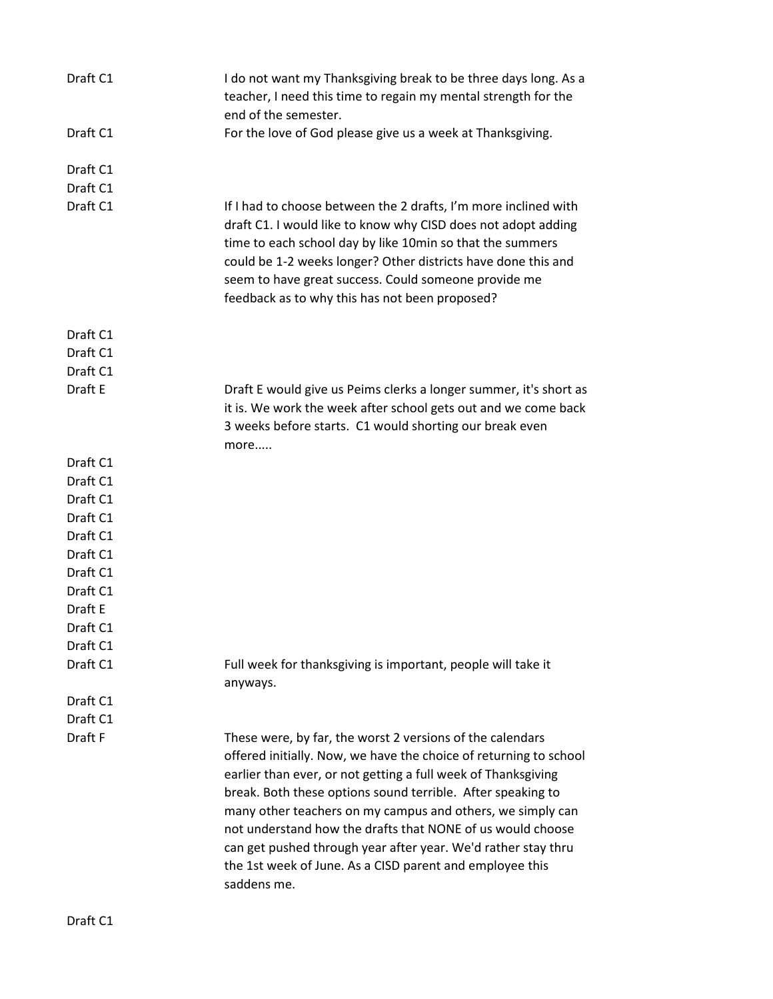| Draft C1 | I do not want my Thanksgiving break to be three days long. As a<br>teacher, I need this time to regain my mental strength for the<br>end of the semester.                                                                                                                                                                                                                                                                                                                                                                              |
|----------|----------------------------------------------------------------------------------------------------------------------------------------------------------------------------------------------------------------------------------------------------------------------------------------------------------------------------------------------------------------------------------------------------------------------------------------------------------------------------------------------------------------------------------------|
| Draft C1 | For the love of God please give us a week at Thanksgiving.                                                                                                                                                                                                                                                                                                                                                                                                                                                                             |
| Draft C1 |                                                                                                                                                                                                                                                                                                                                                                                                                                                                                                                                        |
| Draft C1 |                                                                                                                                                                                                                                                                                                                                                                                                                                                                                                                                        |
| Draft C1 | If I had to choose between the 2 drafts, I'm more inclined with<br>draft C1. I would like to know why CISD does not adopt adding<br>time to each school day by like 10min so that the summers<br>could be 1-2 weeks longer? Other districts have done this and<br>seem to have great success. Could someone provide me<br>feedback as to why this has not been proposed?                                                                                                                                                               |
| Draft C1 |                                                                                                                                                                                                                                                                                                                                                                                                                                                                                                                                        |
| Draft C1 |                                                                                                                                                                                                                                                                                                                                                                                                                                                                                                                                        |
| Draft C1 |                                                                                                                                                                                                                                                                                                                                                                                                                                                                                                                                        |
| Draft E  | Draft E would give us Peims clerks a longer summer, it's short as<br>it is. We work the week after school gets out and we come back<br>3 weeks before starts. C1 would shorting our break even<br>more                                                                                                                                                                                                                                                                                                                                 |
| Draft C1 |                                                                                                                                                                                                                                                                                                                                                                                                                                                                                                                                        |
| Draft C1 |                                                                                                                                                                                                                                                                                                                                                                                                                                                                                                                                        |
| Draft C1 |                                                                                                                                                                                                                                                                                                                                                                                                                                                                                                                                        |
| Draft C1 |                                                                                                                                                                                                                                                                                                                                                                                                                                                                                                                                        |
| Draft C1 |                                                                                                                                                                                                                                                                                                                                                                                                                                                                                                                                        |
| Draft C1 |                                                                                                                                                                                                                                                                                                                                                                                                                                                                                                                                        |
| Draft C1 |                                                                                                                                                                                                                                                                                                                                                                                                                                                                                                                                        |
| Draft C1 |                                                                                                                                                                                                                                                                                                                                                                                                                                                                                                                                        |
| Draft E  |                                                                                                                                                                                                                                                                                                                                                                                                                                                                                                                                        |
| Draft C1 |                                                                                                                                                                                                                                                                                                                                                                                                                                                                                                                                        |
| Draft C1 |                                                                                                                                                                                                                                                                                                                                                                                                                                                                                                                                        |
| Draft C1 | Full week for thanksgiving is important, people will take it<br>anyways.                                                                                                                                                                                                                                                                                                                                                                                                                                                               |
| Draft C1 |                                                                                                                                                                                                                                                                                                                                                                                                                                                                                                                                        |
| Draft C1 |                                                                                                                                                                                                                                                                                                                                                                                                                                                                                                                                        |
| Draft F  | These were, by far, the worst 2 versions of the calendars<br>offered initially. Now, we have the choice of returning to school<br>earlier than ever, or not getting a full week of Thanksgiving<br>break. Both these options sound terrible. After speaking to<br>many other teachers on my campus and others, we simply can<br>not understand how the drafts that NONE of us would choose<br>can get pushed through year after year. We'd rather stay thru<br>the 1st week of June. As a CISD parent and employee this<br>saddens me. |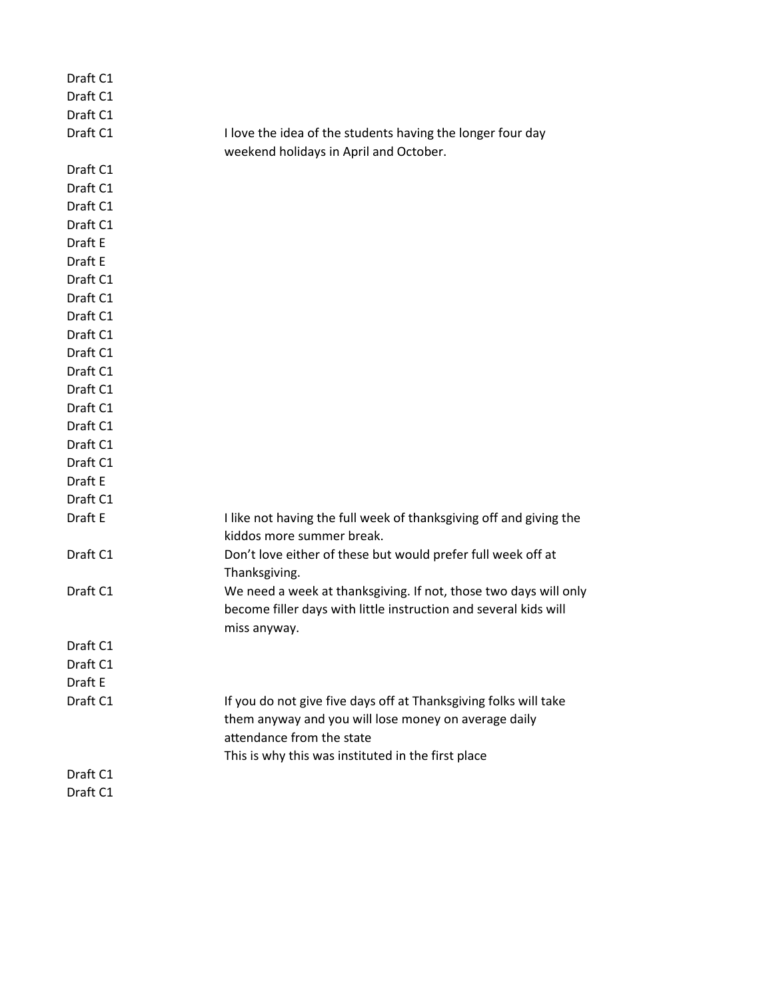| Draft C1<br>Draft C1 |                                                                                                                                                                                                             |
|----------------------|-------------------------------------------------------------------------------------------------------------------------------------------------------------------------------------------------------------|
| Draft C1             |                                                                                                                                                                                                             |
| Draft C1             | I love the idea of the students having the longer four day<br>weekend holidays in April and October.                                                                                                        |
| Draft C1             |                                                                                                                                                                                                             |
| Draft C1             |                                                                                                                                                                                                             |
| Draft C1             |                                                                                                                                                                                                             |
| Draft C1             |                                                                                                                                                                                                             |
| Draft E              |                                                                                                                                                                                                             |
| Draft E              |                                                                                                                                                                                                             |
| Draft C1             |                                                                                                                                                                                                             |
| Draft C1             |                                                                                                                                                                                                             |
| Draft C1             |                                                                                                                                                                                                             |
| Draft C1             |                                                                                                                                                                                                             |
| Draft C1             |                                                                                                                                                                                                             |
| Draft C1             |                                                                                                                                                                                                             |
| Draft C1             |                                                                                                                                                                                                             |
| Draft C1             |                                                                                                                                                                                                             |
| Draft C1             |                                                                                                                                                                                                             |
| Draft C1             |                                                                                                                                                                                                             |
| Draft C1             |                                                                                                                                                                                                             |
| Draft E              |                                                                                                                                                                                                             |
| Draft C1             |                                                                                                                                                                                                             |
| Draft E              | I like not having the full week of thanksgiving off and giving the<br>kiddos more summer break.                                                                                                             |
| Draft C1             | Don't love either of these but would prefer full week off at<br>Thanksgiving.                                                                                                                               |
| Draft C1             | We need a week at thanksgiving. If not, those two days will only<br>become filler days with little instruction and several kids will<br>miss anyway.                                                        |
| Draft C1             |                                                                                                                                                                                                             |
| Draft C1             |                                                                                                                                                                                                             |
| Draft E              |                                                                                                                                                                                                             |
| Draft C1             | If you do not give five days off at Thanksgiving folks will take<br>them anyway and you will lose money on average daily<br>attendance from the state<br>This is why this was instituted in the first place |
| Draft C1             |                                                                                                                                                                                                             |
| Draft C1             |                                                                                                                                                                                                             |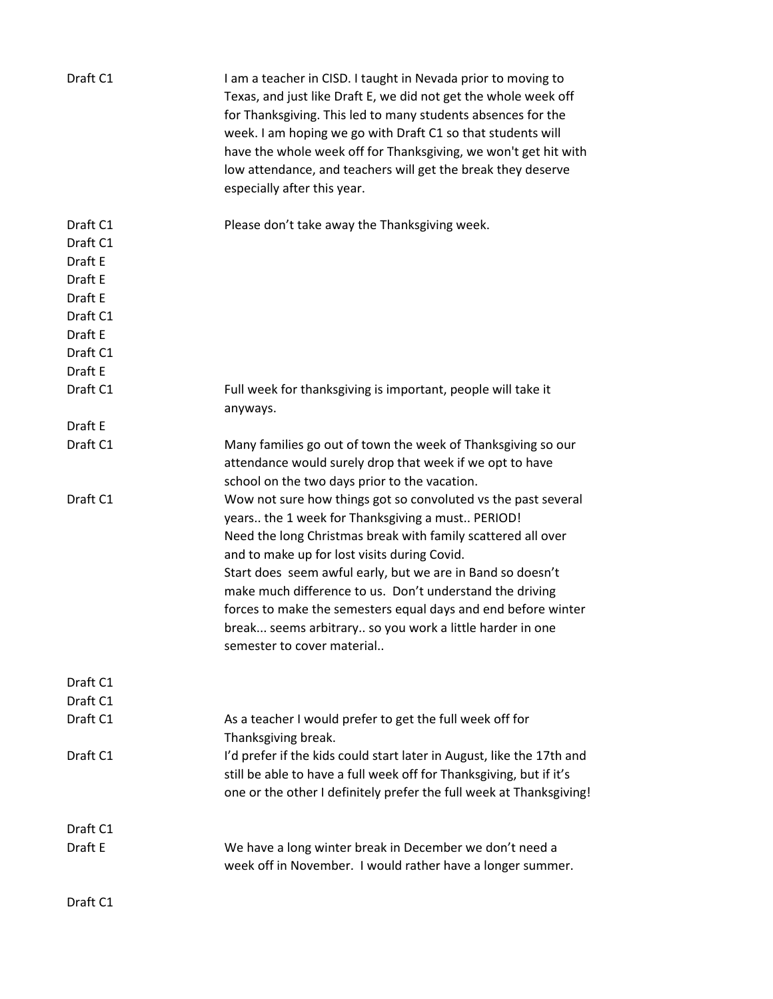| Draft C1                                                                                            | I am a teacher in CISD. I taught in Nevada prior to moving to<br>Texas, and just like Draft E, we did not get the whole week off<br>for Thanksgiving. This led to many students absences for the<br>week. I am hoping we go with Draft C1 so that students will<br>have the whole week off for Thanksgiving, we won't get hit with<br>low attendance, and teachers will get the break they deserve<br>especially after this year.                                                                                      |
|-----------------------------------------------------------------------------------------------------|------------------------------------------------------------------------------------------------------------------------------------------------------------------------------------------------------------------------------------------------------------------------------------------------------------------------------------------------------------------------------------------------------------------------------------------------------------------------------------------------------------------------|
| Draft C1<br>Draft C1<br>Draft E<br>Draft E<br>Draft E<br>Draft C1<br>Draft E<br>Draft C1<br>Draft E | Please don't take away the Thanksgiving week.                                                                                                                                                                                                                                                                                                                                                                                                                                                                          |
| Draft C1                                                                                            | Full week for thanksgiving is important, people will take it<br>anyways.                                                                                                                                                                                                                                                                                                                                                                                                                                               |
| Draft E                                                                                             |                                                                                                                                                                                                                                                                                                                                                                                                                                                                                                                        |
| Draft C1                                                                                            | Many families go out of town the week of Thanksgiving so our<br>attendance would surely drop that week if we opt to have<br>school on the two days prior to the vacation.                                                                                                                                                                                                                                                                                                                                              |
| Draft C1                                                                                            | Wow not sure how things got so convoluted vs the past several<br>years the 1 week for Thanksgiving a must PERIOD!<br>Need the long Christmas break with family scattered all over<br>and to make up for lost visits during Covid.<br>Start does seem awful early, but we are in Band so doesn't<br>make much difference to us. Don't understand the driving<br>forces to make the semesters equal days and end before winter<br>break seems arbitrary so you work a little harder in one<br>semester to cover material |
| Draft C1                                                                                            |                                                                                                                                                                                                                                                                                                                                                                                                                                                                                                                        |
| Draft C1                                                                                            |                                                                                                                                                                                                                                                                                                                                                                                                                                                                                                                        |
| Draft C1                                                                                            | As a teacher I would prefer to get the full week off for<br>Thanksgiving break.                                                                                                                                                                                                                                                                                                                                                                                                                                        |
| Draft C1                                                                                            | I'd prefer if the kids could start later in August, like the 17th and<br>still be able to have a full week off for Thanksgiving, but if it's<br>one or the other I definitely prefer the full week at Thanksgiving!                                                                                                                                                                                                                                                                                                    |
| Draft C1                                                                                            |                                                                                                                                                                                                                                                                                                                                                                                                                                                                                                                        |
| Draft E                                                                                             | We have a long winter break in December we don't need a<br>week off in November. I would rather have a longer summer.                                                                                                                                                                                                                                                                                                                                                                                                  |
| Draft C1                                                                                            |                                                                                                                                                                                                                                                                                                                                                                                                                                                                                                                        |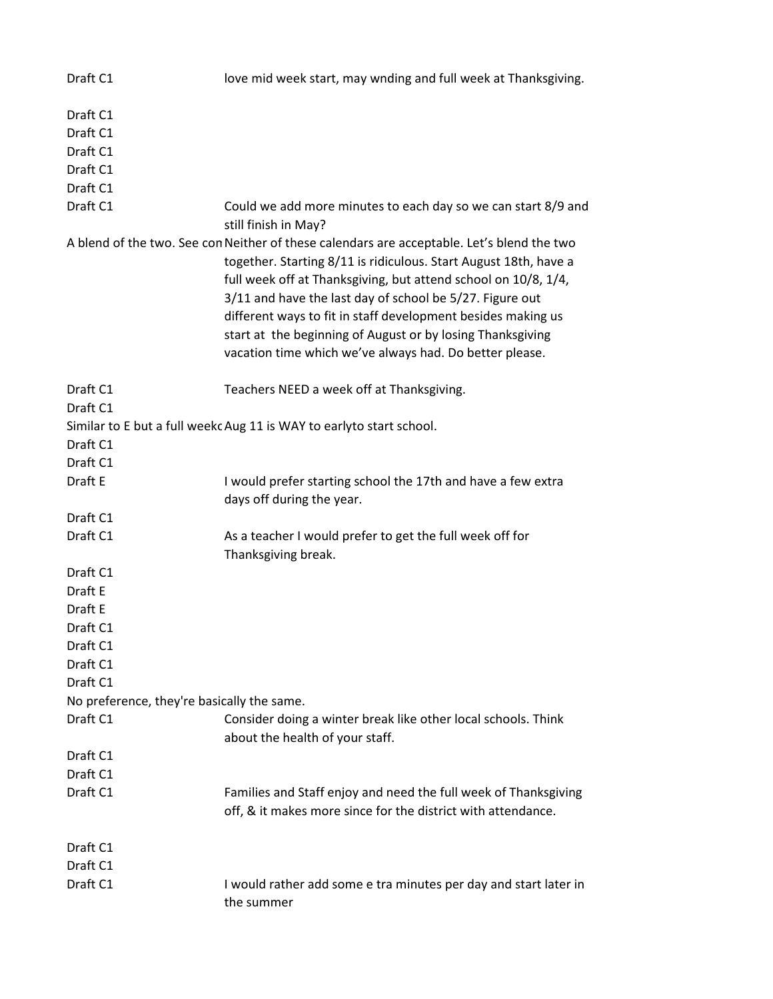| Draft C1                                                 | love mid week start, may wnding and full week at Thanksgiving.                                                                                                                                                                                                                                                                                                                                                                                                                        |
|----------------------------------------------------------|---------------------------------------------------------------------------------------------------------------------------------------------------------------------------------------------------------------------------------------------------------------------------------------------------------------------------------------------------------------------------------------------------------------------------------------------------------------------------------------|
| Draft C1<br>Draft C1<br>Draft C1<br>Draft C1<br>Draft C1 |                                                                                                                                                                                                                                                                                                                                                                                                                                                                                       |
| Draft C1                                                 | Could we add more minutes to each day so we can start 8/9 and                                                                                                                                                                                                                                                                                                                                                                                                                         |
|                                                          | still finish in May?                                                                                                                                                                                                                                                                                                                                                                                                                                                                  |
|                                                          | A blend of the two. See con Neither of these calendars are acceptable. Let's blend the two<br>together. Starting 8/11 is ridiculous. Start August 18th, have a<br>full week off at Thanksgiving, but attend school on 10/8, 1/4,<br>3/11 and have the last day of school be 5/27. Figure out<br>different ways to fit in staff development besides making us<br>start at the beginning of August or by losing Thanksgiving<br>vacation time which we've always had. Do better please. |
| Draft C1                                                 | Teachers NEED a week off at Thanksgiving.                                                                                                                                                                                                                                                                                                                                                                                                                                             |
| Draft C1                                                 | Similar to E but a full week Aug 11 is WAY to earlyto start school.                                                                                                                                                                                                                                                                                                                                                                                                                   |
| Draft C1                                                 |                                                                                                                                                                                                                                                                                                                                                                                                                                                                                       |
| Draft C1                                                 |                                                                                                                                                                                                                                                                                                                                                                                                                                                                                       |
| Draft E                                                  | I would prefer starting school the 17th and have a few extra                                                                                                                                                                                                                                                                                                                                                                                                                          |
|                                                          | days off during the year.                                                                                                                                                                                                                                                                                                                                                                                                                                                             |
| Draft C1                                                 |                                                                                                                                                                                                                                                                                                                                                                                                                                                                                       |
| Draft C1                                                 | As a teacher I would prefer to get the full week off for<br>Thanksgiving break.                                                                                                                                                                                                                                                                                                                                                                                                       |
| Draft C1                                                 |                                                                                                                                                                                                                                                                                                                                                                                                                                                                                       |
| Draft E                                                  |                                                                                                                                                                                                                                                                                                                                                                                                                                                                                       |
| Draft E                                                  |                                                                                                                                                                                                                                                                                                                                                                                                                                                                                       |
| Draft C1                                                 |                                                                                                                                                                                                                                                                                                                                                                                                                                                                                       |
| Draft C1                                                 |                                                                                                                                                                                                                                                                                                                                                                                                                                                                                       |
| Draft C1                                                 |                                                                                                                                                                                                                                                                                                                                                                                                                                                                                       |
| Draft C1                                                 |                                                                                                                                                                                                                                                                                                                                                                                                                                                                                       |
| No preference, they're basically the same.               |                                                                                                                                                                                                                                                                                                                                                                                                                                                                                       |
| Draft C1                                                 | Consider doing a winter break like other local schools. Think<br>about the health of your staff.                                                                                                                                                                                                                                                                                                                                                                                      |
| Draft C1                                                 |                                                                                                                                                                                                                                                                                                                                                                                                                                                                                       |
| Draft C1                                                 |                                                                                                                                                                                                                                                                                                                                                                                                                                                                                       |
| Draft C1                                                 | Families and Staff enjoy and need the full week of Thanksgiving<br>off, & it makes more since for the district with attendance.                                                                                                                                                                                                                                                                                                                                                       |
| Draft C1                                                 |                                                                                                                                                                                                                                                                                                                                                                                                                                                                                       |
| Draft C1                                                 |                                                                                                                                                                                                                                                                                                                                                                                                                                                                                       |
| Draft C1                                                 | I would rather add some e tra minutes per day and start later in<br>the summer                                                                                                                                                                                                                                                                                                                                                                                                        |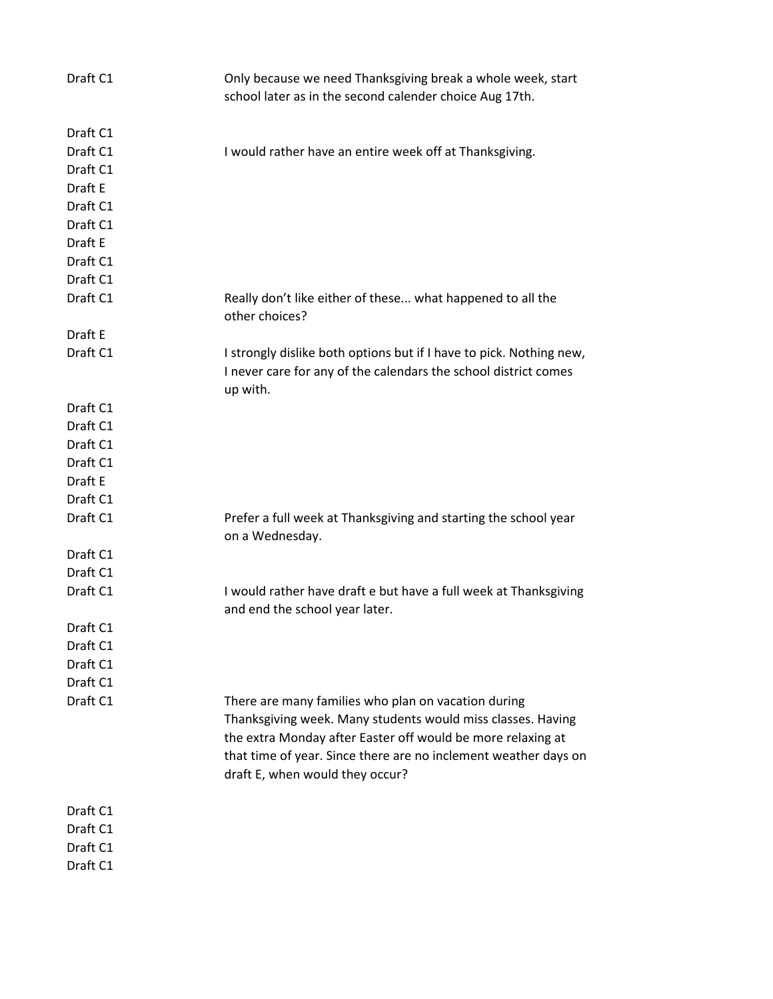| Draft C1<br>Draft C1<br>I would rather have an entire week off at Thanksgiving.<br>Draft C1<br>Draft E<br>Draft C1<br>Draft C1<br>Draft E<br>Draft C1<br>Draft C1<br>Draft C1<br>Really don't like either of these what happened to all the<br>other choices?<br>Draft E<br>Draft C1<br>I strongly dislike both options but if I have to pick. Nothing new,<br>I never care for any of the calendars the school district comes<br>up with.<br>Draft C1<br>Draft C1<br>Draft C1<br>Draft C1<br>Draft E<br>Draft C1<br>Draft C1<br>Prefer a full week at Thanksgiving and starting the school year<br>on a Wednesday.<br>Draft C1<br>Draft C1<br>Draft C1<br>I would rather have draft e but have a full week at Thanksgiving<br>and end the school year later.<br>Draft C1<br>Draft C1<br>Draft C1<br>Draft C1<br>Draft C1<br>There are many families who plan on vacation during<br>Thanksgiving week. Many students would miss classes. Having<br>the extra Monday after Easter off would be more relaxing at<br>that time of year. Since there are no inclement weather days on<br>draft E, when would they occur?<br>Draft C1<br>Draft C1<br>Draft C1<br>Draft C1 | Draft C1 | Only because we need Thanksgiving break a whole week, start<br>school later as in the second calender choice Aug 17th. |
|----------------------------------------------------------------------------------------------------------------------------------------------------------------------------------------------------------------------------------------------------------------------------------------------------------------------------------------------------------------------------------------------------------------------------------------------------------------------------------------------------------------------------------------------------------------------------------------------------------------------------------------------------------------------------------------------------------------------------------------------------------------------------------------------------------------------------------------------------------------------------------------------------------------------------------------------------------------------------------------------------------------------------------------------------------------------------------------------------------------------------------------------------------------------|----------|------------------------------------------------------------------------------------------------------------------------|
|                                                                                                                                                                                                                                                                                                                                                                                                                                                                                                                                                                                                                                                                                                                                                                                                                                                                                                                                                                                                                                                                                                                                                                      |          |                                                                                                                        |
|                                                                                                                                                                                                                                                                                                                                                                                                                                                                                                                                                                                                                                                                                                                                                                                                                                                                                                                                                                                                                                                                                                                                                                      |          |                                                                                                                        |
|                                                                                                                                                                                                                                                                                                                                                                                                                                                                                                                                                                                                                                                                                                                                                                                                                                                                                                                                                                                                                                                                                                                                                                      |          |                                                                                                                        |
|                                                                                                                                                                                                                                                                                                                                                                                                                                                                                                                                                                                                                                                                                                                                                                                                                                                                                                                                                                                                                                                                                                                                                                      |          |                                                                                                                        |
|                                                                                                                                                                                                                                                                                                                                                                                                                                                                                                                                                                                                                                                                                                                                                                                                                                                                                                                                                                                                                                                                                                                                                                      |          |                                                                                                                        |
|                                                                                                                                                                                                                                                                                                                                                                                                                                                                                                                                                                                                                                                                                                                                                                                                                                                                                                                                                                                                                                                                                                                                                                      |          |                                                                                                                        |
|                                                                                                                                                                                                                                                                                                                                                                                                                                                                                                                                                                                                                                                                                                                                                                                                                                                                                                                                                                                                                                                                                                                                                                      |          |                                                                                                                        |
|                                                                                                                                                                                                                                                                                                                                                                                                                                                                                                                                                                                                                                                                                                                                                                                                                                                                                                                                                                                                                                                                                                                                                                      |          |                                                                                                                        |
|                                                                                                                                                                                                                                                                                                                                                                                                                                                                                                                                                                                                                                                                                                                                                                                                                                                                                                                                                                                                                                                                                                                                                                      |          |                                                                                                                        |
|                                                                                                                                                                                                                                                                                                                                                                                                                                                                                                                                                                                                                                                                                                                                                                                                                                                                                                                                                                                                                                                                                                                                                                      |          |                                                                                                                        |
|                                                                                                                                                                                                                                                                                                                                                                                                                                                                                                                                                                                                                                                                                                                                                                                                                                                                                                                                                                                                                                                                                                                                                                      |          |                                                                                                                        |
|                                                                                                                                                                                                                                                                                                                                                                                                                                                                                                                                                                                                                                                                                                                                                                                                                                                                                                                                                                                                                                                                                                                                                                      |          |                                                                                                                        |
|                                                                                                                                                                                                                                                                                                                                                                                                                                                                                                                                                                                                                                                                                                                                                                                                                                                                                                                                                                                                                                                                                                                                                                      |          |                                                                                                                        |
|                                                                                                                                                                                                                                                                                                                                                                                                                                                                                                                                                                                                                                                                                                                                                                                                                                                                                                                                                                                                                                                                                                                                                                      |          |                                                                                                                        |
|                                                                                                                                                                                                                                                                                                                                                                                                                                                                                                                                                                                                                                                                                                                                                                                                                                                                                                                                                                                                                                                                                                                                                                      |          |                                                                                                                        |
|                                                                                                                                                                                                                                                                                                                                                                                                                                                                                                                                                                                                                                                                                                                                                                                                                                                                                                                                                                                                                                                                                                                                                                      |          |                                                                                                                        |
|                                                                                                                                                                                                                                                                                                                                                                                                                                                                                                                                                                                                                                                                                                                                                                                                                                                                                                                                                                                                                                                                                                                                                                      |          |                                                                                                                        |
|                                                                                                                                                                                                                                                                                                                                                                                                                                                                                                                                                                                                                                                                                                                                                                                                                                                                                                                                                                                                                                                                                                                                                                      |          |                                                                                                                        |
|                                                                                                                                                                                                                                                                                                                                                                                                                                                                                                                                                                                                                                                                                                                                                                                                                                                                                                                                                                                                                                                                                                                                                                      |          |                                                                                                                        |
|                                                                                                                                                                                                                                                                                                                                                                                                                                                                                                                                                                                                                                                                                                                                                                                                                                                                                                                                                                                                                                                                                                                                                                      |          |                                                                                                                        |
|                                                                                                                                                                                                                                                                                                                                                                                                                                                                                                                                                                                                                                                                                                                                                                                                                                                                                                                                                                                                                                                                                                                                                                      |          |                                                                                                                        |
|                                                                                                                                                                                                                                                                                                                                                                                                                                                                                                                                                                                                                                                                                                                                                                                                                                                                                                                                                                                                                                                                                                                                                                      |          |                                                                                                                        |
|                                                                                                                                                                                                                                                                                                                                                                                                                                                                                                                                                                                                                                                                                                                                                                                                                                                                                                                                                                                                                                                                                                                                                                      |          |                                                                                                                        |
|                                                                                                                                                                                                                                                                                                                                                                                                                                                                                                                                                                                                                                                                                                                                                                                                                                                                                                                                                                                                                                                                                                                                                                      |          |                                                                                                                        |
|                                                                                                                                                                                                                                                                                                                                                                                                                                                                                                                                                                                                                                                                                                                                                                                                                                                                                                                                                                                                                                                                                                                                                                      |          |                                                                                                                        |
|                                                                                                                                                                                                                                                                                                                                                                                                                                                                                                                                                                                                                                                                                                                                                                                                                                                                                                                                                                                                                                                                                                                                                                      |          |                                                                                                                        |
|                                                                                                                                                                                                                                                                                                                                                                                                                                                                                                                                                                                                                                                                                                                                                                                                                                                                                                                                                                                                                                                                                                                                                                      |          |                                                                                                                        |
|                                                                                                                                                                                                                                                                                                                                                                                                                                                                                                                                                                                                                                                                                                                                                                                                                                                                                                                                                                                                                                                                                                                                                                      |          |                                                                                                                        |
|                                                                                                                                                                                                                                                                                                                                                                                                                                                                                                                                                                                                                                                                                                                                                                                                                                                                                                                                                                                                                                                                                                                                                                      |          |                                                                                                                        |
|                                                                                                                                                                                                                                                                                                                                                                                                                                                                                                                                                                                                                                                                                                                                                                                                                                                                                                                                                                                                                                                                                                                                                                      |          |                                                                                                                        |
|                                                                                                                                                                                                                                                                                                                                                                                                                                                                                                                                                                                                                                                                                                                                                                                                                                                                                                                                                                                                                                                                                                                                                                      |          |                                                                                                                        |
|                                                                                                                                                                                                                                                                                                                                                                                                                                                                                                                                                                                                                                                                                                                                                                                                                                                                                                                                                                                                                                                                                                                                                                      |          |                                                                                                                        |
|                                                                                                                                                                                                                                                                                                                                                                                                                                                                                                                                                                                                                                                                                                                                                                                                                                                                                                                                                                                                                                                                                                                                                                      |          |                                                                                                                        |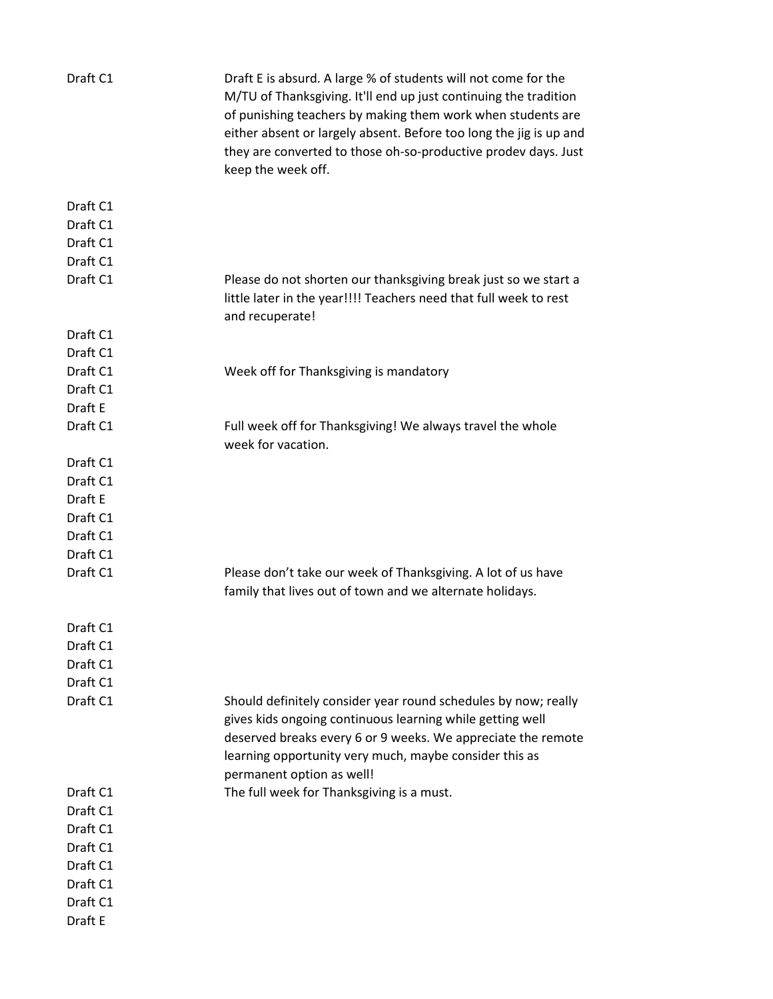| Draft C1 | Draft E is absurd. A large % of students will not come for the<br>M/TU of Thanksgiving. It'll end up just continuing the tradition<br>of punishing teachers by making them work when students are<br>either absent or largely absent. Before too long the jig is up and<br>they are converted to those oh-so-productive prodev days. Just<br>keep the week off. |
|----------|-----------------------------------------------------------------------------------------------------------------------------------------------------------------------------------------------------------------------------------------------------------------------------------------------------------------------------------------------------------------|
| Draft C1 |                                                                                                                                                                                                                                                                                                                                                                 |
| Draft C1 |                                                                                                                                                                                                                                                                                                                                                                 |
| Draft C1 |                                                                                                                                                                                                                                                                                                                                                                 |
| Draft C1 |                                                                                                                                                                                                                                                                                                                                                                 |
| Draft C1 | Please do not shorten our thanksgiving break just so we start a<br>little later in the year!!!! Teachers need that full week to rest<br>and recuperate!                                                                                                                                                                                                         |
| Draft C1 |                                                                                                                                                                                                                                                                                                                                                                 |
| Draft C1 |                                                                                                                                                                                                                                                                                                                                                                 |
| Draft C1 | Week off for Thanksgiving is mandatory                                                                                                                                                                                                                                                                                                                          |
| Draft C1 |                                                                                                                                                                                                                                                                                                                                                                 |
| Draft E  |                                                                                                                                                                                                                                                                                                                                                                 |
| Draft C1 | Full week off for Thanksgiving! We always travel the whole<br>week for vacation.                                                                                                                                                                                                                                                                                |
| Draft C1 |                                                                                                                                                                                                                                                                                                                                                                 |
| Draft C1 |                                                                                                                                                                                                                                                                                                                                                                 |
| Draft E  |                                                                                                                                                                                                                                                                                                                                                                 |
| Draft C1 |                                                                                                                                                                                                                                                                                                                                                                 |
| Draft C1 |                                                                                                                                                                                                                                                                                                                                                                 |
| Draft C1 |                                                                                                                                                                                                                                                                                                                                                                 |
| Draft C1 | Please don't take our week of Thanksgiving. A lot of us have<br>family that lives out of town and we alternate holidays.                                                                                                                                                                                                                                        |
| Draft C1 |                                                                                                                                                                                                                                                                                                                                                                 |
| Draft C1 |                                                                                                                                                                                                                                                                                                                                                                 |
| Draft C1 |                                                                                                                                                                                                                                                                                                                                                                 |
| Draft C1 |                                                                                                                                                                                                                                                                                                                                                                 |
| Draft C1 | Should definitely consider year round schedules by now; really<br>gives kids ongoing continuous learning while getting well<br>deserved breaks every 6 or 9 weeks. We appreciate the remote<br>learning opportunity very much, maybe consider this as<br>permanent option as well!                                                                              |
| Draft C1 | The full week for Thanksgiving is a must.                                                                                                                                                                                                                                                                                                                       |
| Draft C1 |                                                                                                                                                                                                                                                                                                                                                                 |
| Draft C1 |                                                                                                                                                                                                                                                                                                                                                                 |
| Draft C1 |                                                                                                                                                                                                                                                                                                                                                                 |
| Draft C1 |                                                                                                                                                                                                                                                                                                                                                                 |
| Draft C1 |                                                                                                                                                                                                                                                                                                                                                                 |
| Draft C1 |                                                                                                                                                                                                                                                                                                                                                                 |
| Draft E  |                                                                                                                                                                                                                                                                                                                                                                 |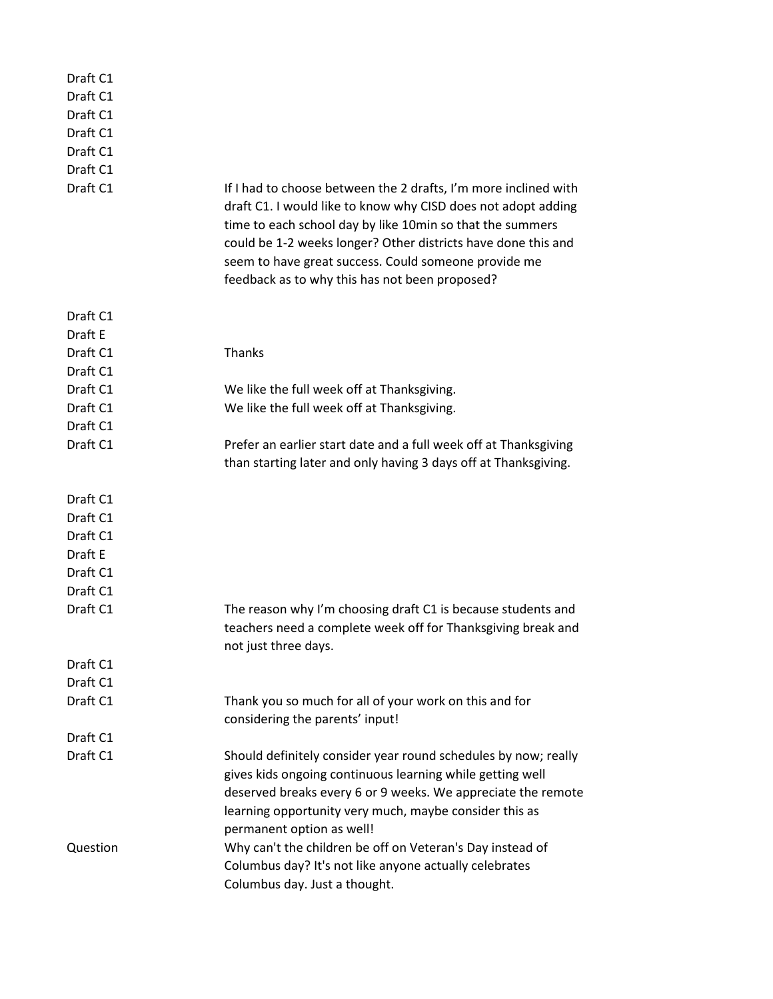| Draft C1 |                                                                                                                                                                                                                                                                                                                                                                          |
|----------|--------------------------------------------------------------------------------------------------------------------------------------------------------------------------------------------------------------------------------------------------------------------------------------------------------------------------------------------------------------------------|
| Draft C1 |                                                                                                                                                                                                                                                                                                                                                                          |
| Draft C1 |                                                                                                                                                                                                                                                                                                                                                                          |
| Draft C1 |                                                                                                                                                                                                                                                                                                                                                                          |
| Draft C1 |                                                                                                                                                                                                                                                                                                                                                                          |
| Draft C1 |                                                                                                                                                                                                                                                                                                                                                                          |
| Draft C1 | If I had to choose between the 2 drafts, I'm more inclined with<br>draft C1. I would like to know why CISD does not adopt adding<br>time to each school day by like 10min so that the summers<br>could be 1-2 weeks longer? Other districts have done this and<br>seem to have great success. Could someone provide me<br>feedback as to why this has not been proposed? |
| Draft C1 |                                                                                                                                                                                                                                                                                                                                                                          |
| Draft E  |                                                                                                                                                                                                                                                                                                                                                                          |
| Draft C1 | Thanks                                                                                                                                                                                                                                                                                                                                                                   |
| Draft C1 |                                                                                                                                                                                                                                                                                                                                                                          |
| Draft C1 | We like the full week off at Thanksgiving.                                                                                                                                                                                                                                                                                                                               |
| Draft C1 | We like the full week off at Thanksgiving.                                                                                                                                                                                                                                                                                                                               |
| Draft C1 |                                                                                                                                                                                                                                                                                                                                                                          |
| Draft C1 | Prefer an earlier start date and a full week off at Thanksgiving                                                                                                                                                                                                                                                                                                         |
|          | than starting later and only having 3 days off at Thanksgiving.                                                                                                                                                                                                                                                                                                          |
| Draft C1 |                                                                                                                                                                                                                                                                                                                                                                          |
| Draft C1 |                                                                                                                                                                                                                                                                                                                                                                          |
| Draft C1 |                                                                                                                                                                                                                                                                                                                                                                          |
| Draft E  |                                                                                                                                                                                                                                                                                                                                                                          |
| Draft C1 |                                                                                                                                                                                                                                                                                                                                                                          |
| Draft C1 |                                                                                                                                                                                                                                                                                                                                                                          |
| Draft C1 | The reason why I'm choosing draft C1 is because students and                                                                                                                                                                                                                                                                                                             |
|          | teachers need a complete week off for Thanksgiving break and                                                                                                                                                                                                                                                                                                             |
|          | not just three days.                                                                                                                                                                                                                                                                                                                                                     |
| Draft C1 |                                                                                                                                                                                                                                                                                                                                                                          |
| Draft C1 |                                                                                                                                                                                                                                                                                                                                                                          |
| Draft C1 | Thank you so much for all of your work on this and for                                                                                                                                                                                                                                                                                                                   |
|          | considering the parents' input!                                                                                                                                                                                                                                                                                                                                          |
| Draft C1 |                                                                                                                                                                                                                                                                                                                                                                          |
| Draft C1 | Should definitely consider year round schedules by now; really                                                                                                                                                                                                                                                                                                           |
|          | gives kids ongoing continuous learning while getting well                                                                                                                                                                                                                                                                                                                |
|          | deserved breaks every 6 or 9 weeks. We appreciate the remote                                                                                                                                                                                                                                                                                                             |
|          | learning opportunity very much, maybe consider this as                                                                                                                                                                                                                                                                                                                   |
|          | permanent option as well!                                                                                                                                                                                                                                                                                                                                                |
| Question | Why can't the children be off on Veteran's Day instead of                                                                                                                                                                                                                                                                                                                |
|          | Columbus day? It's not like anyone actually celebrates                                                                                                                                                                                                                                                                                                                   |
|          | Columbus day. Just a thought.                                                                                                                                                                                                                                                                                                                                            |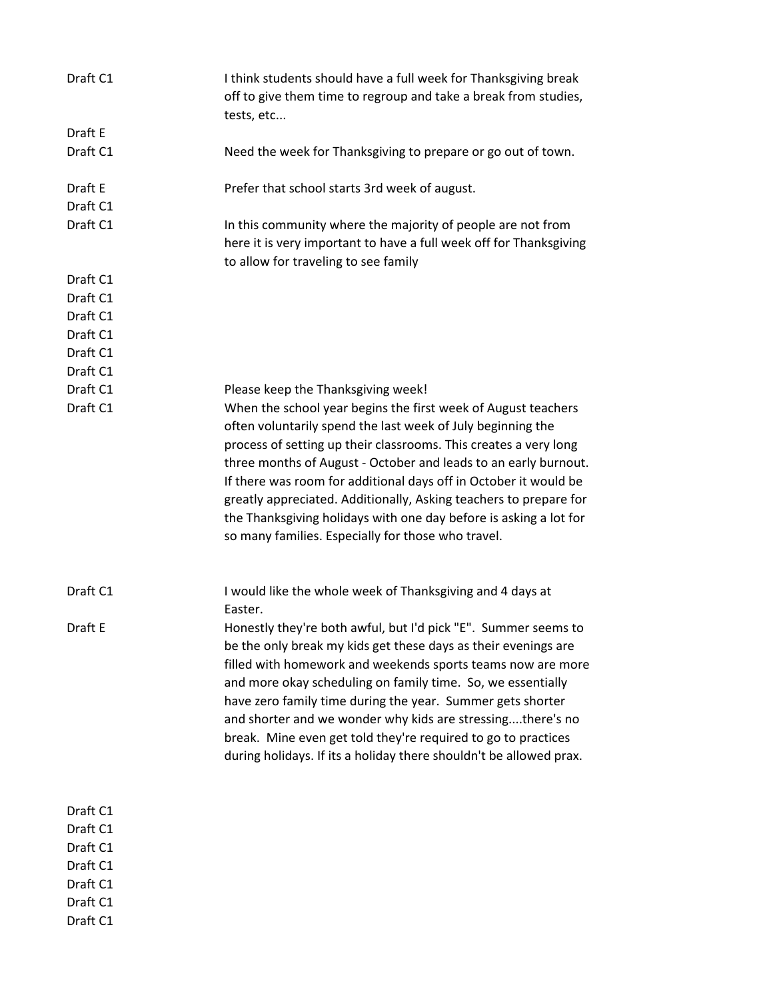| Draft C1             | I think students should have a full week for Thanksgiving break<br>off to give them time to regroup and take a break from studies,<br>tests, etc                                                |
|----------------------|-------------------------------------------------------------------------------------------------------------------------------------------------------------------------------------------------|
| Draft E              |                                                                                                                                                                                                 |
| Draft C1             | Need the week for Thanksgiving to prepare or go out of town.                                                                                                                                    |
| Draft E<br>Draft C1  | Prefer that school starts 3rd week of august.                                                                                                                                                   |
| Draft C1             | In this community where the majority of people are not from                                                                                                                                     |
|                      | here it is very important to have a full week off for Thanksgiving<br>to allow for traveling to see family                                                                                      |
| Draft C1<br>Draft C1 |                                                                                                                                                                                                 |
| Draft C1             |                                                                                                                                                                                                 |
| Draft C1             |                                                                                                                                                                                                 |
| Draft C1             |                                                                                                                                                                                                 |
| Draft C1             |                                                                                                                                                                                                 |
| Draft C1             | Please keep the Thanksgiving week!                                                                                                                                                              |
| Draft C1             | When the school year begins the first week of August teachers<br>often voluntarily spend the last week of July beginning the                                                                    |
|                      | process of setting up their classrooms. This creates a very long                                                                                                                                |
|                      | three months of August - October and leads to an early burnout.                                                                                                                                 |
|                      | If there was room for additional days off in October it would be                                                                                                                                |
|                      | greatly appreciated. Additionally, Asking teachers to prepare for                                                                                                                               |
|                      | the Thanksgiving holidays with one day before is asking a lot for                                                                                                                               |
|                      | so many families. Especially for those who travel.                                                                                                                                              |
| Draft C1             | I would like the whole week of Thanksgiving and 4 days at                                                                                                                                       |
|                      | Easter.                                                                                                                                                                                         |
| Draft E              | Honestly they're both awful, but I'd pick "E". Summer seems to<br>be the only break my kids get these days as their evenings are<br>filled with homework and weekends sports teams now are more |
|                      | and more okay scheduling on family time. So, we essentially                                                                                                                                     |
|                      | have zero family time during the year. Summer gets shorter                                                                                                                                      |
|                      | and shorter and we wonder why kids are stressingthere's no                                                                                                                                      |
|                      | break. Mine even get told they're required to go to practices                                                                                                                                   |
|                      | during holidays. If its a holiday there shouldn't be allowed prax.                                                                                                                              |
| Draft C1             |                                                                                                                                                                                                 |
| Draft C1             |                                                                                                                                                                                                 |
| Draft C1             |                                                                                                                                                                                                 |
| Draft C1             |                                                                                                                                                                                                 |
| Draft C1             |                                                                                                                                                                                                 |
| Draft C1             |                                                                                                                                                                                                 |
| Draft C1             |                                                                                                                                                                                                 |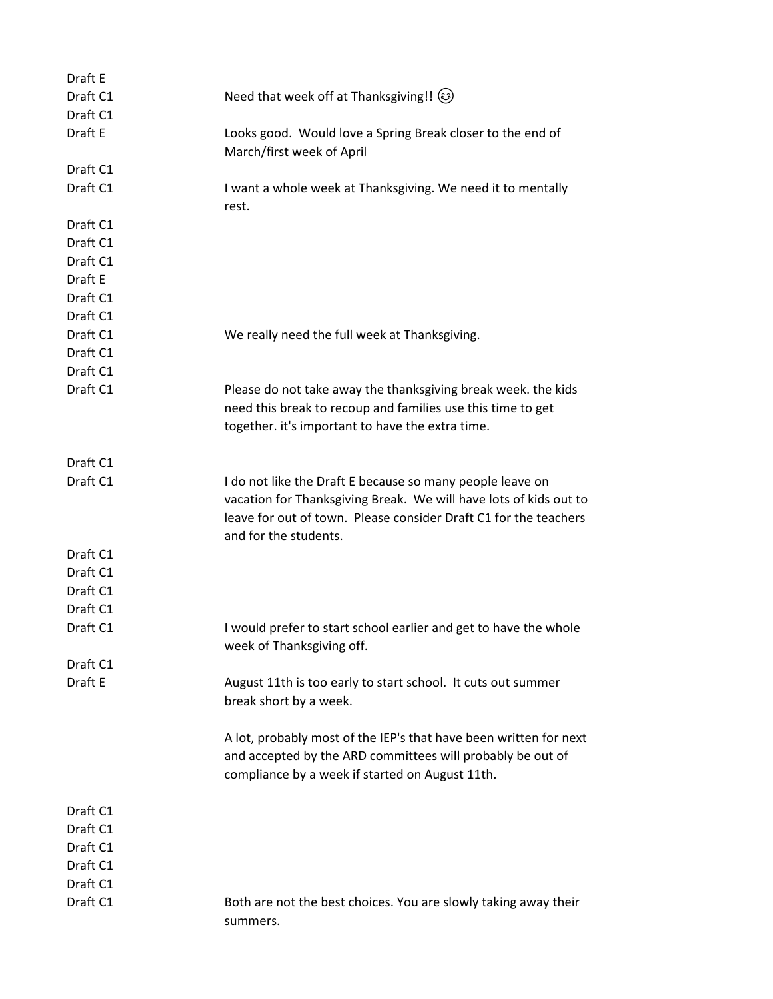| Draft E  |                                                                                                                                                                                                                             |
|----------|-----------------------------------------------------------------------------------------------------------------------------------------------------------------------------------------------------------------------------|
| Draft C1 | Need that week off at Thanksgiving!! (3)                                                                                                                                                                                    |
| Draft C1 |                                                                                                                                                                                                                             |
| Draft E  | Looks good. Would love a Spring Break closer to the end of<br>March/first week of April                                                                                                                                     |
| Draft C1 |                                                                                                                                                                                                                             |
| Draft C1 | I want a whole week at Thanksgiving. We need it to mentally<br>rest.                                                                                                                                                        |
| Draft C1 |                                                                                                                                                                                                                             |
| Draft C1 |                                                                                                                                                                                                                             |
| Draft C1 |                                                                                                                                                                                                                             |
| Draft E  |                                                                                                                                                                                                                             |
| Draft C1 |                                                                                                                                                                                                                             |
| Draft C1 |                                                                                                                                                                                                                             |
| Draft C1 | We really need the full week at Thanksgiving.                                                                                                                                                                               |
| Draft C1 |                                                                                                                                                                                                                             |
| Draft C1 |                                                                                                                                                                                                                             |
| Draft C1 | Please do not take away the thanksgiving break week. the kids<br>need this break to recoup and families use this time to get<br>together. it's important to have the extra time.                                            |
| Draft C1 |                                                                                                                                                                                                                             |
| Draft C1 | I do not like the Draft E because so many people leave on<br>vacation for Thanksgiving Break. We will have lots of kids out to<br>leave for out of town. Please consider Draft C1 for the teachers<br>and for the students. |
| Draft C1 |                                                                                                                                                                                                                             |
| Draft C1 |                                                                                                                                                                                                                             |
| Draft C1 |                                                                                                                                                                                                                             |
| Draft C1 |                                                                                                                                                                                                                             |
| Draft C1 | I would prefer to start school earlier and get to have the whole<br>week of Thanksgiving off.                                                                                                                               |
| Draft C1 |                                                                                                                                                                                                                             |
| Draft E  | August 11th is too early to start school. It cuts out summer<br>break short by a week.                                                                                                                                      |
|          | A lot, probably most of the IEP's that have been written for next<br>and accepted by the ARD committees will probably be out of<br>compliance by a week if started on August 11th.                                          |
| Draft C1 |                                                                                                                                                                                                                             |
| Draft C1 |                                                                                                                                                                                                                             |
| Draft C1 |                                                                                                                                                                                                                             |
| Draft C1 |                                                                                                                                                                                                                             |
| Draft C1 |                                                                                                                                                                                                                             |
| Draft C1 | Both are not the best choices. You are slowly taking away their                                                                                                                                                             |
|          | summers.                                                                                                                                                                                                                    |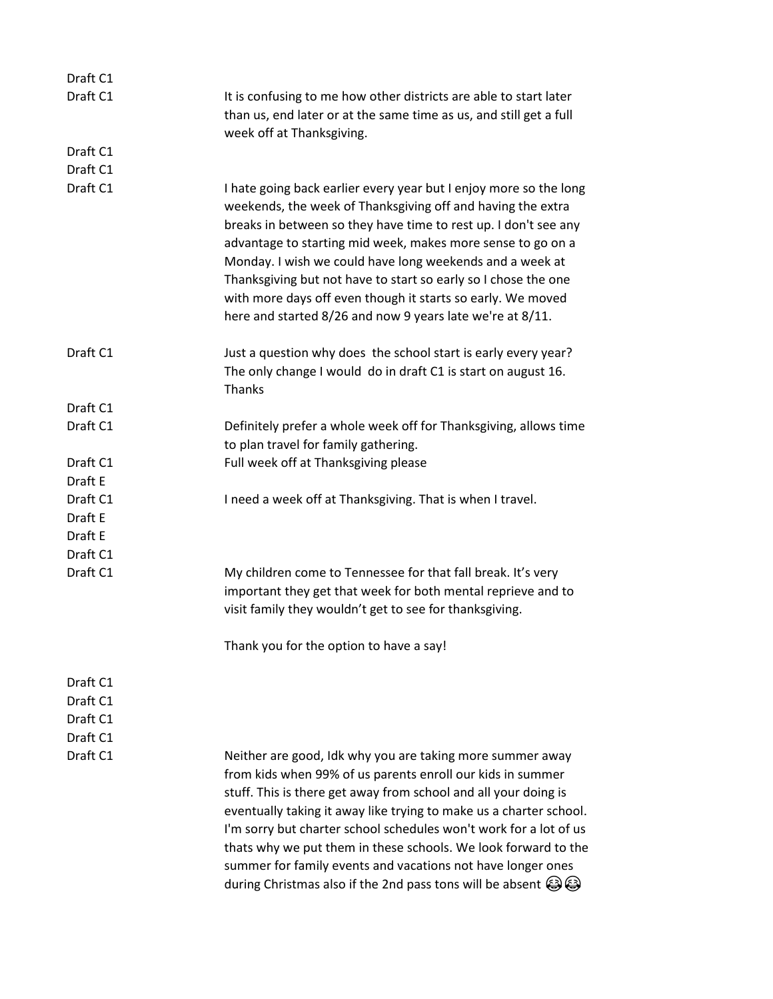| Draft C1 |                                                                                                                                                                                                                                                                                                                                                                                                                                                                                                                              |
|----------|------------------------------------------------------------------------------------------------------------------------------------------------------------------------------------------------------------------------------------------------------------------------------------------------------------------------------------------------------------------------------------------------------------------------------------------------------------------------------------------------------------------------------|
| Draft C1 | It is confusing to me how other districts are able to start later                                                                                                                                                                                                                                                                                                                                                                                                                                                            |
|          | than us, end later or at the same time as us, and still get a full                                                                                                                                                                                                                                                                                                                                                                                                                                                           |
|          | week off at Thanksgiving.                                                                                                                                                                                                                                                                                                                                                                                                                                                                                                    |
| Draft C1 |                                                                                                                                                                                                                                                                                                                                                                                                                                                                                                                              |
| Draft C1 |                                                                                                                                                                                                                                                                                                                                                                                                                                                                                                                              |
| Draft C1 | I hate going back earlier every year but I enjoy more so the long<br>weekends, the week of Thanksgiving off and having the extra<br>breaks in between so they have time to rest up. I don't see any<br>advantage to starting mid week, makes more sense to go on a<br>Monday. I wish we could have long weekends and a week at<br>Thanksgiving but not have to start so early so I chose the one<br>with more days off even though it starts so early. We moved<br>here and started 8/26 and now 9 years late we're at 8/11. |
| Draft C1 | Just a question why does the school start is early every year?<br>The only change I would do in draft C1 is start on august 16.<br>Thanks                                                                                                                                                                                                                                                                                                                                                                                    |
| Draft C1 |                                                                                                                                                                                                                                                                                                                                                                                                                                                                                                                              |
| Draft C1 | Definitely prefer a whole week off for Thanksgiving, allows time                                                                                                                                                                                                                                                                                                                                                                                                                                                             |
|          | to plan travel for family gathering.                                                                                                                                                                                                                                                                                                                                                                                                                                                                                         |
| Draft C1 | Full week off at Thanksgiving please                                                                                                                                                                                                                                                                                                                                                                                                                                                                                         |
| Draft E  |                                                                                                                                                                                                                                                                                                                                                                                                                                                                                                                              |
| Draft C1 | I need a week off at Thanksgiving. That is when I travel.                                                                                                                                                                                                                                                                                                                                                                                                                                                                    |
| Draft E  |                                                                                                                                                                                                                                                                                                                                                                                                                                                                                                                              |
| Draft E  |                                                                                                                                                                                                                                                                                                                                                                                                                                                                                                                              |
| Draft C1 |                                                                                                                                                                                                                                                                                                                                                                                                                                                                                                                              |
| Draft C1 | My children come to Tennessee for that fall break. It's very<br>important they get that week for both mental reprieve and to<br>visit family they wouldn't get to see for thanksgiving.                                                                                                                                                                                                                                                                                                                                      |
|          | Thank you for the option to have a say!                                                                                                                                                                                                                                                                                                                                                                                                                                                                                      |
| Draft C1 |                                                                                                                                                                                                                                                                                                                                                                                                                                                                                                                              |
| Draft C1 |                                                                                                                                                                                                                                                                                                                                                                                                                                                                                                                              |
| Draft C1 |                                                                                                                                                                                                                                                                                                                                                                                                                                                                                                                              |
| Draft C1 |                                                                                                                                                                                                                                                                                                                                                                                                                                                                                                                              |
| Draft C1 | Neither are good, Idk why you are taking more summer away                                                                                                                                                                                                                                                                                                                                                                                                                                                                    |
|          | from kids when 99% of us parents enroll our kids in summer<br>stuff. This is there get away from school and all your doing is<br>eventually taking it away like trying to make us a charter school.<br>I'm sorry but charter school schedules won't work for a lot of us<br>thats why we put them in these schools. We look forward to the<br>summer for family events and vacations not have longer ones<br>during Christmas also if the 2nd pass tons will be absent $\bigcirc$                                            |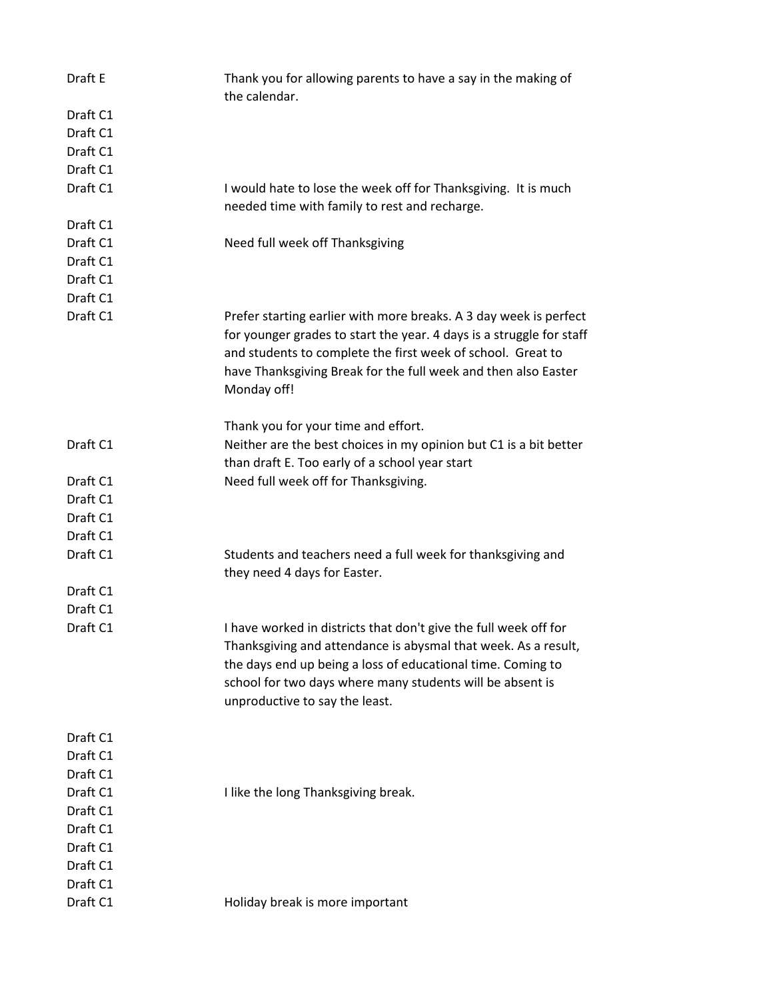| Draft E                                                                                      | Thank you for allowing parents to have a say in the making of<br>the calendar.                                                                                                                                                                                                                   |
|----------------------------------------------------------------------------------------------|--------------------------------------------------------------------------------------------------------------------------------------------------------------------------------------------------------------------------------------------------------------------------------------------------|
| Draft C1<br>Draft C1<br>Draft C1<br>Draft C1                                                 |                                                                                                                                                                                                                                                                                                  |
| Draft C1                                                                                     | I would hate to lose the week off for Thanksgiving. It is much<br>needed time with family to rest and recharge.                                                                                                                                                                                  |
| Draft C1<br>Draft C1<br>Draft C1<br>Draft C1<br>Draft C1                                     | Need full week off Thanksgiving                                                                                                                                                                                                                                                                  |
| Draft C1                                                                                     | Prefer starting earlier with more breaks. A 3 day week is perfect<br>for younger grades to start the year. 4 days is a struggle for staff<br>and students to complete the first week of school. Great to<br>have Thanksgiving Break for the full week and then also Easter<br>Monday off!        |
| Draft C1                                                                                     | Thank you for your time and effort.<br>Neither are the best choices in my opinion but C1 is a bit better<br>than draft E. Too early of a school year start                                                                                                                                       |
| Draft C1<br>Draft C1<br>Draft C1                                                             | Need full week off for Thanksgiving.                                                                                                                                                                                                                                                             |
| Draft C1                                                                                     |                                                                                                                                                                                                                                                                                                  |
| Draft C1                                                                                     | Students and teachers need a full week for thanksgiving and<br>they need 4 days for Easter.                                                                                                                                                                                                      |
| Draft C1<br>Draft C1                                                                         |                                                                                                                                                                                                                                                                                                  |
| Draft C1                                                                                     | I have worked in districts that don't give the full week off for<br>Thanksgiving and attendance is abysmal that week. As a result,<br>the days end up being a loss of educational time. Coming to<br>school for two days where many students will be absent is<br>unproductive to say the least. |
| Draft C1<br>Draft C1<br>Draft C1<br>Draft C1<br>Draft C1<br>Draft C1<br>Draft C1<br>Draft C1 | I like the long Thanksgiving break.                                                                                                                                                                                                                                                              |
| Draft C1<br>Draft C1                                                                         | Holiday break is more important                                                                                                                                                                                                                                                                  |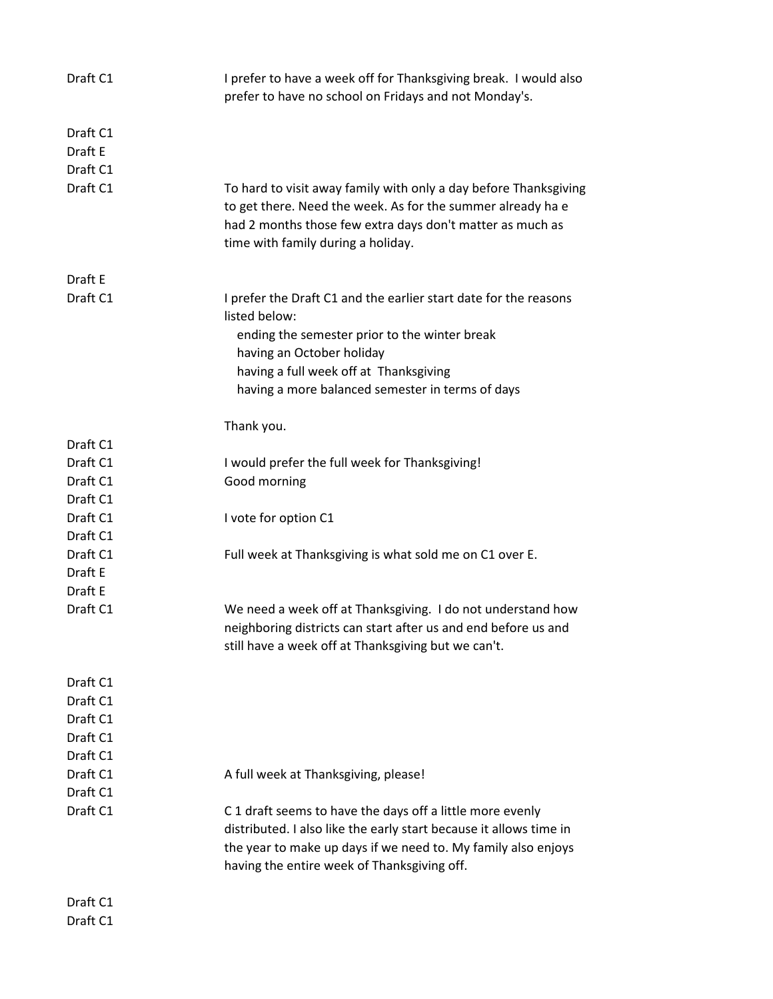| Draft C1                        | I prefer to have a week off for Thanksgiving break. I would also<br>prefer to have no school on Fridays and not Monday's.                                                                                                                                     |
|---------------------------------|---------------------------------------------------------------------------------------------------------------------------------------------------------------------------------------------------------------------------------------------------------------|
| Draft C1<br>Draft E<br>Draft C1 |                                                                                                                                                                                                                                                               |
| Draft C1                        | To hard to visit away family with only a day before Thanksgiving<br>to get there. Need the week. As for the summer already ha e<br>had 2 months those few extra days don't matter as much as<br>time with family during a holiday.                            |
| Draft E                         |                                                                                                                                                                                                                                                               |
| Draft C1                        | I prefer the Draft C1 and the earlier start date for the reasons<br>listed below:<br>ending the semester prior to the winter break<br>having an October holiday<br>having a full week off at Thanksgiving<br>having a more balanced semester in terms of days |
|                                 | Thank you.                                                                                                                                                                                                                                                    |
| Draft C1                        |                                                                                                                                                                                                                                                               |
| Draft C1                        | I would prefer the full week for Thanksgiving!                                                                                                                                                                                                                |
| Draft C1                        | Good morning                                                                                                                                                                                                                                                  |
| Draft C1                        |                                                                                                                                                                                                                                                               |
| Draft C1                        | I vote for option C1                                                                                                                                                                                                                                          |
| Draft C1                        |                                                                                                                                                                                                                                                               |
| Draft C1                        | Full week at Thanksgiving is what sold me on C1 over E.                                                                                                                                                                                                       |
| Draft E                         |                                                                                                                                                                                                                                                               |
| Draft E                         |                                                                                                                                                                                                                                                               |
| Draft C1                        | We need a week off at Thanksgiving. I do not understand how<br>neighboring districts can start after us and end before us and<br>still have a week off at Thanksgiving but we can't.                                                                          |
| Draft C1                        |                                                                                                                                                                                                                                                               |
| Draft C1                        |                                                                                                                                                                                                                                                               |
| Draft C1                        |                                                                                                                                                                                                                                                               |
| Draft C1                        |                                                                                                                                                                                                                                                               |
| Draft C1                        |                                                                                                                                                                                                                                                               |
| Draft C1                        | A full week at Thanksgiving, please!                                                                                                                                                                                                                          |
| Draft C1                        |                                                                                                                                                                                                                                                               |
| Draft C1                        | C 1 draft seems to have the days off a little more evenly                                                                                                                                                                                                     |
|                                 | distributed. I also like the early start because it allows time in<br>the year to make up days if we need to. My family also enjoys<br>having the entire week of Thanksgiving off.                                                                            |
| Draft C1                        |                                                                                                                                                                                                                                                               |

Draft C1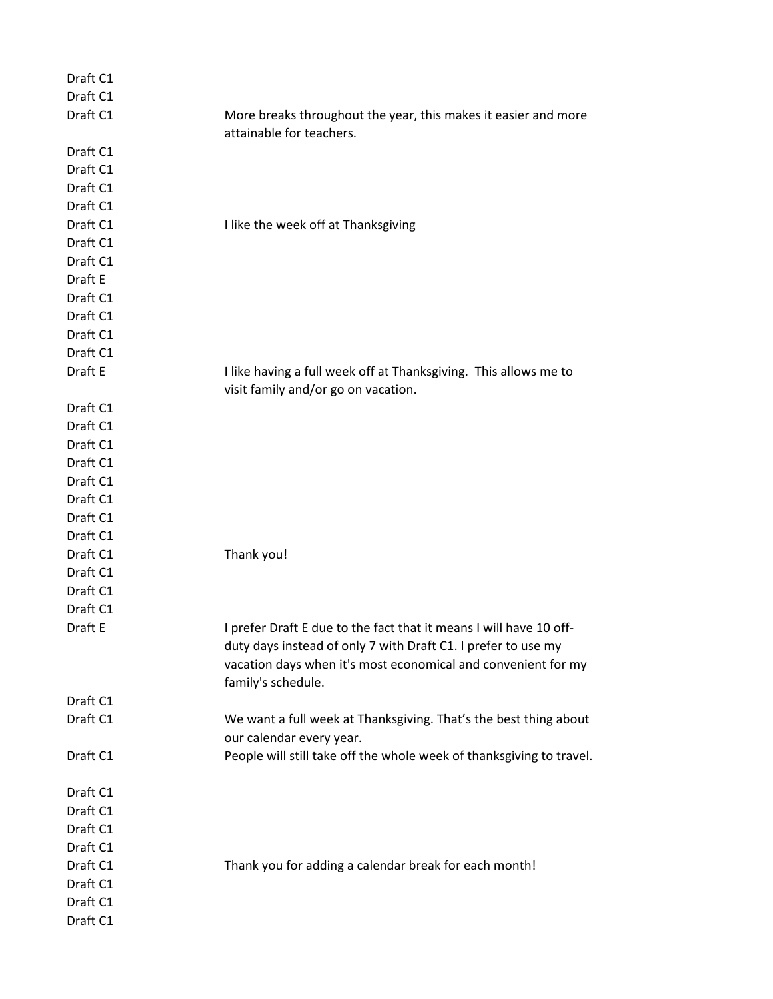| Draft C1 |                                                                      |
|----------|----------------------------------------------------------------------|
| Draft C1 |                                                                      |
| Draft C1 | More breaks throughout the year, this makes it easier and more       |
|          | attainable for teachers.                                             |
| Draft C1 |                                                                      |
| Draft C1 |                                                                      |
| Draft C1 |                                                                      |
| Draft C1 |                                                                      |
| Draft C1 | I like the week off at Thanksgiving                                  |
| Draft C1 |                                                                      |
| Draft C1 |                                                                      |
| Draft E  |                                                                      |
| Draft C1 |                                                                      |
| Draft C1 |                                                                      |
| Draft C1 |                                                                      |
| Draft C1 |                                                                      |
| Draft E  | I like having a full week off at Thanksgiving. This allows me to     |
|          | visit family and/or go on vacation.                                  |
| Draft C1 |                                                                      |
| Draft C1 |                                                                      |
| Draft C1 |                                                                      |
| Draft C1 |                                                                      |
| Draft C1 |                                                                      |
| Draft C1 |                                                                      |
| Draft C1 |                                                                      |
| Draft C1 |                                                                      |
| Draft C1 | Thank you!                                                           |
| Draft C1 |                                                                      |
| Draft C1 |                                                                      |
| Draft C1 |                                                                      |
| Draft E  | I prefer Draft E due to the fact that it means I will have 10 off-   |
|          | duty days instead of only 7 with Draft C1. I prefer to use my        |
|          | vacation days when it's most economical and convenient for my        |
|          | family's schedule.                                                   |
| Draft C1 |                                                                      |
| Draft C1 | We want a full week at Thanksgiving. That's the best thing about     |
|          | our calendar every year.                                             |
| Draft C1 | People will still take off the whole week of thanksgiving to travel. |
|          |                                                                      |
| Draft C1 |                                                                      |
| Draft C1 |                                                                      |
| Draft C1 |                                                                      |
| Draft C1 |                                                                      |
| Draft C1 | Thank you for adding a calendar break for each month!                |
| Draft C1 |                                                                      |
| Draft C1 |                                                                      |
| Draft C1 |                                                                      |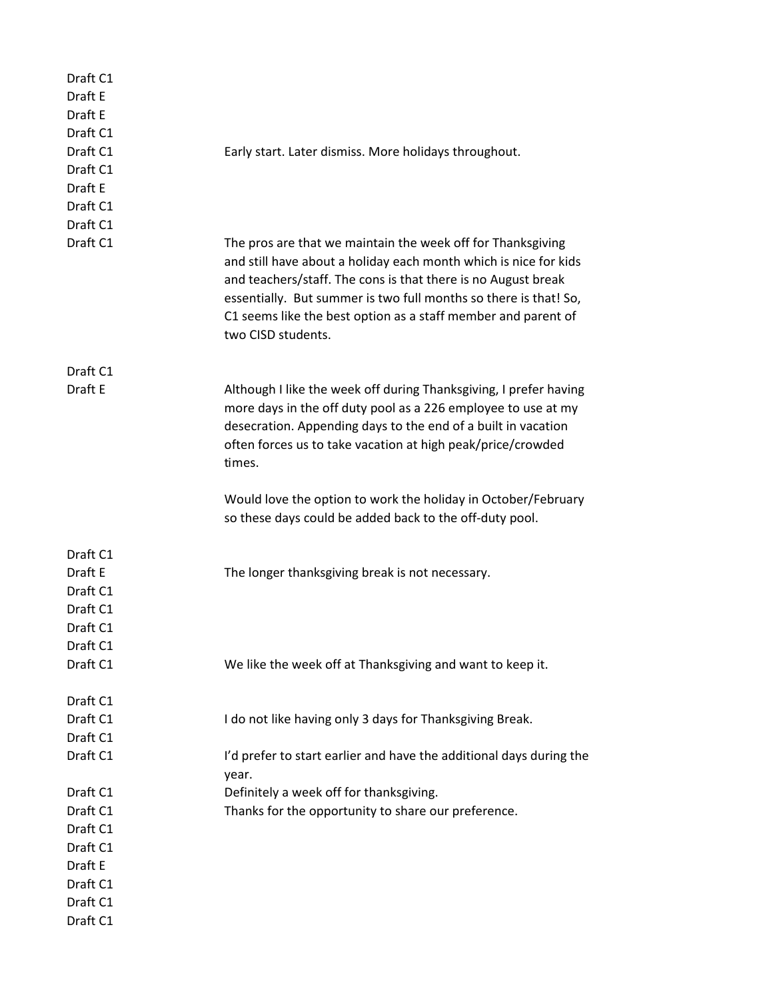| Draft C1<br>Draft E<br>Draft E<br>Draft C1                          |                                                                                                                                                                                                                                                                                                                                                             |
|---------------------------------------------------------------------|-------------------------------------------------------------------------------------------------------------------------------------------------------------------------------------------------------------------------------------------------------------------------------------------------------------------------------------------------------------|
| Draft C1<br>Draft C1<br>Draft E<br>Draft C1<br>Draft C1             | Early start. Later dismiss. More holidays throughout.                                                                                                                                                                                                                                                                                                       |
| Draft C1                                                            | The pros are that we maintain the week off for Thanksgiving<br>and still have about a holiday each month which is nice for kids<br>and teachers/staff. The cons is that there is no August break<br>essentially. But summer is two full months so there is that! So,<br>C1 seems like the best option as a staff member and parent of<br>two CISD students. |
| Draft C1<br>Draft E                                                 | Although I like the week off during Thanksgiving, I prefer having<br>more days in the off duty pool as a 226 employee to use at my<br>desecration. Appending days to the end of a built in vacation<br>often forces us to take vacation at high peak/price/crowded                                                                                          |
|                                                                     | times.<br>Would love the option to work the holiday in October/February                                                                                                                                                                                                                                                                                     |
|                                                                     | so these days could be added back to the off-duty pool.                                                                                                                                                                                                                                                                                                     |
| Draft C1<br>Draft E<br>Draft C1<br>Draft C1<br>Draft C1<br>Draft C1 | The longer thanksgiving break is not necessary.                                                                                                                                                                                                                                                                                                             |
| Draft C1                                                            | We like the week off at Thanksgiving and want to keep it.                                                                                                                                                                                                                                                                                                   |
| Draft C1<br>Draft C1<br>Draft C1                                    | I do not like having only 3 days for Thanksgiving Break.                                                                                                                                                                                                                                                                                                    |
| Draft C1                                                            | I'd prefer to start earlier and have the additional days during the<br>year.                                                                                                                                                                                                                                                                                |
| Draft C1                                                            | Definitely a week off for thanksgiving.                                                                                                                                                                                                                                                                                                                     |
| Draft C1                                                            | Thanks for the opportunity to share our preference.                                                                                                                                                                                                                                                                                                         |
| Draft C1                                                            |                                                                                                                                                                                                                                                                                                                                                             |
| Draft C1                                                            |                                                                                                                                                                                                                                                                                                                                                             |
| Draft E                                                             |                                                                                                                                                                                                                                                                                                                                                             |
| Draft C1                                                            |                                                                                                                                                                                                                                                                                                                                                             |
| Draft C1                                                            |                                                                                                                                                                                                                                                                                                                                                             |
| Draft C1                                                            |                                                                                                                                                                                                                                                                                                                                                             |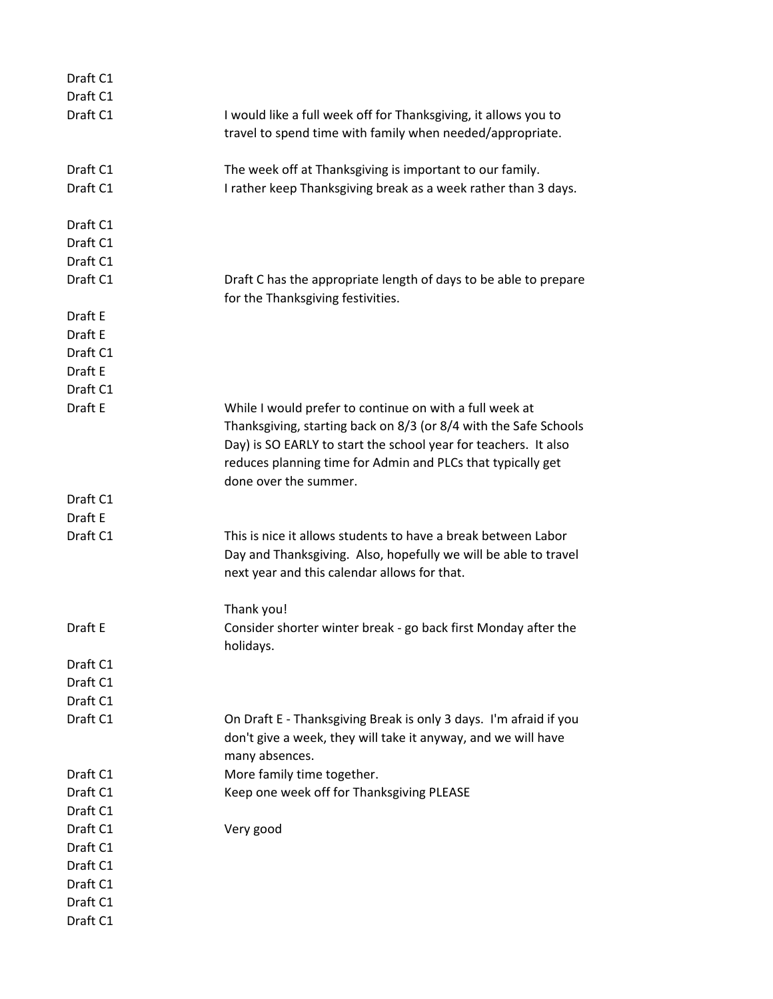| Draft C1 |                                                                                                                                                                                                                                                                                        |
|----------|----------------------------------------------------------------------------------------------------------------------------------------------------------------------------------------------------------------------------------------------------------------------------------------|
| Draft C1 |                                                                                                                                                                                                                                                                                        |
| Draft C1 | I would like a full week off for Thanksgiving, it allows you to<br>travel to spend time with family when needed/appropriate.                                                                                                                                                           |
| Draft C1 | The week off at Thanksgiving is important to our family.                                                                                                                                                                                                                               |
| Draft C1 | I rather keep Thanksgiving break as a week rather than 3 days.                                                                                                                                                                                                                         |
| Draft C1 |                                                                                                                                                                                                                                                                                        |
| Draft C1 |                                                                                                                                                                                                                                                                                        |
| Draft C1 |                                                                                                                                                                                                                                                                                        |
| Draft C1 | Draft C has the appropriate length of days to be able to prepare<br>for the Thanksgiving festivities.                                                                                                                                                                                  |
| Draft E  |                                                                                                                                                                                                                                                                                        |
| Draft E  |                                                                                                                                                                                                                                                                                        |
| Draft C1 |                                                                                                                                                                                                                                                                                        |
| Draft E  |                                                                                                                                                                                                                                                                                        |
| Draft C1 |                                                                                                                                                                                                                                                                                        |
| Draft E  | While I would prefer to continue on with a full week at<br>Thanksgiving, starting back on 8/3 (or 8/4 with the Safe Schools<br>Day) is SO EARLY to start the school year for teachers. It also<br>reduces planning time for Admin and PLCs that typically get<br>done over the summer. |
| Draft C1 |                                                                                                                                                                                                                                                                                        |
| Draft E  |                                                                                                                                                                                                                                                                                        |
| Draft C1 | This is nice it allows students to have a break between Labor<br>Day and Thanksgiving. Also, hopefully we will be able to travel<br>next year and this calendar allows for that.                                                                                                       |
|          | Thank you!                                                                                                                                                                                                                                                                             |
| Draft E  | Consider shorter winter break - go back first Monday after the<br>holidays.                                                                                                                                                                                                            |
| Draft C1 |                                                                                                                                                                                                                                                                                        |
| Draft C1 |                                                                                                                                                                                                                                                                                        |
| Draft C1 |                                                                                                                                                                                                                                                                                        |
| Draft C1 | On Draft E - Thanksgiving Break is only 3 days. I'm afraid if you<br>don't give a week, they will take it anyway, and we will have<br>many absences.                                                                                                                                   |
| Draft C1 | More family time together.                                                                                                                                                                                                                                                             |
| Draft C1 | Keep one week off for Thanksgiving PLEASE                                                                                                                                                                                                                                              |
| Draft C1 |                                                                                                                                                                                                                                                                                        |
| Draft C1 | Very good                                                                                                                                                                                                                                                                              |
| Draft C1 |                                                                                                                                                                                                                                                                                        |
| Draft C1 |                                                                                                                                                                                                                                                                                        |
| Draft C1 |                                                                                                                                                                                                                                                                                        |
| Draft C1 |                                                                                                                                                                                                                                                                                        |
| Draft C1 |                                                                                                                                                                                                                                                                                        |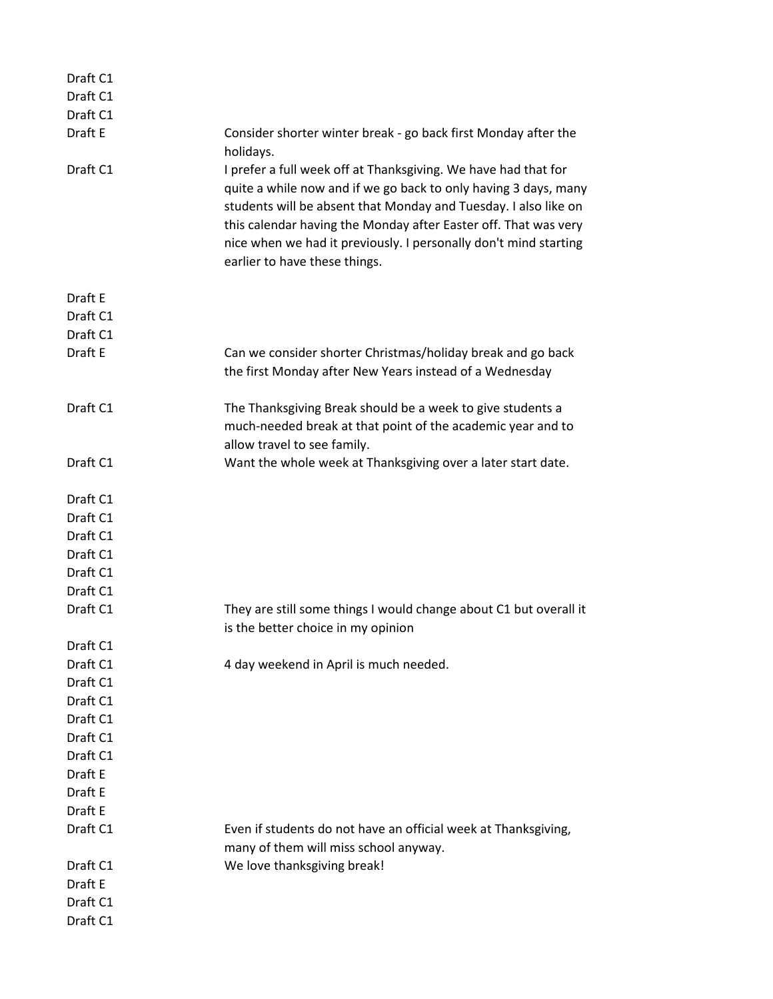| Draft C1 |                                                                                                                                                                                                                                                                                                                                                                              |
|----------|------------------------------------------------------------------------------------------------------------------------------------------------------------------------------------------------------------------------------------------------------------------------------------------------------------------------------------------------------------------------------|
| Draft C1 |                                                                                                                                                                                                                                                                                                                                                                              |
| Draft C1 |                                                                                                                                                                                                                                                                                                                                                                              |
| Draft E  | Consider shorter winter break - go back first Monday after the<br>holidays.                                                                                                                                                                                                                                                                                                  |
| Draft C1 | I prefer a full week off at Thanksgiving. We have had that for<br>quite a while now and if we go back to only having 3 days, many<br>students will be absent that Monday and Tuesday. I also like on<br>this calendar having the Monday after Easter off. That was very<br>nice when we had it previously. I personally don't mind starting<br>earlier to have these things. |
| Draft E  |                                                                                                                                                                                                                                                                                                                                                                              |
| Draft C1 |                                                                                                                                                                                                                                                                                                                                                                              |
| Draft C1 |                                                                                                                                                                                                                                                                                                                                                                              |
| Draft E  | Can we consider shorter Christmas/holiday break and go back<br>the first Monday after New Years instead of a Wednesday                                                                                                                                                                                                                                                       |
| Draft C1 | The Thanksgiving Break should be a week to give students a<br>much-needed break at that point of the academic year and to<br>allow travel to see family.                                                                                                                                                                                                                     |
| Draft C1 | Want the whole week at Thanksgiving over a later start date.                                                                                                                                                                                                                                                                                                                 |
| Draft C1 |                                                                                                                                                                                                                                                                                                                                                                              |
| Draft C1 |                                                                                                                                                                                                                                                                                                                                                                              |
| Draft C1 |                                                                                                                                                                                                                                                                                                                                                                              |
| Draft C1 |                                                                                                                                                                                                                                                                                                                                                                              |
| Draft C1 |                                                                                                                                                                                                                                                                                                                                                                              |
| Draft C1 |                                                                                                                                                                                                                                                                                                                                                                              |
| Draft C1 | They are still some things I would change about C1 but overall it<br>is the better choice in my opinion                                                                                                                                                                                                                                                                      |
| Draft C1 |                                                                                                                                                                                                                                                                                                                                                                              |
| Draft C1 | 4 day weekend in April is much needed.                                                                                                                                                                                                                                                                                                                                       |
| Draft C1 |                                                                                                                                                                                                                                                                                                                                                                              |
| Draft C1 |                                                                                                                                                                                                                                                                                                                                                                              |
| Draft C1 |                                                                                                                                                                                                                                                                                                                                                                              |
| Draft C1 |                                                                                                                                                                                                                                                                                                                                                                              |
| Draft C1 |                                                                                                                                                                                                                                                                                                                                                                              |
| Draft E  |                                                                                                                                                                                                                                                                                                                                                                              |
| Draft E  |                                                                                                                                                                                                                                                                                                                                                                              |
| Draft E  |                                                                                                                                                                                                                                                                                                                                                                              |
| Draft C1 | Even if students do not have an official week at Thanksgiving,<br>many of them will miss school anyway.                                                                                                                                                                                                                                                                      |
| Draft C1 | We love thanksgiving break!                                                                                                                                                                                                                                                                                                                                                  |
| Draft E  |                                                                                                                                                                                                                                                                                                                                                                              |
| Draft C1 |                                                                                                                                                                                                                                                                                                                                                                              |
| Draft C1 |                                                                                                                                                                                                                                                                                                                                                                              |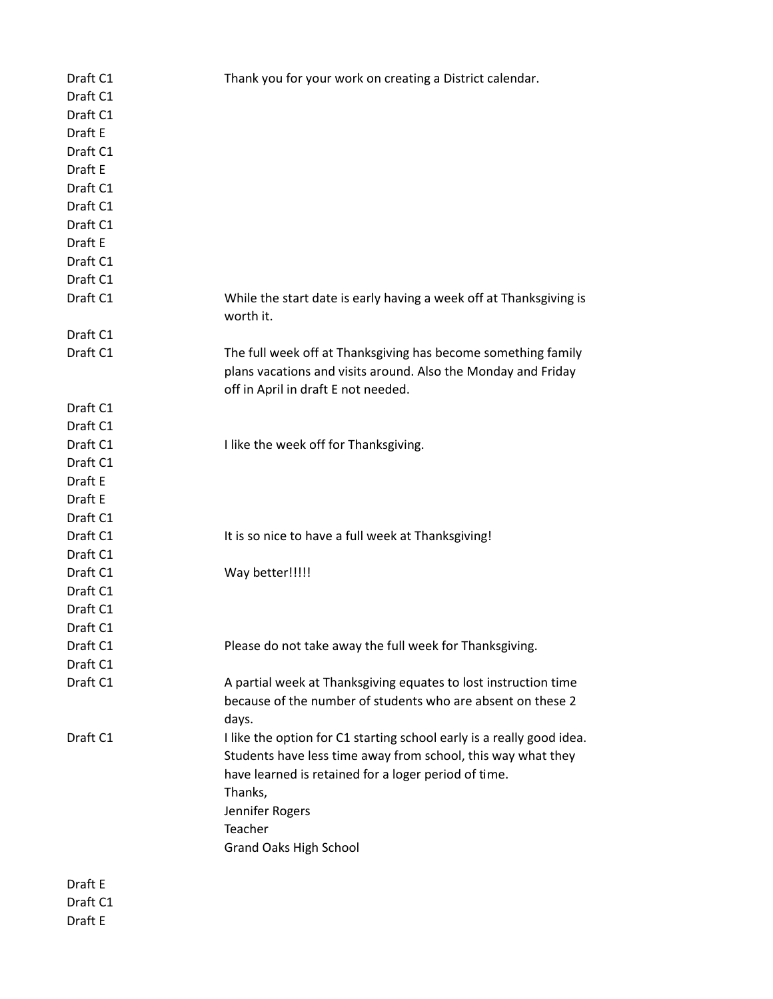| Draft C1            | Thank you for your work on creating a District calendar.                        |
|---------------------|---------------------------------------------------------------------------------|
| Draft C1            |                                                                                 |
| Draft C1            |                                                                                 |
| Draft E             |                                                                                 |
| Draft C1            |                                                                                 |
| Draft E             |                                                                                 |
| Draft C1            |                                                                                 |
| Draft C1            |                                                                                 |
| Draft C1            |                                                                                 |
| Draft E             |                                                                                 |
| Draft C1            |                                                                                 |
| Draft C1            |                                                                                 |
| Draft C1            | While the start date is early having a week off at Thanksgiving is<br>worth it. |
| Draft C1            |                                                                                 |
| Draft C1            | The full week off at Thanksgiving has become something family                   |
|                     | plans vacations and visits around. Also the Monday and Friday                   |
|                     | off in April in draft E not needed.                                             |
| Draft C1            |                                                                                 |
| Draft C1            |                                                                                 |
| Draft C1            | I like the week off for Thanksgiving.                                           |
| Draft C1            |                                                                                 |
| Draft E             |                                                                                 |
| Draft E             |                                                                                 |
| Draft C1            |                                                                                 |
| Draft C1            | It is so nice to have a full week at Thanksgiving!                              |
| Draft C1            |                                                                                 |
| Draft C1            | Way better!!!!!                                                                 |
| Draft C1            |                                                                                 |
| Draft C1            |                                                                                 |
| Draft C1            |                                                                                 |
| Draft C1            | Please do not take away the full week for Thanksgiving.                         |
| Draft C1            |                                                                                 |
| Draft C1            | A partial week at Thanksgiving equates to lost instruction time                 |
|                     | because of the number of students who are absent on these 2                     |
|                     |                                                                                 |
|                     | days.                                                                           |
| Draft C1            | I like the option for C1 starting school early is a really good idea.           |
|                     | Students have less time away from school, this way what they                    |
|                     | have learned is retained for a loger period of time.                            |
|                     | Thanks,                                                                         |
|                     | Jennifer Rogers                                                                 |
|                     | Teacher                                                                         |
|                     | <b>Grand Oaks High School</b>                                                   |
|                     |                                                                                 |
| Draft E<br>Draft C1 |                                                                                 |
| Draft E             |                                                                                 |
|                     |                                                                                 |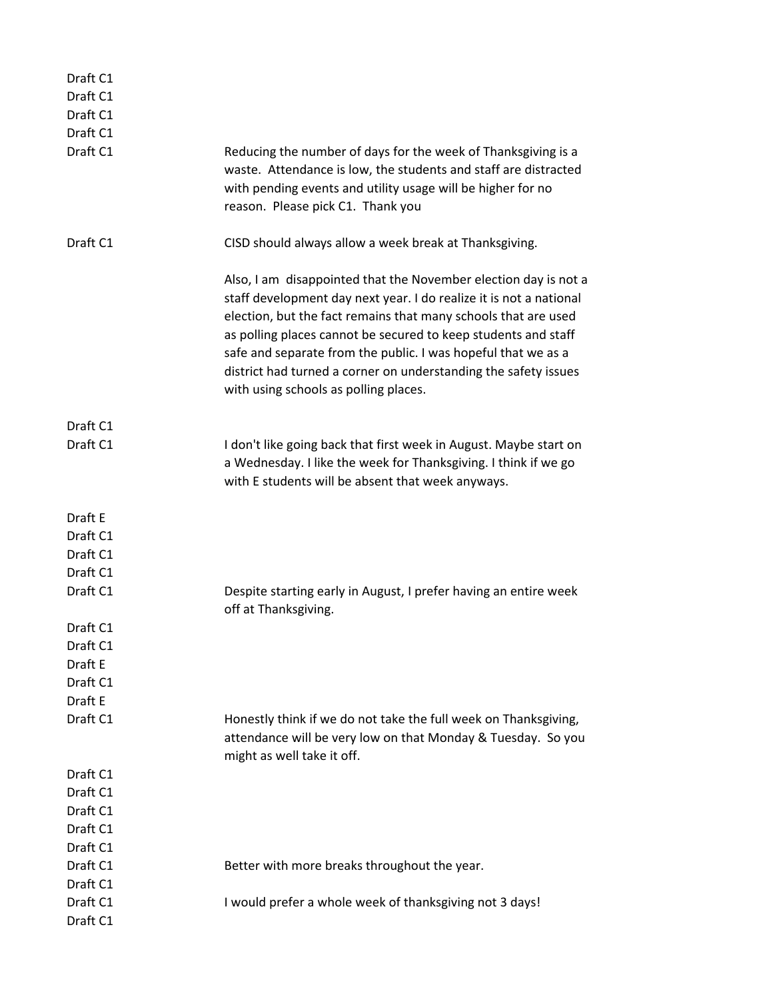| Draft C1 |                                                                                                                                                                                                                                                                                                                                                                                                                                                        |
|----------|--------------------------------------------------------------------------------------------------------------------------------------------------------------------------------------------------------------------------------------------------------------------------------------------------------------------------------------------------------------------------------------------------------------------------------------------------------|
| Draft C1 |                                                                                                                                                                                                                                                                                                                                                                                                                                                        |
| Draft C1 |                                                                                                                                                                                                                                                                                                                                                                                                                                                        |
| Draft C1 |                                                                                                                                                                                                                                                                                                                                                                                                                                                        |
| Draft C1 | Reducing the number of days for the week of Thanksgiving is a<br>waste. Attendance is low, the students and staff are distracted<br>with pending events and utility usage will be higher for no<br>reason. Please pick C1. Thank you                                                                                                                                                                                                                   |
| Draft C1 | CISD should always allow a week break at Thanksgiving.                                                                                                                                                                                                                                                                                                                                                                                                 |
|          | Also, I am disappointed that the November election day is not a<br>staff development day next year. I do realize it is not a national<br>election, but the fact remains that many schools that are used<br>as polling places cannot be secured to keep students and staff<br>safe and separate from the public. I was hopeful that we as a<br>district had turned a corner on understanding the safety issues<br>with using schools as polling places. |
| Draft C1 |                                                                                                                                                                                                                                                                                                                                                                                                                                                        |
| Draft C1 | I don't like going back that first week in August. Maybe start on<br>a Wednesday. I like the week for Thanksgiving. I think if we go<br>with E students will be absent that week anyways.                                                                                                                                                                                                                                                              |
| Draft E  |                                                                                                                                                                                                                                                                                                                                                                                                                                                        |
| Draft C1 |                                                                                                                                                                                                                                                                                                                                                                                                                                                        |
| Draft C1 |                                                                                                                                                                                                                                                                                                                                                                                                                                                        |
| Draft C1 |                                                                                                                                                                                                                                                                                                                                                                                                                                                        |
| Draft C1 | Despite starting early in August, I prefer having an entire week<br>off at Thanksgiving.                                                                                                                                                                                                                                                                                                                                                               |
| Draft C1 |                                                                                                                                                                                                                                                                                                                                                                                                                                                        |
| Draft C1 |                                                                                                                                                                                                                                                                                                                                                                                                                                                        |
| Draft E  |                                                                                                                                                                                                                                                                                                                                                                                                                                                        |
| Draft C1 |                                                                                                                                                                                                                                                                                                                                                                                                                                                        |
| Draft E  |                                                                                                                                                                                                                                                                                                                                                                                                                                                        |
| Draft C1 | Honestly think if we do not take the full week on Thanksgiving,<br>attendance will be very low on that Monday & Tuesday. So you<br>might as well take it off.                                                                                                                                                                                                                                                                                          |
| Draft C1 |                                                                                                                                                                                                                                                                                                                                                                                                                                                        |
| Draft C1 |                                                                                                                                                                                                                                                                                                                                                                                                                                                        |
| Draft C1 |                                                                                                                                                                                                                                                                                                                                                                                                                                                        |
| Draft C1 |                                                                                                                                                                                                                                                                                                                                                                                                                                                        |
| Draft C1 |                                                                                                                                                                                                                                                                                                                                                                                                                                                        |
| Draft C1 | Better with more breaks throughout the year.                                                                                                                                                                                                                                                                                                                                                                                                           |
| Draft C1 |                                                                                                                                                                                                                                                                                                                                                                                                                                                        |
| Draft C1 | I would prefer a whole week of thanksgiving not 3 days!                                                                                                                                                                                                                                                                                                                                                                                                |
| Draft C1 |                                                                                                                                                                                                                                                                                                                                                                                                                                                        |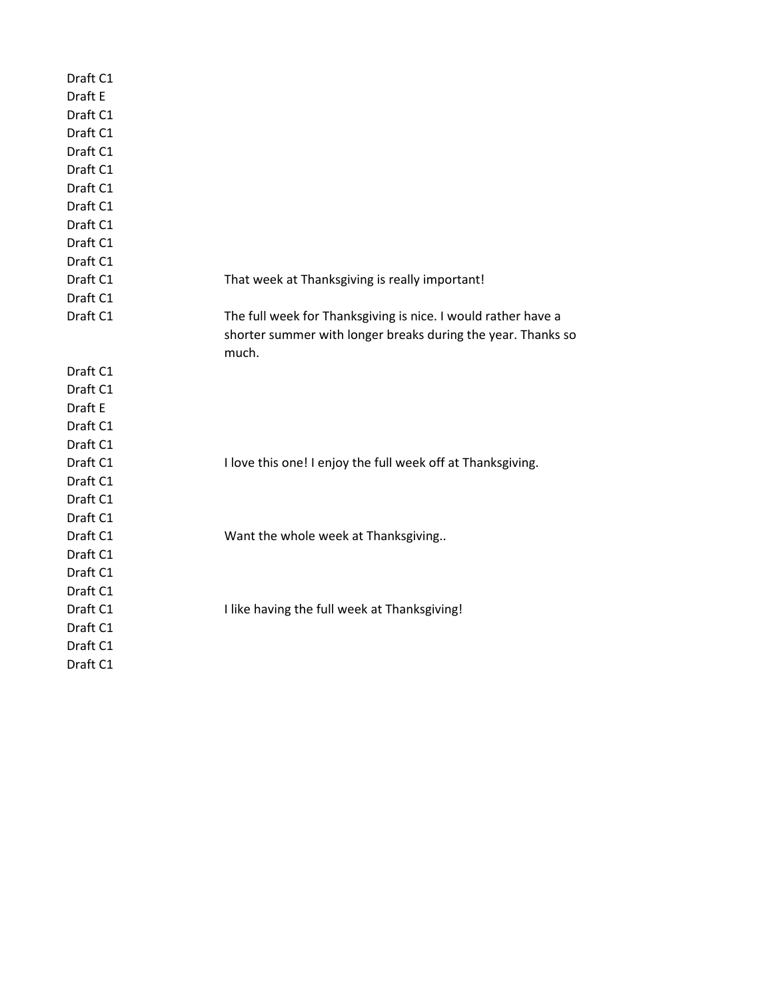| Draft C1 |                                                               |
|----------|---------------------------------------------------------------|
| Draft E  |                                                               |
| Draft C1 |                                                               |
| Draft C1 |                                                               |
| Draft C1 |                                                               |
| Draft C1 |                                                               |
| Draft C1 |                                                               |
| Draft C1 |                                                               |
| Draft C1 |                                                               |
| Draft C1 |                                                               |
| Draft C1 |                                                               |
| Draft C1 | That week at Thanksgiving is really important!                |
| Draft C1 |                                                               |
| Draft C1 | The full week for Thanksgiving is nice. I would rather have a |
|          | shorter summer with longer breaks during the year. Thanks so  |
|          | much.                                                         |
| Draft C1 |                                                               |
| Draft C1 |                                                               |
| Draft E  |                                                               |
| Draft C1 |                                                               |
| Draft C1 |                                                               |
| Draft C1 | I love this one! I enjoy the full week off at Thanksgiving.   |
| Draft C1 |                                                               |
| Draft C1 |                                                               |
| Draft C1 |                                                               |
| Draft C1 | Want the whole week at Thanksgiving                           |
| Draft C1 |                                                               |
| Draft C1 |                                                               |
| Draft C1 |                                                               |
| Draft C1 | I like having the full week at Thanksgiving!                  |
| Draft C1 |                                                               |
| Draft C1 |                                                               |
| Draft C1 |                                                               |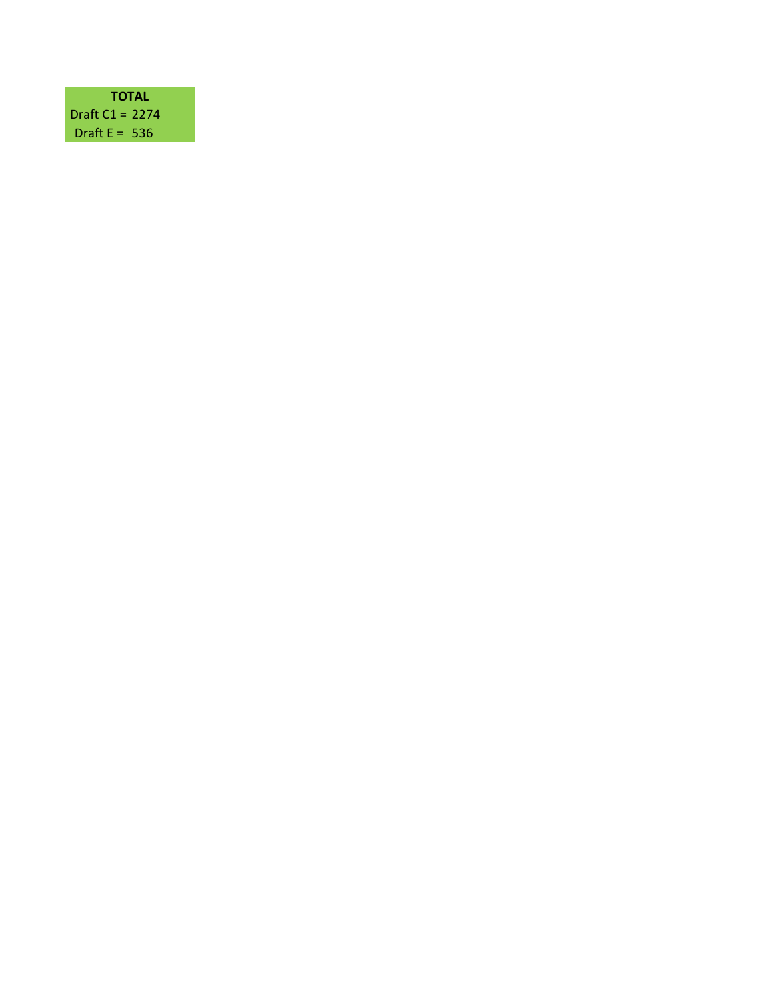| TOTAL             |  |
|-------------------|--|
| Draft $C1 = 2274$ |  |
| Draft $F = 536$   |  |